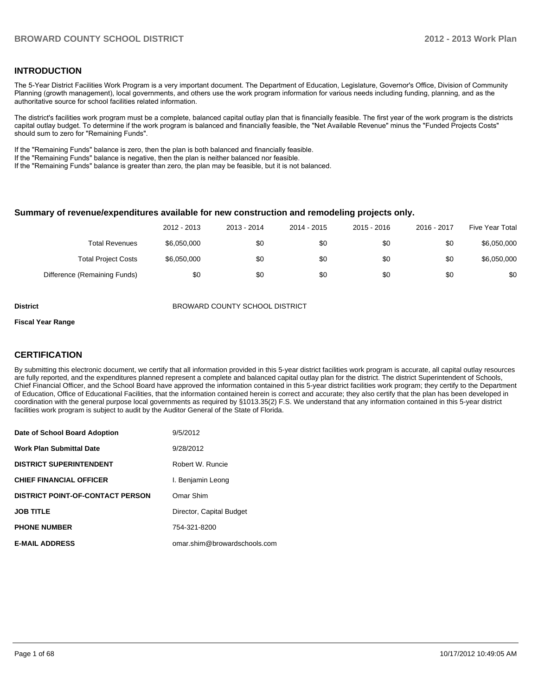#### **INTRODUCTION**

The 5-Year District Facilities Work Program is a very important document. The Department of Education, Legislature, Governor's Office, Division of Community Planning (growth management), local governments, and others use the work program information for various needs including funding, planning, and as the authoritative source for school facilities related information.

The district's facilities work program must be a complete, balanced capital outlay plan that is financially feasible. The first year of the work program is the districts capital outlay budget. To determine if the work program is balanced and financially feasible, the "Net Available Revenue" minus the "Funded Projects Costs" should sum to zero for "Remaining Funds".

If the "Remaining Funds" balance is zero, then the plan is both balanced and financially feasible.

If the "Remaining Funds" balance is negative, then the plan is neither balanced nor feasible.

If the "Remaining Funds" balance is greater than zero, the plan may be feasible, but it is not balanced.

#### **Summary of revenue/expenditures available for new construction and remodeling projects only.**

|                              | 2012 - 2013 | 2013 - 2014 | 2014 - 2015 | $2015 - 2016$ | 2016 - 2017 | Five Year Total |
|------------------------------|-------------|-------------|-------------|---------------|-------------|-----------------|
| <b>Total Revenues</b>        | \$6.050.000 | \$0         | \$0         | \$0           | \$0         | \$6,050,000     |
| <b>Total Project Costs</b>   | \$6,050,000 | \$0         | \$0         | \$0           | \$0         | \$6,050,000     |
| Difference (Remaining Funds) | \$0         | \$0         | \$0         | \$0           | \$0         | \$0             |

**District** BROWARD COUNTY SCHOOL DISTRICT

#### **Fiscal Year Range**

#### **CERTIFICATION**

By submitting this electronic document, we certify that all information provided in this 5-year district facilities work program is accurate, all capital outlay resources are fully reported, and the expenditures planned represent a complete and balanced capital outlay plan for the district. The district Superintendent of Schools, Chief Financial Officer, and the School Board have approved the information contained in this 5-year district facilities work program; they certify to the Department of Education, Office of Educational Facilities, that the information contained herein is correct and accurate; they also certify that the plan has been developed in coordination with the general purpose local governments as required by §1013.35(2) F.S. We understand that any information contained in this 5-year district facilities work program is subject to audit by the Auditor General of the State of Florida.

| Date of School Board Adoption           | 9/5/2012                     |
|-----------------------------------------|------------------------------|
| <b>Work Plan Submittal Date</b>         | 9/28/2012                    |
| <b>DISTRICT SUPERINTENDENT</b>          | Robert W. Runcie             |
| <b>CHIEF FINANCIAL OFFICER</b>          | I. Benjamin Leong            |
| <b>DISTRICT POINT-OF-CONTACT PERSON</b> | Omar Shim                    |
| <b>JOB TITLE</b>                        | Director, Capital Budget     |
| <b>PHONE NUMBER</b>                     | 754-321-8200                 |
| <b>E-MAIL ADDRESS</b>                   | omar.shim@browardschools.com |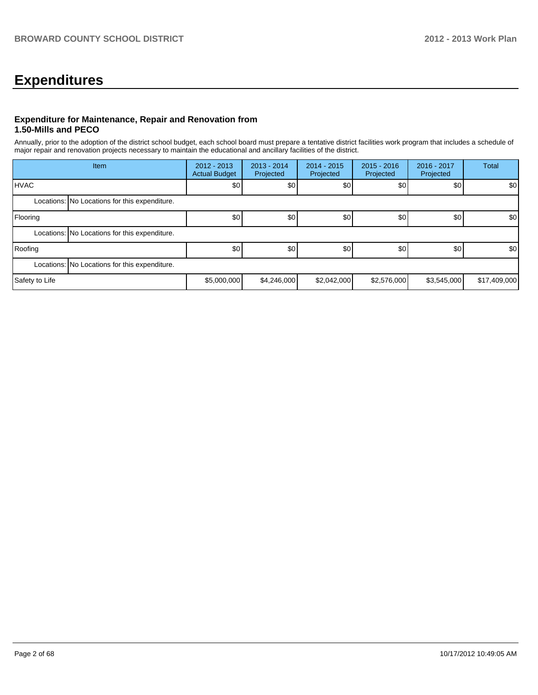## **Expenditures**

#### **Expenditure for Maintenance, Repair and Renovation from 1.50-Mills and PECO**

Annually, prior to the adoption of the district school budget, each school board must prepare a tentative district facilities work program that includes a schedule of major repair and renovation projects necessary to maintain the educational and ancillary facilities of the district.

|                | Item                                          | $2012 - 2013$<br><b>Actual Budget</b> | 2013 - 2014<br>Projected | $2014 - 2015$<br>Projected | $2015 - 2016$<br>Projected | 2016 - 2017<br>Projected | <b>Total</b> |  |  |
|----------------|-----------------------------------------------|---------------------------------------|--------------------------|----------------------------|----------------------------|--------------------------|--------------|--|--|
| <b>HVAC</b>    |                                               | \$0                                   | \$0                      | \$0                        | \$0                        | \$0                      | \$0          |  |  |
|                | Locations: No Locations for this expenditure. |                                       |                          |                            |                            |                          |              |  |  |
| Flooring       |                                               | \$0                                   | \$0                      | \$0                        | \$0                        | \$0                      | \$0          |  |  |
|                | Locations: No Locations for this expenditure. |                                       |                          |                            |                            |                          |              |  |  |
| Roofing        |                                               | \$0                                   | \$0                      | \$0                        | \$0                        | \$0                      | \$0          |  |  |
|                | Locations: No Locations for this expenditure. |                                       |                          |                            |                            |                          |              |  |  |
| Safety to Life |                                               | \$5,000,000                           | \$4,246,000              | \$2,042,000                | \$2,576,000                | \$3,545,000              | \$17,409,000 |  |  |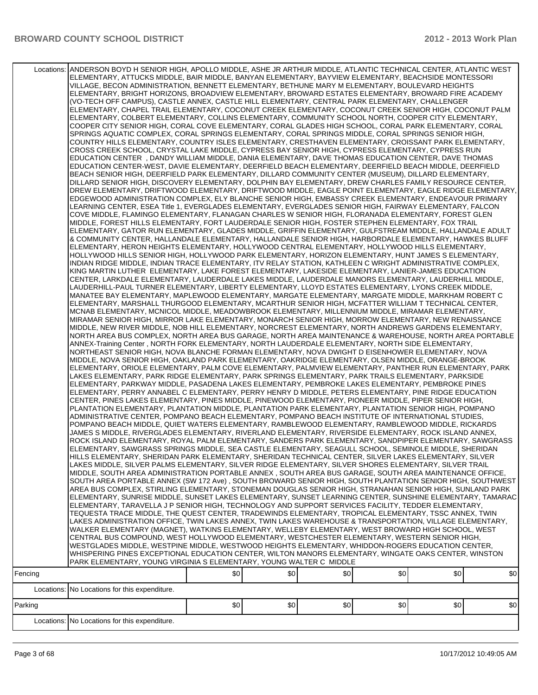| Fencing | Locations: ANDERSON BOYD H SENIOR HIGH, APOLLO MIDDLE, ASHE JR ARTHUR MIDDLE, ATLANTIC TECHNICAL CENTER, ATLANTIC WEST<br>ELEMENTARY, ATTUCKS MIDDLE, BAIR MIDDLE, BANYAN ELEMENTARY, BAYVIEW ELEMENTARY, BEACHSIDE MONTESSORI<br>VILLAGE, BECON ADMINISTRATION, BENNETT ELEMENTARY, BETHUNE MARY M ELEMENTARY, BOULEVARD HEIGHTS<br>ELEMENTARY, BRIGHT HORIZONS, BROADVIEW ELEMENTARY, BROWARD ESTATES ELEMENTARY, BROWARD FIRE ACADEMY<br>(VO-TECH OFF CAMPUS), CASTLE ANNEX, CASTLE HILL ELEMENTARY, CENTRAL PARK ELEMENTARY, CHALLENGER<br>ELEMENTARY, CHAPEL TRAIL ELEMENTARY, COCONUT CREEK ELEMENTARY, COCONUT CREEK SENIOR HIGH, COCONUT PALM<br>ELEMENTARY, COLBERT ELEMENTARY, COLLINS ELEMENTARY, COMMUNITY SCHOOL NORTH, COOPER CITY ELEMENTARY,<br>COOPER CITY SENIOR HIGH, CORAL COVE ELEMENTARY, CORAL GLADES HIGH SCHOOL, CORAL PARK ELEMENTARY, CORAL<br>SPRINGS AQUATIC COMPLEX, CORAL SPRINGS ELEMENTARY, CORAL SPRINGS MIDDLE, CORAL SPRINGS SENIOR HIGH,<br>COUNTRY HILLS ELEMENTARY, COUNTRY ISLES ELEMENTARY, CRESTHAVEN ELEMENTARY, CROISSANT PARK ELEMENTARY,<br>CROSS CREEK SCHOOL, CRYSTAL LAKE MIDDLE, CYPRESS BAY SENIOR HIGH, CYPRESS ELEMENTARY, CYPRESS RUN<br>EDUCATION CENTER, DANDY WILLIAM MIDDLE, DANIA ELEMENTARY, DAVE THOMAS EDUCATION CENTER, DAVE THOMAS<br>EDUCATION CENTER-WEST, DAVIE ELEMENTARY, DEERFIELD BEACH ELEMENTARY, DEERFIELD BEACH MIDDLE, DEERFIELD<br>BEACH SENIOR HIGH, DEERFIELD PARK ELEMENTARY, DILLARD COMMUNITY CENTER (MUSEUM), DILLARD ELEMENTARY,<br>DILLARD SENIOR HIGH, DISCOVERY ELEMENTARY, DOLPHIN BAY ELEMENTARY, DREW CHARLES FAMILY RESOURCE CENTER,<br>DREW ELEMENTARY, DRIFTWOOD ELEMENTARY, DRIFTWOOD MIDDLE, EAGLE POINT ELEMENTARY, EAGLE RIDGE ELEMENTARY,<br>EDGEWOOD ADMINISTRATION COMPLEX, ELY BLANCHE SENIOR HIGH, EMBASSY CREEK ELEMENTARY, ENDEAVOUR PRIMARY<br>LEARNING CENTER, ESEA Title 1, EVERGLADES ELEMENTARY, EVERGLADES SENIOR HIGH, FAIRWAY ELEMENTARY, FALCON<br>COVE MIDDLE, FLAMINGO ELEMENTARY, FLANAGAN CHARLES W SENIOR HIGH, FLORANADA ELEMENTARY, FOREST GLEN<br>MIDDLE, FOREST HILLS ELEMENTARY, FORT LAUDERDALE SENIOR HIGH, FOSTER STEPHEN ELEMENTARY, FOX TRAIL<br>ELEMENTARY, GATOR RUN ELEMENTARY, GLADES MIDDLE, GRIFFIN ELEMENTARY, GULFSTREAM MIDDLE, HALLANDALE ADULT<br>& COMMUNITY CENTER, HALLANDALE ELEMENTARY, HALLANDALE SENIOR HIGH, HARBORDALE ELEMENTARY, HAWKES BLUFF<br>ELEMENTARY, HERON HEIGHTS ELEMENTARY, HOLLYWOOD CENTRAL ELEMENTARY, HOLLYWOOD HILLS ELEMENTARY,<br>HOLLYWOOD HILLS SENIOR HIGH, HOLLYWOOD PARK ELEMENTARY, HORIZON ELEMENTARY, HUNT JAMES S ELEMENTARY,<br>INDIAN RIDGE MIDDLE. INDIAN TRACE ELEMENTARY. ITV RELAY STATION. KATHLEEN C WRIGHT ADMINISTRATIVE COMPLEX.<br>KING MARTIN LUTHER ELEMENTARY, LAKE FOREST ELEMENTARY, LAKESIDE ELEMENTARY, LANIER-JAMES EDUCATION<br>CENTER, LARKDALE ELEMENTARY, LAUDERDALE LAKES MIDDLE, LAUDERDALE MANORS ELEMENTARY, LAUDERHILL MIDDLE,<br>LAUDERHILL-PAUL TURNER ELEMENTARY, LIBERTY ELEMENTARY, LLOYD ESTATES ELEMENTARY, LYONS CREEK MIDDLE,<br>MANATEE BAY ELEMENTARY, MAPLEWOOD ELEMENTARY, MARGATE ELEMENTARY, MARGATE MIDDLE, MARKHAM ROBERT C<br>ELEMENTARY, MARSHALL THURGOOD ELEMENTARY, MCARTHUR SENIOR HIGH, MCFATTER WILLIAM T TECHNICAL CENTER,<br>MCNAB ELEMENTARY, MCNICOL MIDDLE, MEADOWBROOK ELEMENTARY, MILLENNIUM MIDDLE, MIRAMAR ELEMENTARY,<br>MIRAMAR SENIOR HIGH, MIRROR LAKE ELEMENTARY, MONARCH SENIOR HIGH, MORROW ELEMENTARY, NEW RENAISSANCE<br>MIDDLE, NEW RIVER MIDDLE, NOB HILL ELEMENTARY, NORCREST ELEMENTARY, NORTH ANDREWS GARDENS ELEMENTARY,<br>NORTH AREA BUS COMPLEX, NORTH AREA BUS GARAGE, NORTH AREA MAINTENANCE & WAREHOUSE, NORTH AREA PORTABLE<br>ANNEX-Training Center, NORTH FORK ELEMENTARY, NORTH LAUDERDALE ELEMENTARY, NORTH SIDE ELEMENTARY,<br>NORTHEAST SENIOR HIGH, NOVA BLANCHE FORMAN ELEMENTARY, NOVA DWIGHT D EISENHOWER ELEMENTARY, NOVA<br>MIDDLE, NOVA SENIOR HIGH, OAKLAND PARK ELEMENTARY, OAKRIDGE ELEMENTARY, OLSEN MIDDLE, ORANGE-BROOK<br>ELEMENTARY, ORIOLE ELEMENTARY, PALM COVE ELEMENTARY, PALMVIEW ELEMENTARY, PANTHER RUN ELEMENTARY, PARK<br>LAKES ELEMENTARY, PARK RIDGE ELEMENTARY, PARK SPRINGS ELEMENTARY, PARK TRAILS ELEMENTARY, PARKSIDE<br>ELEMENTARY, PARKWAY MIDDLE, PASADENA LAKES ELEMENTARY, PEMBROKE LAKES ELEMENTARY, PEMBROKE PINES<br>ELEMENTARY, PERRY ANNABEL C ELEMENTARY, PERRY HENRY D MIDDLE, PETERS ELEMENTARY, PINE RIDGE EDUCATION<br>CENTER, PINES LAKES ELEMENTARY, PINES MIDDLE, PINEWOOD ELEMENTARY, PIONEER MIDDLE, PIPER SENIOR HIGH,<br>PLANTATION ELEMENTARY, PLANTATION MIDDLE, PLANTATION PARK ELEMENTARY, PLANTATION SENIOR HIGH, POMPANO<br>ADMINISTRATIVE CENTER, POMPANO BEACH ELEMENTARY, POMPANO BEACH INSTITUTE OF INTERNATIONAL STUDIES,<br>POMPANO BEACH MIDDLE, QUIET WATERS ELEMENTARY, RAMBLEWOOD ELEMENTARY, RAMBLEWOOD MIDDLE, RICKARDS<br>JAMES S MIDDLE, RIVERGLADES ELEMENTARY, RIVERLAND ELEMENTARY, RIVERSIDE ELEMENTARY, ROCK ISLAND ANNEX,<br>ROCK ISLAND ELEMENTARY, ROYAL PALM ELEMENTARY, SANDERS PARK ELEMENTARY, SANDPIPER ELEMENTARY, SAWGRASS<br>ELEMENTARY, SAWGRASS SPRINGS MIDDLE, SEA CASTLE ELEMENTARY, SEAGULL SCHOOL, SEMINOLE MIDDLE, SHERIDAN<br>HILLS ELEMENTARY, SHERIDAN PARK ELEMENTARY, SHERIDAN TECHNICAL CENTER, SILVER LAKES ELEMENTARY, SILVER<br>LAKES MIDDLE, SILVER PALMS ELEMENTARY, SILVER RIDGE ELEMENTARY, SILVER SHORES ELEMENTARY, SILVER TRAIL<br>MIDDLE, SOUTH AREA ADMINISTRATION PORTABLE ANNEX, SOUTH AREA BUS GARAGE, SOUTH AREA MAINTENANCE OFFICE,<br>SOUTH AREA PORTABLE ANNEX (SW 172 Ave), SOUTH BROWARD SENIOR HIGH, SOUTH PLANTATION SENIOR HIGH, SOUTHWEST<br>AREA BUS COMPLEX, STIRLING ELEMENTARY, STONEMAN DOUGLAS SENIOR HIGH, STRANAHAN SENIOR HIGH, SUNLAND PARK<br>ELEMENTARY, SUNRISE MIDDLE, SUNSET LAKES ELEMENTARY, SUNSET LEARNING CENTER, SUNSHINE ELEMENTARY, TAMARAC<br>ELEMENTARY, TARAVELLA J P SENIOR HIGH, TECHNOLOGY AND SUPPORT SERVICES FACILITY, TEDDER ELEMENTARY,<br>TEQUESTA TRACE MIDDLE, THE QUEST CENTER, TRADEWINDS ELEMENTARY, TROPICAL ELEMENTARY, TSSC ANNEX, TWIN<br>LAKES ADMINISTRATION OFFICE, TWIN LAKES ANNEX, TWIN LAKES WAREHOUSE & TRANSPORTATION, VILLAGE ELEMENTARY,<br>WALKER ELEMENTARY (MAGNET), WATKINS ELEMENTARY, WELLEBY ELEMENTARY, WEST BROWARD HIGH SCHOOL, WEST<br>CENTRAL BUS COMPOUND, WEST HOLLYWOOD ELEMENTARY, WESTCHESTER ELEMENTARY, WESTERN SENIOR HIGH,<br>WESTGLADES MIDDLE, WESTPINE MIDDLE, WESTWOOD HEIGHTS ELEMENTARY, WHIDDON-ROGERS EDUCATION CENTER,<br>WHISPERING PINES EXCEPTIONAL EDUCATION CENTER, WILTON MANORS ELEMENTARY, WINGATE OAKS CENTER, WINSTON<br>PARK ELEMENTARY, YOUNG VIRGINIA S ELEMENTARY, YOUNG WALTER C MIDDLE | \$0 | \$0 | \$0 | \$0 | \$0 | \$0 |
|---------|--------------------------------------------------------------------------------------------------------------------------------------------------------------------------------------------------------------------------------------------------------------------------------------------------------------------------------------------------------------------------------------------------------------------------------------------------------------------------------------------------------------------------------------------------------------------------------------------------------------------------------------------------------------------------------------------------------------------------------------------------------------------------------------------------------------------------------------------------------------------------------------------------------------------------------------------------------------------------------------------------------------------------------------------------------------------------------------------------------------------------------------------------------------------------------------------------------------------------------------------------------------------------------------------------------------------------------------------------------------------------------------------------------------------------------------------------------------------------------------------------------------------------------------------------------------------------------------------------------------------------------------------------------------------------------------------------------------------------------------------------------------------------------------------------------------------------------------------------------------------------------------------------------------------------------------------------------------------------------------------------------------------------------------------------------------------------------------------------------------------------------------------------------------------------------------------------------------------------------------------------------------------------------------------------------------------------------------------------------------------------------------------------------------------------------------------------------------------------------------------------------------------------------------------------------------------------------------------------------------------------------------------------------------------------------------------------------------------------------------------------------------------------------------------------------------------------------------------------------------------------------------------------------------------------------------------------------------------------------------------------------------------------------------------------------------------------------------------------------------------------------------------------------------------------------------------------------------------------------------------------------------------------------------------------------------------------------------------------------------------------------------------------------------------------------------------------------------------------------------------------------------------------------------------------------------------------------------------------------------------------------------------------------------------------------------------------------------------------------------------------------------------------------------------------------------------------------------------------------------------------------------------------------------------------------------------------------------------------------------------------------------------------------------------------------------------------------------------------------------------------------------------------------------------------------------------------------------------------------------------------------------------------------------------------------------------------------------------------------------------------------------------------------------------------------------------------------------------------------------------------------------------------------------------------------------------------------------------------------------------------------------------------------------------------------------------------------------------------------------------------------------------------------------------------------------------------------------------------------------------------------------------------------------------------------------------------------------------------------------------------------------------------------------------------------------------------------------------------------------------------------------------------------------------------------------------------------------------------------------------------------------------------------------------------------------------------------------------------------------------------------------------------------------------------------------------------------------------------------------------------------------------------------------------------------------------------------------------------------------------------------------------------------------------------------------------------------------------------------------------------------------------------------------------------------------------------------------------------------------------------------------------------------------------------------------------------------------------------------------------------------------------------------------------------------------------------------------------------------------------------------------------------------------------------------------------------------------------------------------------------------------------------------------------------------------------------------------------------------------------------------------------------------------------------------------------------------------------------------------------------------------------------------------------------------------------------------------------------------------------------------------------------------------------------------------------------------|-----|-----|-----|-----|-----|-----|
|         |                                                                                                                                                                                                                                                                                                                                                                                                                                                                                                                                                                                                                                                                                                                                                                                                                                                                                                                                                                                                                                                                                                                                                                                                                                                                                                                                                                                                                                                                                                                                                                                                                                                                                                                                                                                                                                                                                                                                                                                                                                                                                                                                                                                                                                                                                                                                                                                                                                                                                                                                                                                                                                                                                                                                                                                                                                                                                                                                                                                                                                                                                                                                                                                                                                                                                                                                                                                                                                                                                                                                                                                                                                                                                                                                                                                                                                                                                                                                                                                                                                                                                                                                                                                                                                                                                                                                                                                                                                                                                                                                                                                                                                                                                                                                                                                                                                                                                                                                                                                                                                                                                                                                                                                                                                                                                                                                                                                                                                                                                                                                                                                                                                                                                                                                                                                                                                                                                                                                                                                                                                                                                                                                                                                                                                                                                                                                                                                                                                                                                                                                                                                                                                                                                                        |     |     |     |     |     |     |
|         | Locations: No Locations for this expenditure.                                                                                                                                                                                                                                                                                                                                                                                                                                                                                                                                                                                                                                                                                                                                                                                                                                                                                                                                                                                                                                                                                                                                                                                                                                                                                                                                                                                                                                                                                                                                                                                                                                                                                                                                                                                                                                                                                                                                                                                                                                                                                                                                                                                                                                                                                                                                                                                                                                                                                                                                                                                                                                                                                                                                                                                                                                                                                                                                                                                                                                                                                                                                                                                                                                                                                                                                                                                                                                                                                                                                                                                                                                                                                                                                                                                                                                                                                                                                                                                                                                                                                                                                                                                                                                                                                                                                                                                                                                                                                                                                                                                                                                                                                                                                                                                                                                                                                                                                                                                                                                                                                                                                                                                                                                                                                                                                                                                                                                                                                                                                                                                                                                                                                                                                                                                                                                                                                                                                                                                                                                                                                                                                                                                                                                                                                                                                                                                                                                                                                                                                                                                                                                                          |     |     |     |     |     |     |
| Parking |                                                                                                                                                                                                                                                                                                                                                                                                                                                                                                                                                                                                                                                                                                                                                                                                                                                                                                                                                                                                                                                                                                                                                                                                                                                                                                                                                                                                                                                                                                                                                                                                                                                                                                                                                                                                                                                                                                                                                                                                                                                                                                                                                                                                                                                                                                                                                                                                                                                                                                                                                                                                                                                                                                                                                                                                                                                                                                                                                                                                                                                                                                                                                                                                                                                                                                                                                                                                                                                                                                                                                                                                                                                                                                                                                                                                                                                                                                                                                                                                                                                                                                                                                                                                                                                                                                                                                                                                                                                                                                                                                                                                                                                                                                                                                                                                                                                                                                                                                                                                                                                                                                                                                                                                                                                                                                                                                                                                                                                                                                                                                                                                                                                                                                                                                                                                                                                                                                                                                                                                                                                                                                                                                                                                                                                                                                                                                                                                                                                                                                                                                                                                                                                                                                        | \$0 | \$0 | \$0 | \$0 | \$0 | \$0 |
|         | Locations: No Locations for this expenditure.                                                                                                                                                                                                                                                                                                                                                                                                                                                                                                                                                                                                                                                                                                                                                                                                                                                                                                                                                                                                                                                                                                                                                                                                                                                                                                                                                                                                                                                                                                                                                                                                                                                                                                                                                                                                                                                                                                                                                                                                                                                                                                                                                                                                                                                                                                                                                                                                                                                                                                                                                                                                                                                                                                                                                                                                                                                                                                                                                                                                                                                                                                                                                                                                                                                                                                                                                                                                                                                                                                                                                                                                                                                                                                                                                                                                                                                                                                                                                                                                                                                                                                                                                                                                                                                                                                                                                                                                                                                                                                                                                                                                                                                                                                                                                                                                                                                                                                                                                                                                                                                                                                                                                                                                                                                                                                                                                                                                                                                                                                                                                                                                                                                                                                                                                                                                                                                                                                                                                                                                                                                                                                                                                                                                                                                                                                                                                                                                                                                                                                                                                                                                                                                          |     |     |     |     |     |     |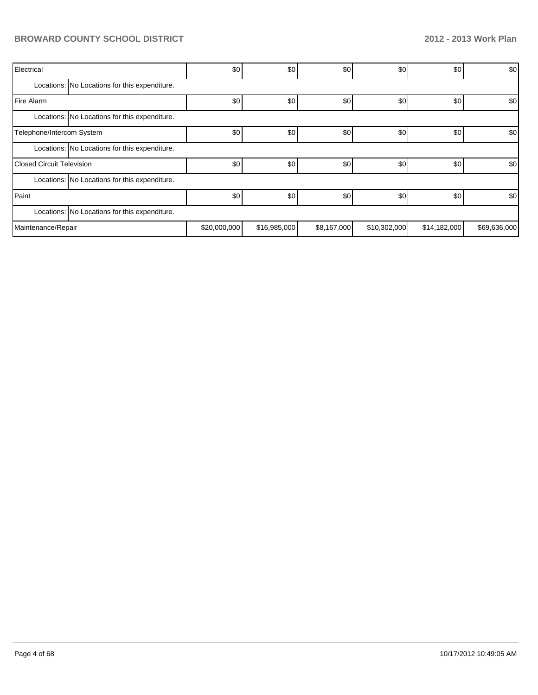| Electrical                       |                                               | \$0          | \$0          | \$0         | \$0          | \$0          | \$0          |  |  |  |
|----------------------------------|-----------------------------------------------|--------------|--------------|-------------|--------------|--------------|--------------|--|--|--|
|                                  | Locations: No Locations for this expenditure. |              |              |             |              |              |              |  |  |  |
| Fire Alarm                       |                                               | \$0          | \$0          | \$0         | \$0          | \$0          | \$0          |  |  |  |
|                                  | Locations: No Locations for this expenditure. |              |              |             |              |              |              |  |  |  |
| Telephone/Intercom System        |                                               | \$0          | \$0          | \$0         | \$0          | \$0          | \$0          |  |  |  |
|                                  | Locations: No Locations for this expenditure. |              |              |             |              |              |              |  |  |  |
| <b>Closed Circuit Television</b> |                                               | \$0          | \$0          | \$0         | \$0          | \$0          | \$0          |  |  |  |
|                                  | Locations: No Locations for this expenditure. |              |              |             |              |              |              |  |  |  |
| Paint                            |                                               | \$0          | \$0          | \$0         | \$0          | \$0          | \$0          |  |  |  |
|                                  | Locations: No Locations for this expenditure. |              |              |             |              |              |              |  |  |  |
| Maintenance/Repair               |                                               | \$20,000,000 | \$16,985,000 | \$8,167,000 | \$10,302,000 | \$14,182,000 | \$69,636,000 |  |  |  |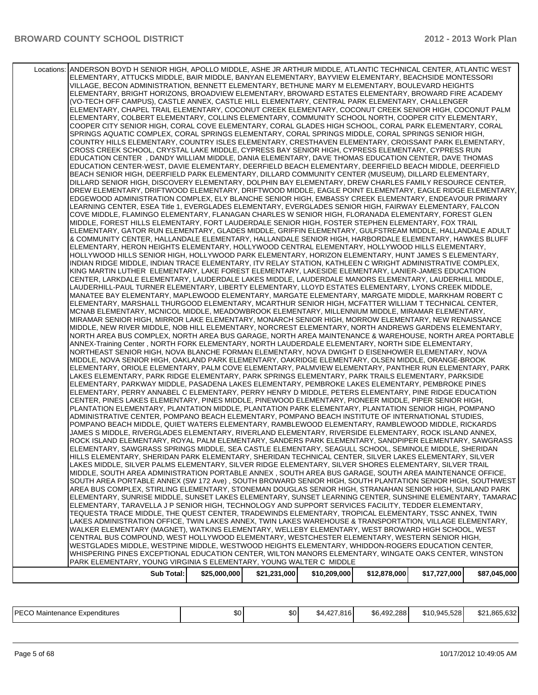| WESTGLADES MIDDLE, WESTPINE MIDDLE, WESTWOOD HEIGHTS ELEMENTARY, WHIDDON-ROGERS EDUCATION CENTER,<br>WHISPERING PINES EXCEPTIONAL EDUCATION CENTER, WILTON MANORS ELEMENTARY, WINGATE OAKS CENTER, WINSTON<br>PARK ELEMENTARY, YOUNG VIRGINIA S ELEMENTARY, YOUNG WALTER C MIDDLE |  |  |  |
|-----------------------------------------------------------------------------------------------------------------------------------------------------------------------------------------------------------------------------------------------------------------------------------|--|--|--|
|                                                                                                                                                                                                                                                                                   |  |  |  |
|                                                                                                                                                                                                                                                                                   |  |  |  |
|                                                                                                                                                                                                                                                                                   |  |  |  |
| CENTRAL BUS COMPOUND, WEST HOLLYWOOD ELEMENTARY, WESTCHESTER ELEMENTARY, WESTERN SENIOR HIGH,                                                                                                                                                                                     |  |  |  |
| WALKER ELEMENTARY (MAGNET), WATKINS ELEMENTARY, WELLEBY ELEMENTARY, WEST BROWARD HIGH SCHOOL, WEST                                                                                                                                                                                |  |  |  |
| LAKES ADMINISTRATION OFFICE, TWIN LAKES ANNEX, TWIN LAKES WAREHOUSE & TRANSPORTATION, VILLAGE ELEMENTARY,                                                                                                                                                                         |  |  |  |
| TEQUESTA TRACE MIDDLE, THE QUEST CENTER, TRADEWINDS ELEMENTARY, TROPICAL ELEMENTARY, TSSC ANNEX, TWIN                                                                                                                                                                             |  |  |  |
| ELEMENTARY, TARAVELLA J P SENIOR HIGH, TECHNOLOGY AND SUPPORT SERVICES FACILITY, TEDDER ELEMENTARY,                                                                                                                                                                               |  |  |  |
| ELEMENTARY, SUNRISE MIDDLE, SUNSET LAKES ELEMENTARY, SUNSET LEARNING CENTER, SUNSHINE ELEMENTARY, TAMARAC                                                                                                                                                                         |  |  |  |
| SOUTH AREA PORTABLE ANNEX (SW 172 Ave), SOUTH BROWARD SENIOR HIGH, SOUTH PLANTATION SENIOR HIGH, SOUTHWEST<br>AREA BUS COMPLEX, STIRLING ELEMENTARY, STONEMAN DOUGLAS SENIOR HIGH, STRANAHAN SENIOR HIGH, SUNLAND PARK                                                            |  |  |  |
| MIDDLE, SOUTH AREA ADMINISTRATION PORTABLE ANNEX, SOUTH AREA BUS GARAGE, SOUTH AREA MAINTENANCE OFFICE,                                                                                                                                                                           |  |  |  |
| LAKES MIDDLE, SILVER PALMS ELEMENTARY, SILVER RIDGE ELEMENTARY, SILVER SHORES ELEMENTARY, SILVER TRAIL                                                                                                                                                                            |  |  |  |
| HILLS ELEMENTARY, SHERIDAN PARK ELEMENTARY, SHERIDAN TECHNICAL CENTER, SILVER LAKES ELEMENTARY, SILVER                                                                                                                                                                            |  |  |  |
| ELEMENTARY, SAWGRASS SPRINGS MIDDLE, SEA CASTLE ELEMENTARY, SEAGULL SCHOOL, SEMINOLE MIDDLE, SHERIDAN                                                                                                                                                                             |  |  |  |
| ROCK ISLAND ELEMENTARY, ROYAL PALM ELEMENTARY, SANDERS PARK ELEMENTARY, SANDPIPER ELEMENTARY, SAWGRASS                                                                                                                                                                            |  |  |  |
| JAMES S MIDDLE, RIVERGLADES ELEMENTARY, RIVERLAND ELEMENTARY, RIVERSIDE ELEMENTARY, ROCK ISLAND ANNEX,                                                                                                                                                                            |  |  |  |
| POMPANO BEACH MIDDLE, QUIET WATERS ELEMENTARY, RAMBLEWOOD ELEMENTARY, RAMBLEWOOD MIDDLE, RICKARDS                                                                                                                                                                                 |  |  |  |
| ADMINISTRATIVE CENTER, POMPANO BEACH ELEMENTARY, POMPANO BEACH INSTITUTE OF INTERNATIONAL STUDIES,                                                                                                                                                                                |  |  |  |
| CENTER, PINES LAKES ELEMENTARY, PINES MIDDLE, PINEWOOD ELEMENTARY, PIONEER MIDDLE, PIPER SENIOR HIGH,<br>PLANTATION ELEMENTARY, PLANTATION MIDDLE, PLANTATION PARK ELEMENTARY, PLANTATION SENIOR HIGH, POMPANO                                                                    |  |  |  |
| ELEMENTARY, PERRY ANNABEL C ELEMENTARY, PERRY HENRY D MIDDLE, PETERS ELEMENTARY, PINE RIDGE EDUCATION                                                                                                                                                                             |  |  |  |
| ELEMENTARY, PARKWAY MIDDLE, PASADENA LAKES ELEMENTARY, PEMBROKE LAKES ELEMENTARY, PEMBROKE PINES                                                                                                                                                                                  |  |  |  |
| LAKES ELEMENTARY, PARK RIDGE ELEMENTARY, PARK SPRINGS ELEMENTARY, PARK TRAILS ELEMENTARY, PARKSIDE                                                                                                                                                                                |  |  |  |
| ELEMENTARY, ORIOLE ELEMENTARY, PALM COVE ELEMENTARY, PALMVIEW ELEMENTARY, PANTHER RUN ELEMENTARY, PARK                                                                                                                                                                            |  |  |  |
| MIDDLE, NOVA SENIOR HIGH, OAKLAND PARK ELEMENTARY, OAKRIDGE ELEMENTARY, OLSEN MIDDLE, ORANGE-BROOK                                                                                                                                                                                |  |  |  |
| NORTHEAST SENIOR HIGH, NOVA BLANCHE FORMAN ELEMENTARY, NOVA DWIGHT D EISENHOWER ELEMENTARY, NOVA                                                                                                                                                                                  |  |  |  |
| ANNEX-Training Center, NORTH FORK ELEMENTARY, NORTH LAUDERDALE ELEMENTARY, NORTH SIDE ELEMENTARY,                                                                                                                                                                                 |  |  |  |
| NORTH AREA BUS COMPLEX, NORTH AREA BUS GARAGE, NORTH AREA MAINTENANCE & WAREHOUSE, NORTH AREA PORTABLE                                                                                                                                                                            |  |  |  |
| MIDDLE, NEW RIVER MIDDLE, NOB HILL ELEMENTARY, NORCREST ELEMENTARY, NORTH ANDREWS GARDENS ELEMENTARY,                                                                                                                                                                             |  |  |  |
| MIRAMAR SENIOR HIGH, MIRROR LAKE ELEMENTARY, MONARCH SENIOR HIGH, MORROW ELEMENTARY, NEW RENAISSANCE                                                                                                                                                                              |  |  |  |
| ELEMENTARY, MARSHALL THURGOOD ELEMENTARY, MCARTHUR SENIOR HIGH, MCFATTER WILLIAM T TECHNICAL CENTER,<br>MCNAB ELEMENTARY, MCNICOL MIDDLE, MEADOWBROOK ELEMENTARY, MILLENNIUM MIDDLE, MIRAMAR ELEMENTARY,                                                                          |  |  |  |
| MANATEE BAY ELEMENTARY, MAPLEWOOD ELEMENTARY, MARGATE ELEMENTARY, MARGATE MIDDLE, MARKHAM ROBERT C                                                                                                                                                                                |  |  |  |
| LAUDERHILL-PAUL TURNER ELEMENTARY, LIBERTY ELEMENTARY, LLOYD ESTATES ELEMENTARY, LYONS CREEK MIDDLE,                                                                                                                                                                              |  |  |  |
| CENTER, LARKDALE ELEMENTARY, LAUDERDALE LAKES MIDDLE, LAUDERDALE MANORS ELEMENTARY, LAUDERHILL MIDDLE,                                                                                                                                                                            |  |  |  |
| KING MARTIN LUTHER ELEMENTARY, LAKE FOREST ELEMENTARY, LAKESIDE ELEMENTARY, LANIER-JAMES EDUCATION                                                                                                                                                                                |  |  |  |
| INDIAN RIDGE MIDDLE, INDIAN TRACE ELEMENTARY, ITV RELAY STATION, KATHLEEN C WRIGHT ADMINISTRATIVE COMPLEX,                                                                                                                                                                        |  |  |  |
| HOLLYWOOD HILLS SENIOR HIGH, HOLLYWOOD PARK ELEMENTARY, HORIZON ELEMENTARY, HUNT JAMES S ELEMENTARY,                                                                                                                                                                              |  |  |  |
| ELEMENTARY, HERON HEIGHTS ELEMENTARY, HOLLYWOOD CENTRAL ELEMENTARY, HOLLYWOOD HILLS ELEMENTARY,                                                                                                                                                                                   |  |  |  |
| & COMMUNITY CENTER, HALLANDALE ELEMENTARY, HALLANDALE SENIOR HIGH, HARBORDALE ELEMENTARY, HAWKES BLUFF                                                                                                                                                                            |  |  |  |
| ELEMENTARY, GATOR RUN ELEMENTARY, GLADES MIDDLE, GRIFFIN ELEMENTARY, GULFSTREAM MIDDLE, HALLANDALE ADULT                                                                                                                                                                          |  |  |  |
| COVE MIDDLE, FLAMINGO ELEMENTARY, FLANAGAN CHARLES W SENIOR HIGH, FLORANADA ELEMENTARY, FOREST GLEN<br>MIDDLE, FOREST HILLS ELEMENTARY, FORT LAUDERDALE SENIOR HIGH, FOSTER STEPHEN ELEMENTARY, FOX TRAIL                                                                         |  |  |  |
| LEARNING CENTER, ESEA Title 1, EVERGLADES ELEMENTARY, EVERGLADES SENIOR HIGH, FAIRWAY ELEMENTARY, FALCON                                                                                                                                                                          |  |  |  |
| EDGEWOOD ADMINISTRATION COMPLEX, ELY BLANCHE SENIOR HIGH, EMBASSY CREEK ELEMENTARY, ENDEAVOUR PRIMARY                                                                                                                                                                             |  |  |  |
| DREW ELEMENTARY, DRIFTWOOD ELEMENTARY, DRIFTWOOD MIDDLE, EAGLE POINT ELEMENTARY, EAGLE RIDGE ELEMENTARY,                                                                                                                                                                          |  |  |  |
| DILLARD SENIOR HIGH, DISCOVERY ELEMENTARY, DOLPHIN BAY ELEMENTARY, DREW CHARLES FAMILY RESOURCE CENTER,                                                                                                                                                                           |  |  |  |
| BEACH SENIOR HIGH, DEERFIELD PARK ELEMENTARY, DILLARD COMMUNITY CENTER (MUSEUM), DILLARD ELEMENTARY,                                                                                                                                                                              |  |  |  |
| EDUCATION CENTER-WEST, DAVIE ELEMENTARY, DEERFIELD BEACH ELEMENTARY, DEERFIELD BEACH MIDDLE, DEERFIELD                                                                                                                                                                            |  |  |  |
| EDUCATION CENTER, DANDY WILLIAM MIDDLE, DANIA ELEMENTARY, DAVE THOMAS EDUCATION CENTER, DAVE THOMAS                                                                                                                                                                               |  |  |  |
| CROSS CREEK SCHOOL, CRYSTAL LAKE MIDDLE, CYPRESS BAY SENIOR HIGH, CYPRESS ELEMENTARY, CYPRESS RUN                                                                                                                                                                                 |  |  |  |
| COUNTRY HILLS ELEMENTARY, COUNTRY ISLES ELEMENTARY, CRESTHAVEN ELEMENTARY, CROISSANT PARK ELEMENTARY,                                                                                                                                                                             |  |  |  |
| SPRINGS AQUATIC COMPLEX, CORAL SPRINGS ELEMENTARY, CORAL SPRINGS MIDDLE, CORAL SPRINGS SENIOR HIGH,                                                                                                                                                                               |  |  |  |
| COOPER CITY SENIOR HIGH, CORAL COVE ELEMENTARY, CORAL GLADES HIGH SCHOOL, CORAL PARK ELEMENTARY, CORAL                                                                                                                                                                            |  |  |  |
| ELEMENTARY, COLBERT ELEMENTARY, COLLINS ELEMENTARY, COMMUNITY SCHOOL NORTH, COOPER CITY ELEMENTARY,                                                                                                                                                                               |  |  |  |
| ELEMENTARY, CHAPEL TRAIL ELEMENTARY, COCONUT CREEK ELEMENTARY, COCONUT CREEK SENIOR HIGH, COCONUT PALM                                                                                                                                                                            |  |  |  |
| (VO-TECH OFF CAMPUS), CASTLE ANNEX, CASTLE HILL ELEMENTARY, CENTRAL PARK ELEMENTARY, CHALLENGER                                                                                                                                                                                   |  |  |  |
| VILLAGE, BECON ADMINISTRATION, BENNETT ELEMENTARY, BETHUNE MARY M ELEMENTARY, BOULEVARD HEIGHTS<br>ELEMENTARY, BRIGHT HORIZONS, BROADVIEW ELEMENTARY, BROWARD ESTATES ELEMENTARY, BROWARD FIRE ACADEMY                                                                            |  |  |  |
| ELEMENTARY, ATTUCKS MIDDLE, BAIR MIDDLE, BANYAN ELEMENTARY, BAYVIEW ELEMENTARY, BEACHSIDE MONTESSORI                                                                                                                                                                              |  |  |  |
| Locations: ANDERSON BOYD H SENIOR HIGH, APOLLO MIDDLE, ASHE JR ARTHUR MIDDLE, ATLANTIC TECHNICAL CENTER, ATLANTIC WEST                                                                                                                                                            |  |  |  |
|                                                                                                                                                                                                                                                                                   |  |  |  |

| DEC <sup>Z</sup><br>Maintenance<br>Expenditures<br>LUC | ົ<br>υU | ₼<br>w | 107<br>∴816 !<br>ົ<br>እ4.<br>.<br>44. | 88.492.28.ر<br>\$6 | \$10,945,528 | .865.632<br>en.<br>92 |
|--------------------------------------------------------|---------|--------|---------------------------------------|--------------------|--------------|-----------------------|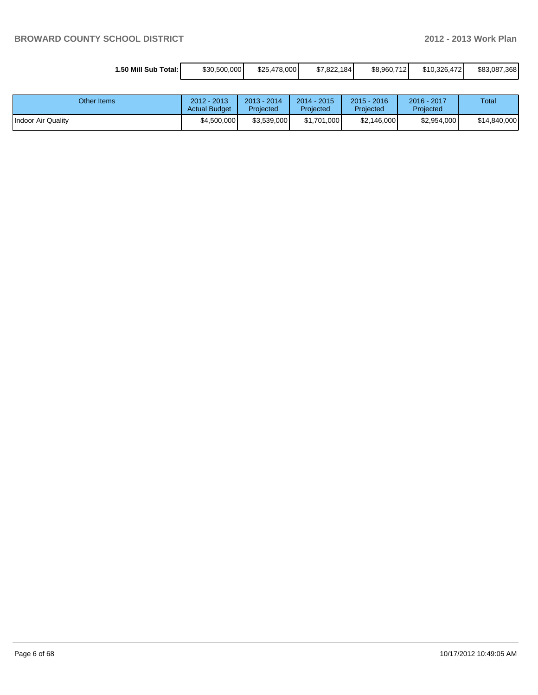| 1.50 Mill Sub Total: İ | \$30,500,000 | \$25,478,000 | \$7.822.184 | \$8,960,712 | \$10.326.472 | \$83,087,368 |
|------------------------|--------------|--------------|-------------|-------------|--------------|--------------|

| Other Items               | 2012 - 2013<br><b>Actual Budget</b> | 2013 - 2014<br>Projected | $2014 - 2015$<br>Proiected | $2015 - 2016$<br>Projected | 2016 - 2017<br>Projected | Total        |
|---------------------------|-------------------------------------|--------------------------|----------------------------|----------------------------|--------------------------|--------------|
| <b>Indoor Air Quality</b> | \$4,500,000                         | \$3,539,000              | \$1.701.000                | \$2,146,000                | \$2,954,000              | \$14,840,000 |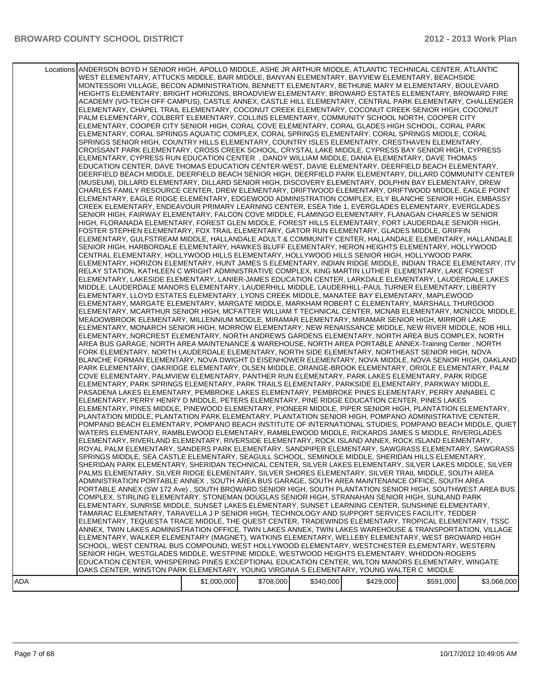|     | Locations ANDERSON BOYD H SENIOR HIGH, APOLLO MIDDLE, ASHE JR ARTHUR MIDDLE, ATLANTIC TECHNICAL CENTER, ATLANTIC<br>WEST ELEMENTARY, ATTUCKS MIDDLE, BAIR MIDDLE, BANYAN ELEMENTARY, BAYVIEW ELEMENTARY, BEACHSIDE<br>MONTESSORI VILLAGE, BECON ADMINISTRATION, BENNETT ELEMENTARY, BETHUNE MARY M ELEMENTARY, BOULEVARD<br>HEIGHTS ELEMENTARY, BRIGHT HORIZONS, BROADVIEW ELEMENTARY, BROWARD ESTATES ELEMENTARY, BROWARD FIRE<br>ACADEMY (VO-TECH OFF CAMPUS), CASTLE ANNEX, CASTLE HILL ELEMENTARY, CENTRAL PARK ELEMENTARY, CHALLENGER<br>ELEMENTARY, CHAPEL TRAIL ELEMENTARY, COCONUT CREEK ELEMENTARY, COCONUT CREEK SENIOR HIGH, COCONUT<br>PALM ELEMENTARY, COLBERT ELEMENTARY, COLLINS ELEMENTARY, COMMUNITY SCHOOL NORTH, COOPER CITY<br>ELEMENTARY, COOPER CITY SENIOR HIGH, CORAL COVE ELEMENTARY, CORAL GLADES HIGH SCHOOL, CORAL PARK<br>ELEMENTARY, CORAL SPRINGS AQUATIC COMPLEX, CORAL SPRINGS ELEMENTARY, CORAL SPRINGS MIDDLE, CORAL<br>SPRINGS SENIOR HIGH, COUNTRY HILLS ELEMENTARY, COUNTRY ISLES ELEMENTARY, CRESTHAVEN ELEMENTARY,<br>CROISSANT PARK ELEMENTARY, CROSS CREEK SCHOOL, CRYSTAL LAKE MIDDLE, CYPRESS BAY SENIOR HIGH, CYPRESS<br>ELEMENTARY, CYPRESS RUN EDUCATION CENTER, DANDY WILLIAM MIDDLE, DANIA ELEMENTARY, DAVE THOMAS<br>EDUCATION CENTER, DAVE THOMAS EDUCATION CENTER-WEST, DAVIE ELEMENTARY, DEERFIELD BEACH ELEMENTARY,<br>DEERFIELD BEACH MIDDLE, DEERFIELD BEACH SENIOR HIGH, DEERFIELD PARK ELEMENTARY, DILLARD COMMUNITY CENTER<br>(MUSEUM), DILLARD ELEMENTARY, DILLARD SENIOR HIGH, DISCOVERY ELEMENTARY, DOLPHIN BAY ELEMENTARY, DREW<br>CHARLES FAMILY RESOURCE CENTER, DREW ELEMENTARY, DRIFTWOOD ELEMENTARY, DRIFTWOOD MIDDLE, EAGLE POINT<br>ELEMENTARY, EAGLE RIDGE ELEMENTARY, EDGEWOOD ADMINISTRATION COMPLEX, ELY BLANCHE SENIOR HIGH, EMBASSY<br>CREEK ELEMENTARY, ENDEAVOUR PRIMARY LEARNING CENTER, ESEA Title 1, EVERGLADES ELEMENTARY, EVERGLADES<br>SENIOR HIGH, FAIRWAY ELEMENTARY, FALCON COVE MIDDLE, FLAMINGO ELEMENTARY, FLANAGAN CHARLES W SENIOR<br>HIGH, FLORANADA ELEMENTARY, FOREST GLEN MIDDLE, FOREST HILLS ELEMENTARY, FORT LAUDERDALE SENIOR HIGH,<br>FOSTER STEPHEN ELEMENTARY, FOX TRAIL ELEMENTARY, GATOR RUN ELEMENTARY, GLADES MIDDLE, GRIFFIN<br>ELEMENTARY, GULFSTREAM MIDDLE, HALLANDALE ADULT & COMMUNITY CENTER, HALLANDALE ELEMENTARY, HALLANDALE<br>SENIOR HIGH, HARBORDALE ELEMENTARY, HAWKES BLUFF ELEMENTARY, HERON HEIGHTS ELEMENTARY, HOLLYWOOD<br>CENTRAL ELEMENTARY, HOLLYWOOD HILLS ELEMENTARY, HOLLYWOOD HILLS SENIOR HIGH, HOLLYWOOD PARK<br>ELEMENTARY, HORIZON ELEMENTARY, HUNT JAMES S ELEMENTARY, INDIAN RIDGE MIDDLE, INDIAN TRACE ELEMENTARY, ITV<br>RELAY STATION, KATHLEEN C WRIGHT ADMINISTRATIVE COMPLEX, KING MARTIN LUTHER ELEMENTARY, LAKE FOREST<br>ELEMENTARY, LAKESIDE ELEMENTARY, LANIER-JAMES EDUCATION CENTER, LARKDALE ELEMENTARY, LAUDERDALE LAKES<br>MIDDLE, LAUDERDALE MANORS ELEMENTARY, LAUDERHILL MIDDLE, LAUDERHILL-PAUL TURNER ELEMENTARY, LIBERTY<br>ELEMENTARY, LLOYD ESTATES ELEMENTARY, LYONS CREEK MIDDLE, MANATEE BAY ELEMENTARY, MAPLEWOOD<br>ELEMENTARY, MARGATE ELEMENTARY, MARGATE MIDDLE, MARKHAM ROBERT C ELEMENTARY, MARSHALL THURGOOD<br>ELEMENTARY, MCARTHUR SENIOR HIGH, MCFATTER WILLIAM T TECHNICAL CENTER, MCNAB ELEMENTARY, MCNICOL MIDDLE,<br>MEADOWBROOK ELEMENTARY, MILLENNIUM MIDDLE, MIRAMAR ELEMENTARY, MIRAMAR SENIOR HIGH, MIRROR LAKE<br>ELEMENTARY, MONARCH SENIOR HIGH, MORROW ELEMENTARY, NEW RENAISSANCE MIDDLE, NEW RIVER MIDDLE, NOB HILL<br>ELEMENTARY, NORCREST ELEMENTARY, NORTH ANDREWS GARDENS ELEMENTARY, NORTH AREA BUS COMPLEX, NORTH<br>AREA BUS GARAGE, NORTH AREA MAINTENANCE & WAREHOUSE, NORTH AREA PORTABLE ANNEX-Training Center, NORTH<br>FORK ELEMENTARY, NORTH LAUDERDALE ELEMENTARY, NORTH SIDE ELEMENTARY, NORTHEAST SENIOR HIGH, NOVA<br>BLANCHE FORMAN ELEMENTARY, NOVA DWIGHT D EISENHOWER ELEMENTARY, NOVA MIDDLE, NOVA SENIOR HIGH, OAKLAND<br>PARK ELEMENTARY, OAKRIDGE ELEMENTARY, OLSEN MIDDLE, ORANGE-BROOK ELEMENTARY, ORIOLE ELEMENTARY, PALM<br>COVE ELEMENTARY, PALMVIEW ELEMENTARY, PANTHER RUN ELEMENTARY, PARK LAKES ELEMENTARY, PARK RIDGE<br>ELEMENTARY, PARK SPRINGS ELEMENTARY, PARK TRAILS ELEMENTARY, PARKSIDE ELEMENTARY, PARKWAY MIDDLE,<br>PASADENA LAKES ELEMENTARY, PEMBROKE LAKES ELEMENTARY, PEMBROKE PINES ELEMENTARY, PERRY ANNABEL C<br>ELEMENTARY, PERRY HENRY D MIDDLE, PETERS ELEMENTARY, PINE RIDGE EDUCATION CENTER, PINES LAKES<br>ELEMENTARY, PINES MIDDLE, PINEWOOD ELEMENTARY, PIONEER MIDDLE, PIPER SENIOR HIGH, PLANTATION ELEMENTARY,<br>PLANTATION MIDDLE, PLANTATION PARK ELEMENTARY, PLANTATION SENIOR HIGH, POMPANO ADMINISTRATIVE CENTER,<br>POMPANO BEACH ELEMENTARY, POMPANO BEACH INSTITUTE OF INTERNATIONAL STUDIES, POMPANO BEACH MIDDLE, QUIET<br>WATERS ELEMENTARY, RAMBLEWOOD ELEMENTARY, RAMBLEWOOD MIDDLE, RICKARDS JAMES S MIDDLE, RIVERGLADES<br>ELEMENTARY, RIVERLAND ELEMENTARY, RIVERSIDE ELEMENTARY, ROCK ISLAND ANNEX, ROCK ISLAND ELEMENTARY,<br>ROYAL PALM ELEMENTARY, SANDERS PARK ELEMENTARY, SANDPIPER ELEMENTARY, SAWGRASS ELEMENTARY, SAWGRASS<br>SPRINGS MIDDLE, SEA CASTLE ELEMENTARY, SEAGULL SCHOOL, SEMINOLE MIDDLE, SHERIDAN HILLS ELEMENTARY,<br>SHERIDAN PARK ELEMENTARY, SHERIDAN TECHNICAL CENTER, SILVER LAKES ELEMENTARY, SILVER LAKES MIDDLE, SILVER<br>PALMS ELEMENTARY, SILVER RIDGE ELEMENTARY, SILVER SHORES ELEMENTARY, SILVER TRAIL MIDDLE, SOUTH AREA<br>ADMINISTRATION PORTABLE ANNEX, SOUTH AREA BUS GARAGE, SOUTH AREA MAINTENANCE OFFICE, SOUTH AREA<br>PORTABLE ANNEX (SW 172 Ave), SOUTH BROWARD SENIOR HIGH, SOUTH PLANTATION SENIOR HIGH, SOUTHWEST AREA BUS<br>COMPLEX, STIRLING ELEMENTARY, STONEMAN DOUGLAS SENIOR HIGH, STRANAHAN SENIOR HIGH, SUNLAND PARK<br>ELEMENTARY, SUNRISE MIDDLE, SUNSET LAKES ELEMENTARY, SUNSET LEARNING CENTER, SUNSHINE ELEMENTARY,<br>TAMARAC ELEMENTARY, TARAVELLA J P SENIOR HIGH, TECHNOLOGY AND SUPPORT SERVICES FACILITY, TEDDER<br>ELEMENTARY, TEQUESTA TRACE MIDDLE, THE QUEST CENTER, TRADEWINDS ELEMENTARY, TROPICAL ELEMENTARY, TSSC<br>ANNEX, TWIN LAKES ADMINISTRATION OFFICE, TWIN LAKES ANNEX, TWIN LAKES WAREHOUSE & TRANSPORTATION, VILLAGE<br>ELEMENTARY, WALKER ELEMENTARY (MAGNET), WATKINS ELEMENTARY, WELLEBY ELEMENTARY, WEST BROWARD HIGH<br>SCHOOL, WEST CENTRAL BUS COMPOUND, WEST HOLLYWOOD ELEMENTARY, WESTCHESTER ELEMENTARY, WESTERN<br>SENIOR HIGH, WESTGLADES MIDDLE, WESTPINE MIDDLE, WESTWOOD HEIGHTS ELEMENTARY, WHIDDON-ROGERS<br>EDUCATION CENTER, WHISPERING PINES EXCEPTIONAL EDUCATION CENTER, WILTON MANORS ELEMENTARY, WINGATE |             |           |           |           |           |             |
|-----|--------------------------------------------------------------------------------------------------------------------------------------------------------------------------------------------------------------------------------------------------------------------------------------------------------------------------------------------------------------------------------------------------------------------------------------------------------------------------------------------------------------------------------------------------------------------------------------------------------------------------------------------------------------------------------------------------------------------------------------------------------------------------------------------------------------------------------------------------------------------------------------------------------------------------------------------------------------------------------------------------------------------------------------------------------------------------------------------------------------------------------------------------------------------------------------------------------------------------------------------------------------------------------------------------------------------------------------------------------------------------------------------------------------------------------------------------------------------------------------------------------------------------------------------------------------------------------------------------------------------------------------------------------------------------------------------------------------------------------------------------------------------------------------------------------------------------------------------------------------------------------------------------------------------------------------------------------------------------------------------------------------------------------------------------------------------------------------------------------------------------------------------------------------------------------------------------------------------------------------------------------------------------------------------------------------------------------------------------------------------------------------------------------------------------------------------------------------------------------------------------------------------------------------------------------------------------------------------------------------------------------------------------------------------------------------------------------------------------------------------------------------------------------------------------------------------------------------------------------------------------------------------------------------------------------------------------------------------------------------------------------------------------------------------------------------------------------------------------------------------------------------------------------------------------------------------------------------------------------------------------------------------------------------------------------------------------------------------------------------------------------------------------------------------------------------------------------------------------------------------------------------------------------------------------------------------------------------------------------------------------------------------------------------------------------------------------------------------------------------------------------------------------------------------------------------------------------------------------------------------------------------------------------------------------------------------------------------------------------------------------------------------------------------------------------------------------------------------------------------------------------------------------------------------------------------------------------------------------------------------------------------------------------------------------------------------------------------------------------------------------------------------------------------------------------------------------------------------------------------------------------------------------------------------------------------------------------------------------------------------------------------------------------------------------------------------------------------------------------------------------------------------------------------------------------------------------------------------------------------------------------------------------------------------------------------------------------------------------------------------------------------------------------------------------------------------------------------------------------------------------------------------------------------------------------------------------------------------------------------------------------------------------------------------------------------------------------------------------------------------------------------------------------------------------------------------------------------------------------------------------------------------------------------------------------------------------------------------------------------------------------------------------------------------------------------------------------------------------------------------------------------------------------------------------------------------------------------------------------------------------------------------------------------------------------------------------------------------------------------------------------------------------------------------------------------------------------------------------------------------------------------------------------------------------------------------------------------------------------------------------------------------------------------------------------------------------------------------------------------------------------------------------------------------------------------------------------------------------------------------------------------------------------------------------------------------------------------------------------------|-------------|-----------|-----------|-----------|-----------|-------------|
|     |                                                                                                                                                                                                                                                                                                                                                                                                                                                                                                                                                                                                                                                                                                                                                                                                                                                                                                                                                                                                                                                                                                                                                                                                                                                                                                                                                                                                                                                                                                                                                                                                                                                                                                                                                                                                                                                                                                                                                                                                                                                                                                                                                                                                                                                                                                                                                                                                                                                                                                                                                                                                                                                                                                                                                                                                                                                                                                                                                                                                                                                                                                                                                                                                                                                                                                                                                                                                                                                                                                                                                                                                                                                                                                                                                                                                                                                                                                                                                                                                                                                                                                                                                                                                                                                                                                                                                                                                                                                                                                                                                                                                                                                                                                                                                                                                                                                                                                                                                                                                                                                                                                                                                                                                                                                                                                                                                                                                                                                                                                                                                                                                                                                                                                                                                                                                                                                                                                                                                                                                                                                                                                                                                                                                                                                                                                                                                                                                                                                                                                                                                                                                              |             |           |           |           |           |             |
|     | OAKS CENTER, WINSTON PARK ELEMENTARY, YOUNG VIRGINIA S ELEMENTARY, YOUNG WALTER C MIDDLE                                                                                                                                                                                                                                                                                                                                                                                                                                                                                                                                                                                                                                                                                                                                                                                                                                                                                                                                                                                                                                                                                                                                                                                                                                                                                                                                                                                                                                                                                                                                                                                                                                                                                                                                                                                                                                                                                                                                                                                                                                                                                                                                                                                                                                                                                                                                                                                                                                                                                                                                                                                                                                                                                                                                                                                                                                                                                                                                                                                                                                                                                                                                                                                                                                                                                                                                                                                                                                                                                                                                                                                                                                                                                                                                                                                                                                                                                                                                                                                                                                                                                                                                                                                                                                                                                                                                                                                                                                                                                                                                                                                                                                                                                                                                                                                                                                                                                                                                                                                                                                                                                                                                                                                                                                                                                                                                                                                                                                                                                                                                                                                                                                                                                                                                                                                                                                                                                                                                                                                                                                                                                                                                                                                                                                                                                                                                                                                                                                                                                                                     |             |           |           |           |           |             |
| ADA |                                                                                                                                                                                                                                                                                                                                                                                                                                                                                                                                                                                                                                                                                                                                                                                                                                                                                                                                                                                                                                                                                                                                                                                                                                                                                                                                                                                                                                                                                                                                                                                                                                                                                                                                                                                                                                                                                                                                                                                                                                                                                                                                                                                                                                                                                                                                                                                                                                                                                                                                                                                                                                                                                                                                                                                                                                                                                                                                                                                                                                                                                                                                                                                                                                                                                                                                                                                                                                                                                                                                                                                                                                                                                                                                                                                                                                                                                                                                                                                                                                                                                                                                                                                                                                                                                                                                                                                                                                                                                                                                                                                                                                                                                                                                                                                                                                                                                                                                                                                                                                                                                                                                                                                                                                                                                                                                                                                                                                                                                                                                                                                                                                                                                                                                                                                                                                                                                                                                                                                                                                                                                                                                                                                                                                                                                                                                                                                                                                                                                                                                                                                                              | \$1,000,000 | \$708,000 | \$340,000 | \$429,000 | \$591,000 | \$3,068,000 |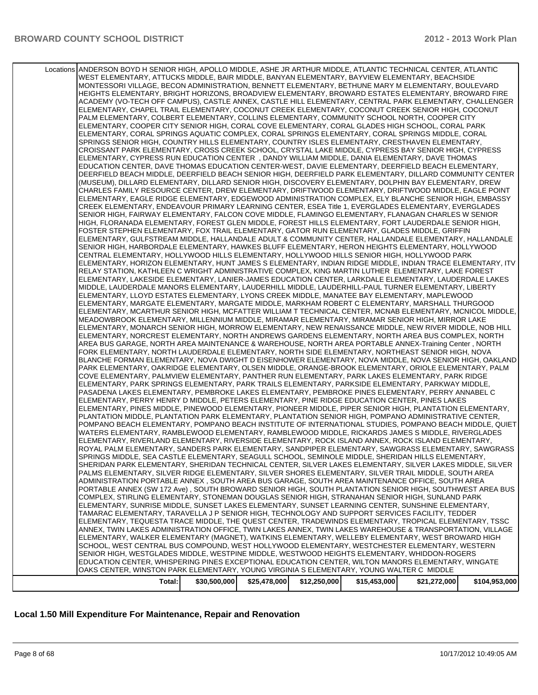| Total:                                                                                                                                                                                                             | \$30,500,000 | \$25,478,000 | \$12,250,000 | \$15,453,000 | \$21,272,000 | \$104,953,000 |
|--------------------------------------------------------------------------------------------------------------------------------------------------------------------------------------------------------------------|--------------|--------------|--------------|--------------|--------------|---------------|
| OAKS CENTER, WINSTON PARK ELEMENTARY, YOUNG VIRGINIA S ELEMENTARY, YOUNG WALTER C MIDDLE                                                                                                                           |              |              |              |              |              |               |
| EDUCATION CENTER, WHISPERING PINES EXCEPTIONAL EDUCATION CENTER, WILTON MANORS ELEMENTARY, WINGATE                                                                                                                 |              |              |              |              |              |               |
|                                                                                                                                                                                                                    |              |              |              |              |              |               |
| SENIOR HIGH, WESTGLADES MIDDLE, WESTPINE MIDDLE, WESTWOOD HEIGHTS ELEMENTARY, WHIDDON-ROGERS                                                                                                                       |              |              |              |              |              |               |
| SCHOOL, WEST CENTRAL BUS COMPOUND, WEST HOLLYWOOD ELEMENTARY, WESTCHESTER ELEMENTARY, WESTERN                                                                                                                      |              |              |              |              |              |               |
| ELEMENTARY, WALKER ELEMENTARY (MAGNET), WATKINS ELEMENTARY, WELLEBY ELEMENTARY, WEST BROWARD HIGH                                                                                                                  |              |              |              |              |              |               |
| ELEMENTARY, TEQUESTA TRACE MIDDLE, THE QUEST CENTER, TRADEWINDS ELEMENTARY, TROPICAL ELEMENTARY, TSSC<br>ANNEX. TWIN LAKES ADMINISTRATION OFFICE. TWIN LAKES ANNEX. TWIN LAKES WAREHOUSE & TRANSPORTATION. VILLAGE |              |              |              |              |              |               |
| TAMARAC ELEMENTARY, TARAVELLA J P SENIOR HIGH, TECHNOLOGY AND SUPPORT SERVICES FACILITY, TEDDER                                                                                                                    |              |              |              |              |              |               |
| ELEMENTARY, SUNRISE MIDDLE, SUNSET LAKES ELEMENTARY, SUNSET LEARNING CENTER, SUNSHINE ELEMENTARY,                                                                                                                  |              |              |              |              |              |               |
| COMPLEX, STIRLING ELEMENTARY, STONEMAN DOUGLAS SENIOR HIGH, STRANAHAN SENIOR HIGH, SUNLAND PARK                                                                                                                    |              |              |              |              |              |               |
| PORTABLE ANNEX (SW 172 Ave), SOUTH BROWARD SENIOR HIGH, SOUTH PLANTATION SENIOR HIGH, SOUTHWEST AREA BUS                                                                                                           |              |              |              |              |              |               |
| ADMINISTRATION PORTABLE ANNEX, SOUTH AREA BUS GARAGE, SOUTH AREA MAINTENANCE OFFICE, SOUTH AREA                                                                                                                    |              |              |              |              |              |               |
| PALMS ELEMENTARY, SILVER RIDGE ELEMENTARY, SILVER SHORES ELEMENTARY, SILVER TRAIL MIDDLE, SOUTH AREA                                                                                                               |              |              |              |              |              |               |
| SHERIDAN PARK ELEMENTARY, SHERIDAN TECHNICAL CENTER, SILVER LAKES ELEMENTARY, SILVER LAKES MIDDLE, SILVER                                                                                                          |              |              |              |              |              |               |
| SPRINGS MIDDLE, SEA CASTLE ELEMENTARY, SEAGULL SCHOOL, SEMINOLE MIDDLE, SHERIDAN HILLS ELEMENTARY,                                                                                                                 |              |              |              |              |              |               |
| ROYAL PALM ELEMENTARY, SANDERS PARK ELEMENTARY, SANDPIPER ELEMENTARY, SAWGRASS ELEMENTARY, SAWGRASS                                                                                                                |              |              |              |              |              |               |
| ELEMENTARY, RIVERLAND ELEMENTARY, RIVERSIDE ELEMENTARY, ROCK ISLAND ANNEX, ROCK ISLAND ELEMENTARY,                                                                                                                 |              |              |              |              |              |               |
| WATERS ELEMENTARY, RAMBLEWOOD ELEMENTARY, RAMBLEWOOD MIDDLE, RICKARDS JAMES S MIDDLE, RIVERGLADES                                                                                                                  |              |              |              |              |              |               |
| POMPANO BEACH ELEMENTARY, POMPANO BEACH INSTITUTE OF INTERNATIONAL STUDIES, POMPANO BEACH MIDDLE, QUIET                                                                                                            |              |              |              |              |              |               |
| PLANTATION MIDDLE, PLANTATION PARK ELEMENTARY, PLANTATION SENIOR HIGH, POMPANO ADMINISTRATIVE CENTER,                                                                                                              |              |              |              |              |              |               |
| ELEMENTARY, PINES MIDDLE, PINEWOOD ELEMENTARY, PIONEER MIDDLE, PIPER SENIOR HIGH, PLANTATION ELEMENTARY,                                                                                                           |              |              |              |              |              |               |
| ELEMENTARY, PERRY HENRY D MIDDLE, PETERS ELEMENTARY, PINE RIDGE EDUCATION CENTER, PINES LAKES                                                                                                                      |              |              |              |              |              |               |
| PASADENA LAKES ELEMENTARY, PEMBROKE LAKES ELEMENTARY, PEMBROKE PINES ELEMENTARY, PERRY ANNABEL C                                                                                                                   |              |              |              |              |              |               |
| ELEMENTARY, PARK SPRINGS ELEMENTARY, PARK TRAILS ELEMENTARY, PARKSIDE ELEMENTARY, PARKWAY MIDDLE,                                                                                                                  |              |              |              |              |              |               |
| COVE ELEMENTARY, PALMVIEW ELEMENTARY, PANTHER RUN ELEMENTARY, PARK LAKES ELEMENTARY, PARK RIDGE                                                                                                                    |              |              |              |              |              |               |
| PARK ELEMENTARY, OAKRIDGE ELEMENTARY, OLSEN MIDDLE, ORANGE-BROOK ELEMENTARY, ORIOLE ELEMENTARY, PALM                                                                                                               |              |              |              |              |              |               |
| BLANCHE FORMAN ELEMENTARY, NOVA DWIGHT D EISENHOWER ELEMENTARY, NOVA MIDDLE, NOVA SENIOR HIGH, OAKLAND                                                                                                             |              |              |              |              |              |               |
| FORK ELEMENTARY, NORTH LAUDERDALE ELEMENTARY, NORTH SIDE ELEMENTARY, NORTHEAST SENIOR HIGH, NOVA                                                                                                                   |              |              |              |              |              |               |
| AREA BUS GARAGE, NORTH AREA MAINTENANCE & WAREHOUSE, NORTH AREA PORTABLE ANNEX-Training Center, NORTH                                                                                                              |              |              |              |              |              |               |
| ELEMENTARY, NORCREST ELEMENTARY, NORTH ANDREWS GARDENS ELEMENTARY, NORTH AREA BUS COMPLEX, NORTH                                                                                                                   |              |              |              |              |              |               |
| ELEMENTARY, MONARCH SENIOR HIGH, MORROW ELEMENTARY, NEW RENAISSANCE MIDDLE, NEW RIVER MIDDLE, NOB HILL                                                                                                             |              |              |              |              |              |               |
| MEADOWBROOK ELEMENTARY, MILLENNIUM MIDDLE, MIRAMAR ELEMENTARY, MIRAMAR SENIOR HIGH, MIRROR LAKE                                                                                                                    |              |              |              |              |              |               |
| ELEMENTARY, MCARTHUR SENIOR HIGH, MCFATTER WILLIAM T TECHNICAL CENTER, MCNAB ELEMENTARY, MCNICOL MIDDLE,                                                                                                           |              |              |              |              |              |               |
| ELEMENTARY, MARGATE ELEMENTARY, MARGATE MIDDLE, MARKHAM ROBERT C ELEMENTARY, MARSHALL THURGOOD                                                                                                                     |              |              |              |              |              |               |
| ELEMENTARY, LLOYD ESTATES ELEMENTARY, LYONS CREEK MIDDLE, MANATEE BAY ELEMENTARY, MAPLEWOOD                                                                                                                        |              |              |              |              |              |               |
| MIDDLE, LAUDERDALE MANORS ELEMENTARY, LAUDERHILL MIDDLE, LAUDERHILL-PAUL TURNER ELEMENTARY, LIBERTY                                                                                                                |              |              |              |              |              |               |
| ELEMENTARY, LAKESIDE ELEMENTARY, LANIER-JAMES EDUCATION CENTER, LARKDALE ELEMENTARY, LAUDERDALE LAKES                                                                                                              |              |              |              |              |              |               |
| RELAY STATION, KATHLEEN C WRIGHT ADMINISTRATIVE COMPLEX, KING MARTIN LUTHER ELEMENTARY, LAKE FOREST                                                                                                                |              |              |              |              |              |               |
| ELEMENTARY, HORIZON ELEMENTARY, HUNT JAMES S ELEMENTARY, INDIAN RIDGE MIDDLE, INDIAN TRACE ELEMENTARY, ITV                                                                                                         |              |              |              |              |              |               |
| CENTRAL ELEMENTARY, HOLLYWOOD HILLS ELEMENTARY, HOLLYWOOD HILLS SENIOR HIGH, HOLLYWOOD PARK                                                                                                                        |              |              |              |              |              |               |
| SENIOR HIGH, HARBORDALE ELEMENTARY, HAWKES BLUFF ELEMENTARY, HERON HEIGHTS ELEMENTARY, HOLLYWOOD                                                                                                                   |              |              |              |              |              |               |
| ELEMENTARY, GULFSTREAM MIDDLE, HALLANDALE ADULT & COMMUNITY CENTER, HALLANDALE ELEMENTARY, HALLANDALE                                                                                                              |              |              |              |              |              |               |
| FOSTER STEPHEN ELEMENTARY, FOX TRAIL ELEMENTARY, GATOR RUN ELEMENTARY, GLADES MIDDLE, GRIFFIN                                                                                                                      |              |              |              |              |              |               |
| HIGH, FLORANADA ELEMENTARY, FOREST GLEN MIDDLE, FOREST HILLS ELEMENTARY, FORT LAUDERDALE SENIOR HIGH,                                                                                                              |              |              |              |              |              |               |
| SENIOR HIGH, FAIRWAY ELEMENTARY, FALCON COVE MIDDLE, FLAMINGO ELEMENTARY, FLANAGAN CHARLES W SENIOR                                                                                                                |              |              |              |              |              |               |
| CREEK ELEMENTARY, ENDEAVOUR PRIMARY LEARNING CENTER, ESEA Title 1, EVERGLADES ELEMENTARY, EVERGLADES                                                                                                               |              |              |              |              |              |               |
| ELEMENTARY, EAGLE RIDGE ELEMENTARY, EDGEWOOD ADMINISTRATION COMPLEX, ELY BLANCHE SENIOR HIGH, EMBASSY                                                                                                              |              |              |              |              |              |               |
| CHARLES FAMILY RESOURCE CENTER, DREW ELEMENTARY, DRIFTWOOD ELEMENTARY, DRIFTWOOD MIDDLE, EAGLE POINT                                                                                                               |              |              |              |              |              |               |
| (MUSEUM), DILLARD ELEMENTARY, DILLARD SENIOR HIGH, DISCOVERY ELEMENTARY, DOLPHIN BAY ELEMENTARY, DREW                                                                                                              |              |              |              |              |              |               |
| DEERFIELD BEACH MIDDLE, DEERFIELD BEACH SENIOR HIGH, DEERFIELD PARK ELEMENTARY, DILLARD COMMUNITY CENTER                                                                                                           |              |              |              |              |              |               |
| EDUCATION CENTER, DAVE THOMAS EDUCATION CENTER-WEST, DAVIE ELEMENTARY, DEERFIELD BEACH ELEMENTARY,                                                                                                                 |              |              |              |              |              |               |
| ELEMENTARY, CYPRESS RUN EDUCATION CENTER, DANDY WILLIAM MIDDLE, DANIA ELEMENTARY, DAVE THOMAS                                                                                                                      |              |              |              |              |              |               |
| CROISSANT PARK ELEMENTARY, CROSS CREEK SCHOOL, CRYSTAL LAKE MIDDLE, CYPRESS BAY SENIOR HIGH, CYPRESS                                                                                                               |              |              |              |              |              |               |
| SPRINGS SENIOR HIGH, COUNTRY HILLS ELEMENTARY, COUNTRY ISLES ELEMENTARY, CRESTHAVEN ELEMENTARY,                                                                                                                    |              |              |              |              |              |               |
| ELEMENTARY, CORAL SPRINGS AQUATIC COMPLEX, CORAL SPRINGS ELEMENTARY, CORAL SPRINGS MIDDLE, CORAL                                                                                                                   |              |              |              |              |              |               |
| ELEMENTARY, COOPER CITY SENIOR HIGH, CORAL COVE ELEMENTARY, CORAL GLADES HIGH SCHOOL, CORAL PARK                                                                                                                   |              |              |              |              |              |               |
| PALM ELEMENTARY, COLBERT ELEMENTARY, COLLINS ELEMENTARY, COMMUNITY SCHOOL NORTH, COOPER CITY                                                                                                                       |              |              |              |              |              |               |
| ELEMENTARY, CHAPEL TRAIL ELEMENTARY, COCONUT CREEK ELEMENTARY, COCONUT CREEK SENIOR HIGH, COCONUT                                                                                                                  |              |              |              |              |              |               |
| ACADEMY (VO-TECH OFF CAMPUS), CASTLE ANNEX, CASTLE HILL ELEMENTARY, CENTRAL PARK ELEMENTARY, CHALLENGER                                                                                                            |              |              |              |              |              |               |
| HEIGHTS ELEMENTARY, BRIGHT HORIZONS, BROADVIEW ELEMENTARY, BROWARD ESTATES ELEMENTARY, BROWARD FIRE                                                                                                                |              |              |              |              |              |               |
| MONTESSORI VILLAGE, BECON ADMINISTRATION, BENNETT ELEMENTARY, BETHUNE MARY M ELEMENTARY, BOULEVARD                                                                                                                 |              |              |              |              |              |               |
| WEST ELEMENTARY, ATTUCKS MIDDLE, BAIR MIDDLE, BANYAN ELEMENTARY, BAYVIEW ELEMENTARY, BEACHSIDE                                                                                                                     |              |              |              |              |              |               |
| Locations ANDERSON BOYD H SENIOR HIGH, APOLLO MIDDLE, ASHE JR ARTHUR MIDDLE, ATLANTIC TECHNICAL CENTER, ATLANTIC                                                                                                   |              |              |              |              |              |               |
|                                                                                                                                                                                                                    |              |              |              |              |              |               |

## **Local 1.50 Mill Expenditure For Maintenance, Repair and Renovation**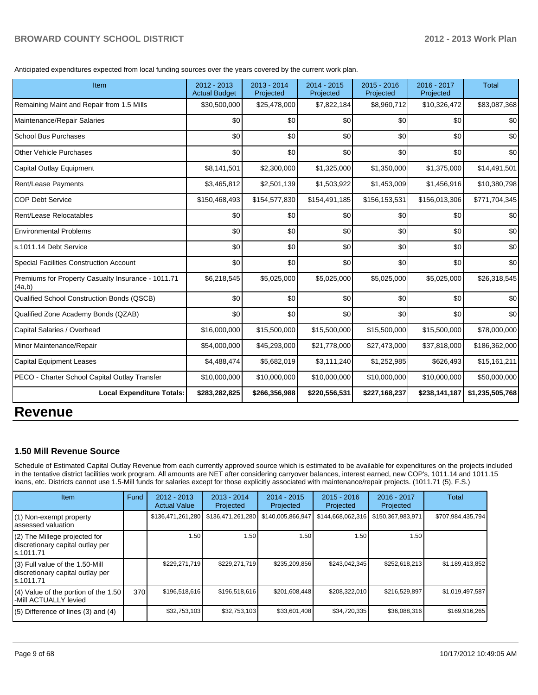Anticipated expenditures expected from local funding sources over the years covered by the current work plan.

| Item                                                         | 2012 - 2013<br><b>Actual Budget</b> | 2013 - 2014<br>Projected | 2014 - 2015<br>Projected | 2015 - 2016<br>Projected | 2016 - 2017<br>Projected | <b>Total</b>    |
|--------------------------------------------------------------|-------------------------------------|--------------------------|--------------------------|--------------------------|--------------------------|-----------------|
| Remaining Maint and Repair from 1.5 Mills                    | \$30,500,000                        | \$25,478,000             | \$7,822,184              | \$8,960,712              | \$10,326,472             | \$83,087,368    |
| Maintenance/Repair Salaries                                  | \$0                                 | \$0                      | \$0                      | \$0                      | \$0                      | \$0             |
| <b>School Bus Purchases</b>                                  | \$0                                 | \$0                      | \$0                      | \$0                      | \$0                      | \$0             |
| Other Vehicle Purchases                                      | \$0                                 | \$0                      | \$0                      | \$0                      | \$0                      | \$0             |
| Capital Outlay Equipment                                     | \$8,141,501                         | \$2,300,000              | \$1,325,000              | \$1,350,000              | \$1,375,000              | \$14,491,501    |
| Rent/Lease Payments                                          | \$3,465,812                         | \$2,501,139              | \$1,503,922              | \$1,453,009              | \$1,456,916              | \$10,380,798    |
| <b>COP Debt Service</b>                                      | \$150,468,493                       | \$154,577,830            | \$154,491,185            | \$156,153,531            | \$156,013,306            | \$771,704,345   |
| Rent/Lease Relocatables                                      | \$0                                 | \$0                      | \$0                      | \$0                      | \$0                      | \$0             |
| <b>Environmental Problems</b>                                | \$0                                 | \$0                      | \$0                      | \$0                      | \$0                      | \$0             |
| s.1011.14 Debt Service                                       | \$0                                 | \$0                      | \$0                      | \$0                      | \$0                      | \$0             |
| <b>Special Facilities Construction Account</b>               | \$0                                 | \$0                      | \$0                      | \$0                      | \$0                      | \$0             |
| Premiums for Property Casualty Insurance - 1011.71<br>(4a,b) | \$6,218,545                         | \$5,025,000              | \$5,025,000              | \$5,025,000              | \$5,025,000              | \$26,318,545    |
| Qualified School Construction Bonds (QSCB)                   | \$0                                 | \$0                      | \$0                      | \$0                      | \$0                      | \$0             |
| Qualified Zone Academy Bonds (QZAB)                          | \$0                                 | \$0                      | \$0                      | \$0                      | \$0                      | \$0             |
| Capital Salaries / Overhead                                  | \$16,000,000                        | \$15,500,000             | \$15,500,000             | \$15,500,000             | \$15,500,000             | \$78,000,000    |
| Minor Maintenance/Repair                                     | \$54,000,000                        | \$45,293,000             | \$21,778,000             | \$27,473,000             | \$37,818,000             | \$186,362,000   |
| <b>Capital Equipment Leases</b>                              | \$4,488,474                         | \$5,682,019              | \$3,111,240              | \$1,252,985              | \$626,493                | \$15,161,211    |
| PECO - Charter School Capital Outlay Transfer                | \$10,000,000                        | \$10,000,000             | \$10,000,000             | \$10,000,000             | \$10,000,000             | \$50,000,000    |
| <b>Local Expenditure Totals:</b>                             | \$283,282,825                       | \$266,356,988            | \$220,556,531            | \$227,168,237            | \$238,141,187            | \$1,235,505,768 |

## **Revenue**

#### **1.50 Mill Revenue Source**

Schedule of Estimated Capital Outlay Revenue from each currently approved source which is estimated to be available for expenditures on the projects included in the tentative district facilities work program. All amounts are NET after considering carryover balances, interest earned, new COP's, 1011.14 and 1011.15 loans, etc. Districts cannot use 1.5-Mill funds for salaries except for those explicitly associated with maintenance/repair projects. (1011.71 (5), F.S.)

| <b>Item</b>                                                                       | Fund | $2012 - 2013$<br><b>Actual Value</b> | $2013 - 2014$<br>Projected | $2014 - 2015$<br>Projected | $2015 - 2016$<br>Projected | 2016 - 2017<br>Projected | Total             |
|-----------------------------------------------------------------------------------|------|--------------------------------------|----------------------------|----------------------------|----------------------------|--------------------------|-------------------|
| (1) Non-exempt property<br>lassessed valuation                                    |      | \$136,471,261,280                    | \$136,471,261,280          | \$140,005,866,947          | \$144,668,062,316          | \$150,367,983,971        | \$707,984,435,794 |
| (2) The Millege projected for<br>discretionary capital outlay per<br>ls.1011.71   |      | 1.50                                 | 1.50                       | 1.50                       | 1.50                       | 1.50                     |                   |
| (3) Full value of the 1.50-Mill<br>discretionary capital outlay per<br>ls.1011.71 |      | \$229,271,719                        | \$229,271,719              | \$235,209,856              | \$243,042,345              | \$252,618,213            | \$1,189,413,852   |
| (4) Value of the portion of the 1.50<br>-Mill ACTUALLY levied                     | 370  | \$196,518,616                        | \$196,518,616              | \$201,608,448              | \$208,322,010              | \$216,529,897            | \$1,019,497,587   |
| $(5)$ Difference of lines (3) and (4)                                             |      | \$32,753,103                         | \$32,753,103               | \$33,601,408               | \$34,720,335               | \$36,088,316             | \$169,916,265     |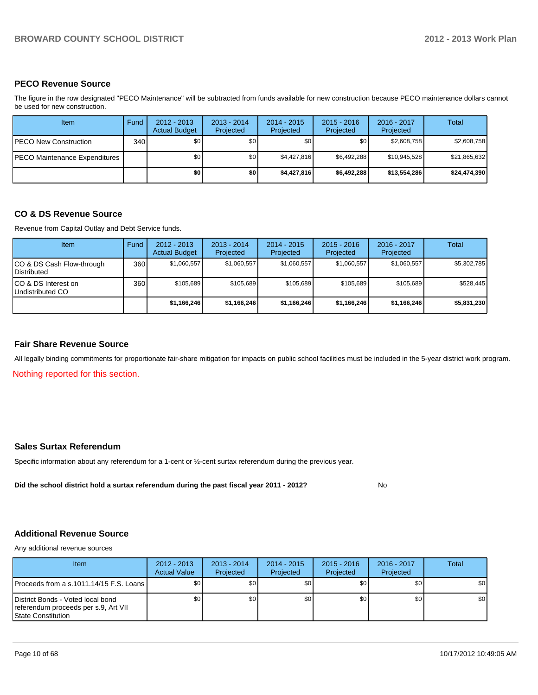#### **PECO Revenue Source**

The figure in the row designated "PECO Maintenance" will be subtracted from funds available for new construction because PECO maintenance dollars cannot be used for new construction.

| Item                          | Fund | $2012 - 2013$<br><b>Actual Budget</b> | $2013 - 2014$<br>Projected | $2014 - 2015$<br>Projected | $2015 - 2016$<br>Projected | $2016 - 2017$<br>Projected | Total        |
|-------------------------------|------|---------------------------------------|----------------------------|----------------------------|----------------------------|----------------------------|--------------|
| IPECO New Construction        | 340  | \$0                                   | \$0 <sub>1</sub>           | \$0                        | \$0                        | \$2,608,758                | \$2,608,758  |
| PECO Maintenance Expenditures |      | \$0                                   | \$0                        | \$4.427.816                | \$6,492,288                | \$10,945,528               | \$21,865,632 |
|                               |      | \$0                                   | \$0                        | \$4,427,816                | \$6,492,288                | \$13,554,286               | \$24,474,390 |

#### **CO & DS Revenue Source**

Revenue from Capital Outlay and Debt Service funds.

| Item                                               | Fund | $2012 - 2013$<br><b>Actual Budget</b> | $2013 - 2014$<br>Projected | $2014 - 2015$<br>Projected | $2015 - 2016$<br>Projected | $2016 - 2017$<br>Projected | Total       |
|----------------------------------------------------|------|---------------------------------------|----------------------------|----------------------------|----------------------------|----------------------------|-------------|
| ICO & DS Cash Flow-through<br><b>I</b> Distributed | 360  | \$1,060,557                           | \$1,060,557                | \$1,060,557                | \$1,060,557                | \$1,060,557                | \$5,302,785 |
| ICO & DS Interest on<br>Undistributed CO           | 360  | \$105.689                             | \$105,689                  | \$105.689                  | \$105.689                  | \$105.689                  | \$528,445   |
|                                                    |      | \$1,166,246                           | \$1,166,246                | \$1,166,246                | \$1,166,246                | \$1,166,246                | \$5,831,230 |

#### **Fair Share Revenue Source**

All legally binding commitments for proportionate fair-share mitigation for impacts on public school facilities must be included in the 5-year district work program.

Nothing reported for this section.

#### **Sales Surtax Referendum**

Specific information about any referendum for a 1-cent or ½-cent surtax referendum during the previous year.

**Did the school district hold a surtax referendum during the past fiscal year 2011 - 2012?**

No

#### **Additional Revenue Source**

Any additional revenue sources

| Item                                                                                                    | $2012 - 2013$<br><b>Actual Value</b> | $2013 - 2014$<br>Projected | $2014 - 2015$<br>Projected | $2015 - 2016$<br>Projected | $2016 - 2017$<br>Projected | Total            |
|---------------------------------------------------------------------------------------------------------|--------------------------------------|----------------------------|----------------------------|----------------------------|----------------------------|------------------|
| IProceeds from a s.1011.14/15 F.S. Loans I                                                              | \$0                                  | \$0                        | \$0                        | \$0                        | \$0                        | \$0 <sub>1</sub> |
| District Bonds - Voted local bond<br>referendum proceeds per s.9, Art VII<br><b>IState Constitution</b> | \$0                                  | \$0                        | \$0 <sub>1</sub>           | \$0 <sub>0</sub>           | \$0                        | \$0 <sub>1</sub> |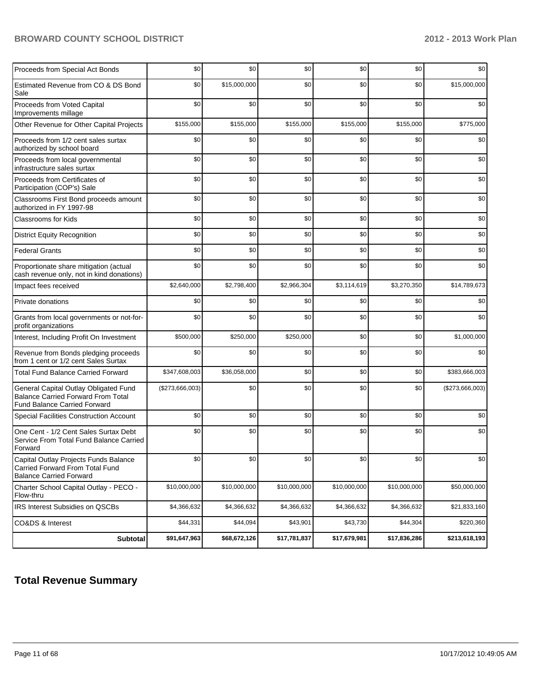| <b>Subtotal</b>                                                                                                           | \$91,647,963    | \$68,672,126 | \$17,781,837 | \$17,679,981 | \$17,836,286 | \$213,618,193   |
|---------------------------------------------------------------------------------------------------------------------------|-----------------|--------------|--------------|--------------|--------------|-----------------|
| CO&DS & Interest                                                                                                          | \$44,331        | \$44,094     | \$43,901     | \$43,730     | \$44,304     | \$220,360       |
| IRS Interest Subsidies on QSCBs                                                                                           | \$4,366,632     | \$4,366,632  | \$4,366,632  | \$4,366,632  | \$4,366,632  | \$21,833,160    |
| Charter School Capital Outlay - PECO -<br>Flow-thru                                                                       | \$10,000,000    | \$10,000,000 | \$10,000,000 | \$10,000,000 | \$10,000,000 | \$50,000,000    |
| Capital Outlay Projects Funds Balance<br>Carried Forward From Total Fund<br><b>Balance Carried Forward</b>                | \$0             | \$0          | \$0          | \$0          | \$0          | \$0             |
| One Cent - 1/2 Cent Sales Surtax Debt<br>Service From Total Fund Balance Carried<br>Forward                               | \$0             | \$0          | \$0          | \$0          | \$0          | \$0             |
| <b>Special Facilities Construction Account</b>                                                                            | \$0             | \$0          | \$0          | \$0          | \$0          | \$0             |
| General Capital Outlay Obligated Fund<br><b>Balance Carried Forward From Total</b><br><b>Fund Balance Carried Forward</b> | (\$273,666,003) | \$0          | \$0          | \$0          | \$0          | (\$273,666,003) |
| <b>Total Fund Balance Carried Forward</b>                                                                                 | \$347,608,003   | \$36,058,000 | \$0          | \$0          | \$0          | \$383,666,003   |
| Revenue from Bonds pledging proceeds<br>from 1 cent or 1/2 cent Sales Surtax                                              | \$0             | \$0          | \$0          | \$0          | \$0          | \$0             |
| Interest, Including Profit On Investment                                                                                  | \$500,000       | \$250,000    | \$250,000    | \$0          | \$0          | \$1,000,000     |
| Grants from local governments or not-for-<br>profit organizations                                                         | \$0             | \$0          | \$0          | \$0          | \$0          | \$0             |
| Private donations                                                                                                         | \$0             | \$0          | \$0          | \$0          | \$0          | \$0             |
| Impact fees received                                                                                                      | \$2,640,000     | \$2,798,400  | \$2,966,304  | \$3,114,619  | \$3,270,350  | \$14,789,673    |
| Proportionate share mitigation (actual<br>cash revenue only, not in kind donations)                                       | \$0             | \$0          | \$0          | \$0          | \$0          | \$0             |
| <b>Federal Grants</b>                                                                                                     | \$0             | \$0          | \$0          | \$0          | \$0          | \$0             |
| <b>District Equity Recognition</b>                                                                                        | \$0             | \$0          | \$0          | \$0          | \$0          | \$0             |
| <b>Classrooms for Kids</b>                                                                                                | \$0             | \$0          | \$0          | \$0          | \$0          | \$0             |
| Classrooms First Bond proceeds amount<br>authorized in FY 1997-98                                                         | \$0             | \$0          | \$0          | \$0          | \$0          | \$0             |
| Proceeds from Certificates of<br>Participation (COP's) Sale                                                               | \$0             | \$0          | \$0          | \$0          | \$0          | \$0             |
| Proceeds from local governmental<br>infrastructure sales surtax                                                           | \$0             | \$0          | \$0          | \$0          | \$0          | \$0             |
| Proceeds from 1/2 cent sales surtax<br>authorized by school board                                                         | \$0             | \$0          | \$0          | \$0          | \$0          | \$0             |
| Other Revenue for Other Capital Projects                                                                                  | \$155,000       | \$155,000    | \$155,000    | \$155,000    | \$155,000    | \$775,000       |
| Proceeds from Voted Capital<br>Improvements millage                                                                       | \$0             | \$0          | \$0          | \$0          | \$0          | \$0             |
| Estimated Revenue from CO & DS Bond<br>Sale                                                                               | \$0             | \$15,000,000 | \$0          | \$0          | \$0          | \$15,000,000    |
| Proceeds from Special Act Bonds                                                                                           | \$0             | \$0          | \$0          | \$0          | \$0          | \$0             |

## **Total Revenue Summary**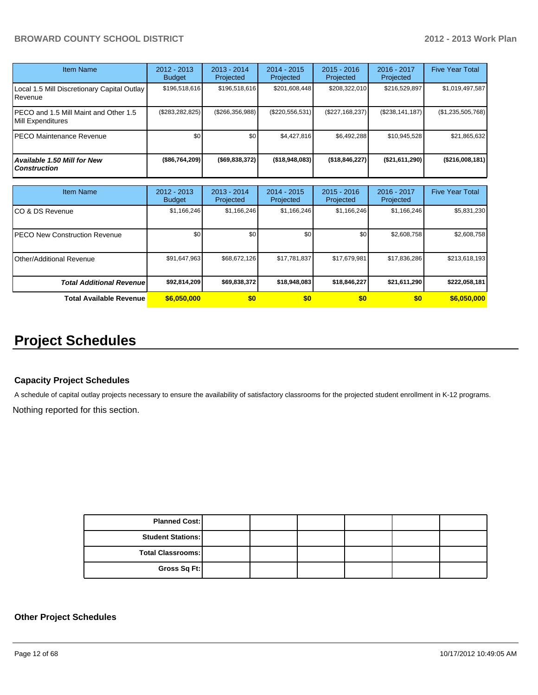| Item Name                                                  | $2012 - 2013$<br><b>Budget</b> | $2013 - 2014$<br>Projected | $2014 - 2015$<br>Projected | $2015 - 2016$<br>Projected | $2016 - 2017$<br>Projected | <b>Five Year Total</b> |
|------------------------------------------------------------|--------------------------------|----------------------------|----------------------------|----------------------------|----------------------------|------------------------|
| Local 1.5 Mill Discretionary Capital Outlay<br>Revenue     | \$196,518,616                  | \$196,518,616              | \$201,608,448              | \$208,322,010              | \$216,529,897              | \$1,019,497,587        |
| PECO and 1.5 Mill Maint and Other 1.5<br>Mill Expenditures | (\$283, 282, 825)              | $($ \$266,356,988)         | (\$220,556,531)            | (S227, 168, 237)           | (S238, 141, 187)           | (\$1,235,505,768)      |
| PECO Maintenance Revenue                                   | \$0                            | \$0                        | \$4.427.816                | \$6.492.288                | \$10,945,528               | \$21,865,632           |
| Available 1.50 Mill for New<br><b>Construction</b>         | $($ \$86,764,209)              | $($ \$69,838,372)          | ( \$18, 948, 083)          | (\$18,846,227)             | $($ \$21,611,290)          | (\$216,008,181)        |

| Item Name                             | 2012 - 2013<br><b>Budget</b> | $2013 - 2014$<br>Projected | $2014 - 2015$<br>Projected | $2015 - 2016$<br>Projected | $2016 - 2017$<br>Projected | <b>Five Year Total</b> |
|---------------------------------------|------------------------------|----------------------------|----------------------------|----------------------------|----------------------------|------------------------|
| ICO & DS Revenue                      | \$1,166,246                  | \$1,166,246                | \$1,166,246                | \$1,166,246                | \$1,166,246                | \$5,831,230            |
| <b>IPECO New Construction Revenue</b> | \$0 <sub>1</sub>             | \$0                        | \$0                        | \$0                        | \$2,608,758                | \$2,608,758            |
| <b>I</b> Other/Additional Revenue     | \$91,647,963                 | \$68,672,126               | \$17,781,837               | \$17,679,981               | \$17,836,286               | \$213,618,193          |
| <b>Total Additional Revenuel</b>      | \$92,814,209                 | \$69,838,372               | \$18,948,083               | \$18,846,227               | \$21,611,290               | \$222,058,181          |
| <b>Total Available Revenue</b>        | \$6,050,000                  | \$0                        | \$0                        | \$0                        | \$0                        | \$6,050,000            |

## **Project Schedules**

#### **Capacity Project Schedules**

A schedule of capital outlay projects necessary to ensure the availability of satisfactory classrooms for the projected student enrollment in K-12 programs.

Nothing reported for this section.

| <b>Planned Cost:</b>     |  |  |  |
|--------------------------|--|--|--|
| <b>Student Stations:</b> |  |  |  |
| <b>Total Classrooms:</b> |  |  |  |
| Gross Sq Ft:             |  |  |  |

#### **Other Project Schedules**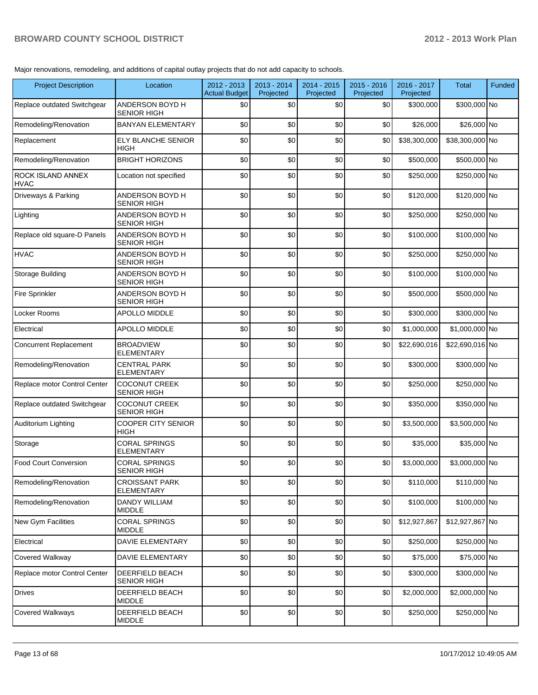Major renovations, remodeling, and additions of capital outlay projects that do not add capacity to schools.

| <b>Project Description</b>       | Location                                     | 2012 - 2013<br><b>Actual Budget</b> | 2013 - 2014<br>Projected | 2014 - 2015<br>Projected | 2015 - 2016<br>Projected | 2016 - 2017<br>Projected | <b>Total</b>    | Funded |
|----------------------------------|----------------------------------------------|-------------------------------------|--------------------------|--------------------------|--------------------------|--------------------------|-----------------|--------|
| Replace outdated Switchgear      | ANDERSON BOYD H<br><b>SENIOR HIGH</b>        | \$0                                 | \$0                      | \$0                      | \$0                      | \$300,000                | \$300,000 No    |        |
| Remodeling/Renovation            | <b>BANYAN ELEMENTARY</b>                     | \$0                                 | \$0                      | \$0                      | \$0                      | \$26,000                 | \$26,000 No     |        |
| Replacement                      | <b>ELY BLANCHE SENIOR</b><br><b>HIGH</b>     | \$0                                 | \$0                      | \$0                      | \$0                      | \$38,300,000             | \$38,300,000 No |        |
| Remodeling/Renovation            | <b>BRIGHT HORIZONS</b>                       | \$0                                 | \$0                      | \$0                      | \$0                      | \$500,000                | \$500,000 No    |        |
| ROCK ISLAND ANNEX<br><b>HVAC</b> | Location not specified                       | \$0                                 | \$0                      | \$0                      | \$0                      | \$250,000                | \$250,000 No    |        |
| Driveways & Parking              | ANDERSON BOYD H<br><b>SENIOR HIGH</b>        | \$0                                 | \$0                      | \$0                      | \$0                      | \$120,000                | \$120,000 No    |        |
| Lighting                         | ANDERSON BOYD H<br><b>SENIOR HIGH</b>        | \$0                                 | \$0                      | \$0                      | \$0                      | \$250,000                | \$250,000 No    |        |
| Replace old square-D Panels      | ANDERSON BOYD H<br><b>SENIOR HIGH</b>        | \$0                                 | \$0                      | \$0                      | \$0                      | \$100,000                | \$100,000 No    |        |
| <b>HVAC</b>                      | ANDERSON BOYD H<br><b>SENIOR HIGH</b>        | \$0                                 | \$0                      | \$0                      | \$0                      | \$250,000                | \$250,000 No    |        |
| Storage Building                 | ANDERSON BOYD H<br><b>SENIOR HIGH</b>        | \$0                                 | \$0                      | \$0                      | \$0                      | \$100.000                | \$100,000 No    |        |
| <b>Fire Sprinkler</b>            | ANDERSON BOYD H<br><b>SENIOR HIGH</b>        | \$0                                 | \$0                      | \$0                      | \$0                      | \$500,000                | \$500,000 No    |        |
| Locker Rooms                     | APOLLO MIDDLE                                | \$0                                 | \$0                      | \$0                      | \$0                      | \$300,000                | \$300,000 No    |        |
| Electrical                       | APOLLO MIDDLE                                | \$0                                 | \$0                      | \$0                      | \$0                      | \$1,000,000              | \$1,000,000 No  |        |
| <b>Concurrent Replacement</b>    | <b>BROADVIEW</b><br><b>ELEMENTARY</b>        | \$0                                 | \$0                      | \$0                      | \$0                      | \$22,690,016             | \$22,690,016 No |        |
| Remodeling/Renovation            | <b>CENTRAL PARK</b><br><b>ELEMENTARY</b>     | \$0                                 | \$0                      | \$0                      | \$0                      | \$300,000                | \$300,000 No    |        |
| Replace motor Control Center     | <b>COCONUT CREEK</b><br><b>SENIOR HIGH</b>   | \$0                                 | \$0                      | \$0                      | \$0                      | \$250,000                | \$250,000 No    |        |
| Replace outdated Switchgear      | <b>COCONUT CREEK</b><br><b>SENIOR HIGH</b>   | \$0                                 | \$0                      | \$0                      | \$0                      | \$350,000                | \$350,000 No    |        |
| Auditorium Lighting              | <b>COOPER CITY SENIOR</b><br><b>HIGH</b>     | \$0                                 | \$0                      | \$0                      | \$0                      | \$3,500,000              | \$3,500,000 No  |        |
| Storage                          | <b>CORAL SPRINGS</b><br><b>ELEMENTARY</b>    | \$0                                 | \$0                      | \$0                      | \$0                      | \$35,000                 | \$35,000 No     |        |
| <b>Food Court Conversion</b>     | <b>CORAL SPRINGS</b><br>SENIOR HIGH          | \$0                                 | \$0                      | \$0                      | \$0                      | \$3,000,000              | \$3,000,000 No  |        |
| Remodeling/Renovation            | <b>CROISSANT PARK</b><br><b>ELEMENTARY</b>   | \$0                                 | \$0                      | \$0                      | \$0                      | \$110,000                | \$110,000 No    |        |
| Remodeling/Renovation            | <b>DANDY WILLIAM</b><br><b>MIDDLE</b>        | \$0                                 | \$0                      | \$0                      | \$0                      | \$100,000                | \$100,000 No    |        |
| New Gym Facilities               | <b>CORAL SPRINGS</b><br><b>MIDDLE</b>        | \$0                                 | \$0                      | \$0                      | \$0                      | \$12,927,867             | \$12,927,867 No |        |
| Electrical                       | <b>DAVIE ELEMENTARY</b>                      | \$0                                 | \$0                      | \$0                      | \$0                      | \$250,000                | \$250,000 No    |        |
| Covered Walkway                  | <b>DAVIE ELEMENTARY</b>                      | \$0                                 | \$0                      | \$0                      | \$0                      | \$75,000                 | \$75,000 No     |        |
| Replace motor Control Center     | <b>DEERFIELD BEACH</b><br><b>SENIOR HIGH</b> | \$0                                 | \$0                      | \$0                      | \$0                      | \$300,000                | \$300,000 No    |        |
| <b>Drives</b>                    | <b>DEERFIELD BEACH</b><br><b>MIDDLE</b>      | \$0                                 | \$0                      | \$0                      | \$0                      | \$2,000,000              | \$2,000,000 No  |        |
| Covered Walkways                 | <b>DEERFIELD BEACH</b><br><b>MIDDLE</b>      | \$0                                 | \$0                      | \$0                      | \$0                      | \$250,000                | \$250,000 No    |        |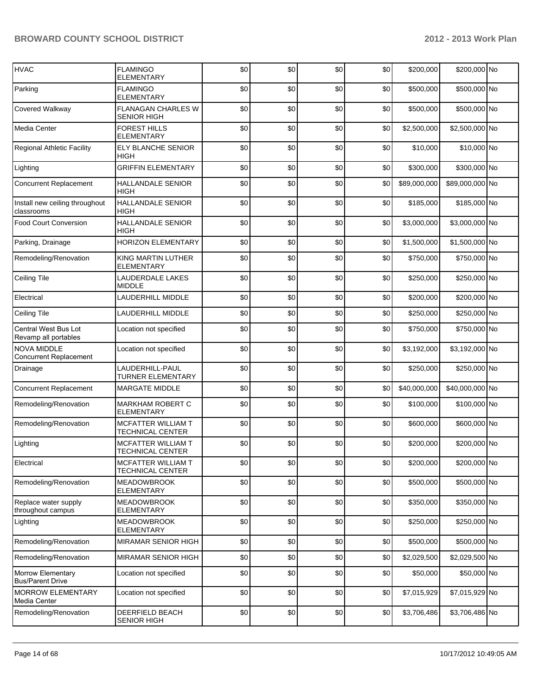| <b>HVAC</b>                                         | <b>FLAMINGO</b><br>ELEMENTARY                   | \$0 | \$0 | \$0 | \$0 | \$200,000    | \$200,000 No    |  |
|-----------------------------------------------------|-------------------------------------------------|-----|-----|-----|-----|--------------|-----------------|--|
| Parking                                             | <b>FLAMINGO</b><br><b>ELEMENTARY</b>            | \$0 | \$0 | \$0 | \$0 | \$500,000    | \$500,000 No    |  |
| Covered Walkway                                     | <b>FLANAGAN CHARLES W</b><br><b>SENIOR HIGH</b> | \$0 | \$0 | \$0 | \$0 | \$500,000    | \$500,000 No    |  |
| Media Center                                        | <b>FOREST HILLS</b><br><b>ELEMENTARY</b>        | \$0 | \$0 | \$0 | \$0 | \$2,500,000  | \$2,500,000 No  |  |
| <b>Regional Athletic Facility</b>                   | ELY BLANCHE SENIOR<br>HIGH                      | \$0 | \$0 | \$0 | \$0 | \$10,000     | \$10,000 No     |  |
| Lighting                                            | <b>GRIFFIN ELEMENTARY</b>                       | \$0 | \$0 | \$0 | \$0 | \$300,000    | \$300,000 No    |  |
| <b>Concurrent Replacement</b>                       | <b>HALLANDALE SENIOR</b><br><b>HIGH</b>         | \$0 | \$0 | \$0 | \$0 | \$89,000,000 | \$89,000,000 No |  |
| Install new ceiling throughout<br>classrooms        | <b>HALLANDALE SENIOR</b><br><b>HIGH</b>         | \$0 | \$0 | \$0 | \$0 | \$185,000    | \$185,000 No    |  |
| <b>Food Court Conversion</b>                        | <b>HALLANDALE SENIOR</b><br><b>HIGH</b>         | \$0 | \$0 | \$0 | \$0 | \$3,000,000  | \$3,000,000 No  |  |
| Parking, Drainage                                   | <b>HORIZON ELEMENTARY</b>                       | \$0 | \$0 | \$0 | \$0 | \$1,500,000  | \$1,500,000 No  |  |
| Remodeling/Renovation                               | KING MARTIN LUTHER<br><b>ELEMENTARY</b>         | \$0 | \$0 | \$0 | \$0 | \$750,000    | \$750,000 No    |  |
| Ceiling Tile                                        | LAUDERDALE LAKES<br><b>MIDDLE</b>               | \$0 | \$0 | \$0 | \$0 | \$250,000    | \$250,000 No    |  |
| Electrical                                          | LAUDERHILL MIDDLE                               | \$0 | \$0 | \$0 | \$0 | \$200,000    | \$200,000 No    |  |
| Ceiling Tile                                        | LAUDERHILL MIDDLE                               | \$0 | \$0 | \$0 | \$0 | \$250,000    | \$250,000 No    |  |
| Central West Bus Lot<br>Revamp all portables        | Location not specified                          | \$0 | \$0 | \$0 | \$0 | \$750,000    | \$750,000 No    |  |
| <b>NOVA MIDDLE</b><br><b>Concurrent Replacement</b> | Location not specified                          | \$0 | \$0 | \$0 | \$0 | \$3,192,000  | \$3,192,000 No  |  |
| Drainage                                            | LAUDERHILL-PAUL<br>TURNER ELEMENTARY            | \$0 | \$0 | \$0 | \$0 | \$250,000    | \$250,000 No    |  |
| <b>Concurrent Replacement</b>                       | <b>MARGATE MIDDLE</b>                           | \$0 | \$0 | \$0 | \$0 | \$40,000,000 | \$40,000,000 No |  |
| Remodeling/Renovation                               | <b>MARKHAM ROBERT C</b><br><b>ELEMENTARY</b>    | \$0 | \$0 | \$0 | \$0 | \$100,000    | \$100,000 No    |  |
| Remodeling/Renovation                               | MCFATTER WILLIAM T<br>TECHNICAL CENTER          | \$0 | \$0 | \$0 | \$0 | \$600,000    | \$600,000 No    |  |
| Lighting                                            | MCFATTER WILLIAM T<br>TECHNICAL CENTER          | \$0 | \$0 | \$0 | \$0 | \$200,000    | \$200,000 No    |  |
| Electrical                                          | MCFATTER WILLIAM T<br>TECHNICAL CENTER          | \$0 | \$0 | \$0 | \$0 | \$200,000    | \$200,000 No    |  |
| Remodeling/Renovation                               | <b>MEADOWBROOK</b><br>ELEMENTARY                | \$0 | \$0 | \$0 | \$0 | \$500,000    | \$500,000 No    |  |
| Replace water supply<br>throughout campus           | <b>MEADOWBROOK</b><br>ELEMENTARY                | \$0 | \$0 | \$0 | \$0 | \$350,000    | \$350,000 No    |  |
| Lighting                                            | <b>MEADOWBROOK</b><br>ELEMENTARY                | \$0 | \$0 | \$0 | \$0 | \$250,000    | \$250,000 No    |  |
| Remodeling/Renovation                               | MIRAMAR SENIOR HIGH                             | \$0 | \$0 | \$0 | \$0 | \$500,000    | \$500,000 No    |  |
| Remodeling/Renovation                               | MIRAMAR SENIOR HIGH                             | \$0 | \$0 | \$0 | \$0 | \$2,029,500  | \$2,029,500 No  |  |
| Morrow Elementary<br><b>Bus/Parent Drive</b>        | Location not specified                          | \$0 | \$0 | \$0 | \$0 | \$50,000     | \$50,000 No     |  |
| <b>MORROW ELEMENTARY</b><br>Media Center            | Location not specified                          | \$0 | \$0 | \$0 | \$0 | \$7,015,929  | \$7,015,929 No  |  |
| Remodeling/Renovation                               | DEERFIELD BEACH<br><b>SENIOR HIGH</b>           | \$0 | \$0 | \$0 | \$0 | \$3,706,486  | \$3,706,486 No  |  |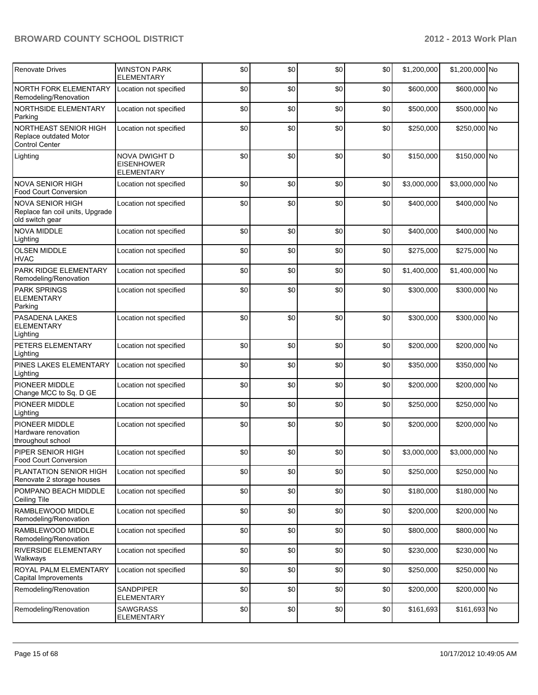| <b>Renovate Drives</b>                                                        | <b>WINSTON PARK</b>                                     | \$0 | \$0 | \$0 | \$0 | \$1,200,000 | \$1,200,000 No |  |
|-------------------------------------------------------------------------------|---------------------------------------------------------|-----|-----|-----|-----|-------------|----------------|--|
|                                                                               | <b>ELEMENTARY</b>                                       |     |     |     |     |             |                |  |
| <b>NORTH FORK ELEMENTARY</b><br>Remodeling/Renovation                         | Location not specified                                  | \$0 | \$0 | \$0 | \$0 | \$600,000   | \$600,000 No   |  |
| NORTHSIDE ELEMENTARY<br>Parking                                               | Location not specified                                  | \$0 | \$0 | \$0 | \$0 | \$500,000   | \$500,000 No   |  |
| NORTHEAST SENIOR HIGH<br>Replace outdated Motor<br><b>Control Center</b>      | Location not specified                                  | \$0 | \$0 | \$0 | \$0 | \$250,000   | \$250,000 No   |  |
| Lighting                                                                      | NOVA DWIGHT D<br><b>EISENHOWER</b><br><b>ELEMENTARY</b> | \$0 | \$0 | \$0 | \$0 | \$150,000   | \$150,000 No   |  |
| <b>NOVA SENIOR HIGH</b><br><b>Food Court Conversion</b>                       | Location not specified                                  | \$0 | \$0 | \$0 | \$0 | \$3,000,000 | \$3,000,000 No |  |
| <b>NOVA SENIOR HIGH</b><br>Replace fan coil units, Upgrade<br>old switch gear | Location not specified                                  | \$0 | \$0 | \$0 | \$0 | \$400,000   | \$400,000 No   |  |
| NOVA MIDDLE<br>Lighting                                                       | Location not specified                                  | \$0 | \$0 | \$0 | \$0 | \$400,000   | \$400,000 No   |  |
| <b>OLSEN MIDDLE</b><br><b>HVAC</b>                                            | Location not specified                                  | \$0 | \$0 | \$0 | \$0 | \$275,000   | \$275,000 No   |  |
| <b>PARK RIDGE ELEMENTARY</b><br>Remodeling/Renovation                         | Location not specified                                  | \$0 | \$0 | \$0 | \$0 | \$1,400,000 | \$1,400,000 No |  |
| <b>PARK SPRINGS</b><br><b>ELEMENTARY</b><br>Parking                           | Location not specified                                  | \$0 | \$0 | \$0 | \$0 | \$300,000   | \$300,000 No   |  |
| PASADENA LAKES<br><b>ELEMENTARY</b><br>Lighting                               | Location not specified                                  | \$0 | \$0 | \$0 | \$0 | \$300,000   | \$300,000 No   |  |
| PETERS ELEMENTARY<br>Lighting                                                 | Location not specified                                  | \$0 | \$0 | \$0 | \$0 | \$200,000   | \$200,000 No   |  |
| PINES LAKES ELEMENTARY<br>Lighting                                            | Location not specified                                  | \$0 | \$0 | \$0 | \$0 | \$350,000   | \$350,000 No   |  |
| PIONEER MIDDLE<br>Change MCC to Sq. D GE                                      | Location not specified                                  | \$0 | \$0 | \$0 | \$0 | \$200,000   | \$200,000 No   |  |
| PIONEER MIDDLE<br>Lighting                                                    | Location not specified                                  | \$0 | \$0 | \$0 | \$0 | \$250,000   | \$250,000 No   |  |
| PIONEER MIDDLE<br>Hardware renovation<br>throughout school                    | Location not specified                                  | \$0 | \$0 | \$0 | \$0 | \$200,000   | \$200,000 No   |  |
| PIPER SENIOR HIGH<br>Food Court Conversion                                    | Location not specified                                  | \$0 | \$0 | \$0 | \$0 | \$3,000,000 | \$3,000,000 No |  |
| PLANTATION SENIOR HIGH<br>Renovate 2 storage houses                           | Location not specified                                  | \$0 | \$0 | \$0 | \$0 | \$250,000   | \$250,000 No   |  |
| POMPANO BEACH MIDDLE<br>Ceiling Tile                                          | Location not specified                                  | \$0 | \$0 | \$0 | \$0 | \$180,000   | \$180,000 No   |  |
| RAMBLEWOOD MIDDLE<br>Remodeling/Renovation                                    | Location not specified                                  | \$0 | \$0 | \$0 | \$0 | \$200,000   | \$200,000 No   |  |
| RAMBLEWOOD MIDDLE<br>Remodeling/Renovation                                    | Location not specified                                  | \$0 | \$0 | \$0 | \$0 | \$800,000   | \$800,000 No   |  |
| RIVERSIDE ELEMENTARY<br>Walkways                                              | Location not specified                                  | \$0 | \$0 | \$0 | \$0 | \$230,000   | \$230,000 No   |  |
| ROYAL PALM ELEMENTARY<br>Capital Improvements                                 | Location not specified                                  | \$0 | \$0 | \$0 | \$0 | \$250,000   | \$250,000 No   |  |
| Remodeling/Renovation                                                         | SANDPIPER<br><b>ELEMENTARY</b>                          | \$0 | \$0 | \$0 | \$0 | \$200,000   | \$200,000 No   |  |
| Remodeling/Renovation                                                         | <b>SAWGRASS</b><br><b>ELEMENTARY</b>                    | \$0 | \$0 | \$0 | \$0 | \$161,693   | \$161,693 No   |  |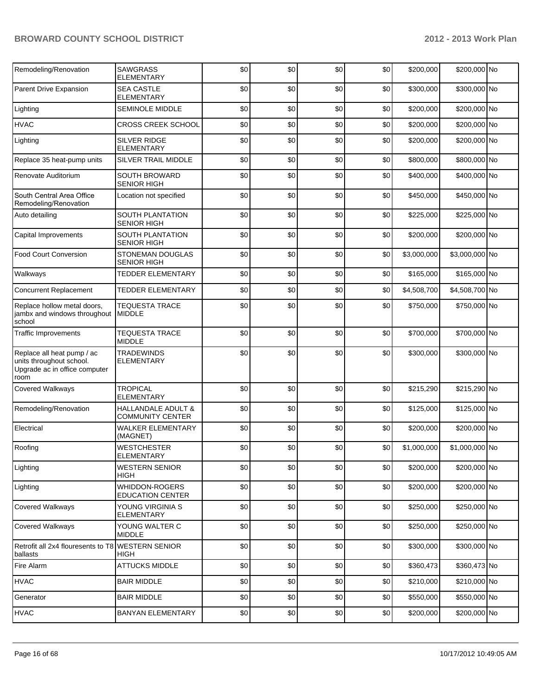| Remodeling/Renovation                                                                           | <b>SAWGRASS</b><br>ELEMENTARY                 | \$0 | \$0 | \$0 | \$0 | \$200,000   | \$200,000 No   |  |
|-------------------------------------------------------------------------------------------------|-----------------------------------------------|-----|-----|-----|-----|-------------|----------------|--|
| Parent Drive Expansion                                                                          | <b>SEA CASTLE</b><br><b>ELEMENTARY</b>        | \$0 | \$0 | \$0 | \$0 | \$300,000   | \$300,000 No   |  |
| Lighting                                                                                        | <b>SEMINOLE MIDDLE</b>                        | \$0 | \$0 | \$0 | \$0 | \$200,000   | \$200,000 No   |  |
| <b>HVAC</b>                                                                                     | <b>CROSS CREEK SCHOOL</b>                     | \$0 | \$0 | \$0 | \$0 | \$200,000   | \$200,000 No   |  |
| Lighting                                                                                        | SILVER RIDGE<br><b>ELEMENTARY</b>             | \$0 | \$0 | \$0 | \$0 | \$200,000   | \$200,000 No   |  |
| Replace 35 heat-pump units                                                                      | SILVER TRAIL MIDDLE                           | \$0 | \$0 | \$0 | \$0 | \$800,000   | \$800,000 No   |  |
| Renovate Auditorium                                                                             | <b>SOUTH BROWARD</b><br><b>SENIOR HIGH</b>    | \$0 | \$0 | \$0 | \$0 | \$400,000   | \$400,000 No   |  |
| South Central Area Office<br>Remodeling/Renovation                                              | Location not specified                        | \$0 | \$0 | \$0 | \$0 | \$450,000   | \$450,000 No   |  |
| Auto detailing                                                                                  | SOUTH PLANTATION<br><b>SENIOR HIGH</b>        | \$0 | \$0 | \$0 | \$0 | \$225,000   | \$225,000 No   |  |
| Capital Improvements                                                                            | SOUTH PLANTATION<br><b>SENIOR HIGH</b>        | \$0 | \$0 | \$0 | \$0 | \$200,000   | \$200,000 No   |  |
| <b>Food Court Conversion</b>                                                                    | <b>STONEMAN DOUGLAS</b><br><b>SENIOR HIGH</b> | \$0 | \$0 | \$0 | \$0 | \$3,000,000 | \$3,000,000 No |  |
| Walkways                                                                                        | <b>TEDDER ELEMENTARY</b>                      | \$0 | \$0 | \$0 | \$0 | \$165,000   | \$165,000 No   |  |
| <b>Concurrent Replacement</b>                                                                   | <b>TEDDER ELEMENTARY</b>                      | \$0 | \$0 | \$0 | \$0 | \$4,508,700 | \$4,508,700 No |  |
| Replace hollow metal doors,<br>jambx and windows throughout<br>school                           | <b>TEQUESTA TRACE</b><br><b>MIDDLE</b>        | \$0 | \$0 | \$0 | \$0 | \$750,000   | \$750,000 No   |  |
| <b>Traffic Improvements</b>                                                                     | <b>TEQUESTA TRACE</b><br><b>MIDDLE</b>        | \$0 | \$0 | \$0 | \$0 | \$700,000   | \$700,000 No   |  |
| Replace all heat pump / ac<br>units throughout school.<br>Upgrade ac in office computer<br>room | <b>TRADEWINDS</b><br><b>ELEMENTARY</b>        | \$0 | \$0 | \$0 | \$0 | \$300,000   | \$300,000 No   |  |
| Covered Walkways                                                                                | <b>TROPICAL</b><br><b>ELEMENTARY</b>          | \$0 | \$0 | \$0 | \$0 | \$215,290   | \$215,290 No   |  |
| Remodeling/Renovation                                                                           | HALLANDALE ADULT &<br><b>COMMUNITY CENTER</b> | \$0 | \$0 | \$0 | \$0 | \$125,000   | \$125,000 No   |  |
| Electrical                                                                                      | <b>WALKER ELEMENTARY</b><br>(MAGNET)          | \$0 | \$0 | \$0 | \$0 | \$200,000   | \$200,000 No   |  |
| Roofing                                                                                         | <b>WESTCHESTER</b><br>ELEMENTARY              | \$0 | \$0 | \$0 | \$0 | \$1,000,000 | \$1,000,000 No |  |
| Lighting                                                                                        | <b>WESTERN SENIOR</b><br>HIGH                 | \$0 | \$0 | \$0 | \$0 | \$200,000   | \$200,000 No   |  |
| Lighting                                                                                        | WHIDDON-ROGERS<br><b>EDUCATION CENTER</b>     | \$0 | \$0 | \$0 | \$0 | \$200,000   | \$200,000 No   |  |
| Covered Walkways                                                                                | YOUNG VIRGINIA S<br><b>ELEMENTARY</b>         | \$0 | \$0 | \$0 | \$0 | \$250,000   | \$250,000 No   |  |
| Covered Walkways                                                                                | YOUNG WALTER C<br><b>MIDDLE</b>               | \$0 | \$0 | \$0 | \$0 | \$250,000   | \$250,000 No   |  |
| Retrofit all 2x4 flouresents to T8 WESTERN SENIOR<br>ballasts                                   | HIGH                                          | \$0 | \$0 | \$0 | \$0 | \$300,000   | \$300,000 No   |  |
| Fire Alarm                                                                                      | <b>ATTUCKS MIDDLE</b>                         | \$0 | \$0 | \$0 | \$0 | \$360,473   | \$360,473 No   |  |
| <b>HVAC</b>                                                                                     | <b>BAIR MIDDLE</b>                            | \$0 | \$0 | \$0 | \$0 | \$210,000   | \$210,000 No   |  |
| Generator                                                                                       | <b>BAIR MIDDLE</b>                            | \$0 | \$0 | \$0 | \$0 | \$550,000   | \$550,000 No   |  |
| <b>HVAC</b>                                                                                     | <b>BANYAN ELEMENTARY</b>                      | \$0 | \$0 | \$0 | \$0 | \$200,000   | \$200,000 No   |  |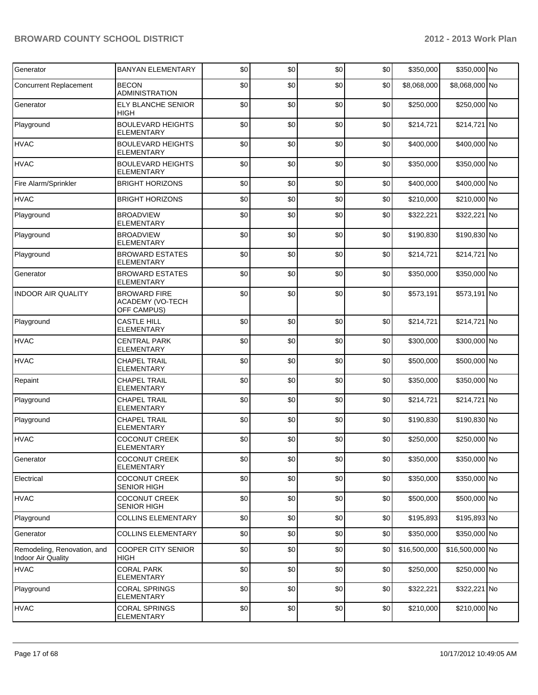| Generator                                                | <b>BANYAN ELEMENTARY</b>                               | \$0 | \$0 | \$0 | \$0   | \$350,000    | \$350,000 No    |  |
|----------------------------------------------------------|--------------------------------------------------------|-----|-----|-----|-------|--------------|-----------------|--|
| <b>Concurrent Replacement</b>                            | <b>BECON</b><br><b>ADMINISTRATION</b>                  | \$0 | \$0 | \$0 | \$0   | \$8,068,000  | \$8,068,000 No  |  |
| Generator                                                | ELY BLANCHE SENIOR<br>HIGH                             | \$0 | \$0 | \$0 | \$0   | \$250,000    | \$250,000 No    |  |
| Playground                                               | <b>BOULEVARD HEIGHTS</b><br>ELEMENTARY                 | \$0 | \$0 | \$0 | \$0   | \$214,721    | \$214,721 No    |  |
| <b>HVAC</b>                                              | <b>BOULEVARD HEIGHTS</b><br><b>ELEMENTARY</b>          | \$0 | \$0 | \$0 | \$0   | \$400,000    | \$400,000 No    |  |
| <b>HVAC</b>                                              | <b>BOULEVARD HEIGHTS</b><br><b>ELEMENTARY</b>          | \$0 | \$0 | \$0 | \$0   | \$350,000    | \$350,000 No    |  |
| Fire Alarm/Sprinkler                                     | <b>BRIGHT HORIZONS</b>                                 | \$0 | \$0 | \$0 | \$0   | \$400,000    | \$400,000 No    |  |
| <b>HVAC</b>                                              | <b>BRIGHT HORIZONS</b>                                 | \$0 | \$0 | \$0 | \$0   | \$210,000    | \$210,000 No    |  |
| Playground                                               | <b>BROADVIEW</b><br><b>ELEMENTARY</b>                  | \$0 | \$0 | \$0 | \$0   | \$322,221    | \$322,221 No    |  |
| Playground                                               | <b>BROADVIEW</b><br>ELEMENTARY                         | \$0 | \$0 | \$0 | \$0   | \$190,830    | \$190,830 No    |  |
| Playground                                               | <b>BROWARD ESTATES</b><br><b>ELEMENTARY</b>            | \$0 | \$0 | \$0 | \$0   | \$214,721    | \$214,721 No    |  |
| Generator                                                | <b>BROWARD ESTATES</b><br><b>ELEMENTARY</b>            | \$0 | \$0 | \$0 | \$0   | \$350,000    | \$350,000 No    |  |
| <b>INDOOR AIR QUALITY</b>                                | <b>BROWARD FIRE</b><br>ACADEMY (VO-TECH<br>OFF CAMPUS) | \$0 | \$0 | \$0 | \$0   | \$573,191    | \$573,191 No    |  |
| Playground                                               | <b>CASTLE HILL</b><br>ELEMENTARY                       | \$0 | \$0 | \$0 | \$0   | \$214,721    | \$214,721 No    |  |
| <b>HVAC</b>                                              | <b>CENTRAL PARK</b><br><b>ELEMENTARY</b>               | \$0 | \$0 | \$0 | \$0   | \$300,000    | \$300,000 No    |  |
| <b>HVAC</b>                                              | <b>CHAPEL TRAIL</b><br><b>ELEMENTARY</b>               | \$0 | \$0 | \$0 | \$0   | \$500,000    | \$500,000 No    |  |
| Repaint                                                  | <b>CHAPEL TRAIL</b><br><b>ELEMENTARY</b>               | \$0 | \$0 | \$0 | \$0   | \$350,000    | \$350,000 No    |  |
| Playground                                               | <b>CHAPEL TRAIL</b><br><b>ELEMENTARY</b>               | \$0 | \$0 | \$0 | \$0   | \$214,721    | \$214,721 No    |  |
| Playground                                               | <b>CHAPEL TRAIL</b><br>ELEMENTARY                      | \$0 | \$0 | \$0 | \$0   | \$190,830    | \$190,830 No    |  |
| <b>HVAC</b>                                              | <b>COCONUT CREEK</b><br>ELEMENTARY                     | \$0 | \$0 | \$0 | \$0   | \$250,000    | \$250,000 No    |  |
| Generator                                                | <b>COCONUT CREEK</b><br><b>ELEMENTARY</b>              | \$0 | \$0 | \$0 | \$0 I | \$350,000    | \$350,000 No    |  |
| Electrical                                               | <b>COCONUT CREEK</b><br><b>SENIOR HIGH</b>             | \$0 | \$0 | \$0 | \$0   | \$350,000    | \$350,000 No    |  |
| <b>HVAC</b>                                              | <b>COCONUT CREEK</b><br>SENIOR HIGH                    | \$0 | \$0 | \$0 | \$0   | \$500,000    | \$500,000 No    |  |
| Playground                                               | <b>COLLINS ELEMENTARY</b>                              | \$0 | \$0 | \$0 | \$0   | \$195,893    | \$195,893 No    |  |
| Generator                                                | <b>COLLINS ELEMENTARY</b>                              | \$0 | \$0 | \$0 | \$0   | \$350,000    | \$350,000 No    |  |
| Remodeling, Renovation, and<br><b>Indoor Air Quality</b> | <b>COOPER CITY SENIOR</b><br>HIGH                      | \$0 | \$0 | \$0 | \$0   | \$16,500,000 | \$16,500,000 No |  |
| <b>HVAC</b>                                              | <b>CORAL PARK</b><br>ELEMENTARY                        | \$0 | \$0 | \$0 | \$0   | \$250,000    | \$250,000 No    |  |
| Playground                                               | <b>CORAL SPRINGS</b><br><b>ELEMENTARY</b>              | \$0 | \$0 | \$0 | \$0   | \$322,221    | \$322,221 No    |  |
| <b>HVAC</b>                                              | <b>CORAL SPRINGS</b><br>ELEMENTARY                     | \$0 | \$0 | \$0 | \$0   | \$210,000    | \$210,000 No    |  |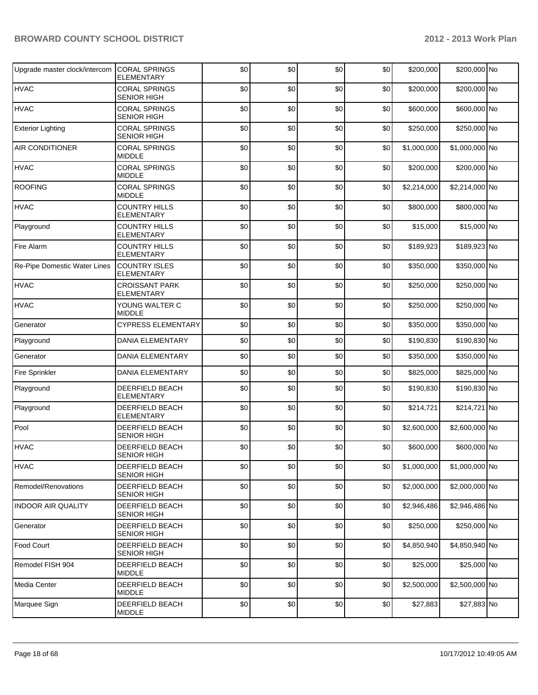| Upgrade master clock/intercom | <b>CORAL SPRINGS</b><br>ELEMENTARY           | \$0 | \$0 | \$0 | \$0 | \$200,000   | \$200,000 No   |  |
|-------------------------------|----------------------------------------------|-----|-----|-----|-----|-------------|----------------|--|
| <b>HVAC</b>                   | <b>CORAL SPRINGS</b><br><b>SENIOR HIGH</b>   | \$0 | \$0 | \$0 | \$0 | \$200,000   | \$200,000 No   |  |
| <b>HVAC</b>                   | <b>CORAL SPRINGS</b><br><b>SENIOR HIGH</b>   | \$0 | \$0 | \$0 | \$0 | \$600,000   | \$600,000 No   |  |
| <b>Exterior Lighting</b>      | <b>CORAL SPRINGS</b><br><b>SENIOR HIGH</b>   | \$0 | \$0 | \$0 | \$0 | \$250,000   | \$250,000 No   |  |
| AIR CONDITIONER               | <b>CORAL SPRINGS</b><br>MIDDLE               | \$0 | \$0 | \$0 | \$0 | \$1,000,000 | \$1,000,000 No |  |
| <b>HVAC</b>                   | <b>CORAL SPRINGS</b><br><b>MIDDLE</b>        | \$0 | \$0 | \$0 | \$0 | \$200,000   | \$200,000 No   |  |
| <b>ROOFING</b>                | <b>CORAL SPRINGS</b><br>MIDDLE               | \$0 | \$0 | \$0 | \$0 | \$2,214,000 | \$2,214,000 No |  |
| <b>HVAC</b>                   | <b>COUNTRY HILLS</b><br>ELEMENTARY           | \$0 | \$0 | \$0 | \$0 | \$800,000   | \$800,000 No   |  |
| Playground                    | <b>COUNTRY HILLS</b><br><b>ELEMENTARY</b>    | \$0 | \$0 | \$0 | \$0 | \$15,000    | \$15,000 No    |  |
| <b>Fire Alarm</b>             | <b>COUNTRY HILLS</b><br><b>ELEMENTARY</b>    | \$0 | \$0 | \$0 | \$0 | \$189,923   | \$189,923 No   |  |
| Re-Pipe Domestic Water Lines  | <b>COUNTRY ISLES</b><br><b>ELEMENTARY</b>    | \$0 | \$0 | \$0 | \$0 | \$350,000   | \$350,000 No   |  |
| <b>HVAC</b>                   | <b>CROISSANT PARK</b><br>ELEMENTARY          | \$0 | \$0 | \$0 | \$0 | \$250,000   | \$250,000 No   |  |
| <b>HVAC</b>                   | YOUNG WALTER C<br><b>MIDDLE</b>              | \$0 | \$0 | \$0 | \$0 | \$250,000   | \$250,000 No   |  |
| Generator                     | <b>CYPRESS ELEMENTARY</b>                    | \$0 | \$0 | \$0 | \$0 | \$350,000   | \$350,000 No   |  |
| Playground                    | <b>DANIA ELEMENTARY</b>                      | \$0 | \$0 | \$0 | \$0 | \$190,830   | \$190,830 No   |  |
| Generator                     | <b>DANIA ELEMENTARY</b>                      | \$0 | \$0 | \$0 | \$0 | \$350,000   | \$350,000 No   |  |
| <b>Fire Sprinkler</b>         | <b>DANIA ELEMENTARY</b>                      | \$0 | \$0 | \$0 | \$0 | \$825,000   | \$825,000 No   |  |
| Playground                    | DEERFIELD BEACH<br>ELEMENTARY                | \$0 | \$0 | \$0 | \$0 | \$190,830   | \$190,830 No   |  |
| Playground                    | DEERFIELD BEACH<br><b>ELEMENTARY</b>         | \$0 | \$0 | \$0 | \$0 | \$214,721   | \$214,721 No   |  |
| Pool                          | DEERFIELD BEACH<br>SENIOR HIGH               | \$0 | \$0 | \$0 | \$0 | \$2,600,000 | \$2,600,000 No |  |
| <b>HVAC</b>                   | DEERFIELD BEACH<br>SENIOR HIGH               | \$0 | \$0 | \$0 | \$0 | \$600,000   | \$600,000 No   |  |
| <b>HVAC</b>                   | DEERFIELD BEACH<br>SENIOR HIGH               | \$0 | \$0 | \$0 | \$0 | \$1,000,000 | \$1,000,000 No |  |
| Remodel/Renovations           | <b>DEERFIELD BEACH</b><br><b>SENIOR HIGH</b> | \$0 | \$0 | \$0 | \$0 | \$2,000,000 | \$2,000,000 No |  |
| <b>INDOOR AIR QUALITY</b>     | DEERFIELD BEACH<br><b>SENIOR HIGH</b>        | \$0 | \$0 | \$0 | \$0 | \$2,946,486 | \$2,946,486 No |  |
| Generator                     | DEERFIELD BEACH<br><b>SENIOR HIGH</b>        | \$0 | \$0 | \$0 | \$0 | \$250,000   | \$250,000 No   |  |
| Food Court                    | <b>DEERFIELD BEACH</b><br>SENIOR HIGH        | \$0 | \$0 | \$0 | \$0 | \$4,850,940 | \$4,850,940 No |  |
| Remodel FISH 904              | DEERFIELD BEACH<br>MIDDLE                    | \$0 | \$0 | \$0 | \$0 | \$25,000    | \$25,000 No    |  |
| Media Center                  | DEERFIELD BEACH<br>MIDDLE                    | \$0 | \$0 | \$0 | \$0 | \$2,500,000 | \$2,500,000 No |  |
| Marquee Sign                  | DEERFIELD BEACH<br><b>MIDDLE</b>             | \$0 | \$0 | \$0 | \$0 | \$27,883    | \$27,883 No    |  |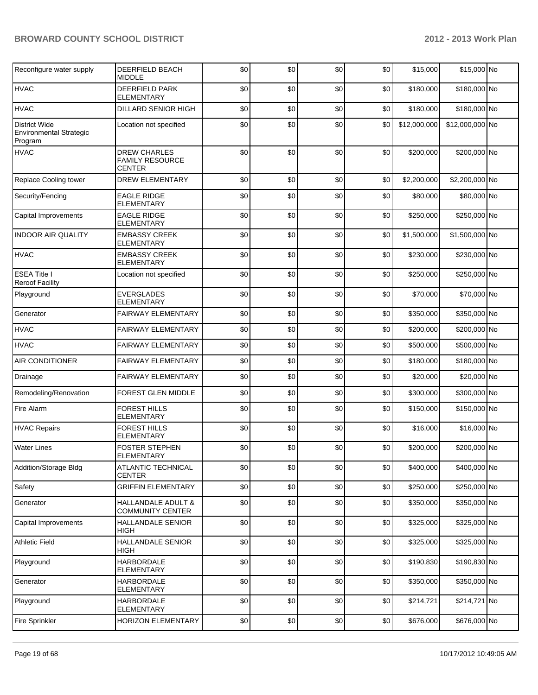| Reconfigure water supply                                   | DEERFIELD BEACH<br><b>MIDDLE</b>                               | \$0 | \$0 | \$0 | \$0 | \$15,000     | \$15,000 No     |  |
|------------------------------------------------------------|----------------------------------------------------------------|-----|-----|-----|-----|--------------|-----------------|--|
| <b>HVAC</b>                                                | DEERFIELD PARK<br><b>ELEMENTARY</b>                            | \$0 | \$0 | \$0 | \$0 | \$180,000    | \$180,000 No    |  |
| <b>HVAC</b>                                                | <b>DILLARD SENIOR HIGH</b>                                     | \$0 | \$0 | \$0 | \$0 | \$180,000    | \$180,000 No    |  |
| <b>District Wide</b><br>Environmental Strategic<br>Program | Location not specified                                         | \$0 | \$0 | \$0 | \$0 | \$12,000,000 | \$12,000,000 No |  |
| <b>HVAC</b>                                                | <b>DREW CHARLES</b><br><b>FAMILY RESOURCE</b><br><b>CENTER</b> | \$0 | \$0 | \$0 | \$0 | \$200,000    | \$200,000 No    |  |
| Replace Cooling tower                                      | <b>DREW ELEMENTARY</b>                                         | \$0 | \$0 | \$0 | \$0 | \$2,200,000  | \$2,200,000 No  |  |
| Security/Fencing                                           | <b>EAGLE RIDGE</b><br><b>ELEMENTARY</b>                        | \$0 | \$0 | \$0 | \$0 | \$80,000     | \$80,000 No     |  |
| Capital Improvements                                       | <b>EAGLE RIDGE</b><br><b>ELEMENTARY</b>                        | \$0 | \$0 | \$0 | \$0 | \$250,000    | \$250,000 No    |  |
| <b>INDOOR AIR QUALITY</b>                                  | <b>EMBASSY CREEK</b><br><b>ELEMENTARY</b>                      | \$0 | \$0 | \$0 | \$0 | \$1,500,000  | \$1,500,000 No  |  |
| <b>HVAC</b>                                                | <b>EMBASSY CREEK</b><br><b>ELEMENTARY</b>                      | \$0 | \$0 | \$0 | \$0 | \$230,000    | \$230,000 No    |  |
| <b>ESEA Title I</b><br><b>Reroof Facility</b>              | Location not specified                                         | \$0 | \$0 | \$0 | \$0 | \$250,000    | \$250,000 No    |  |
| Playground                                                 | <b>EVERGLADES</b><br><b>ELEMENTARY</b>                         | \$0 | \$0 | \$0 | \$0 | \$70,000     | \$70,000 No     |  |
| Generator                                                  | <b>FAIRWAY ELEMENTARY</b>                                      | \$0 | \$0 | \$0 | \$0 | \$350,000    | \$350,000 No    |  |
| <b>HVAC</b>                                                | FAIRWAY ELEMENTARY                                             | \$0 | \$0 | \$0 | \$0 | \$200,000    | \$200,000 No    |  |
| <b>HVAC</b>                                                | <b>FAIRWAY ELEMENTARY</b>                                      | \$0 | \$0 | \$0 | \$0 | \$500,000    | \$500,000 No    |  |
| AIR CONDITIONER                                            | FAIRWAY ELEMENTARY                                             | \$0 | \$0 | \$0 | \$0 | \$180,000    | \$180,000 No    |  |
| Drainage                                                   | <b>FAIRWAY ELEMENTARY</b>                                      | \$0 | \$0 | \$0 | \$0 | \$20,000     | \$20,000 No     |  |
| Remodeling/Renovation                                      | <b>FOREST GLEN MIDDLE</b>                                      | \$0 | \$0 | \$0 | \$0 | \$300,000    | \$300,000 No    |  |
| Fire Alarm                                                 | <b>FOREST HILLS</b><br><b>ELEMENTARY</b>                       | \$0 | \$0 | \$0 | \$0 | \$150,000    | \$150,000 No    |  |
| <b>HVAC Repairs</b>                                        | <b>FOREST HILLS</b><br><b>ELEMENTARY</b>                       | \$0 | \$0 | \$0 | \$0 | \$16,000     | \$16,000 No     |  |
| <b>Water Lines</b>                                         | FOSTER STEPHEN<br><b>ELEMENTARY</b>                            | \$0 | \$0 | \$0 | \$0 | \$200,000    | \$200,000 No    |  |
| Addition/Storage Bldg                                      | <b>ATLANTIC TECHNICAL</b><br>CENTER                            | \$0 | \$0 | \$0 | \$0 | \$400,000    | \$400,000 No    |  |
| Safety                                                     | <b>GRIFFIN ELEMENTARY</b>                                      | \$0 | \$0 | \$0 | \$0 | \$250,000    | \$250,000 No    |  |
| Generator                                                  | <b>HALLANDALE ADULT &amp;</b><br><b>COMMUNITY CENTER</b>       | \$0 | \$0 | \$0 | \$0 | \$350,000    | \$350,000 No    |  |
| Capital Improvements                                       | <b>HALLANDALE SENIOR</b><br>HIGH                               | \$0 | \$0 | \$0 | \$0 | \$325,000    | \$325,000 No    |  |
| <b>Athletic Field</b>                                      | HALLANDALE SENIOR<br>HIGH                                      | \$0 | \$0 | \$0 | \$0 | \$325,000    | \$325,000 No    |  |
| Playground                                                 | <b>HARBORDALE</b><br><b>ELEMENTARY</b>                         | \$0 | \$0 | \$0 | \$0 | \$190,830    | \$190,830 No    |  |
| Generator                                                  | <b>HARBORDALE</b><br>ELEMENTARY                                | \$0 | \$0 | \$0 | \$0 | \$350,000    | \$350,000 No    |  |
| Playground                                                 | HARBORDALE<br>ELEMENTARY                                       | \$0 | \$0 | \$0 | \$0 | \$214,721    | \$214,721 No    |  |
| <b>Fire Sprinkler</b>                                      | HORIZON ELEMENTARY                                             | \$0 | \$0 | \$0 | \$0 | \$676,000    | \$676,000 No    |  |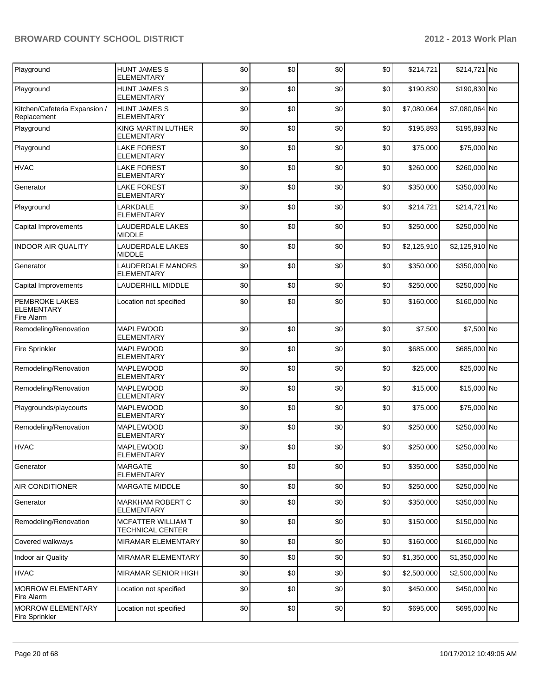| Playground                                        | HUNT JAMES S<br><b>ELEMENTARY</b>             | \$0 | \$0 | \$0 | \$0 | \$214,721   | \$214,721 No   |  |
|---------------------------------------------------|-----------------------------------------------|-----|-----|-----|-----|-------------|----------------|--|
| Playground                                        | <b>HUNT JAMES S</b><br><b>ELEMENTARY</b>      | \$0 | \$0 | \$0 | \$0 | \$190,830   | \$190,830 No   |  |
| Kitchen/Cafeteria Expansion /<br>Replacement      | <b>HUNT JAMES S</b><br><b>ELEMENTARY</b>      | \$0 | \$0 | \$0 | \$0 | \$7,080,064 | \$7,080,064 No |  |
| Playground                                        | KING MARTIN LUTHER<br>ELEMENTARY              | \$0 | \$0 | \$0 | \$0 | \$195,893   | \$195,893 No   |  |
| Playground                                        | <b>LAKE FOREST</b><br><b>ELEMENTARY</b>       | \$0 | \$0 | \$0 | \$0 | \$75,000    | \$75,000 No    |  |
| <b>HVAC</b>                                       | <b>LAKE FOREST</b><br><b>ELEMENTARY</b>       | \$0 | \$0 | \$0 | \$0 | \$260,000   | \$260,000 No   |  |
| Generator                                         | <b>LAKE FOREST</b><br>ELEMENTARY              | \$0 | \$0 | \$0 | \$0 | \$350,000   | \$350,000 No   |  |
| Playground                                        | LARKDALE<br><b>ELEMENTARY</b>                 | \$0 | \$0 | \$0 | \$0 | \$214,721   | \$214,721 No   |  |
| Capital Improvements                              | LAUDERDALE LAKES<br><b>MIDDLE</b>             | \$0 | \$0 | \$0 | \$0 | \$250,000   | \$250,000 No   |  |
| <b>INDOOR AIR QUALITY</b>                         | <b>LAUDERDALE LAKES</b><br><b>MIDDLE</b>      | \$0 | \$0 | \$0 | \$0 | \$2,125,910 | \$2,125,910 No |  |
| Generator                                         | LAUDERDALE MANORS<br><b>ELEMENTARY</b>        | \$0 | \$0 | \$0 | \$0 | \$350,000   | \$350,000 No   |  |
| Capital Improvements                              | LAUDERHILL MIDDLE                             | \$0 | \$0 | \$0 | \$0 | \$250,000   | \$250,000 No   |  |
| PEMBROKE LAKES<br><b>ELEMENTARY</b><br>Fire Alarm | Location not specified                        | \$0 | \$0 | \$0 | \$0 | \$160,000   | \$160,000 No   |  |
| Remodeling/Renovation                             | <b>MAPLEWOOD</b><br><b>ELEMENTARY</b>         | \$0 | \$0 | \$0 | \$0 | \$7,500     | \$7,500 No     |  |
| <b>Fire Sprinkler</b>                             | <b>MAPLEWOOD</b><br><b>ELEMENTARY</b>         | \$0 | \$0 | \$0 | \$0 | \$685,000   | \$685,000 No   |  |
| Remodeling/Renovation                             | <b>MAPLEWOOD</b><br><b>ELEMENTARY</b>         | \$0 | \$0 | \$0 | \$0 | \$25,000    | \$25,000 No    |  |
| Remodeling/Renovation                             | <b>MAPLEWOOD</b><br>ELEMENTARY                | \$0 | \$0 | \$0 | \$0 | \$15,000    | \$15,000 No    |  |
| Playgrounds/playcourts                            | <b>MAPLEWOOD</b><br><b>ELEMENTARY</b>         | \$0 | \$0 | \$0 | \$0 | \$75,000    | \$75,000 No    |  |
| Remodeling/Renovation                             | MAPLEWOOD<br>ELEMENTARY                       | \$0 | \$0 | \$0 | \$0 | \$250,000   | \$250,000 No   |  |
| <b>HVAC</b>                                       | <b>MAPLEWOOD</b><br>ELEMENTARY                | \$0 | \$0 | \$0 | \$0 | \$250,000   | \$250,000 No   |  |
| Generator                                         | <b>MARGATE</b><br><b>ELEMENTARY</b>           | \$0 | \$0 | \$0 | \$0 | \$350,000   | \$350,000 No   |  |
| AIR CONDITIONER                                   | <b>MARGATE MIDDLE</b>                         | \$0 | \$0 | \$0 | \$0 | \$250,000   | \$250,000 No   |  |
| Generator                                         | MARKHAM ROBERT C<br>ELEMENTARY                | \$0 | \$0 | \$0 | \$0 | \$350,000   | \$350,000 No   |  |
| Remodeling/Renovation                             | MCFATTER WILLIAM T<br><b>TECHNICAL CENTER</b> | \$0 | \$0 | \$0 | \$0 | \$150,000   | \$150,000 No   |  |
| Covered walkways                                  | <b>MIRAMAR ELEMENTARY</b>                     | \$0 | \$0 | \$0 | \$0 | \$160,000   | \$160,000 No   |  |
| Indoor air Quality                                | MIRAMAR ELEMENTARY                            | \$0 | \$0 | \$0 | \$0 | \$1,350,000 | \$1,350,000 No |  |
| <b>HVAC</b>                                       | MIRAMAR SENIOR HIGH                           | \$0 | \$0 | \$0 | \$0 | \$2,500,000 | \$2,500,000 No |  |
| <b>MORROW ELEMENTARY</b><br>Fire Alarm            | Location not specified                        | \$0 | \$0 | \$0 | \$0 | \$450,000   | \$450,000 No   |  |
| <b>MORROW ELEMENTARY</b><br><b>Fire Sprinkler</b> | Location not specified                        | \$0 | \$0 | \$0 | \$0 | \$695,000   | \$695,000 No   |  |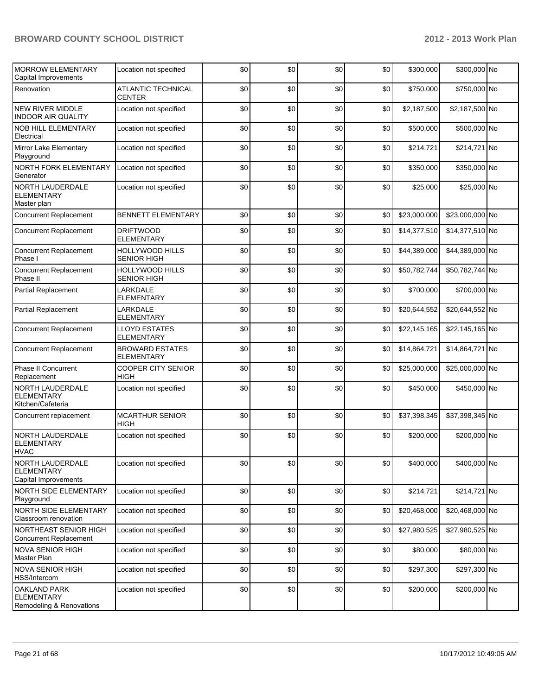| <b>MORROW ELEMENTARY</b><br>Capital Improvements                     | Location not specified                      | \$0 | \$0 | \$0 | \$0 | \$300,000    | \$300,000 No    |  |
|----------------------------------------------------------------------|---------------------------------------------|-----|-----|-----|-----|--------------|-----------------|--|
| Renovation                                                           | ATLANTIC TECHNICAL<br><b>CENTER</b>         | \$0 | \$0 | \$0 | \$0 | \$750,000    | \$750,000 No    |  |
| <b>NEW RIVER MIDDLE</b><br><b>INDOOR AIR QUALITY</b>                 | Location not specified                      | \$0 | \$0 | \$0 | \$0 | \$2,187,500  | \$2,187,500 No  |  |
| NOB HILL ELEMENTARY<br>Electrical                                    | Location not specified                      | \$0 | \$0 | \$0 | \$0 | \$500,000    | \$500,000 No    |  |
| Mirror Lake Elementary<br>Playground                                 | Location not specified                      | \$0 | \$0 | \$0 | \$0 | \$214,721    | \$214,721 No    |  |
| NORTH FORK ELEMENTARY<br>Generator                                   | Location not specified                      | \$0 | \$0 | \$0 | \$0 | \$350,000    | \$350,000 No    |  |
| NORTH LAUDERDALE<br><b>ELEMENTARY</b><br>Master plan                 | Location not specified                      | \$0 | \$0 | \$0 | \$0 | \$25,000     | \$25,000 No     |  |
| <b>Concurrent Replacement</b>                                        | <b>BENNETT ELEMENTARY</b>                   | \$0 | \$0 | \$0 | \$0 | \$23,000,000 | \$23,000,000 No |  |
| <b>Concurrent Replacement</b>                                        | <b>DRIFTWOOD</b><br><b>ELEMENTARY</b>       | \$0 | \$0 | \$0 | \$0 | \$14,377,510 | \$14,377,510 No |  |
| <b>Concurrent Replacement</b><br>Phase I                             | HOLLYWOOD HILLS<br><b>SENIOR HIGH</b>       | \$0 | \$0 | \$0 | \$0 | \$44,389,000 | \$44,389,000 No |  |
| <b>Concurrent Replacement</b><br>Phase II                            | HOLLYWOOD HILLS<br><b>SENIOR HIGH</b>       | \$0 | \$0 | \$0 | \$0 | \$50,782,744 | \$50,782,744 No |  |
| Partial Replacement                                                  | LARKDALE<br><b>ELEMENTARY</b>               | \$0 | \$0 | \$0 | \$0 | \$700,000    | \$700,000 No    |  |
| <b>Partial Replacement</b>                                           | LARKDALE<br><b>ELEMENTARY</b>               | \$0 | \$0 | \$0 | \$0 | \$20,644,552 | \$20,644,552 No |  |
| <b>Concurrent Replacement</b>                                        | <b>LLOYD ESTATES</b><br><b>ELEMENTARY</b>   | \$0 | \$0 | \$0 | \$0 | \$22,145,165 | \$22,145,165 No |  |
| <b>Concurrent Replacement</b>                                        | <b>BROWARD ESTATES</b><br><b>ELEMENTARY</b> | \$0 | \$0 | \$0 | \$0 | \$14,864,721 | \$14,864,721 No |  |
| Phase II Concurrent<br>Replacement                                   | <b>COOPER CITY SENIOR</b><br><b>HIGH</b>    | \$0 | \$0 | \$0 | \$0 | \$25,000,000 | \$25,000,000 No |  |
| NORTH LAUDERDALE<br><b>ELEMENTARY</b><br>Kitchen/Cafeteria           | Location not specified                      | \$0 | \$0 | \$0 | \$0 | \$450,000    | \$450,000 No    |  |
| Concurrent replacement                                               | <b>MCARTHUR SENIOR</b><br><b>HIGH</b>       | \$0 | \$0 | \$0 | \$0 | \$37,398,345 | \$37,398,345 No |  |
| NORTH LAUDERDALE<br><b>ELEMENTARY</b><br><b>HVAC</b>                 | Location not specified                      | \$0 | \$0 | \$0 | \$0 | \$200,000    | \$200,000 No    |  |
| NORTH LAUDERDALE<br><b>ELEMENTARY</b><br>Capital Improvements        | Location not specified                      | \$0 | \$0 | \$0 | \$0 | \$400,000    | \$400,000 No    |  |
| <b>NORTH SIDE ELEMENTARY</b><br>Playground                           | Location not specified                      | \$0 | \$0 | \$0 | \$0 | \$214,721    | \$214,721 No    |  |
| NORTH SIDE ELEMENTARY<br>Classroom renovation                        | Location not specified                      | \$0 | \$0 | \$0 | \$0 | \$20,468,000 | \$20,468,000 No |  |
| NORTHEAST SENIOR HIGH<br>Concurrent Replacement                      | Location not specified                      | \$0 | \$0 | \$0 | \$0 | \$27,980,525 | \$27,980,525 No |  |
| <b>NOVA SENIOR HIGH</b><br>Master Plan                               | Location not specified                      | \$0 | \$0 | \$0 | \$0 | \$80,000     | \$80,000 No     |  |
| <b>NOVA SENIOR HIGH</b><br>HSS/Intercom                              | Location not specified                      | \$0 | \$0 | \$0 | \$0 | \$297,300    | \$297,300 No    |  |
| <b>OAKLAND PARK</b><br><b>ELEMENTARY</b><br>Remodeling & Renovations | Location not specified                      | \$0 | \$0 | \$0 | \$0 | \$200,000    | \$200,000 No    |  |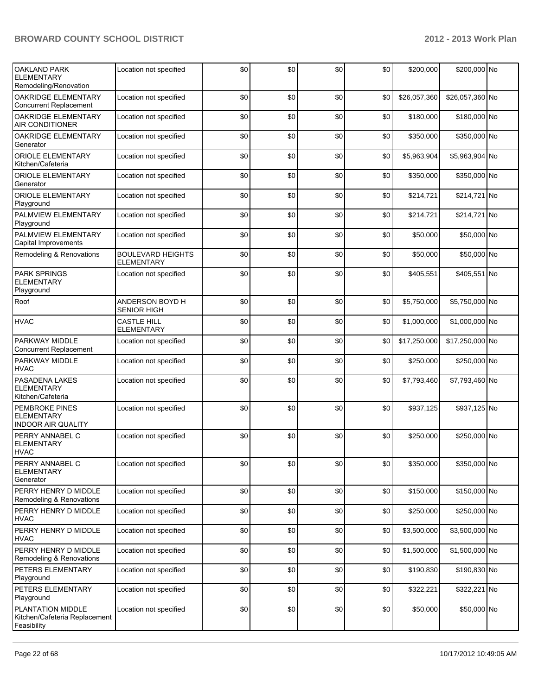| <b>OAKLAND PARK</b><br><b>ELEMENTARY</b><br>Remodeling/Renovation | Location not specified                  | \$0 | \$0 | \$0 | \$0 | \$200,000    | \$200,000 No    |  |
|-------------------------------------------------------------------|-----------------------------------------|-----|-----|-----|-----|--------------|-----------------|--|
| <b>OAKRIDGE ELEMENTARY</b><br><b>Concurrent Replacement</b>       | Location not specified                  | \$0 | \$0 | \$0 | \$0 | \$26,057,360 | \$26,057,360 No |  |
| OAKRIDGE ELEMENTARY<br><b>AIR CONDITIONER</b>                     | Location not specified                  | \$0 | \$0 | \$0 | \$0 | \$180,000    | \$180,000 No    |  |
| OAKRIDGE ELEMENTARY<br>Generator                                  | Location not specified                  | \$0 | \$0 | \$0 | \$0 | \$350,000    | \$350,000 No    |  |
| <b>ORIOLE ELEMENTARY</b><br>Kitchen/Cafeteria                     | Location not specified                  | \$0 | \$0 | \$0 | \$0 | \$5,963,904  | \$5,963,904 No  |  |
| <b>ORIOLE ELEMENTARY</b><br>Generator                             | Location not specified                  | \$0 | \$0 | \$0 | \$0 | \$350,000    | \$350,000 No    |  |
| <b>ORIOLE ELEMENTARY</b><br>Playground                            | Location not specified                  | \$0 | \$0 | \$0 | \$0 | \$214,721    | \$214,721 No    |  |
| PALMVIEW ELEMENTARY<br>Playground                                 | Location not specified                  | \$0 | \$0 | \$0 | \$0 | \$214,721    | \$214,721 No    |  |
| PALMVIEW ELEMENTARY<br>Capital Improvements                       | Location not specified                  | \$0 | \$0 | \$0 | \$0 | \$50,000     | \$50,000 No     |  |
| Remodeling & Renovations                                          | <b>BOULEVARD HEIGHTS</b><br>ELEMENTARY  | \$0 | \$0 | \$0 | \$0 | \$50,000     | \$50,000 No     |  |
| <b>PARK SPRINGS</b><br><b>ELEMENTARY</b><br>Playground            | Location not specified                  | \$0 | \$0 | \$0 | \$0 | \$405,551    | \$405,551 No    |  |
| Roof                                                              | ANDERSON BOYD H<br><b>SENIOR HIGH</b>   | \$0 | \$0 | \$0 | \$0 | \$5,750,000  | \$5,750,000 No  |  |
| <b>HVAC</b>                                                       | <b>CASTLE HILL</b><br><b>ELEMENTARY</b> | \$0 | \$0 | \$0 | \$0 | \$1,000,000  | \$1,000,000 No  |  |
| <b>PARKWAY MIDDLE</b><br><b>Concurrent Replacement</b>            | Location not specified                  | \$0 | \$0 | \$0 | \$0 | \$17,250,000 | \$17,250,000 No |  |
| PARKWAY MIDDLE<br><b>HVAC</b>                                     | Location not specified                  | \$0 | \$0 | \$0 | \$0 | \$250,000    | \$250,000 No    |  |
| PASADENA LAKES<br><b>ELEMENTARY</b><br>Kitchen/Cafeteria          | Location not specified                  | \$0 | \$0 | \$0 | \$0 | \$7,793,460  | \$7,793,460 No  |  |
| PEMBROKE PINES<br><b>ELEMENTARY</b><br><b>INDOOR AIR QUALITY</b>  | Location not specified                  | \$0 | \$0 | \$0 | \$0 | \$937,125    | \$937,125 No    |  |
| PERRY ANNABEL C<br><b>ELEMENTARY</b><br><b>HVAC</b>               | Location not specified                  | \$0 | \$0 | \$0 | \$0 | \$250,000    | \$250,000 No    |  |
| PERRY ANNABEL C<br><b>ELEMENTARY</b><br>Generator                 | Location not specified                  | \$0 | \$0 | \$0 | \$0 | \$350,000    | \$350,000 No    |  |
| PERRY HENRY D MIDDLE<br>Remodeling & Renovations                  | Location not specified                  | \$0 | \$0 | \$0 | \$0 | \$150,000    | \$150,000 No    |  |
| PERRY HENRY D MIDDLE<br><b>HVAC</b>                               | Location not specified                  | \$0 | \$0 | \$0 | \$0 | \$250,000    | \$250,000 No    |  |
| PERRY HENRY D MIDDLE<br><b>HVAC</b>                               | Location not specified                  | \$0 | \$0 | \$0 | \$0 | \$3,500,000  | \$3,500,000 No  |  |
| PERRY HENRY D MIDDLE<br>Remodeling & Renovations                  | Location not specified                  | \$0 | \$0 | \$0 | \$0 | \$1,500,000  | \$1,500,000 No  |  |
| PETERS ELEMENTARY<br>Playground                                   | Location not specified                  | \$0 | \$0 | \$0 | \$0 | \$190,830    | \$190,830 No    |  |
| PETERS ELEMENTARY<br>Playground                                   | Location not specified                  | \$0 | \$0 | \$0 | \$0 | \$322,221    | \$322,221 No    |  |
| PLANTATION MIDDLE<br>Kitchen/Cafeteria Replacement<br>Feasibility | Location not specified                  | \$0 | \$0 | \$0 | \$0 | \$50,000     | \$50,000 No     |  |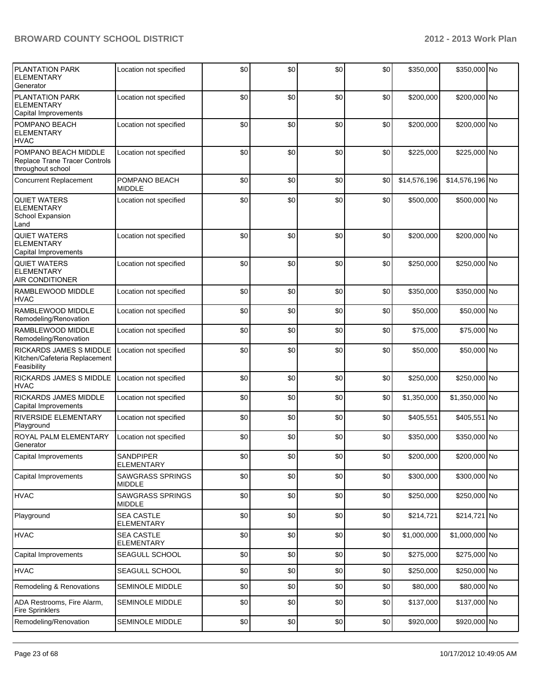| <b>PLANTATION PARK</b><br><b>ELEMENTARY</b><br>Generator                   | Location not specified                   | \$0 | \$0 | \$0 | \$0 | \$350,000    | \$350,000 No    |  |
|----------------------------------------------------------------------------|------------------------------------------|-----|-----|-----|-----|--------------|-----------------|--|
| PLANTATION PARK<br><b>ELEMENTARY</b><br>Capital Improvements               | Location not specified                   | \$0 | \$0 | \$0 | \$0 | \$200,000    | \$200,000 No    |  |
| POMPANO BEACH<br><b>ELEMENTARY</b><br><b>HVAC</b>                          | Location not specified                   | \$0 | \$0 | \$0 | \$0 | \$200,000    | \$200,000 No    |  |
| POMPANO BEACH MIDDLE<br>Replace Trane Tracer Controls<br>throughout school | Location not specified                   | \$0 | \$0 | \$0 | \$0 | \$225,000    | \$225,000 No    |  |
| <b>Concurrent Replacement</b>                                              | POMPANO BEACH<br><b>MIDDLE</b>           | \$0 | \$0 | \$0 | \$0 | \$14,576,196 | \$14,576,196 No |  |
| <b>QUIET WATERS</b><br><b>ELEMENTARY</b><br>School Expansion<br>Land       | Location not specified                   | \$0 | \$0 | \$0 | \$0 | \$500,000    | \$500,000 No    |  |
| <b>QUIET WATERS</b><br><b>ELEMENTARY</b><br>Capital Improvements           | Location not specified                   | \$0 | \$0 | \$0 | \$0 | \$200,000    | \$200,000 No    |  |
| <b>QUIET WATERS</b><br><b>ELEMENTARY</b><br>AIR CONDITIONER                | Location not specified                   | \$0 | \$0 | \$0 | \$0 | \$250,000    | \$250,000 No    |  |
| RAMBLEWOOD MIDDLE<br><b>HVAC</b>                                           | Location not specified                   | \$0 | \$0 | \$0 | \$0 | \$350,000    | \$350,000 No    |  |
| RAMBLEWOOD MIDDLE<br>Remodeling/Renovation                                 | Location not specified                   | \$0 | \$0 | \$0 | \$0 | \$50,000     | \$50,000 No     |  |
| RAMBLEWOOD MIDDLE<br>Remodeling/Renovation                                 | Location not specified                   | \$0 | \$0 | \$0 | \$0 | \$75,000     | \$75,000 No     |  |
| RICKARDS JAMES S MIDDLE<br>Kitchen/Cafeteria Replacement<br>Feasibility    | Location not specified                   | \$0 | \$0 | \$0 | \$0 | \$50,000     | \$50,000 No     |  |
| RICKARDS JAMES S MIDDLE<br><b>HVAC</b>                                     | Location not specified                   | \$0 | \$0 | \$0 | \$0 | \$250,000    | \$250,000 No    |  |
| RICKARDS JAMES MIDDLE<br>Capital Improvements                              | Location not specified                   | \$0 | \$0 | \$0 | \$0 | \$1,350,000  | \$1,350,000 No  |  |
| RIVERSIDE ELEMENTARY<br>Playground                                         | Location not specified                   | \$0 | \$0 | \$0 | \$0 | \$405,551    | \$405,551 No    |  |
| ROYAL PALM ELEMENTARY<br>Generator                                         | Location not specified                   | \$0 | \$0 | \$0 | \$0 | \$350,000    | \$350,000 No    |  |
| Capital Improvements                                                       | SANDPIPER<br><b>ELEMENTARY</b>           | \$0 | \$0 | \$0 | \$0 | \$200,000    | \$200,000 No    |  |
| Capital Improvements                                                       | <b>SAWGRASS SPRINGS</b><br>MIDDLE        | \$0 | \$0 | \$0 | \$0 | \$300,000    | \$300,000 No    |  |
| <b>HVAC</b>                                                                | <b>SAWGRASS SPRINGS</b><br><b>MIDDLE</b> | \$0 | \$0 | \$0 | \$0 | \$250,000    | \$250,000 No    |  |
| Playground                                                                 | <b>SEA CASTLE</b><br><b>ELEMENTARY</b>   | \$0 | \$0 | \$0 | \$0 | \$214,721    | \$214,721 No    |  |
| <b>HVAC</b>                                                                | <b>SEA CASTLE</b><br><b>ELEMENTARY</b>   | \$0 | \$0 | \$0 | \$0 | \$1,000,000  | \$1,000,000 No  |  |
| Capital Improvements                                                       | SEAGULL SCHOOL                           | \$0 | \$0 | \$0 | \$0 | \$275,000    | \$275,000 No    |  |
| <b>HVAC</b>                                                                | SEAGULL SCHOOL                           | \$0 | \$0 | \$0 | \$0 | \$250,000    | \$250,000 No    |  |
| Remodeling & Renovations                                                   | <b>SEMINOLE MIDDLE</b>                   | \$0 | \$0 | \$0 | \$0 | \$80,000     | \$80,000 No     |  |
| ADA Restrooms, Fire Alarm,<br><b>Fire Sprinklers</b>                       | <b>SEMINOLE MIDDLE</b>                   | \$0 | \$0 | \$0 | \$0 | \$137,000    | \$137,000 No    |  |
| Remodeling/Renovation                                                      | SEMINOLE MIDDLE                          | \$0 | \$0 | \$0 | \$0 | \$920,000    | \$920,000 No    |  |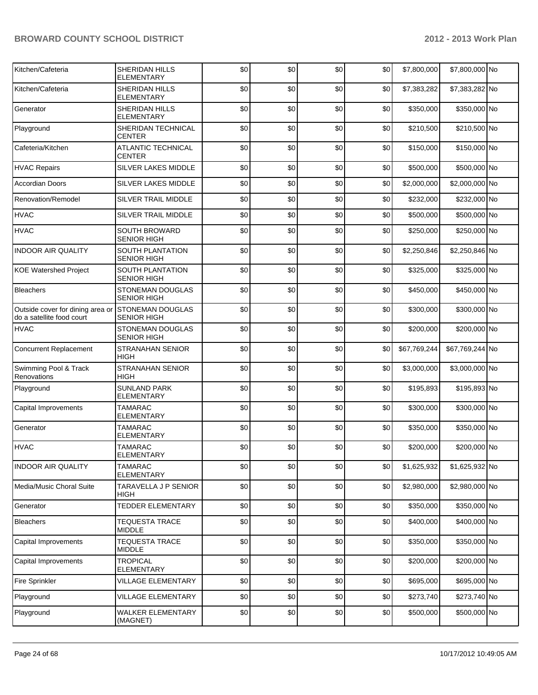| Kitchen/Cafeteria                                             | <b>SHERIDAN HILLS</b><br>ELEMENTARY           | \$0 | \$0 | \$0 | \$0 | \$7,800,000  | \$7,800,000 No  |  |
|---------------------------------------------------------------|-----------------------------------------------|-----|-----|-----|-----|--------------|-----------------|--|
| Kitchen/Cafeteria                                             | <b>SHERIDAN HILLS</b><br><b>ELEMENTARY</b>    | \$0 | \$0 | \$0 | \$0 | \$7,383,282  | \$7,383,282 No  |  |
| Generator                                                     | <b>SHERIDAN HILLS</b><br><b>ELEMENTARY</b>    | \$0 | \$0 | \$0 | \$0 | \$350,000    | \$350,000 No    |  |
| Playground                                                    | <b>SHERIDAN TECHNICAL</b><br><b>CENTER</b>    | \$0 | \$0 | \$0 | \$0 | \$210,500    | \$210,500 No    |  |
| Cafeteria/Kitchen                                             | ATLANTIC TECHNICAL<br><b>CENTER</b>           | \$0 | \$0 | \$0 | \$0 | \$150,000    | \$150,000 No    |  |
| <b>HVAC Repairs</b>                                           | SILVER LAKES MIDDLE                           | \$0 | \$0 | \$0 | \$0 | \$500,000    | \$500,000 No    |  |
| Accordian Doors                                               | SILVER LAKES MIDDLE                           | \$0 | \$0 | \$0 | \$0 | \$2,000,000  | \$2,000,000 No  |  |
| Renovation/Remodel                                            | SILVER TRAIL MIDDLE                           | \$0 | \$0 | \$0 | \$0 | \$232,000    | \$232,000 No    |  |
| <b>HVAC</b>                                                   | SILVER TRAIL MIDDLE                           | \$0 | \$0 | \$0 | \$0 | \$500,000    | \$500,000 No    |  |
| <b>HVAC</b>                                                   | <b>SOUTH BROWARD</b><br><b>SENIOR HIGH</b>    | \$0 | \$0 | \$0 | \$0 | \$250,000    | \$250,000 No    |  |
| <b>INDOOR AIR QUALITY</b>                                     | SOUTH PLANTATION<br><b>SENIOR HIGH</b>        | \$0 | \$0 | \$0 | \$0 | \$2,250,846  | \$2,250,846 No  |  |
| <b>KOE Watershed Project</b>                                  | <b>SOUTH PLANTATION</b><br><b>SENIOR HIGH</b> | \$0 | \$0 | \$0 | \$0 | \$325,000    | \$325,000 No    |  |
| <b>Bleachers</b>                                              | <b>STONEMAN DOUGLAS</b><br><b>SENIOR HIGH</b> | \$0 | \$0 | \$0 | \$0 | \$450,000    | \$450,000 No    |  |
| Outside cover for dining area or<br>do a satellite food court | <b>STONEMAN DOUGLAS</b><br><b>SENIOR HIGH</b> | \$0 | \$0 | \$0 | \$0 | \$300,000    | \$300,000 No    |  |
| <b>HVAC</b>                                                   | STONEMAN DOUGLAS<br><b>SENIOR HIGH</b>        | \$0 | \$0 | \$0 | \$0 | \$200,000    | \$200,000 No    |  |
| <b>Concurrent Replacement</b>                                 | <b>STRANAHAN SENIOR</b><br><b>HIGH</b>        | \$0 | \$0 | \$0 | \$0 | \$67,769,244 | \$67,769,244 No |  |
| Swimming Pool & Track<br>Renovations                          | <b>STRANAHAN SENIOR</b><br><b>HIGH</b>        | \$0 | \$0 | \$0 | \$0 | \$3,000,000  | \$3,000,000 No  |  |
| Playground                                                    | <b>SUNLAND PARK</b><br><b>ELEMENTARY</b>      | \$0 | \$0 | \$0 | \$0 | \$195,893    | \$195,893 No    |  |
| Capital Improvements                                          | <b>TAMARAC</b><br>ELEMENTARY                  | \$0 | \$0 | \$0 | \$0 | \$300,000    | \$300,000 No    |  |
| Generator                                                     | <b>TAMARAC</b><br>ELEMENTARY                  | \$0 | \$0 | \$0 | \$0 | \$350,000    | \$350,000 No    |  |
| <b>HVAC</b>                                                   | <b>TAMARAC</b><br>ELEMENTARY                  | \$0 | \$0 | \$0 | \$0 | \$200,000    | \$200,000 No    |  |
| <b>INDOOR AIR QUALITY</b>                                     | TAMARAC<br><b>ELEMENTARY</b>                  | \$0 | \$0 | \$0 | \$0 | \$1,625,932  | \$1,625,932 No  |  |
| Media/Music Choral Suite                                      | TARAVELLA J P SENIOR<br>HIGH                  | \$0 | \$0 | \$0 | \$0 | \$2,980,000  | \$2,980,000 No  |  |
| Generator                                                     | TEDDER ELEMENTARY                             | \$0 | \$0 | \$0 | \$0 | \$350,000    | \$350,000 No    |  |
| <b>Bleachers</b>                                              | <b>TEQUESTA TRACE</b><br><b>MIDDLE</b>        | \$0 | \$0 | \$0 | \$0 | \$400,000    | \$400,000 No    |  |
| Capital Improvements                                          | <b>TEQUESTA TRACE</b><br><b>MIDDLE</b>        | \$0 | \$0 | \$0 | \$0 | \$350,000    | \$350,000 No    |  |
| Capital Improvements                                          | <b>TROPICAL</b><br>ELEMENTARY                 | \$0 | \$0 | \$0 | \$0 | \$200,000    | \$200,000 No    |  |
| <b>Fire Sprinkler</b>                                         | <b>VILLAGE ELEMENTARY</b>                     | \$0 | \$0 | \$0 | \$0 | \$695,000    | \$695,000 No    |  |
| Playground                                                    | <b>VILLAGE ELEMENTARY</b>                     | \$0 | \$0 | \$0 | \$0 | \$273,740    | \$273,740 No    |  |
| Playground                                                    | <b>WALKER ELEMENTARY</b><br>(MAGNET)          | \$0 | \$0 | \$0 | \$0 | \$500,000    | \$500,000 No    |  |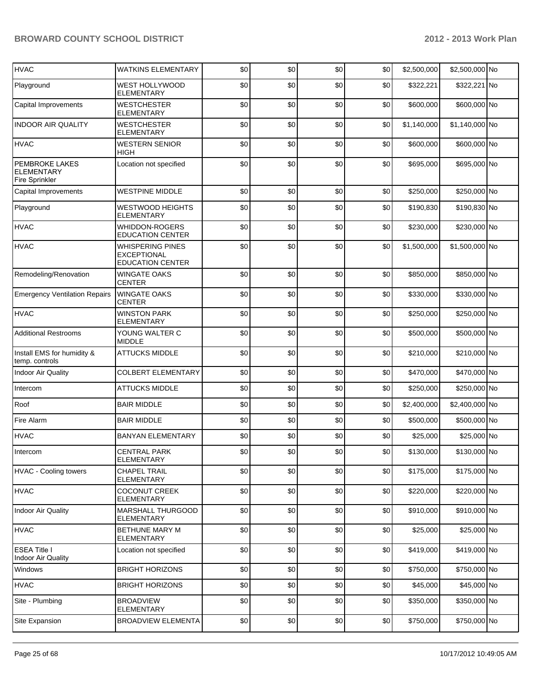| <b>HVAC</b>                                                         | <b>WATKINS ELEMENTARY</b>                                                | \$0 | \$0 | \$0 | \$0 | \$2,500,000 | \$2,500,000 No |  |
|---------------------------------------------------------------------|--------------------------------------------------------------------------|-----|-----|-----|-----|-------------|----------------|--|
| Playground                                                          | WEST HOLLYWOOD<br>ELEMENTARY                                             | \$0 | \$0 | \$0 | \$0 | \$322,221   | \$322,221 No   |  |
| Capital Improvements                                                | <b>WESTCHESTER</b><br>ELEMENTARY                                         | \$0 | \$0 | \$0 | \$0 | \$600,000   | \$600,000 No   |  |
| <b>INDOOR AIR QUALITY</b>                                           | <b>WESTCHESTER</b><br>ELEMENTARY                                         | \$0 | \$0 | \$0 | \$0 | \$1,140,000 | \$1,140,000 No |  |
| <b>HVAC</b>                                                         | <b>WESTERN SENIOR</b><br><b>HIGH</b>                                     | \$0 | \$0 | \$0 | \$0 | \$600,000   | \$600,000 No   |  |
| <b>PEMBROKE LAKES</b><br><b>ELEMENTARY</b><br><b>Fire Sprinkler</b> | Location not specified                                                   | \$0 | \$0 | \$0 | \$0 | \$695,000   | \$695,000 No   |  |
| Capital Improvements                                                | <b>WESTPINE MIDDLE</b>                                                   | \$0 | \$0 | \$0 | \$0 | \$250,000   | \$250,000 No   |  |
| Playground                                                          | <b>WESTWOOD HEIGHTS</b><br><b>ELEMENTARY</b>                             | \$0 | \$0 | \$0 | \$0 | \$190,830   | \$190,830 No   |  |
| <b>HVAC</b>                                                         | <b>WHIDDON-ROGERS</b><br><b>EDUCATION CENTER</b>                         | \$0 | \$0 | \$0 | \$0 | \$230,000   | \$230,000 No   |  |
| <b>HVAC</b>                                                         | <b>WHISPERING PINES</b><br><b>EXCEPTIONAL</b><br><b>EDUCATION CENTER</b> | \$0 | \$0 | \$0 | \$0 | \$1,500,000 | \$1,500,000 No |  |
| Remodeling/Renovation                                               | <b>WINGATE OAKS</b><br><b>CENTER</b>                                     | \$0 | \$0 | \$0 | \$0 | \$850,000   | \$850,000 No   |  |
| <b>Emergency Ventilation Repairs</b>                                | <b>WINGATE OAKS</b><br><b>CENTER</b>                                     | \$0 | \$0 | \$0 | \$0 | \$330,000   | \$330,000 No   |  |
| <b>HVAC</b>                                                         | <b>WINSTON PARK</b><br>ELEMENTARY                                        | \$0 | \$0 | \$0 | \$0 | \$250,000   | \$250,000 No   |  |
| <b>Additional Restrooms</b>                                         | YOUNG WALTER C<br><b>MIDDLE</b>                                          | \$0 | \$0 | \$0 | \$0 | \$500,000   | \$500,000 No   |  |
| Install EMS for humidity &<br>temp. controls                        | <b>ATTUCKS MIDDLE</b>                                                    | \$0 | \$0 | \$0 | \$0 | \$210,000   | \$210,000 No   |  |
| <b>Indoor Air Quality</b>                                           | <b>COLBERT ELEMENTARY</b>                                                | \$0 | \$0 | \$0 | \$0 | \$470,000   | \$470,000 No   |  |
| Intercom                                                            | <b>ATTUCKS MIDDLE</b>                                                    | \$0 | \$0 | \$0 | \$0 | \$250,000   | \$250,000 No   |  |
| Roof                                                                | <b>BAIR MIDDLE</b>                                                       | \$0 | \$0 | \$0 | \$0 | \$2,400,000 | \$2,400,000 No |  |
| Fire Alarm                                                          | <b>BAIR MIDDLE</b>                                                       | \$0 | \$0 | \$0 | \$0 | \$500,000   | \$500,000 No   |  |
| <b>HVAC</b>                                                         | <b>BANYAN ELEMENTARY</b>                                                 | \$0 | \$0 | \$0 | \$0 | \$25,000    | \$25,000 No    |  |
| Intercom                                                            | <b>CENTRAL PARK</b><br>ELEMENTARY                                        | \$0 | \$0 | 30  | \$0 | \$130,000   | \$130,000 No   |  |
| <b>HVAC - Cooling towers</b>                                        | <b>CHAPEL TRAIL</b><br><b>ELEMENTARY</b>                                 | \$0 | \$0 | \$0 | \$0 | \$175,000   | \$175,000 No   |  |
| <b>HVAC</b>                                                         | <b>COCONUT CREEK</b><br>ELEMENTARY                                       | \$0 | \$0 | \$0 | \$0 | \$220,000   | \$220,000 No   |  |
| Indoor Air Quality                                                  | <b>MARSHALL THURGOOD</b><br>ELEMENTARY                                   | \$0 | \$0 | \$0 | \$0 | \$910,000   | \$910,000 No   |  |
| <b>HVAC</b>                                                         | <b>BETHUNE MARY M</b><br><b>ELEMENTARY</b>                               | \$0 | \$0 | \$0 | \$0 | \$25,000    | \$25,000 No    |  |
| <b>ESEA Title I</b><br>Indoor Air Quality                           | Location not specified                                                   | \$0 | \$0 | \$0 | \$0 | \$419,000   | \$419,000 No   |  |
| Windows                                                             | <b>BRIGHT HORIZONS</b>                                                   | \$0 | \$0 | \$0 | \$0 | \$750,000   | \$750,000 No   |  |
| <b>HVAC</b>                                                         | <b>BRIGHT HORIZONS</b>                                                   | \$0 | \$0 | \$0 | \$0 | \$45,000    | \$45,000 No    |  |
| Site - Plumbing                                                     | <b>BROADVIEW</b><br><b>ELEMENTARY</b>                                    | \$0 | \$0 | \$0 | \$0 | \$350,000   | \$350,000 No   |  |
| Site Expansion                                                      | <b>BROADVIEW ELEMENTA</b>                                                | \$0 | \$0 | \$0 | \$0 | \$750,000   | \$750,000 No   |  |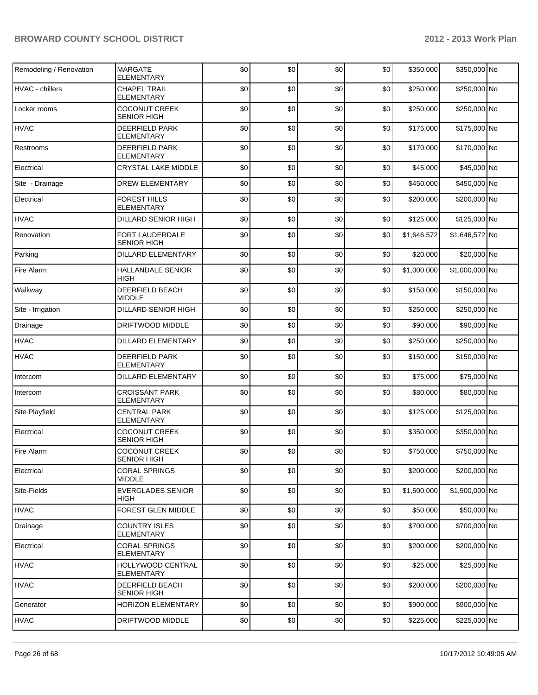| Remodeling / Renovation | MARGATE<br>ELEMENTARY                      | \$0 | \$0 | \$0 | \$0 | \$350,000   | \$350,000 No   |  |
|-------------------------|--------------------------------------------|-----|-----|-----|-----|-------------|----------------|--|
| <b>HVAC</b> - chillers  | <b>CHAPEL TRAIL</b><br><b>ELEMENTARY</b>   | \$0 | \$0 | \$0 | \$0 | \$250,000   | \$250,000 No   |  |
| Locker rooms            | <b>COCONUT CREEK</b><br><b>SENIOR HIGH</b> | \$0 | \$0 | \$0 | \$0 | \$250,000   | \$250,000 No   |  |
| <b>HVAC</b>             | <b>DEERFIELD PARK</b><br><b>ELEMENTARY</b> | \$0 | \$0 | \$0 | \$0 | \$175,000   | \$175,000 No   |  |
| Restrooms               | <b>DEERFIELD PARK</b><br><b>ELEMENTARY</b> | \$0 | \$0 | \$0 | \$0 | \$170,000   | \$170,000 No   |  |
| Electrical              | <b>CRYSTAL LAKE MIDDLE</b>                 | \$0 | \$0 | \$0 | \$0 | \$45,000    | \$45,000 No    |  |
| Site - Drainage         | <b>DREW ELEMENTARY</b>                     | \$0 | \$0 | \$0 | \$0 | \$450,000   | \$450,000 No   |  |
| Electrical              | FOREST HILLS<br><b>ELEMENTARY</b>          | \$0 | \$0 | \$0 | \$0 | \$200,000   | \$200,000 No   |  |
| <b>HVAC</b>             | <b>DILLARD SENIOR HIGH</b>                 | \$0 | \$0 | \$0 | \$0 | \$125,000   | \$125,000 No   |  |
| Renovation              | FORT LAUDERDALE<br><b>SENIOR HIGH</b>      | \$0 | \$0 | \$0 | \$0 | \$1,646,572 | \$1,646,572 No |  |
| Parking                 | <b>DILLARD ELEMENTARY</b>                  | \$0 | \$0 | \$0 | \$0 | \$20,000    | \$20,000 No    |  |
| Fire Alarm              | <b>HALLANDALE SENIOR</b><br><b>HIGH</b>    | \$0 | \$0 | \$0 | \$0 | \$1,000,000 | \$1,000,000 No |  |
| Walkway                 | <b>DEERFIELD BEACH</b><br><b>MIDDLE</b>    | \$0 | \$0 | \$0 | \$0 | \$150,000   | \$150,000 No   |  |
| Site - Irrigation       | <b>DILLARD SENIOR HIGH</b>                 | \$0 | \$0 | \$0 | \$0 | \$250,000   | \$250,000 No   |  |
| Drainage                | DRIFTWOOD MIDDLE                           | \$0 | \$0 | \$0 | \$0 | \$90,000    | \$90,000 No    |  |
| <b>HVAC</b>             | <b>DILLARD ELEMENTARY</b>                  | \$0 | \$0 | \$0 | \$0 | \$250,000   | \$250,000 No   |  |
| <b>HVAC</b>             | <b>DEERFIELD PARK</b><br><b>ELEMENTARY</b> | \$0 | \$0 | \$0 | \$0 | \$150,000   | \$150,000 No   |  |
| Intercom                | <b>DILLARD ELEMENTARY</b>                  | \$0 | \$0 | \$0 | \$0 | \$75,000    | \$75,000 No    |  |
| Intercom                | <b>CROISSANT PARK</b><br><b>ELEMENTARY</b> | \$0 | \$0 | \$0 | \$0 | \$80,000    | \$80,000 No    |  |
| <b>Site Playfield</b>   | <b>CENTRAL PARK</b><br><b>ELEMENTARY</b>   | \$0 | \$0 | \$0 | \$0 | \$125,000   | \$125,000 No   |  |
| Electrical              | <b>COCONUT CREEK</b><br><b>SENIOR HIGH</b> | \$0 | \$0 | \$0 | \$0 | \$350,000   | \$350,000 No   |  |
| Fire Alarm              | <b>COCONUT CREEK</b><br><b>SENIOR HIGH</b> | \$0 | \$0 | \$0 | \$0 | \$750,000   | \$750,000 No   |  |
| Electrical              | <b>CORAL SPRINGS</b><br><b>MIDDLE</b>      | \$0 | \$0 | \$0 | \$0 | \$200,000   | \$200,000 No   |  |
| Site-Fields             | <b>EVERGLADES SENIOR</b><br>HIGH           | \$0 | \$0 | \$0 | \$0 | \$1,500,000 | \$1,500,000 No |  |
| <b>HVAC</b>             | FOREST GLEN MIDDLE                         | \$0 | \$0 | \$0 | \$0 | \$50,000    | \$50,000 No    |  |
| Drainage                | <b>COUNTRY ISLES</b><br><b>ELEMENTARY</b>  | \$0 | \$0 | \$0 | \$0 | \$700,000   | \$700,000 No   |  |
| Electrical              | <b>CORAL SPRINGS</b><br>ELEMENTARY         | \$0 | \$0 | \$0 | \$0 | \$200,000   | \$200,000 No   |  |
| <b>HVAC</b>             | <b>HOLLYWOOD CENTRAL</b><br>ELEMENTARY     | \$0 | \$0 | \$0 | \$0 | \$25,000    | \$25,000 No    |  |
| <b>HVAC</b>             | DEERFIELD BEACH<br><b>SENIOR HIGH</b>      | \$0 | \$0 | \$0 | \$0 | \$200,000   | \$200,000 No   |  |
| Generator               | <b>HORIZON ELEMENTARY</b>                  | \$0 | \$0 | \$0 | \$0 | \$900,000   | \$900,000 No   |  |
| <b>HVAC</b>             | DRIFTWOOD MIDDLE                           | \$0 | \$0 | \$0 | \$0 | \$225,000   | \$225,000 No   |  |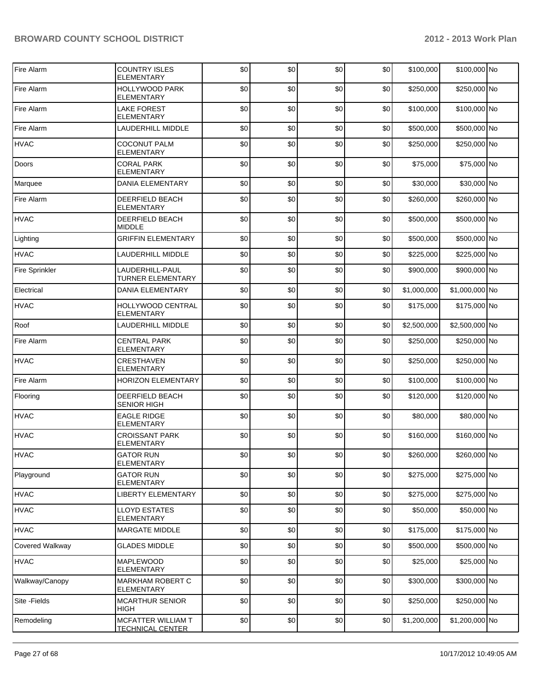| Fire Alarm             | <b>COUNTRY ISLES</b><br><b>ELEMENTARY</b>     | \$0 | \$0 | \$0 | \$0 | \$100,000   | \$100,000 No   |  |
|------------------------|-----------------------------------------------|-----|-----|-----|-----|-------------|----------------|--|
| Fire Alarm             | <b>HOLLYWOOD PARK</b><br><b>ELEMENTARY</b>    | \$0 | \$0 | \$0 | \$0 | \$250,000   | \$250,000 No   |  |
| Fire Alarm             | <b>LAKE FOREST</b><br><b>ELEMENTARY</b>       | \$0 | \$0 | \$0 | \$0 | \$100,000   | \$100,000 No   |  |
| Fire Alarm             | <b>LAUDERHILL MIDDLE</b>                      | \$0 | \$0 | \$0 | \$0 | \$500,000   | \$500,000 No   |  |
| <b>HVAC</b>            | <b>COCONUT PALM</b><br>ELEMENTARY             | \$0 | \$0 | \$0 | \$0 | \$250,000   | \$250,000 No   |  |
| Doors                  | <b>CORAL PARK</b><br><b>ELEMENTARY</b>        | \$0 | \$0 | \$0 | \$0 | \$75,000    | \$75,000 No    |  |
| Marquee                | <b>DANIA ELEMENTARY</b>                       | \$0 | \$0 | \$0 | \$0 | \$30,000    | \$30,000 No    |  |
| Fire Alarm             | DEERFIELD BEACH<br><b>ELEMENTARY</b>          | \$0 | \$0 | \$0 | \$0 | \$260,000   | \$260,000 No   |  |
| <b>HVAC</b>            | DEERFIELD BEACH<br><b>MIDDLE</b>              | \$0 | \$0 | \$0 | \$0 | \$500,000   | \$500,000 No   |  |
| Lighting               | <b>GRIFFIN ELEMENTARY</b>                     | \$0 | \$0 | \$0 | \$0 | \$500,000   | \$500,000 No   |  |
| <b>HVAC</b>            | <b>LAUDERHILL MIDDLE</b>                      | \$0 | \$0 | \$0 | \$0 | \$225,000   | \$225,000 No   |  |
| <b>Fire Sprinkler</b>  | LAUDERHILL-PAUL<br><b>TURNER ELEMENTARY</b>   | \$0 | \$0 | \$0 | \$0 | \$900,000   | \$900,000 No   |  |
| Electrical             | <b>DANIA ELEMENTARY</b>                       | \$0 | \$0 | \$0 | \$0 | \$1,000,000 | \$1,000,000 No |  |
| <b>HVAC</b>            | HOLLYWOOD CENTRAL<br><b>ELEMENTARY</b>        | \$0 | \$0 | \$0 | \$0 | \$175,000   | \$175,000 No   |  |
| Roof                   | LAUDERHILL MIDDLE                             | \$0 | \$0 | \$0 | \$0 | \$2,500,000 | \$2,500,000 No |  |
| Fire Alarm             | <b>CENTRAL PARK</b><br><b>ELEMENTARY</b>      | \$0 | \$0 | \$0 | \$0 | \$250,000   | \$250,000 No   |  |
| <b>HVAC</b>            | <b>CRESTHAVEN</b><br><b>ELEMENTARY</b>        | \$0 | \$0 | \$0 | \$0 | \$250,000   | \$250,000 No   |  |
| Fire Alarm             | <b>HORIZON ELEMENTARY</b>                     | \$0 | \$0 | \$0 | \$0 | \$100,000   | \$100,000 No   |  |
| Flooring               | DEERFIELD BEACH<br><b>SENIOR HIGH</b>         | \$0 | \$0 | \$0 | \$0 | \$120,000   | \$120,000 No   |  |
| <b>HVAC</b>            | <b>EAGLE RIDGE</b><br><b>ELEMENTARY</b>       | \$0 | \$0 | \$0 | \$0 | \$80,000    | \$80,000 No    |  |
| <b>HVAC</b>            | <b>CROISSANT PARK</b><br>ELEMENTARY           | \$0 | \$0 | \$0 | \$0 | \$160,000   | \$160,000 No   |  |
| <b>HVAC</b>            | <b>GATOR RUN</b><br><b>ELEMENTARY</b>         | \$0 | \$0 | \$0 | \$0 | \$260,000   | \$260,000 No   |  |
| Playground             | <b>GATOR RUN</b><br><b>ELEMENTARY</b>         | \$0 | \$0 | \$0 | \$0 | \$275,000   | \$275,000 No   |  |
| <b>HVAC</b>            | LIBERTY ELEMENTARY                            | \$0 | \$0 | \$0 | \$0 | \$275,000   | \$275,000 No   |  |
| <b>HVAC</b>            | <b>LLOYD ESTATES</b><br><b>ELEMENTARY</b>     | \$0 | \$0 | \$0 | \$0 | \$50,000    | \$50,000 No    |  |
| <b>HVAC</b>            | <b>MARGATE MIDDLE</b>                         | \$0 | \$0 | \$0 | \$0 | \$175,000   | \$175,000 No   |  |
| <b>Covered Walkway</b> | <b>GLADES MIDDLE</b>                          | \$0 | \$0 | \$0 | \$0 | \$500,000   | \$500,000 No   |  |
| <b>HVAC</b>            | MAPLEWOOD<br>ELEMENTARY                       | \$0 | \$0 | \$0 | \$0 | \$25,000    | \$25,000 No    |  |
| Walkway/Canopy         | MARKHAM ROBERT C<br><b>ELEMENTARY</b>         | \$0 | \$0 | \$0 | \$0 | \$300,000   | \$300,000 No   |  |
| Site - Fields          | <b>MCARTHUR SENIOR</b><br>HIGH                | \$0 | \$0 | \$0 | \$0 | \$250,000   | \$250,000 No   |  |
| Remodeling             | MCFATTER WILLIAM T<br><b>TECHNICAL CENTER</b> | \$0 | \$0 | \$0 | \$0 | \$1,200,000 | \$1,200,000 No |  |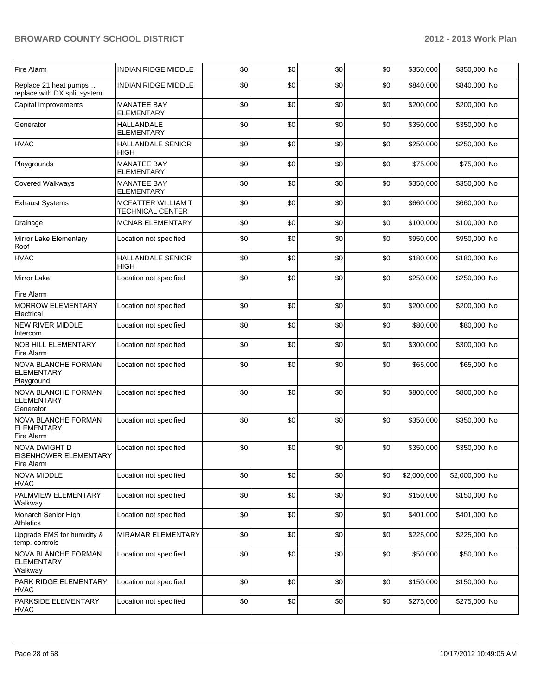| Fire Alarm                                                    | <b>INDIAN RIDGE MIDDLE</b>                    | \$0 | \$0 | \$0 | \$0 | \$350,000   | \$350,000 No   |  |
|---------------------------------------------------------------|-----------------------------------------------|-----|-----|-----|-----|-------------|----------------|--|
| Replace 21 heat pumps<br>replace with DX split system         | <b>INDIAN RIDGE MIDDLE</b>                    | \$0 | \$0 | \$0 | \$0 | \$840,000   | \$840,000 No   |  |
| Capital Improvements                                          | <b>MANATEE BAY</b><br><b>ELEMENTARY</b>       | \$0 | \$0 | \$0 | \$0 | \$200,000   | \$200,000 No   |  |
| Generator                                                     | <b>HALLANDALE</b><br><b>ELEMENTARY</b>        | \$0 | \$0 | \$0 | \$0 | \$350,000   | \$350,000 No   |  |
| <b>HVAC</b>                                                   | <b>HALLANDALE SENIOR</b><br>HIGH              | \$0 | \$0 | \$0 | \$0 | \$250,000   | \$250,000 No   |  |
| Playgrounds                                                   | <b>MANATEE BAY</b><br>ELEMENTARY              | \$0 | \$0 | \$0 | \$0 | \$75,000    | \$75,000 No    |  |
| Covered Walkways                                              | <b>MANATEE BAY</b><br><b>ELEMENTARY</b>       | \$0 | \$0 | \$0 | \$0 | \$350,000   | \$350,000 No   |  |
| <b>Exhaust Systems</b>                                        | MCFATTER WILLIAM T<br><b>TECHNICAL CENTER</b> | \$0 | \$0 | \$0 | \$0 | \$660,000   | \$660,000 No   |  |
| Drainage                                                      | <b>MCNAB ELEMENTARY</b>                       | \$0 | \$0 | \$0 | \$0 | \$100,000   | \$100,000 No   |  |
| Mirror Lake Elementary<br>Roof                                | Location not specified                        | \$0 | \$0 | \$0 | \$0 | \$950,000   | \$950,000 No   |  |
| <b>HVAC</b>                                                   | <b>HALLANDALE SENIOR</b><br><b>HIGH</b>       | \$0 | \$0 | \$0 | \$0 | \$180,000   | \$180,000 No   |  |
| <b>Mirror Lake</b><br>Fire Alarm                              | Location not specified                        | \$0 | \$0 | \$0 | \$0 | \$250,000   | \$250,000 No   |  |
| <b>MORROW ELEMENTARY</b><br>Electrical                        | Location not specified                        | \$0 | \$0 | \$0 | \$0 | \$200,000   | \$200,000 No   |  |
| <b>NEW RIVER MIDDLE</b><br>Intercom                           | Location not specified                        | \$0 | \$0 | \$0 | \$0 | \$80,000    | \$80,000 No    |  |
| <b>NOB HILL ELEMENTARY</b><br>Fire Alarm                      | Location not specified                        | \$0 | \$0 | \$0 | \$0 | \$300,000   | \$300,000 No   |  |
| <b>NOVA BLANCHE FORMAN</b><br><b>ELEMENTARY</b><br>Playground | Location not specified                        | \$0 | \$0 | \$0 | \$0 | \$65,000    | \$65,000 No    |  |
| NOVA BLANCHE FORMAN<br><b>ELEMENTARY</b><br>Generator         | Location not specified                        | \$0 | \$0 | \$0 | \$0 | \$800,000   | \$800,000 No   |  |
| NOVA BLANCHE FORMAN<br><b>ELEMENTARY</b><br>Fire Alarm        | Location not specified                        | \$0 | \$0 | \$0 | \$0 | \$350,000   | \$350,000 No   |  |
| NOVA DWIGHT D<br>EISENHOWER ELEMENTARY<br>Fire Alarm          | Location not specified                        | \$0 | \$0 | \$0 | \$0 | \$350,000   | \$350,000 No   |  |
| <b>NOVA MIDDLE</b><br><b>HVAC</b>                             | Location not specified                        | \$0 | \$0 | \$0 | \$0 | \$2,000,000 | \$2,000,000 No |  |
| PALMVIEW ELEMENTARY<br>Walkway                                | Location not specified                        | \$0 | \$0 | \$0 | \$0 | \$150,000   | \$150,000 No   |  |
| Monarch Senior High<br>Athletics                              | Location not specified                        | \$0 | \$0 | \$0 | \$0 | \$401,000   | \$401,000 No   |  |
| Upgrade EMS for humidity &<br>temp. controls                  | MIRAMAR ELEMENTARY                            | \$0 | \$0 | \$0 | \$0 | \$225,000   | \$225,000 No   |  |
| NOVA BLANCHE FORMAN<br><b>ELEMENTARY</b><br>Walkway           | Location not specified                        | \$0 | \$0 | \$0 | \$0 | \$50,000    | \$50,000 No    |  |
| <b>PARK RIDGE ELEMENTARY</b><br><b>HVAC</b>                   | Location not specified                        | \$0 | \$0 | \$0 | \$0 | \$150,000   | \$150,000 No   |  |
| PARKSIDE ELEMENTARY<br><b>HVAC</b>                            | Location not specified                        | \$0 | \$0 | \$0 | \$0 | \$275,000   | \$275,000 No   |  |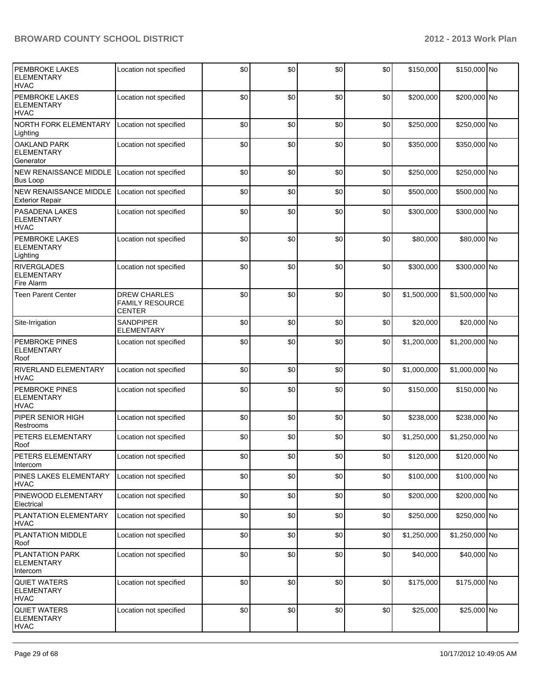| PEMBROKE LAKES<br><b>ELEMENTARY</b><br><b>HVAC</b>        | Location not specified                                  | \$0 | \$0 | \$0 | \$0   | \$150,000   | \$150,000 No   |  |
|-----------------------------------------------------------|---------------------------------------------------------|-----|-----|-----|-------|-------------|----------------|--|
| <b>PEMBROKE LAKES</b><br><b>ELEMENTARY</b><br><b>HVAC</b> | Location not specified                                  | \$0 | \$0 | \$0 | \$0   | \$200,000   | \$200,000 No   |  |
| NORTH FORK ELEMENTARY<br>Lighting                         | Location not specified                                  | \$0 | \$0 | \$0 | \$0   | \$250,000   | \$250,000 No   |  |
| <b>OAKLAND PARK</b><br><b>ELEMENTARY</b><br>Generator     | Location not specified                                  | \$0 | \$0 | \$0 | \$0   | \$350,000   | \$350,000 No   |  |
| <b>NEW RENAISSANCE MIDDLE</b><br><b>Bus Loop</b>          | Location not specified                                  | \$0 | \$0 | \$0 | \$0   | \$250,000   | \$250,000 No   |  |
| <b>NEW RENAISSANCE MIDDLE</b><br><b>Exterior Repair</b>   | Location not specified                                  | \$0 | \$0 | \$0 | \$0   | \$500,000   | \$500,000 No   |  |
| <b>PASADENA LAKES</b><br><b>ELEMENTARY</b><br><b>HVAC</b> | Location not specified                                  | \$0 | \$0 | \$0 | \$0   | \$300,000   | \$300,000 No   |  |
| PEMBROKE LAKES<br><b>ELEMENTARY</b><br>Lighting           | Location not specified                                  | \$0 | \$0 | \$0 | \$0   | \$80,000    | \$80,000 No    |  |
| <b>RIVERGLADES</b><br><b>ELEMENTARY</b><br>Fire Alarm     | Location not specified                                  | \$0 | \$0 | \$0 | \$0   | \$300,000   | \$300,000 No   |  |
| <b>Teen Parent Center</b>                                 | <b>DREW CHARLES</b><br><b>FAMILY RESOURCE</b><br>CENTER | \$0 | \$0 | \$0 | \$0   | \$1,500,000 | \$1,500,000 No |  |
| Site-Irrigation                                           | <b>SANDPIPER</b><br>ELEMENTARY                          | \$0 | \$0 | \$0 | \$0   | \$20,000    | \$20,000 No    |  |
| <b>PEMBROKE PINES</b><br><b>ELEMENTARY</b><br>Roof        | Location not specified                                  | \$0 | \$0 | \$0 | \$0   | \$1,200,000 | \$1,200,000 No |  |
| <b>RIVERLAND ELEMENTARY</b><br><b>HVAC</b>                | Location not specified                                  | \$0 | \$0 | \$0 | \$0   | \$1,000,000 | \$1,000,000 No |  |
| PEMBROKE PINES<br><b>ELEMENTARY</b><br><b>HVAC</b>        | Location not specified                                  | \$0 | \$0 | \$0 | \$0   | \$150,000   | \$150,000 No   |  |
| PIPER SENIOR HIGH<br>Restrooms                            | Location not specified                                  | \$0 | \$0 | \$0 | \$0   | \$238,000   | \$238,000 No   |  |
| PETERS ELEMENTARY<br>Roof                                 | Location not specified                                  | \$0 | \$0 | \$0 | \$0   | \$1,250,000 | \$1,250,000 No |  |
| PETERS ELEMENTARY<br>Intercom                             | Location not specified                                  | \$0 | \$0 | \$0 | $$0$$ | \$120,000   | \$120,000 No   |  |
| PINES LAKES ELEMENTARY<br><b>HVAC</b>                     | Location not specified                                  | \$0 | \$0 | \$0 | \$0   | \$100,000   | \$100,000 No   |  |
| PINEWOOD ELEMENTARY<br>Electrical                         | Location not specified                                  | \$0 | \$0 | \$0 | \$0   | \$200,000   | \$200,000 No   |  |
| PLANTATION ELEMENTARY<br><b>HVAC</b>                      | Location not specified                                  | \$0 | \$0 | \$0 | \$0   | \$250,000   | \$250,000 No   |  |
| PLANTATION MIDDLE<br>Roof                                 | Location not specified                                  | \$0 | \$0 | \$0 | \$0   | \$1,250,000 | \$1,250,000 No |  |
| PLANTATION PARK<br><b>ELEMENTARY</b><br>Intercom          | Location not specified                                  | \$0 | \$0 | \$0 | \$0   | \$40,000    | \$40,000 No    |  |
| <b>QUIET WATERS</b><br><b>ELEMENTARY</b><br><b>HVAC</b>   | Location not specified                                  | \$0 | \$0 | \$0 | \$0   | \$175,000   | \$175,000 No   |  |
| <b>QUIET WATERS</b><br><b>ELEMENTARY</b><br><b>HVAC</b>   | Location not specified                                  | \$0 | \$0 | \$0 | \$0   | \$25,000    | \$25,000 No    |  |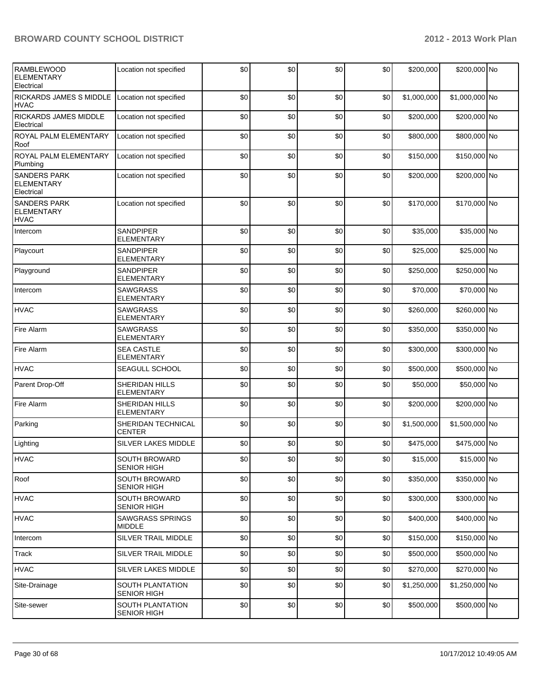| <b>RAMBLEWOOD</b><br><b>ELEMENTARY</b><br>Electrical    | Location not specified                        | \$0 | \$0 | \$0 | \$0 | \$200,000   | \$200,000 No   |  |
|---------------------------------------------------------|-----------------------------------------------|-----|-----|-----|-----|-------------|----------------|--|
| RICKARDS JAMES S MIDDLE<br><b>HVAC</b>                  | Location not specified                        | \$0 | \$0 | \$0 | \$0 | \$1,000,000 | \$1,000,000 No |  |
| RICKARDS JAMES MIDDLE<br>Electrical                     | Location not specified                        | \$0 | \$0 | \$0 | \$0 | \$200,000   | \$200,000 No   |  |
| ROYAL PALM ELEMENTARY<br>Roof                           | Location not specified                        | \$0 | \$0 | \$0 | \$0 | \$800,000   | \$800,000 No   |  |
| ROYAL PALM ELEMENTARY<br>Plumbing                       | Location not specified                        | \$0 | \$0 | \$0 | \$0 | \$150,000   | \$150,000 No   |  |
| SANDERS PARK<br><b>ELEMENTARY</b><br>Electrical         | Location not specified                        | \$0 | \$0 | \$0 | \$0 | \$200,000   | \$200,000 No   |  |
| <b>SANDERS PARK</b><br><b>ELEMENTARY</b><br><b>HVAC</b> | Location not specified                        | \$0 | \$0 | \$0 | \$0 | \$170,000   | \$170,000 No   |  |
| Intercom                                                | <b>SANDPIPER</b><br><b>ELEMENTARY</b>         | \$0 | \$0 | \$0 | \$0 | \$35,000    | \$35,000 No    |  |
| Playcourt                                               | <b>SANDPIPER</b><br>ELEMENTARY                | \$0 | \$0 | \$0 | \$0 | \$25,000    | \$25,000 No    |  |
| Playground                                              | <b>SANDPIPER</b><br><b>ELEMENTARY</b>         | \$0 | \$0 | \$0 | \$0 | \$250,000   | \$250,000 No   |  |
| Intercom                                                | <b>SAWGRASS</b><br><b>ELEMENTARY</b>          | \$0 | \$0 | \$0 | \$0 | \$70,000    | \$70,000 No    |  |
| <b>HVAC</b>                                             | <b>SAWGRASS</b><br><b>ELEMENTARY</b>          | \$0 | \$0 | \$0 | \$0 | \$260,000   | \$260,000 No   |  |
| Fire Alarm                                              | <b>SAWGRASS</b><br><b>ELEMENTARY</b>          | \$0 | \$0 | \$0 | \$0 | \$350,000   | \$350,000 No   |  |
| Fire Alarm                                              | <b>SEA CASTLE</b><br><b>ELEMENTARY</b>        | \$0 | \$0 | \$0 | \$0 | \$300,000   | \$300,000 No   |  |
| <b>HVAC</b>                                             | SEAGULL SCHOOL                                | \$0 | \$0 | \$0 | \$0 | \$500,000   | \$500,000 No   |  |
| Parent Drop-Off                                         | <b>SHERIDAN HILLS</b><br><b>ELEMENTARY</b>    | \$0 | \$0 | \$0 | \$0 | \$50,000    | \$50,000 No    |  |
| Fire Alarm                                              | <b>SHERIDAN HILLS</b><br><b>ELEMENTARY</b>    | \$0 | \$0 | \$0 | \$0 | \$200,000   | \$200,000 No   |  |
| Parking                                                 | SHERIDAN TECHNICAL<br><b>CENTER</b>           | \$0 | \$0 | \$0 | \$0 | \$1,500,000 | \$1,500,000 No |  |
| Lighting                                                | SILVER LAKES MIDDLE                           | \$0 | \$0 | \$0 | \$0 | \$475,000   | \$475,000 No   |  |
| <b>HVAC</b>                                             | <b>SOUTH BROWARD</b><br><b>SENIOR HIGH</b>    | \$0 | \$0 | \$0 | \$0 | \$15,000    | \$15,000 No    |  |
| Roof                                                    | <b>SOUTH BROWARD</b><br><b>SENIOR HIGH</b>    | \$0 | \$0 | \$0 | \$0 | \$350,000   | \$350,000 No   |  |
| <b>I</b> HVAC                                           | SOUTH BROWARD<br>SENIOR HIGH                  | \$0 | \$0 | \$0 | \$0 | \$300,000   | \$300,000 No   |  |
| <b>HVAC</b>                                             | <b>SAWGRASS SPRINGS</b><br>MIDDLE             | \$0 | \$0 | \$0 | \$0 | \$400,000   | \$400,000 No   |  |
| Intercom                                                | SILVER TRAIL MIDDLE                           | \$0 | \$0 | \$0 | \$0 | \$150,000   | \$150,000 No   |  |
| Track                                                   | SILVER TRAIL MIDDLE                           | \$0 | \$0 | \$0 | \$0 | \$500,000   | \$500,000 No   |  |
| <b>HVAC</b>                                             | SILVER LAKES MIDDLE                           | \$0 | \$0 | \$0 | \$0 | \$270,000   | \$270,000 No   |  |
| Site-Drainage                                           | SOUTH PLANTATION<br><b>SENIOR HIGH</b>        | \$0 | \$0 | \$0 | \$0 | \$1,250,000 | \$1,250,000 No |  |
| Site-sewer                                              | <b>SOUTH PLANTATION</b><br><b>SENIOR HIGH</b> | \$0 | \$0 | \$0 | \$0 | \$500,000   | \$500,000 No   |  |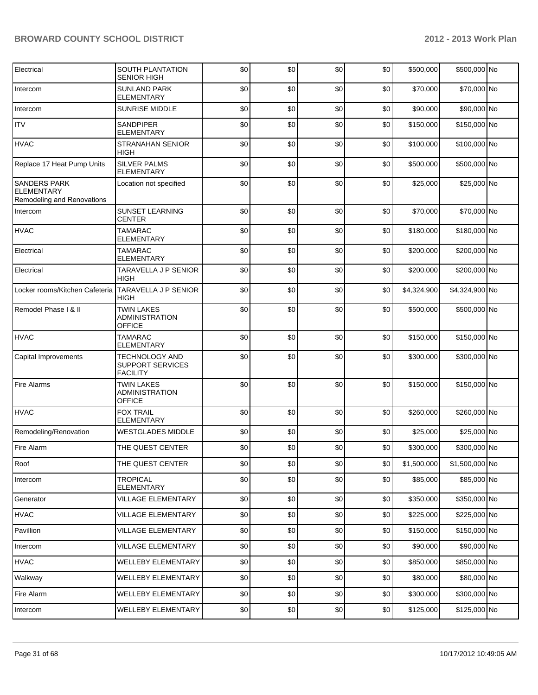| Electrical                                                             | SOUTH PLANTATION<br><b>SENIOR HIGH</b>                       | \$0 | \$0 | \$0 | \$0 | \$500,000   | \$500,000 No   |  |
|------------------------------------------------------------------------|--------------------------------------------------------------|-----|-----|-----|-----|-------------|----------------|--|
| Intercom                                                               | <b>SUNLAND PARK</b><br><b>ELEMENTARY</b>                     | \$0 | \$0 | \$0 | \$0 | \$70,000    | \$70,000 No    |  |
| Intercom                                                               | <b>SUNRISE MIDDLE</b>                                        | \$0 | \$0 | \$0 | \$0 | \$90,000    | \$90,000 No    |  |
| <b>ITV</b>                                                             | SANDPIPER<br><b>ELEMENTARY</b>                               | \$0 | \$0 | \$0 | \$0 | \$150,000   | \$150,000 No   |  |
| <b>HVAC</b>                                                            | <b>STRANAHAN SENIOR</b><br><b>HIGH</b>                       | \$0 | \$0 | \$0 | \$0 | \$100,000   | \$100,000 No   |  |
| Replace 17 Heat Pump Units                                             | SILVER PALMS<br>ELEMENTARY                                   | \$0 | \$0 | \$0 | \$0 | \$500,000   | \$500,000 No   |  |
| <b>SANDERS PARK</b><br><b>ELEMENTARY</b><br>Remodeling and Renovations | Location not specified                                       | \$0 | \$0 | \$0 | \$0 | \$25,000    | \$25,000 No    |  |
| Intercom                                                               | <b>SUNSET LEARNING</b><br><b>CENTER</b>                      | \$0 | \$0 | \$0 | \$0 | \$70,000    | \$70,000 No    |  |
| <b>HVAC</b>                                                            | <b>TAMARAC</b><br>ELEMENTARY                                 | \$0 | \$0 | \$0 | \$0 | \$180,000   | \$180,000 No   |  |
| Electrical                                                             | <b>TAMARAC</b><br>ELEMENTARY                                 | \$0 | \$0 | \$0 | \$0 | \$200,000   | \$200,000 No   |  |
| Electrical                                                             | <b>TARAVELLA J P SENIOR</b><br><b>HIGH</b>                   | \$0 | \$0 | \$0 | \$0 | \$200,000   | \$200,000 No   |  |
| Locker rooms/Kitchen Cafeteria                                         | <b>TARAVELLA J P SENIOR</b><br><b>HIGH</b>                   | \$0 | \$0 | \$0 | \$0 | \$4,324,900 | \$4,324,900 No |  |
| Remodel Phase I & II                                                   | <b>TWIN LAKES</b><br><b>ADMINISTRATION</b><br><b>OFFICE</b>  | \$0 | \$0 | \$0 | \$0 | \$500,000   | \$500,000 No   |  |
| <b>HVAC</b>                                                            | <b>TAMARAC</b><br>ELEMENTARY                                 | \$0 | \$0 | \$0 | \$0 | \$150,000   | \$150,000 No   |  |
| Capital Improvements                                                   | <b>TECHNOLOGY AND</b><br>SUPPORT SERVICES<br><b>FACILITY</b> | \$0 | \$0 | \$0 | \$0 | \$300,000   | \$300,000 No   |  |
| <b>Fire Alarms</b>                                                     | <b>TWIN LAKES</b><br><b>ADMINISTRATION</b><br><b>OFFICE</b>  | \$0 | \$0 | \$0 | \$0 | \$150,000   | \$150,000 No   |  |
| <b>HVAC</b>                                                            | <b>FOX TRAIL</b><br><b>ELEMENTARY</b>                        | \$0 | \$0 | \$0 | \$0 | \$260,000   | \$260,000 No   |  |
| Remodeling/Renovation                                                  | <b>WESTGLADES MIDDLE</b>                                     | \$0 | \$0 | \$0 | \$0 | \$25,000    | \$25,000 No    |  |
| Fire Alarm                                                             | THE QUEST CENTER                                             | \$0 | \$0 | \$0 | \$0 | \$300,000   | \$300,000 No   |  |
| Roof                                                                   | THE QUEST CENTER                                             | \$0 | \$0 | \$0 | \$0 | \$1,500,000 | \$1,500,000 No |  |
| Intercom                                                               | <b>TROPICAL</b><br>ELEMENTARY                                | \$0 | \$0 | \$0 | \$0 | \$85,000    | \$85,000 No    |  |
| Generator                                                              | <b>VILLAGE ELEMENTARY</b>                                    | \$0 | \$0 | \$0 | \$0 | \$350,000   | \$350,000 No   |  |
| <b>HVAC</b>                                                            | VILLAGE ELEMENTARY                                           | \$0 | \$0 | \$0 | \$0 | \$225,000   | \$225,000 No   |  |
| Pavillion                                                              | <b>VILLAGE ELEMENTARY</b>                                    | \$0 | \$0 | \$0 | \$0 | \$150,000   | \$150,000 No   |  |
| Intercom                                                               | VILLAGE ELEMENTARY                                           | \$0 | \$0 | \$0 | \$0 | \$90,000    | \$90,000 No    |  |
| <b>HVAC</b>                                                            | WELLEBY ELEMENTARY                                           | \$0 | \$0 | \$0 | \$0 | \$850,000   | \$850,000 No   |  |
| Walkway                                                                | WELLEBY ELEMENTARY                                           | \$0 | \$0 | \$0 | \$0 | \$80,000    | \$80,000 No    |  |
| Fire Alarm                                                             | WELLEBY ELEMENTARY                                           | \$0 | \$0 | \$0 | \$0 | \$300,000   | \$300,000 No   |  |
| Intercom                                                               | WELLEBY ELEMENTARY                                           | \$0 | \$0 | \$0 | \$0 | \$125,000   | \$125,000 No   |  |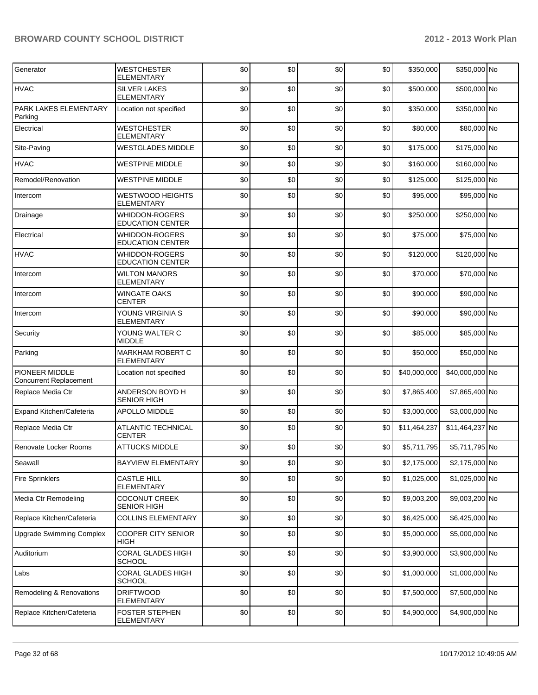| Generator                                       | <b>WESTCHESTER</b><br>ELEMENTARY             | \$0 | \$0 | \$0 | \$0  | \$350,000    | \$350,000 No    |  |
|-------------------------------------------------|----------------------------------------------|-----|-----|-----|------|--------------|-----------------|--|
| <b>HVAC</b>                                     | <b>SILVER LAKES</b><br><b>ELEMENTARY</b>     | \$0 | \$0 | \$0 | \$0  | \$500,000    | \$500,000 No    |  |
| PARK LAKES ELEMENTARY<br>Parking                | Location not specified                       | \$0 | \$0 | \$0 | \$0  | \$350,000    | \$350,000 No    |  |
| Electrical                                      | <b>WESTCHESTER</b><br><b>ELEMENTARY</b>      | \$0 | \$0 | \$0 | \$0  | \$80,000     | \$80,000 No     |  |
| Site-Paving                                     | <b>WESTGLADES MIDDLE</b>                     | \$0 | \$0 | \$0 | \$0  | \$175,000    | \$175,000 No    |  |
| <b>HVAC</b>                                     | <b>WESTPINE MIDDLE</b>                       | \$0 | \$0 | \$0 | \$0  | \$160,000    | \$160,000 No    |  |
| Remodel/Renovation                              | <b>WESTPINE MIDDLE</b>                       | \$0 | \$0 | \$0 | \$0  | \$125,000    | \$125,000 No    |  |
| Intercom                                        | <b>WESTWOOD HEIGHTS</b><br><b>ELEMENTARY</b> | \$0 | \$0 | \$0 | \$0  | \$95,000     | \$95,000 No     |  |
| Drainage                                        | WHIDDON-ROGERS<br><b>EDUCATION CENTER</b>    | \$0 | \$0 | \$0 | \$0  | \$250,000    | \$250,000 No    |  |
| Electrical                                      | WHIDDON-ROGERS<br><b>EDUCATION CENTER</b>    | \$0 | \$0 | \$0 | \$0  | \$75,000     | \$75,000 No     |  |
| <b>HVAC</b>                                     | WHIDDON-ROGERS<br><b>EDUCATION CENTER</b>    | \$0 | \$0 | \$0 | \$0  | \$120,000    | \$120,000 No    |  |
| Intercom                                        | <b>WILTON MANORS</b><br><b>ELEMENTARY</b>    | \$0 | \$0 | \$0 | \$0  | \$70,000     | \$70,000 No     |  |
| Intercom                                        | <b>WINGATE OAKS</b><br><b>CENTER</b>         | \$0 | \$0 | \$0 | \$0  | \$90,000     | \$90,000 No     |  |
| Intercom                                        | YOUNG VIRGINIA S<br><b>ELEMENTARY</b>        | \$0 | \$0 | \$0 | \$0  | \$90,000     | \$90,000 No     |  |
| Security                                        | YOUNG WALTER C<br><b>MIDDLE</b>              | \$0 | \$0 | \$0 | \$0  | \$85,000     | \$85,000 No     |  |
| Parking                                         | MARKHAM ROBERT C<br><b>ELEMENTARY</b>        | \$0 | \$0 | \$0 | \$0  | \$50,000     | \$50,000 No     |  |
| PIONEER MIDDLE<br><b>Concurrent Replacement</b> | Location not specified                       | \$0 | \$0 | \$0 | \$0  | \$40,000,000 | \$40,000,000 No |  |
| Replace Media Ctr                               | ANDERSON BOYD H<br><b>SENIOR HIGH</b>        | \$0 | \$0 | \$0 | \$0  | \$7,865,400  | \$7,865,400 No  |  |
| Expand Kitchen/Cafeteria                        | APOLLO MIDDLE                                | \$0 | \$0 | \$0 | \$0  | \$3,000,000  | \$3,000,000 No  |  |
| Replace Media Ctr                               | <b>ATLANTIC TECHNICAL</b><br><b>CENTER</b>   | \$0 | \$0 | \$0 | \$0  | \$11,464,237 | \$11,464,237 No |  |
| Renovate Locker Rooms                           | <b>ATTUCKS MIDDLE</b>                        | \$0 | \$0 | \$0 | \$0  | \$5,711,795  | \$5,711,795 No  |  |
| Seawall                                         | <b>BAYVIEW ELEMENTARY</b>                    | \$0 | \$0 | \$0 | \$0] | \$2,175,000  | \$2,175,000 No  |  |
| <b>Fire Sprinklers</b>                          | <b>CASTLE HILL</b><br><b>ELEMENTARY</b>      | \$0 | \$0 | \$0 | \$0  | \$1,025,000  | \$1,025,000 No  |  |
| Media Ctr Remodeling                            | <b>COCONUT CREEK</b><br><b>SENIOR HIGH</b>   | \$0 | \$0 | \$0 | \$0  | \$9,003,200  | \$9,003,200 No  |  |
| Replace Kitchen/Cafeteria                       | <b>COLLINS ELEMENTARY</b>                    | \$0 | \$0 | \$0 | \$0  | \$6,425,000  | \$6,425,000 No  |  |
| <b>Upgrade Swimming Complex</b>                 | <b>COOPER CITY SENIOR</b><br>HIGH            | \$0 | \$0 | \$0 | \$0  | \$5,000,000  | \$5,000,000 No  |  |
| Auditorium                                      | CORAL GLADES HIGH<br>SCHOOL                  | \$0 | \$0 | \$0 | \$0  | \$3,900,000  | \$3,900,000 No  |  |
| Labs                                            | CORAL GLADES HIGH<br><b>SCHOOL</b>           | \$0 | \$0 | \$0 | \$0  | \$1,000,000  | \$1,000,000 No  |  |
| Remodeling & Renovations                        | <b>DRIFTWOOD</b><br>ELEMENTARY               | \$0 | \$0 | \$0 | \$0  | \$7,500,000  | \$7,500,000 No  |  |
| Replace Kitchen/Cafeteria                       | <b>FOSTER STEPHEN</b><br>ELEMENTARY          | \$0 | \$0 | \$0 | \$0  | \$4,900,000  | \$4,900,000 No  |  |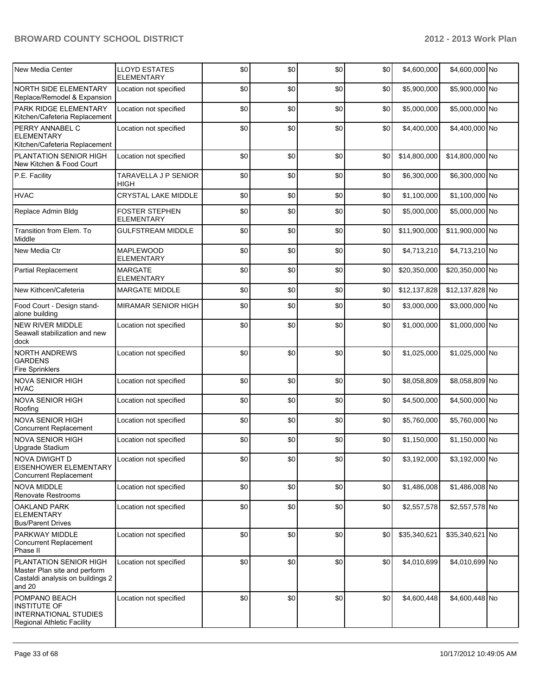| New Media Center                                                                                     | <b>LLOYD ESTATES</b><br><b>ELEMENTARY</b> | \$0 | \$0  | \$0 | \$0  | \$4,600,000  | \$4,600,000 No  |  |
|------------------------------------------------------------------------------------------------------|-------------------------------------------|-----|------|-----|------|--------------|-----------------|--|
| NORTH SIDE ELEMENTARY<br>Replace/Remodel & Expansion                                                 | Location not specified                    | \$0 | \$0  | \$0 | \$0  | \$5,900,000  | \$5,900,000 No  |  |
| PARK RIDGE ELEMENTARY<br>Kitchen/Cafeteria Replacement                                               | Location not specified                    | \$0 | \$0  | \$0 | \$0  | \$5,000,000  | \$5,000,000 No  |  |
| PERRY ANNABEL C<br><b>ELEMENTARY</b><br>Kitchen/Cafeteria Replacement                                | Location not specified                    | \$0 | \$0  | \$0 | \$0  | \$4,400,000  | \$4,400,000 No  |  |
| PLANTATION SENIOR HIGH<br>New Kitchen & Food Court                                                   | Location not specified                    | \$0 | \$0  | \$0 | \$0  | \$14,800,000 | \$14,800,000 No |  |
| P.E. Facility                                                                                        | TARAVELLA J P SENIOR<br>HIGH              | \$0 | \$0  | \$0 | \$0  | \$6,300,000  | \$6,300,000 No  |  |
| <b>HVAC</b>                                                                                          | CRYSTAL LAKE MIDDLE                       | \$0 | \$0  | \$0 | \$0  | \$1,100,000  | \$1,100,000 No  |  |
| Replace Admin Bldg                                                                                   | <b>FOSTER STEPHEN</b><br>ELEMENTARY       | \$0 | \$0  | \$0 | \$0  | \$5,000,000  | \$5,000,000 No  |  |
| Transition from Elem. To<br>Middle                                                                   | <b>GULFSTREAM MIDDLE</b>                  | \$0 | \$0  | \$0 | \$0  | \$11,900,000 | \$11,900,000 No |  |
| New Media Ctr                                                                                        | MAPLEWOOD<br><b>ELEMENTARY</b>            | \$0 | \$0  | \$0 | \$0  | \$4,713,210  | \$4,713,210 No  |  |
| <b>Partial Replacement</b>                                                                           | <b>MARGATE</b><br><b>ELEMENTARY</b>       | \$0 | \$0  | \$0 | \$0  | \$20,350,000 | \$20,350,000 No |  |
| New Kithcen/Cafeteria                                                                                | <b>MARGATE MIDDLE</b>                     | \$0 | \$0  | \$0 | \$0  | \$12,137,828 | \$12,137,828 No |  |
| Food Court - Design stand-<br>alone building                                                         | <b>MIRAMAR SENIOR HIGH</b>                | \$0 | \$0  | \$0 | \$0  | \$3,000,000  | \$3,000,000 No  |  |
| <b>NEW RIVER MIDDLE</b><br>Seawall stabilization and new<br>dock                                     | Location not specified                    | \$0 | \$0  | \$0 | \$0  | \$1,000,000  | \$1,000,000 No  |  |
| <b>NORTH ANDREWS</b><br><b>GARDENS</b><br><b>Fire Sprinklers</b>                                     | Location not specified                    | \$0 | \$0  | \$0 | \$0  | \$1,025,000  | \$1,025,000 No  |  |
| <b>NOVA SENIOR HIGH</b><br><b>HVAC</b>                                                               | Location not specified                    | \$0 | \$0  | \$0 | \$0  | \$8,058,809  | \$8,058,809 No  |  |
| <b>NOVA SENIOR HIGH</b><br>Roofing                                                                   | Location not specified                    | \$0 | \$0  | \$0 | \$0  | \$4,500,000  | \$4,500,000 No  |  |
| <b>NOVA SENIOR HIGH</b><br><b>Concurrent Replacement</b>                                             | Location not specified                    | \$0 | \$0  | \$0 | \$0  | \$5,760,000  | \$5,760,000 No  |  |
| NOVA SENIOR HIGH<br>Upgrade Stadium                                                                  | Location not specified                    | \$0 | \$0  | \$0 | \$0  | \$1,150,000  | \$1,150,000 No  |  |
| NOVA DWIGHT D<br><b>EISENHOWER ELEMENTARY</b><br>Concurrent Replacement                              | Location not specified                    | \$0 | \$0] | \$0 | \$0] | \$3,192,000  | \$3,192,000 No  |  |
| <b>NOVA MIDDLE</b><br><b>Renovate Restrooms</b>                                                      | Location not specified                    | \$0 | \$0  | \$0 | \$0  | \$1,486,008  | \$1,486,008 No  |  |
| <b>OAKLAND PARK</b><br><b>ELEMENTARY</b><br><b>Bus/Parent Drives</b>                                 | Location not specified                    | \$0 | \$0  | \$0 | \$0  | \$2,557,578  | \$2,557,578 No  |  |
| PARKWAY MIDDLE<br><b>Concurrent Replacement</b><br>Phase II                                          | Location not specified                    | \$0 | \$0  | \$0 | \$0  | \$35,340,621 | \$35,340,621 No |  |
| PLANTATION SENIOR HIGH<br>Master Plan site and perform<br>Castaldi analysis on buildings 2<br>and 20 | Location not specified                    | \$0 | \$0  | \$0 | \$0  | \$4,010,699  | \$4,010,699 No  |  |
| POMPANO BEACH<br><b>INSTITUTE OF</b><br>INTERNATIONAL STUDIES<br>Regional Athletic Facility          | Location not specified                    | \$0 | \$0  | \$0 | \$0  | \$4,600,448  | \$4,600,448 No  |  |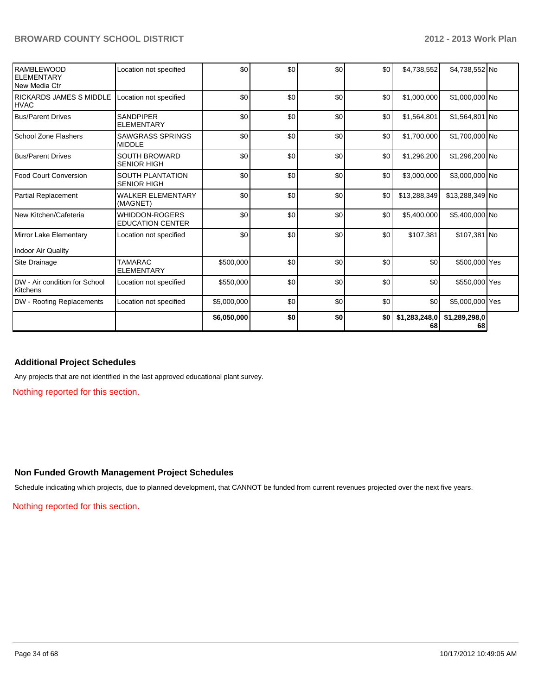| <b>RAMBLEWOOD</b><br><b>ELEMENTARY</b><br>New Media Ctr | Location not specified                           | \$0         | \$0 | \$0 | \$0 | \$4,738,552         | \$4,738,552 No      |  |
|---------------------------------------------------------|--------------------------------------------------|-------------|-----|-----|-----|---------------------|---------------------|--|
| <b>IRICKARDS JAMES S MIDDLE</b><br><b>HVAC</b>          | Location not specified                           | \$0         | \$0 | \$0 | \$0 | \$1,000,000         | \$1,000,000 No      |  |
| <b>Bus/Parent Drives</b>                                | <b>SANDPIPER</b><br><b>ELEMENTARY</b>            | \$0         | \$0 | \$0 | \$0 | \$1,564,801         | \$1,564,801 No      |  |
| School Zone Flashers                                    | <b>SAWGRASS SPRINGS</b><br><b>MIDDLE</b>         | \$0         | \$0 | \$0 | \$0 | \$1,700,000         | \$1,700,000 No      |  |
| <b>Bus/Parent Drives</b>                                | <b>SOUTH BROWARD</b><br><b>SENIOR HIGH</b>       | \$0         | \$0 | \$0 | \$0 | \$1,296,200         | \$1,296,200 No      |  |
| Food Court Conversion                                   | <b>SOUTH PLANTATION</b><br><b>SENIOR HIGH</b>    | \$0         | \$0 | \$0 | \$0 | \$3,000,000         | \$3.000.000 No      |  |
| Partial Replacement                                     | <b>WALKER ELEMENTARY</b><br>(MAGNET)             | \$0         | \$0 | \$0 | \$0 | \$13,288,349        | \$13,288,349 No     |  |
| New Kitchen/Cafeteria                                   | <b>WHIDDON-ROGERS</b><br><b>EDUCATION CENTER</b> | \$0         | \$0 | \$0 | \$0 | \$5,400,000         | \$5,400,000 No      |  |
| Mirror Lake Elementary                                  | Location not specified                           | \$0         | 30  | \$0 | \$0 | \$107,381           | \$107,381 No        |  |
| Indoor Air Quality                                      |                                                  |             |     |     |     |                     |                     |  |
| Site Drainage                                           | <b>TAMARAC</b><br><b>ELEMENTARY</b>              | \$500,000   | \$0 | \$0 | \$0 | \$0                 | \$500,000 Yes       |  |
| DW - Air condition for School<br>Kitchens               | Location not specified                           | \$550,000   | \$0 | \$0 | \$0 | \$0                 | \$550,000 Yes       |  |
| <b>DW</b> - Roofing Replacements                        | Location not specified                           | \$5,000,000 | \$0 | \$0 | \$0 | \$0                 | \$5,000,000 Yes     |  |
|                                                         |                                                  | \$6,050,000 | \$0 | \$0 | \$0 | \$1,283,248,0<br>68 | \$1,289,298,0<br>68 |  |

#### **Additional Project Schedules**

Any projects that are not identified in the last approved educational plant survey.

Nothing reported for this section.

#### **Non Funded Growth Management Project Schedules**

Schedule indicating which projects, due to planned development, that CANNOT be funded from current revenues projected over the next five years.

Nothing reported for this section.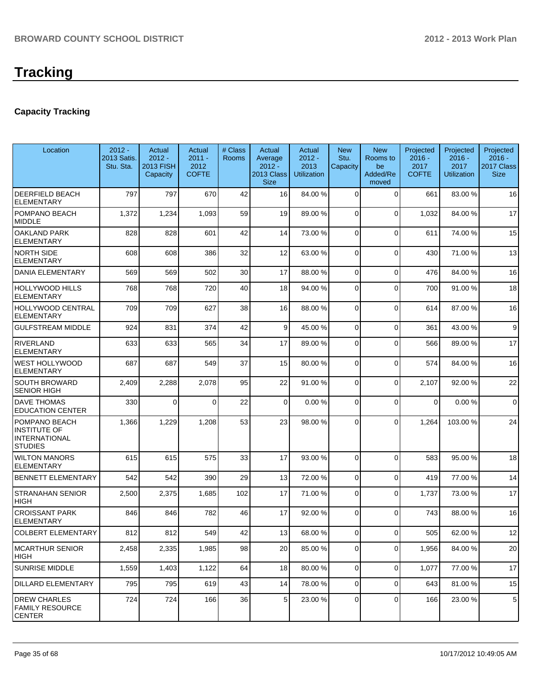## **Capacity Tracking**

| Location                                                                       | $2012 -$<br>2013 Satis.<br>Stu. Sta. | Actual<br>$2012 -$<br><b>2013 FISH</b><br>Capacity | Actual<br>$2011 -$<br>2012<br><b>COFTE</b> | # Class<br><b>Rooms</b> | Actual<br>Average<br>$2012 -$<br><b>2013 Class</b><br><b>Size</b> | Actual<br>$2012 -$<br>2013<br><b>Utilization</b> | <b>New</b><br>Stu.<br>Capacity | <b>New</b><br>Rooms to<br>be<br>Added/Re<br>moved | Projected<br>$2016 -$<br>2017<br><b>COFTE</b> | Projected<br>$2016 -$<br>2017<br><b>Utilization</b> | Projected<br>$2016 -$<br>2017 Class<br><b>Size</b> |
|--------------------------------------------------------------------------------|--------------------------------------|----------------------------------------------------|--------------------------------------------|-------------------------|-------------------------------------------------------------------|--------------------------------------------------|--------------------------------|---------------------------------------------------|-----------------------------------------------|-----------------------------------------------------|----------------------------------------------------|
| <b>DEERFIELD BEACH</b><br><b>ELEMENTARY</b>                                    | 797                                  | 797                                                | 670                                        | 42                      | 16                                                                | 84.00 %                                          | $\mathbf 0$                    | $\Omega$                                          | 661                                           | 83.00 %                                             | 16                                                 |
| POMPANO BEACH<br><b>MIDDLE</b>                                                 | 1,372                                | 1,234                                              | 1,093                                      | 59                      | 19                                                                | 89.00 %                                          | 0                              | $\Omega$                                          | 1,032                                         | 84.00%                                              | 17                                                 |
| <b>OAKLAND PARK</b><br><b>ELEMENTARY</b>                                       | 828                                  | 828                                                | 601                                        | 42                      | 14                                                                | 73.00 %                                          | 0                              | $\Omega$                                          | 611                                           | 74.00%                                              | 15                                                 |
| <b>NORTH SIDE</b><br><b>ELEMENTARY</b>                                         | 608                                  | 608                                                | 386                                        | 32                      | 12                                                                | 63.00 %                                          | 0                              | $\Omega$                                          | 430                                           | 71.00%                                              | 13                                                 |
| <b>DANIA ELEMENTARY</b>                                                        | 569                                  | 569                                                | 502                                        | 30                      | 17                                                                | 88.00 %                                          | $\Omega$                       | $\Omega$                                          | 476                                           | 84.00%                                              | 16                                                 |
| <b>HOLLYWOOD HILLS</b><br><b>ELEMENTARY</b>                                    | 768                                  | 768                                                | 720                                        | 40                      | 18                                                                | 94.00 %                                          | $\overline{0}$                 | $\Omega$                                          | 700                                           | 91.00%                                              | 18                                                 |
| <b>HOLLYWOOD CENTRAL</b><br><b>ELEMENTARY</b>                                  | 709                                  | 709                                                | 627                                        | 38                      | 16                                                                | 88.00 %                                          | 0                              | $\Omega$                                          | 614                                           | 87.00 %                                             | 16                                                 |
| <b>GULFSTREAM MIDDLE</b>                                                       | 924                                  | 831                                                | 374                                        | 42                      | $\vert$ 9                                                         | 45.00 %                                          | $\overline{0}$                 | $\Omega$                                          | 361                                           | 43.00 %                                             | 9                                                  |
| <b>RIVERLAND</b><br><b>ELEMENTARY</b>                                          | 633                                  | 633                                                | 565                                        | 34                      | 17                                                                | 89.00 %                                          | $\Omega$                       | $\Omega$                                          | 566                                           | 89.00 %                                             | 17                                                 |
| <b>WEST HOLLYWOOD</b><br><b>ELEMENTARY</b>                                     | 687                                  | 687                                                | 549                                        | 37                      | 15                                                                | 80.00 %                                          | 0                              | $\Omega$                                          | 574                                           | 84.00%                                              | 16                                                 |
| <b>SOUTH BROWARD</b><br><b>SENIOR HIGH</b>                                     | 2,409                                | 2,288                                              | 2,078                                      | 95                      | 22                                                                | 91.00 %                                          | $\Omega$                       | $\Omega$                                          | 2,107                                         | 92.00%                                              | 22                                                 |
| <b>DAVE THOMAS</b><br><b>EDUCATION CENTER</b>                                  | 330                                  | $\mathbf 0$                                        | $\Omega$                                   | 22                      | $\mathbf 0$                                                       | 0.00%                                            | $\Omega$                       | $\Omega$                                          | $\Omega$                                      | 0.00%                                               | $\mathbf 0$                                        |
| POMPANO BEACH<br><b>INSTITUTE OF</b><br><b>INTERNATIONAL</b><br><b>STUDIES</b> | 1,366                                | 1,229                                              | 1,208                                      | 53                      | 23                                                                | 98.00 %                                          | $\Omega$                       | $\Omega$                                          | 1,264                                         | 103.00%                                             | 24                                                 |
| <b>WILTON MANORS</b><br><b>ELEMENTARY</b>                                      | 615                                  | 615                                                | 575                                        | 33                      | 17                                                                | 93.00 %                                          | 0                              | $\Omega$                                          | 583                                           | 95.00 %                                             | 18                                                 |
| <b>BENNETT ELEMENTARY</b>                                                      | 542                                  | 542                                                | 390                                        | 29                      | 13                                                                | 72.00 %                                          | 0                              | $\Omega$                                          | 419                                           | 77.00 %                                             | 14                                                 |
| <b>STRANAHAN SENIOR</b><br><b>HIGH</b>                                         | 2,500                                | 2,375                                              | 1,685                                      | 102                     | 17                                                                | 71.00 %                                          | 0                              | $\Omega$                                          | 1,737                                         | 73.00 %                                             | 17                                                 |
| <b>CROISSANT PARK</b><br><b>ELEMENTARY</b>                                     | 846                                  | 846                                                | 782                                        | 46                      | 17                                                                | 92.00 %                                          | $\Omega$                       | $\Omega$                                          | 743                                           | 88.00 %                                             | 16                                                 |
| <b>COLBERT ELEMENTARY</b>                                                      | 812                                  | 812                                                | 549                                        | 42                      | 13 <sup>1</sup>                                                   | 68.00 %                                          | $\overline{0}$                 | $\Omega$                                          | 505                                           | 62.00%                                              | 12                                                 |
| <b>MCARTHUR SENIOR</b><br> HIGH                                                | 2,458                                | 2,335                                              | 1,985                                      | 98                      | 20 <sub>2</sub>                                                   | 85.00 %                                          | 0                              | $\Omega$                                          | 1,956                                         | 84.00 %                                             | 20                                                 |
| <b>SUNRISE MIDDLE</b>                                                          | 1,559                                | 1,403                                              | 1,122                                      | 64                      | 18                                                                | 80.00 %                                          | $\overline{0}$                 | $\overline{0}$                                    | 1,077                                         | 77.00 %                                             | 17                                                 |
| <b>DILLARD ELEMENTARY</b>                                                      | 795                                  | 795                                                | 619                                        | 43                      | 14                                                                | 78.00 %                                          | $\overline{0}$                 | $\overline{0}$                                    | 643                                           | 81.00 %                                             | 15                                                 |
| <b>DREW CHARLES</b><br><b>FAMILY RESOURCE</b><br><b>CENTER</b>                 | 724                                  | 724                                                | 166                                        | 36                      | 5 <sup>1</sup>                                                    | 23.00 %                                          | 0                              | $\overline{0}$                                    | 166                                           | 23.00 %                                             | 5                                                  |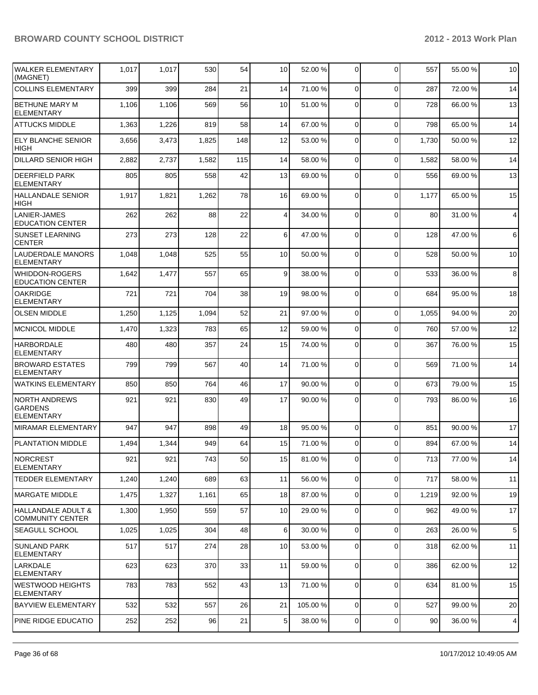| <b>WALKER ELEMENTARY</b><br>(MAGNET)                        | 1,017 | 1,017 | 530   | 54  | 10              | 52.00 %  | 0              | $\Omega$       | 557   | 55.00 % | 10 |
|-------------------------------------------------------------|-------|-------|-------|-----|-----------------|----------|----------------|----------------|-------|---------|----|
| <b>COLLINS ELEMENTARY</b>                                   | 399   | 399   | 284   | 21  | 14              | 71.00 %  | $\overline{0}$ | $\Omega$       | 287   | 72.00 % | 14 |
| <b>BETHUNE MARY M</b><br><b>ELEMENTARY</b>                  | 1,106 | 1,106 | 569   | 56  | 10              | 51.00 %  | $\Omega$       | $\Omega$       | 728   | 66.00 % | 13 |
| <b>ATTUCKS MIDDLE</b>                                       | 1,363 | 1,226 | 819   | 58  | 14              | 67.00 %  | $\overline{0}$ | $\Omega$       | 798   | 65.00 % | 14 |
| <b>ELY BLANCHE SENIOR</b><br><b>HIGH</b>                    | 3,656 | 3,473 | 1,825 | 148 | 12              | 53.00 %  | 0              | $\Omega$       | 1,730 | 50.00 % | 12 |
| <b>DILLARD SENIOR HIGH</b>                                  | 2,882 | 2,737 | 1,582 | 115 | 14              | 58.00 %  | 0              | $\Omega$       | 1,582 | 58.00 % | 14 |
| <b>DEERFIELD PARK</b><br><b>ELEMENTARY</b>                  | 805   | 805   | 558   | 42  | 13              | 69.00 %  | 0              | $\Omega$       | 556   | 69.00 % | 13 |
| <b>HALLANDALE SENIOR</b><br>HIGH                            | 1,917 | 1,821 | 1,262 | 78  | 16              | 69.00 %  | 0              | $\Omega$       | 1,177 | 65.00 % | 15 |
| LANIER-JAMES<br><b>EDUCATION CENTER</b>                     | 262   | 262   | 88    | 22  | $\overline{4}$  | 34.00 %  | 0              | $\Omega$       | 80    | 31.00 % | 4  |
| <b>SUNSET LEARNING</b><br><b>CENTER</b>                     | 273   | 273   | 128   | 22  | 6 <sup>1</sup>  | 47.00 %  | $\overline{0}$ | $\Omega$       | 128   | 47.00 % | 6  |
| LAUDERDALE MANORS<br><b>ELEMENTARY</b>                      | 1,048 | 1,048 | 525   | 55  | 10              | 50.00 %  | 0              | $\Omega$       | 528   | 50.00 % | 10 |
| <b>WHIDDON-ROGERS</b><br><b>EDUCATION CENTER</b>            | 1,642 | 1,477 | 557   | 65  | 9               | 38.00 %  | 0              | $\Omega$       | 533   | 36.00 % | 8  |
| <b>OAKRIDGE</b><br><b>ELEMENTARY</b>                        | 721   | 721   | 704   | 38  | 19              | 98.00 %  | 0              | $\Omega$       | 684   | 95.00 % | 18 |
| <b>OLSEN MIDDLE</b>                                         | 1,250 | 1,125 | 1,094 | 52  | 21              | 97.00 %  | 0              | $\Omega$       | 1,055 | 94.00%  | 20 |
| <b>MCNICOL MIDDLE</b>                                       | 1,470 | 1,323 | 783   | 65  | 12              | 59.00 %  | 0              | $\Omega$       | 760   | 57.00 % | 12 |
| <b>HARBORDALE</b><br><b>ELEMENTARY</b>                      | 480   | 480   | 357   | 24  | 15              | 74.00 %  | 0              | $\Omega$       | 367   | 76.00 % | 15 |
| <b>BROWARD ESTATES</b><br><b>ELEMENTARY</b>                 | 799   | 799   | 567   | 40  | 14              | 71.00 %  | 0              | $\Omega$       | 569   | 71.00%  | 14 |
| <b>WATKINS ELEMENTARY</b>                                   | 850   | 850   | 764   | 46  | 17              | 90.00 %  | $\overline{0}$ | $\Omega$       | 673   | 79.00 % | 15 |
| <b>NORTH ANDREWS</b><br><b>GARDENS</b><br><b>ELEMENTARY</b> | 921   | 921   | 830   | 49  | 17              | 90.00 %  | $\Omega$       | $\Omega$       | 793   | 86.00 % | 16 |
| <b>MIRAMAR ELEMENTARY</b>                                   | 947   | 947   | 898   | 49  | 18              | 95.00 %  | 0              | $\Omega$       | 851   | 90.00%  | 17 |
| <b>PLANTATION MIDDLE</b>                                    | 1,494 | 1,344 | 949   | 64  | 15              | 71.00 %  | 0              | $\Omega$       | 894   | 67.00 % | 14 |
| NORCREST<br><b>ELEMENTARY</b>                               | 921   | 921   | 743   | 50  | 15              | 81.00 %  | $\overline{0}$ | 0              | 713   | 77.00 % | 14 |
| <b>TEDDER ELEMENTARY</b>                                    | 1,240 | 1,240 | 689   | 63  | 11              | 56.00 %  | $\overline{0}$ | $\Omega$       | 717   | 58.00 % | 11 |
| MARGATE MIDDLE                                              | 1,475 | 1,327 | 1,161 | 65  | 18              | 87.00 %  | $\overline{0}$ | $\Omega$       | 1,219 | 92.00%  | 19 |
| HALLANDALE ADULT &<br><b>COMMUNITY CENTER</b>               | 1,300 | 1,950 | 559   | 57  | 10 <sup>1</sup> | 29.00 %  | $\overline{0}$ | $\Omega$       | 962   | 49.00 % | 17 |
| <b>SEAGULL SCHOOL</b>                                       | 1,025 | 1,025 | 304   | 48  | 6 <sup>1</sup>  | 30.00 %  | $\overline{0}$ | $\overline{0}$ | 263   | 26.00%  | 5  |
| <b>SUNLAND PARK</b><br><b>ELEMENTARY</b>                    | 517   | 517   | 274   | 28  | 10              | 53.00 %  | $\overline{0}$ | $\Omega$       | 318   | 62.00%  | 11 |
| LARKDALE<br><b>ELEMENTARY</b>                               | 623   | 623   | 370   | 33  | 11              | 59.00 %  | $\overline{0}$ | $\Omega$       | 386   | 62.00%  | 12 |
| WESTWOOD HEIGHTS<br><b>ELEMENTARY</b>                       | 783   | 783   | 552   | 43  | 13              | 71.00 %  | 0              | $\Omega$       | 634   | 81.00%  | 15 |
| <b>BAYVIEW ELEMENTARY</b>                                   | 532   | 532   | 557   | 26  | 21              | 105.00 % | $\overline{0}$ | $\Omega$       | 527   | 99.00 % | 20 |
| PINE RIDGE EDUCATIO                                         | 252   | 252   | 96    | 21  | 5 <sup>1</sup>  | 38.00 %  | $\overline{0}$ | $\mathbf 0$    | 90    | 36.00 % | 4  |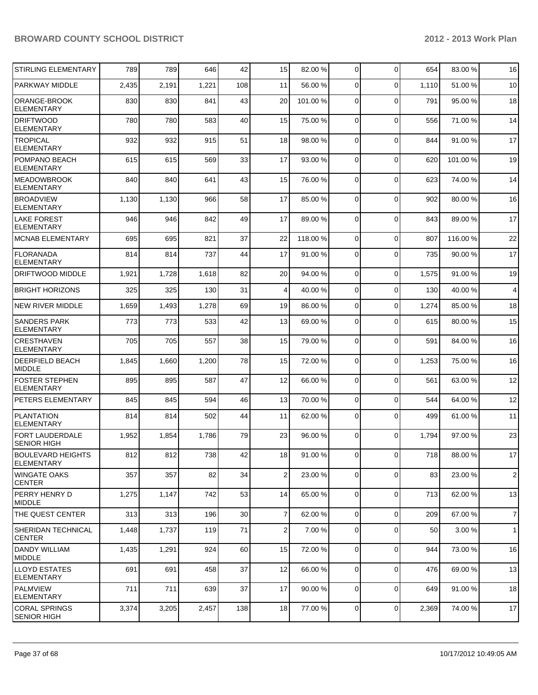| <b>STIRLING ELEMENTARY</b>                   | 789   | 789   | 646   | 42              | 15             | 82.00 %  | 0              | $\Omega$    | 654   | 83.00 % | 16             |
|----------------------------------------------|-------|-------|-------|-----------------|----------------|----------|----------------|-------------|-------|---------|----------------|
| PARKWAY MIDDLE                               | 2,435 | 2,191 | 1,221 | 108             | 11             | 56.00 %  | 0              | $\Omega$    | 1,110 | 51.00%  | 10             |
| ORANGE-BROOK<br><b>ELEMENTARY</b>            | 830   | 830   | 841   | 43              | 20             | 101.00 % | 0              | $\Omega$    | 791   | 95.00 % | 18             |
| <b>DRIFTWOOD</b><br><b>ELEMENTARY</b>        | 780   | 780   | 583   | 40              | 15             | 75.00 %  | $\mathbf 0$    | $\Omega$    | 556   | 71.00%  | 14             |
| <b>TROPICAL</b><br><b>ELEMENTARY</b>         | 932   | 932   | 915   | 51              | 18             | 98.00 %  | 0              | $\Omega$    | 844   | 91.00%  | 17             |
| POMPANO BEACH<br><b>ELEMENTARY</b>           | 615   | 615   | 569   | 33              | 17             | 93.00 %  | $\Omega$       | $\Omega$    | 620   | 101.00% | 19             |
| <b>MEADOWBROOK</b><br><b>ELEMENTARY</b>      | 840   | 840   | 641   | 43              | 15             | 76.00 %  | $\Omega$       | $\Omega$    | 623   | 74.00%  | 14             |
| <b>BROADVIEW</b><br><b>ELEMENTARY</b>        | 1,130 | 1,130 | 966   | 58              | 17             | 85.00 %  | $\mathbf 0$    | $\Omega$    | 902   | 80.00 % | 16             |
| <b>LAKE FOREST</b><br><b>ELEMENTARY</b>      | 946   | 946   | 842   | 49              | 17             | 89.00 %  | 0              | $\Omega$    | 843   | 89.00 % | 17             |
| <b>MCNAB ELEMENTARY</b>                      | 695   | 695   | 821   | 37              | 22             | 118.00 % | 0              | 0           | 807   | 116.00% | 22             |
| <b>FLORANADA</b><br><b>ELEMENTARY</b>        | 814   | 814   | 737   | 44              | 17             | 91.00 %  | 0              | $\Omega$    | 735   | 90.00 % | 17             |
| DRIFTWOOD MIDDLE                             | 1,921 | 1,728 | 1,618 | 82              | 20             | 94.00 %  | 0              | $\mathbf 0$ | 1,575 | 91.00 % | 19             |
| <b>BRIGHT HORIZONS</b>                       | 325   | 325   | 130   | 31              | 4              | 40.00 %  | 0              | $\mathbf 0$ | 130   | 40.00 % | 4              |
| <b>NEW RIVER MIDDLE</b>                      | 1,659 | 1,493 | 1,278 | 69              | 19             | 86.00 %  | 0              | $\mathbf 0$ | 1,274 | 85.00 % | 18             |
| <b>SANDERS PARK</b><br><b>ELEMENTARY</b>     | 773   | 773   | 533   | 42              | 13             | 69.00 %  | 0              | $\Omega$    | 615   | 80.00 % | 15             |
| <b>CRESTHAVEN</b><br><b>ELEMENTARY</b>       | 705   | 705   | 557   | 38              | 15             | 79.00 %  | $\mathbf 0$    | $\Omega$    | 591   | 84.00 % | 16             |
| <b>DEERFIELD BEACH</b><br><b>MIDDLE</b>      | 1,845 | 1,660 | 1,200 | 78              | 15             | 72.00 %  | 0              | $\mathbf 0$ | 1,253 | 75.00 % | 16             |
| <b>FOSTER STEPHEN</b><br><b>ELEMENTARY</b>   | 895   | 895   | 587   | 47              | 12             | 66.00 %  | 0              | $\Omega$    | 561   | 63.00 % | 12             |
| PETERS ELEMENTARY                            | 845   | 845   | 594   | 46              | 13             | 70.00 %  | 0              | $\mathbf 0$ | 544   | 64.00 % | 12             |
| PLANTATION<br><b>ELEMENTARY</b>              | 814   | 814   | 502   | 44              | 11             | 62.00 %  | 0              | $\mathbf 0$ | 499   | 61.00 % | 11             |
| <b>FORT LAUDERDALE</b><br><b>SENIOR HIGH</b> | 1,952 | 1,854 | 1,786 | 79              | 23             | 96.00 %  | 0              | $\Omega$    | 1,794 | 97.00 % | 23             |
| BOULEVARD HEIGHTS<br><b>ELEMENTARY</b>       | 812   | 812   | 738   | 42              | 18             | 91.00 %  | $\overline{0}$ | $\Omega$    | 718   | 88.00%  | 17             |
| WINGATE OAKS<br><b>CENTER</b>                | 357   | 357   | 82    | 34              | 2              | 23.00 %  | 0              | $\Omega$    | 83    | 23.00 % | $\overline{c}$ |
| <b>PERRY HENRY D</b><br><b>IMIDDLE</b>       | 1,275 | 1,147 | 742   | 53              | 14             | 65.00 %  | $\overline{0}$ | $\mathbf 0$ | 713   | 62.00%  | 13             |
| THE QUEST CENTER                             | 313   | 313   | 196   | 30 <sup>2</sup> | $\overline{7}$ | 62.00 %  | $\mathbf 0$    | $\Omega$    | 209   | 67.00%  | $\overline{7}$ |
| <b>SHERIDAN TECHNICAL</b><br><b>CENTER</b>   | 1,448 | 1,737 | 119   | 71              | 2              | 7.00 %   | $\mathbf 0$    | $\Omega$    | 50    | 3.00 %  | $\overline{1}$ |
| <b>DANDY WILLIAM</b><br><b>MIDDLE</b>        | 1,435 | 1,291 | 924   | 60              | 15             | 72.00 %  | 0              | $\mathbf 0$ | 944   | 73.00 % | 16             |
| <b>ILLOYD ESTATES</b><br><b>ELEMENTARY</b>   | 691   | 691   | 458   | 37              | 12             | 66.00 %  | $\mathbf 0$    | $\Omega$    | 476   | 69.00 % | 13             |
| PALMVIEW<br><b>ELEMENTARY</b>                | 711   | 711   | 639   | 37              | 17             | 90.00 %  | $\mathbf 0$    | $\mathbf 0$ | 649   | 91.00 % | 18             |
| <b>CORAL SPRINGS</b><br><b>SENIOR HIGH</b>   | 3,374 | 3,205 | 2,457 | 138             | 18             | 77.00 %  | 0              | 0           | 2,369 | 74.00 % | $17$           |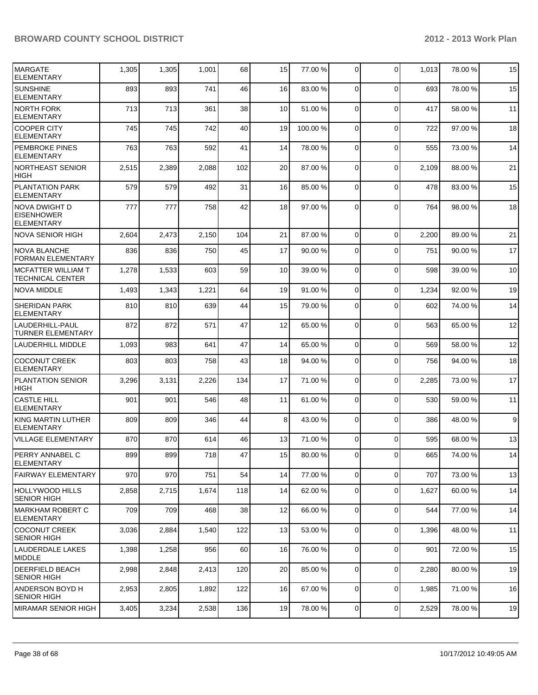| <b>MARGATE</b><br><b>ELEMENTARY</b>                     | 1,305 | 1,305 | 1,001 | 68  | 15 | 77.00 %  | 0              | $\Omega$         | 1,013 | 78.00 % | 15 |
|---------------------------------------------------------|-------|-------|-------|-----|----|----------|----------------|------------------|-------|---------|----|
| <b>SUNSHINE</b><br><b>ELEMENTARY</b>                    | 893   | 893   | 741   | 46  | 16 | 83.00 %  | 0              | $\Omega$         | 693   | 78.00 % | 15 |
| NORTH FORK<br><b>ELEMENTARY</b>                         | 713   | 713   | 361   | 38  | 10 | 51.00 %  | 0              | $\mathbf 0$      | 417   | 58.00 % | 11 |
| COOPER CITY<br><b>ELEMENTARY</b>                        | 745   | 745   | 742   | 40  | 19 | 100.00 % | 0              | $\Omega$         | 722   | 97.00 % | 18 |
| <b>PEMBROKE PINES</b><br><b>ELEMENTARY</b>              | 763   | 763   | 592   | 41  | 14 | 78.00 %  | 0              | $\Omega$         | 555   | 73.00 % | 14 |
| <b>NORTHEAST SENIOR</b><br> HIGH                        | 2,515 | 2,389 | 2,088 | 102 | 20 | 87.00 %  | 0              | $\Omega$         | 2,109 | 88.00 % | 21 |
| <b>PLANTATION PARK</b><br>ELEMENTARY                    | 579   | 579   | 492   | 31  | 16 | 85.00 %  | 0              | $\Omega$         | 478   | 83.00 % | 15 |
| NOVA DWIGHT D<br><b>EISENHOWER</b><br><b>ELEMENTARY</b> | 777   | 777   | 758   | 42  | 18 | 97.00 %  | $\Omega$       | $\Omega$         | 764   | 98.00 % | 18 |
| <b>NOVA SENIOR HIGH</b>                                 | 2,604 | 2,473 | 2,150 | 104 | 21 | 87.00 %  | $\mathbf 0$    | $\mathbf 0$      | 2,200 | 89.00 % | 21 |
| <b>NOVA BLANCHE</b><br><b>FORMAN ELEMENTARY</b>         | 836   | 836   | 750   | 45  | 17 | 90.00 %  | 0              | $\Omega$         | 751   | 90.00%  | 17 |
| <b>MCFATTER WILLIAM T</b><br><b>TECHNICAL CENTER</b>    | 1,278 | 1,533 | 603   | 59  | 10 | 39.00 %  | $\mathbf 0$    | $\Omega$         | 598   | 39.00 % | 10 |
| <b>NOVA MIDDLE</b>                                      | 1,493 | 1,343 | 1,221 | 64  | 19 | 91.00 %  | 0              | $\mathbf 0$      | 1,234 | 92.00 % | 19 |
| SHERIDAN PARK<br><b>ELEMENTARY</b>                      | 810   | 810   | 639   | 44  | 15 | 79.00 %  | 0              | $\Omega$         | 602   | 74.00 % | 14 |
| LAUDERHILL-PAUL<br><b>TURNER ELEMENTARY</b>             | 872   | 872   | 571   | 47  | 12 | 65.00 %  | $\Omega$       | $\Omega$         | 563   | 65.00 % | 12 |
| <b>LAUDERHILL MIDDLE</b>                                | 1,093 | 983   | 641   | 47  | 14 | 65.00 %  | $\mathbf 0$    | $\Omega$         | 569   | 58.00 % | 12 |
| <b>COCONUT CREEK</b><br><b>ELEMENTARY</b>               | 803   | 803   | 758   | 43  | 18 | 94.00 %  | 0              | $\Omega$         | 756   | 94.00 % | 18 |
| <b>PLANTATION SENIOR</b><br><b>HIGH</b>                 | 3,296 | 3,131 | 2,226 | 134 | 17 | 71.00 %  | $\mathbf 0$    | $\Omega$         | 2,285 | 73.00 % | 17 |
| <b>CASTLE HILL</b><br><b>ELEMENTARY</b>                 | 901   | 901   | 546   | 48  | 11 | 61.00 %  | 0              | $\Omega$         | 530   | 59.00 % | 11 |
| KING MARTIN LUTHER<br><b>ELEMENTARY</b>                 | 809   | 809   | 346   | 44  | 8  | 43.00 %  | $\Omega$       | $\Omega$         | 386   | 48.00 % | 9  |
| <b>VILLAGE ELEMENTARY</b>                               | 870   | 870   | 614   | 46  | 13 | 71.00 %  | 0              | $\Omega$         | 595   | 68.00 % | 13 |
| PERRY ANNABEL C<br><b>ELEMENTARY</b>                    | 899   | 899   | 718   | 47  | 15 | 80.00%   | $\overline{0}$ | $\boldsymbol{0}$ | 665   | 74.00%  | 14 |
| FAIRWAY ELEMENTARY                                      | 970   | 970   | 751   | 54  | 14 | 77.00 %  | $\overline{0}$ | $\mathbf 0$      | 707   | 73.00 % | 13 |
| HOLLYWOOD HILLS<br><b>SENIOR HIGH</b>                   | 2,858 | 2,715 | 1,674 | 118 | 14 | 62.00 %  | 0              | 0                | 1,627 | 60.00%  | 14 |
| <b>MARKHAM ROBERT C</b><br><b>ELEMENTARY</b>            | 709   | 709   | 468   | 38  | 12 | 66.00 %  | 0              | 0                | 544   | 77.00 % | 14 |
| <b>COCONUT CREEK</b><br><b>SENIOR HIGH</b>              | 3,036 | 2,884 | 1,540 | 122 | 13 | 53.00 %  | 0              | $\Omega$         | 1,396 | 48.00%  | 11 |
| LAUDERDALE LAKES<br><b>MIDDLE</b>                       | 1,398 | 1,258 | 956   | 60  | 16 | 76.00 %  | $\mathbf 0$    | $\mathbf 0$      | 901   | 72.00 % | 15 |
| <b>DEERFIELD BEACH</b><br><b>SENIOR HIGH</b>            | 2,998 | 2,848 | 2,413 | 120 | 20 | 85.00 %  | 0              | $\mathbf 0$      | 2,280 | 80.00%  | 19 |
| ANDERSON BOYD H<br><b>SENIOR HIGH</b>                   | 2,953 | 2,805 | 1,892 | 122 | 16 | 67.00 %  | 0              | $\mathbf 0$      | 1,985 | 71.00 % | 16 |
| MIRAMAR SENIOR HIGH                                     | 3,405 | 3,234 | 2,538 | 136 | 19 | 78.00 %  | $\overline{0}$ | $\pmb{0}$        | 2,529 | 78.00 % | 19 |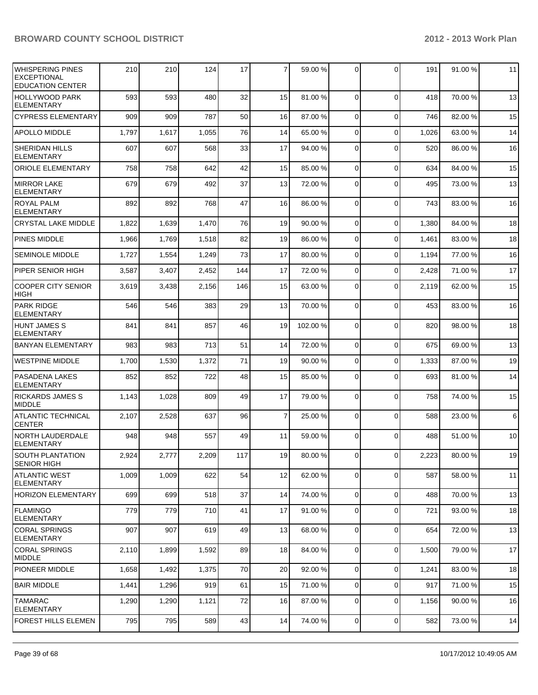| WHISPERING PINES<br><b>EXCEPTIONAL</b><br><b>EDUCATION CENTER</b> | 210   | 210   | 124   | 17  | $\overline{7}$ | 59.00 %  | $\Omega$       | $\Omega$    | 191   | 91.00%  | 11 |
|-------------------------------------------------------------------|-------|-------|-------|-----|----------------|----------|----------------|-------------|-------|---------|----|
| HOLLYWOOD PARK<br><b>ELEMENTARY</b>                               | 593   | 593   | 480   | 32  | 15             | 81.00 %  | $\Omega$       | $\Omega$    | 418   | 70.00%  | 13 |
| <b>CYPRESS ELEMENTARY</b>                                         | 909   | 909   | 787   | 50  | 16             | 87.00 %  | $\Omega$       | $\Omega$    | 746   | 82.00%  | 15 |
| <b>APOLLO MIDDLE</b>                                              | 1,797 | 1,617 | 1,055 | 76  | 14             | 65.00 %  | $\Omega$       | $\Omega$    | 1,026 | 63.00 % | 14 |
| <b>SHERIDAN HILLS</b><br><b>ELEMENTARY</b>                        | 607   | 607   | 568   | 33  | 17             | 94.00 %  | $\Omega$       | $\Omega$    | 520   | 86.00%  | 16 |
| <b>ORIOLE ELEMENTARY</b>                                          | 758   | 758   | 642   | 42  | 15             | 85.00 %  | $\Omega$       | $\mathbf 0$ | 634   | 84.00%  | 15 |
| <b>MIRROR LAKE</b><br><b>ELEMENTARY</b>                           | 679   | 679   | 492   | 37  | 13             | 72.00 %  | $\Omega$       | $\Omega$    | 495   | 73.00 % | 13 |
| <b>ROYAL PALM</b><br><b>ELEMENTARY</b>                            | 892   | 892   | 768   | 47  | 16             | 86.00 %  | $\Omega$       | $\Omega$    | 743   | 83.00 % | 16 |
| <b>CRYSTAL LAKE MIDDLE</b>                                        | 1,822 | 1,639 | 1,470 | 76  | 19             | 90.00 %  | $\Omega$       | $\Omega$    | 1,380 | 84.00%  | 18 |
| PINES MIDDLE                                                      | 1,966 | 1,769 | 1,518 | 82  | 19             | 86.00 %  | $\Omega$       | $\Omega$    | 1,461 | 83.00 % | 18 |
| <b>SEMINOLE MIDDLE</b>                                            | 1,727 | 1,554 | 1,249 | 73  | 17             | 80.00 %  | $\Omega$       | $\Omega$    | 1,194 | 77.00 % | 16 |
| PIPER SENIOR HIGH                                                 | 3,587 | 3,407 | 2,452 | 144 | 17             | 72.00 %  | $\Omega$       | $\Omega$    | 2,428 | 71.00%  | 17 |
| <b>COOPER CITY SENIOR</b><br><b>HIGH</b>                          | 3,619 | 3,438 | 2,156 | 146 | 15             | 63.00 %  | $\Omega$       | $\Omega$    | 2,119 | 62.00%  | 15 |
| <b>PARK RIDGE</b><br><b>ELEMENTARY</b>                            | 546   | 546   | 383   | 29  | 13             | 70.00 %  | $\Omega$       | $\Omega$    | 453   | 83.00 % | 16 |
| <b>HUNT JAMES S</b><br><b>ELEMENTARY</b>                          | 841   | 841   | 857   | 46  | 19             | 102.00 % | $\Omega$       | $\Omega$    | 820   | 98.00%  | 18 |
| <b>BANYAN ELEMENTARY</b>                                          | 983   | 983   | 713   | 51  | 14             | 72.00 %  | $\Omega$       | $\mathbf 0$ | 675   | 69.00%  | 13 |
| <b>WESTPINE MIDDLE</b>                                            | 1,700 | 1,530 | 1,372 | 71  | 19             | 90.00 %  | $\overline{0}$ | $\mathbf 0$ | 1,333 | 87.00 % | 19 |
| <b>PASADENA LAKES</b><br><b>ELEMENTARY</b>                        | 852   | 852   | 722   | 48  | 15             | 85.00 %  | $\Omega$       | $\Omega$    | 693   | 81.00%  | 14 |
| <b>RICKARDS JAMES S</b><br><b>MIDDLE</b>                          | 1,143 | 1,028 | 809   | 49  | 17             | 79.00 %  | $\Omega$       | $\Omega$    | 758   | 74.00%  | 15 |
| <b>ATLANTIC TECHNICAL</b><br><b>CENTER</b>                        | 2,107 | 2,528 | 637   | 96  | 7              | 25.00 %  | $\Omega$       | $\Omega$    | 588   | 23.00 % | 6  |
| <b>NORTH LAUDERDALE</b><br><b>ELEMENTARY</b>                      | 948   | 948   | 557   | 49  | 11             | 59.00 %  | $\Omega$       | $\Omega$    | 488   | 51.00%  | 10 |
| SOUTH PLANTATION<br><b>SENIOR HIGH</b>                            | 2,924 | 2,777 | 2,209 | 117 | 19             | 80.00 %  | $\overline{0}$ | 0           | 2,223 | 80.00%  | 19 |
| <b>ATLANTIC WEST</b><br><b>ELEMENTARY</b>                         | 1,009 | 1,009 | 622   | 54  | 12             | 62.00 %  | $\overline{0}$ | $\mathbf 0$ | 587   | 58.00 % | 11 |
| <b>HORIZON ELEMENTARY</b>                                         | 699   | 699   | 518   | 37  | 14             | 74.00 %  | $\overline{0}$ | $\mathbf 0$ | 488   | 70.00 % | 13 |
| FLAMINGO<br><b>ELEMENTARY</b>                                     | 779   | 779   | 710   | 41  | 17             | 91.00 %  | $\overline{0}$ | $\mathbf 0$ | 721   | 93.00 % | 18 |
| <b>CORAL SPRINGS</b><br>ELEMENTARY                                | 907   | 907   | 619   | 49  | 13             | 68.00 %  | $\overline{0}$ | $\mathbf 0$ | 654   | 72.00 % | 13 |
| <b>CORAL SPRINGS</b><br><b>MIDDLE</b>                             | 2,110 | 1,899 | 1,592 | 89  | 18             | 84.00 %  | $\overline{0}$ | $\mathbf 0$ | 1,500 | 79.00 % | 17 |
| <b>PIONEER MIDDLE</b>                                             | 1,658 | 1,492 | 1,375 | 70  | 20             | 92.00 %  | $\overline{0}$ | $\mathbf 0$ | 1,241 | 83.00 % | 18 |
| <b>BAIR MIDDLE</b>                                                | 1,441 | 1,296 | 919   | 61  | 15             | 71.00 %  | $\overline{0}$ | $\mathbf 0$ | 917   | 71.00 % | 15 |
| <b>TAMARAC</b><br><b>ELEMENTARY</b>                               | 1,290 | 1,290 | 1,121 | 72  | 16             | 87.00 %  | 0              | $\mathbf 0$ | 1,156 | 90.00%  | 16 |
| FOREST HILLS ELEMEN                                               | 795   | 795   | 589   | 43  | 14             | 74.00 %  | $\overline{0}$ | $\mathbf 0$ | 582   | 73.00%  | 14 |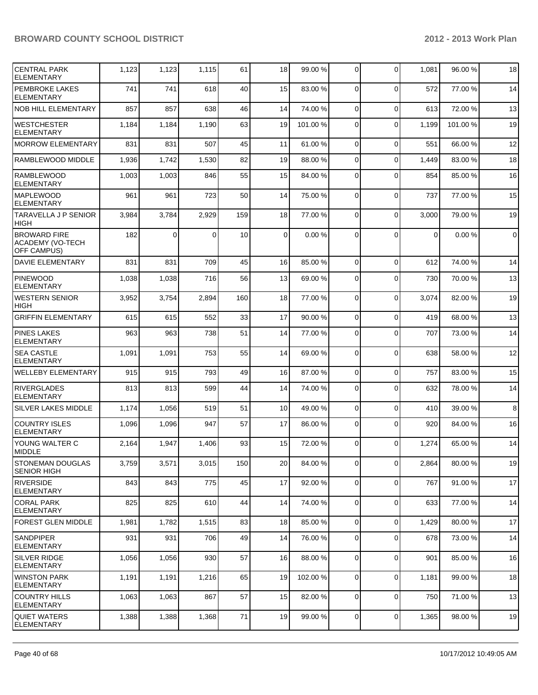| <b>CENTRAL PARK</b><br><b>ELEMENTARY</b>                      | 1,123 | 1,123    | 1,115 | 61  | 18       | 99.00 %  | $\overline{0}$ | $\Omega$    | 1,081          | 96.00%  | 18             |
|---------------------------------------------------------------|-------|----------|-------|-----|----------|----------|----------------|-------------|----------------|---------|----------------|
| <b>PEMBROKE LAKES</b><br><b>ELEMENTARY</b>                    | 741   | 741      | 618   | 40  | 15       | 83.00 %  | 0              | $\Omega$    | 572            | 77.00 % | 14             |
| <b>NOB HILL ELEMENTARY</b>                                    | 857   | 857      | 638   | 46  | 14       | 74.00 %  | $\Omega$       | $\mathbf 0$ | 613            | 72.00 % | 13             |
| <b>WESTCHESTER</b><br><b>ELEMENTARY</b>                       | 1,184 | 1,184    | 1,190 | 63  | 19       | 101.00 % | $\Omega$       | $\Omega$    | 1,199          | 101.00% | 19             |
| <b>MORROW ELEMENTARY</b>                                      | 831   | 831      | 507   | 45  | 11       | 61.00 %  | $\Omega$       | $\Omega$    | 551            | 66.00%  | 12             |
| RAMBLEWOOD MIDDLE                                             | 1,936 | 1,742    | 1,530 | 82  | 19       | 88.00 %  | $\Omega$       | $\Omega$    | 1,449          | 83.00%  | 18             |
| <b>RAMBLEWOOD</b><br><b>ELEMENTARY</b>                        | 1,003 | 1,003    | 846   | 55  | 15       | 84.00 %  | $\Omega$       | $\Omega$    | 854            | 85.00 % | 16             |
| <b>MAPLEWOOD</b><br><b>ELEMENTARY</b>                         | 961   | 961      | 723   | 50  | 14       | 75.00 %  | $\Omega$       | $\mathbf 0$ | 737            | 77.00 % | 15             |
| <b>TARAVELLA J P SENIOR</b><br><b>HIGH</b>                    | 3,984 | 3,784    | 2,929 | 159 | 18       | 77.00 %  | $\Omega$       | $\mathbf 0$ | 3,000          | 79.00 % | 19             |
| <b>BROWARD FIRE</b><br>ACADEMY (VO-TECH<br><b>OFF CAMPUS)</b> | 182   | $\Omega$ | 0     | 10  | $\Omega$ | 0.00%    | $\Omega$       | $\Omega$    | $\overline{0}$ | 0.00%   | $\overline{0}$ |
| <b>DAVIE ELEMENTARY</b>                                       | 831   | 831      | 709   | 45  | 16       | 85.00 %  | $\Omega$       | $\Omega$    | 612            | 74.00%  | 14             |
| PINEWOOD<br><b>ELEMENTARY</b>                                 | 1,038 | 1,038    | 716   | 56  | 13       | 69.00 %  | $\Omega$       | $\Omega$    | 730            | 70.00%  | 13             |
| <b>WESTERN SENIOR</b><br><b>HIGH</b>                          | 3,952 | 3,754    | 2,894 | 160 | 18       | 77.00 %  | $\Omega$       | $\mathbf 0$ | 3,074          | 82.00%  | 19             |
| <b>GRIFFIN ELEMENTARY</b>                                     | 615   | 615      | 552   | 33  | 17       | 90.00 %  | $\Omega$       | $\Omega$    | 419            | 68.00 % | 13             |
| <b>PINES LAKES</b><br><b>ELEMENTARY</b>                       | 963   | 963      | 738   | 51  | 14       | 77.00 %  | $\Omega$       | $\Omega$    | 707            | 73.00 % | 14             |
| <b>SEA CASTLE</b><br><b>ELEMENTARY</b>                        | 1,091 | 1,091    | 753   | 55  | 14       | 69.00 %  | $\Omega$       | $\Omega$    | 638            | 58.00 % | 12             |
| <b>WELLEBY ELEMENTARY</b>                                     | 915   | 915      | 793   | 49  | 16       | 87.00 %  | $\Omega$       | $\mathbf 0$ | 757            | 83.00 % | 15             |
| <b>RIVERGLADES</b><br><b>ELEMENTARY</b>                       | 813   | 813      | 599   | 44  | 14       | 74.00 %  | $\Omega$       | $\Omega$    | 632            | 78.00%  | 14             |
| <b>SILVER LAKES MIDDLE</b>                                    | 1,174 | 1,056    | 519   | 51  | 10       | 49.00 %  | $\overline{0}$ | $\mathbf 0$ | 410            | 39.00 % | 8              |
| <b>COUNTRY ISLES</b><br><b>ELEMENTARY</b>                     | 1,096 | 1,096    | 947   | 57  | 17       | 86.00 %  | $\Omega$       | $\Omega$    | 920            | 84.00 % | 16             |
| YOUNG WALTER C<br><b>IMIDDLE</b>                              | 2,164 | 1,947    | 1,406 | 93  | 15       | 72.00 %  | $\Omega$       | $\Omega$    | 1,274          | 65.00 % | 14             |
| <b>STONEMAN DOUGLAS</b><br><b>SENIOR HIGH</b>                 | 3,759 | 3,571    | 3,015 | 150 | 20       | 84.00 %  | $\overline{0}$ | 0           | 2,864          | 80.00 % | 19             |
| <b>RIVERSIDE</b><br><b>ELEMENTARY</b>                         | 843   | 843      | 775   | 45  | 17       | 92.00 %  | $\overline{0}$ | $\mathbf 0$ | 767            | 91.00%  | 17             |
| <b>CORAL PARK</b><br><b>ELEMENTARY</b>                        | 825   | 825      | 610   | 44  | 14       | 74.00 %  | $\overline{0}$ | $\mathbf 0$ | 633            | 77.00 % | 14             |
| <b>FOREST GLEN MIDDLE</b>                                     | 1,981 | 1,782    | 1,515 | 83  | 18       | 85.00 %  | $\overline{0}$ | $\mathbf 0$ | 1,429          | 80.00 % | 17             |
| <b>SANDPIPER</b><br><b>ELEMENTARY</b>                         | 931   | 931      | 706   | 49  | 14       | 76.00 %  | $\overline{0}$ | $\mathbf 0$ | 678            | 73.00 % | 14             |
| SILVER RIDGE<br><b>ELEMENTARY</b>                             | 1,056 | 1,056    | 930   | 57  | 16       | 88.00 %  | $\overline{0}$ | $\mathbf 0$ | 901            | 85.00 % | 16             |
| <b>WINSTON PARK</b><br><b>ELEMENTARY</b>                      | 1,191 | 1,191    | 1,216 | 65  | 19       | 102.00 % | $\overline{0}$ | $\mathbf 0$ | 1,181          | 99.00 % | 18             |
| <b>COUNTRY HILLS</b><br><b>ELEMENTARY</b>                     | 1,063 | 1,063    | 867   | 57  | 15       | 82.00 %  | $\overline{0}$ | $\mathbf 0$ | 750            | 71.00 % | 13             |
| <b>QUIET WATERS</b><br><b>ELEMENTARY</b>                      | 1,388 | 1,388    | 1,368 | 71  | 19       | 99.00 %  | $\overline{0}$ | $\mathbf 0$ | 1,365          | 98.00 % | 19             |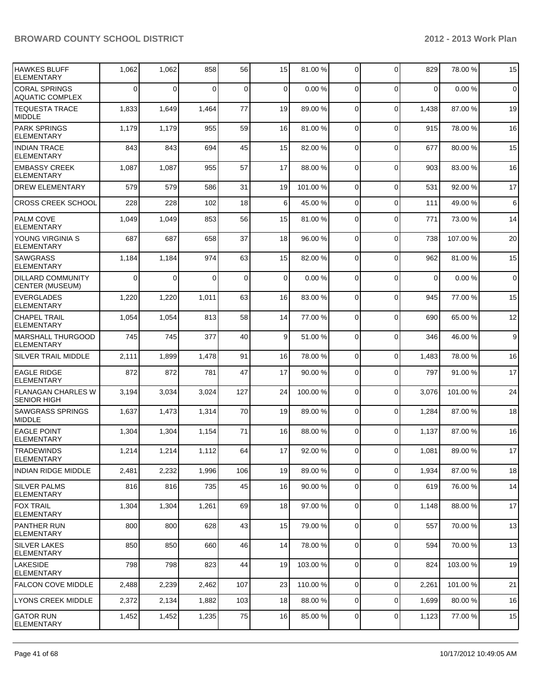| <b>HAWKES BLUFF</b><br><b>ELEMENTARY</b>           | 1,062    | 1,062       | 858   | 56          | 15 | 81.00 %  | 0              | $\Omega$    | 829         | 78.00 %  | 15          |
|----------------------------------------------------|----------|-------------|-------|-------------|----|----------|----------------|-------------|-------------|----------|-------------|
| <b>CORAL SPRINGS</b><br><b>AQUATIC COMPLEX</b>     | $\Omega$ | $\mathbf 0$ | 0     | $\mathbf 0$ | 0  | 0.00%    | 0              | $\Omega$    | 0           | 0.00%    | $\mathbf 0$ |
| <b>TEQUESTA TRACE</b><br><b>MIDDLE</b>             | 1,833    | 1,649       | 1,464 | 77          | 19 | 89.00 %  | 0              | $\Omega$    | 1,438       | 87.00 %  | 19          |
| <b>PARK SPRINGS</b><br><b>ELEMENTARY</b>           | 1,179    | 1,179       | 955   | 59          | 16 | 81.00 %  | 0              | $\Omega$    | 915         | 78.00 %  | 16          |
| <b>INDIAN TRACE</b><br><b>ELEMENTARY</b>           | 843      | 843         | 694   | 45          | 15 | 82.00 %  | 0              | $\Omega$    | 677         | 80.00%   | 15          |
| <b>EMBASSY CREEK</b><br><b>ELEMENTARY</b>          | 1,087    | 1,087       | 955   | 57          | 17 | 88.00 %  | $\Omega$       | $\Omega$    | 903         | 83.00 %  | 16          |
| DREW ELEMENTARY                                    | 579      | 579         | 586   | 31          | 19 | 101.00 % | 0              | $\mathbf 0$ | 531         | 92.00 %  | 17          |
| <b>CROSS CREEK SCHOOL</b>                          | 228      | 228         | 102   | 18          | 6  | 45.00 %  | 0              | $\mathbf 0$ | 111         | 49.00 %  | 6           |
| <b>PALM COVE</b><br><b>ELEMENTARY</b>              | 1,049    | 1,049       | 853   | 56          | 15 | 81.00 %  | 0              | $\mathbf 0$ | 771         | 73.00 %  | 14          |
| YOUNG VIRGINIA S<br>ELEMENTARY                     | 687      | 687         | 658   | 37          | 18 | 96.00 %  | 0              | $\Omega$    | 738         | 107.00%  | 20          |
| <b>SAWGRASS</b><br><b>ELEMENTARY</b>               | 1,184    | 1,184       | 974   | 63          | 15 | 82.00 %  | 0              | $\mathbf 0$ | 962         | 81.00%   | 15          |
| <b>DILLARD COMMUNITY</b><br><b>CENTER (MUSEUM)</b> | $\Omega$ | 0           | 0     | $\mathbf 0$ | 0  | 0.00%    | 0              | $\Omega$    | $\mathbf 0$ | 0.00%    | $\mathbf 0$ |
| <b>EVERGLADES</b><br><b>ELEMENTARY</b>             | 1,220    | 1,220       | 1,011 | 63          | 16 | 83.00 %  | $\mathbf 0$    | $\Omega$    | 945         | 77.00 %  | 15          |
| <b>CHAPEL TRAIL</b><br><b>ELEMENTARY</b>           | 1,054    | 1,054       | 813   | 58          | 14 | 77.00 %  | $\mathbf 0$    | $\Omega$    | 690         | 65.00 %  | 12          |
| <b>MARSHALL THURGOOD</b><br><b>ELEMENTARY</b>      | 745      | 745         | 377   | 40          | 9  | 51.00 %  | 0              | $\Omega$    | 346         | 46.00 %  | 9           |
| SILVER TRAIL MIDDLE                                | 2,111    | 1,899       | 1,478 | 91          | 16 | 78.00 %  | $\Omega$       | $\Omega$    | 1,483       | 78.00 %  | 16          |
| <b>EAGLE RIDGE</b><br><b>ELEMENTARY</b>            | 872      | 872         | 781   | 47          | 17 | 90.00 %  | $\Omega$       | $\Omega$    | 797         | 91.00 %  | 17          |
| <b>FLANAGAN CHARLES W</b><br><b>SENIOR HIGH</b>    | 3,194    | 3,034       | 3,024 | 127         | 24 | 100.00%  | $\mathbf 0$    | $\Omega$    | 3,076       | 101.00%  | 24          |
| <b>SAWGRASS SPRINGS</b><br><b>MIDDLE</b>           | 1,637    | 1,473       | 1,314 | 70          | 19 | 89.00 %  | $\mathbf 0$    | $\Omega$    | 1,284       | 87.00 %  | 18          |
| <b>EAGLE POINT</b><br><b>ELEMENTARY</b>            | 1,304    | 1,304       | 1,154 | 71          | 16 | 88.00 %  | $\Omega$       | $\Omega$    | 1,137       | 87.00 %  | 16          |
| <b>TRADEWINDS</b><br><b>ELEMENTARY</b>             | 1.214    | 1,214       | 1,112 | 64          | 17 | 92.00 %  | $\overline{0}$ | $\Omega$    | 1,081       | 89.00 %  | 17          |
| <b>INDIAN RIDGE MIDDLE</b>                         | 2,481    | 2,232       | 1,996 | 106         | 19 | 89.00 %  | $\overline{0}$ | $\mathbf 0$ | 1,934       | 87.00 %  | 18          |
| <b>SILVER PALMS</b><br>ELEMENTARY                  | 816      | 816         | 735   | 45          | 16 | 90.00 %  | $\overline{0}$ | $\mathbf 0$ | 619         | 76.00 %  | 14          |
| <b>FOX TRAIL</b><br><b>ELEMENTARY</b>              | 1,304    | 1,304       | 1,261 | 69          | 18 | 97.00 %  | $\mathbf 0$    | $\mathbf 0$ | 1,148       | 88.00 %  | 17          |
| <b>PANTHER RUN</b><br><b>ELEMENTARY</b>            | 800      | 800         | 628   | 43          | 15 | 79.00 %  | 0              | 0           | 557         | 70.00 %  | 13          |
| <b>SILVER LAKES</b><br><b>ELEMENTARY</b>           | 850      | 850         | 660   | 46          | 14 | 78.00 %  | 0              | $\mathbf 0$ | 594         | 70.00%   | 13          |
| <b>LAKESIDE</b><br><b>ELEMENTARY</b>               | 798      | 798         | 823   | 44          | 19 | 103.00%  | $\overline{0}$ | $\mathbf 0$ | 824         | 103.00 % | 19          |
| <b>FALCON COVE MIDDLE</b>                          | 2,488    | 2,239       | 2,462 | 107         | 23 | 110.00%  | 0              | $\mathbf 0$ | 2,261       | 101.00%  | 21          |
| LYONS CREEK MIDDLE                                 | 2,372    | 2,134       | 1,882 | 103         | 18 | 88.00 %  | 0              | $\mathbf 0$ | 1,699       | 80.00%   | 16          |
| <b>GATOR RUN</b><br><b>ELEMENTARY</b>              | 1,452    | 1,452       | 1,235 | 75          | 16 | 85.00 %  | 0              | $\mathbf 0$ | 1,123       | 77.00 %  | 15          |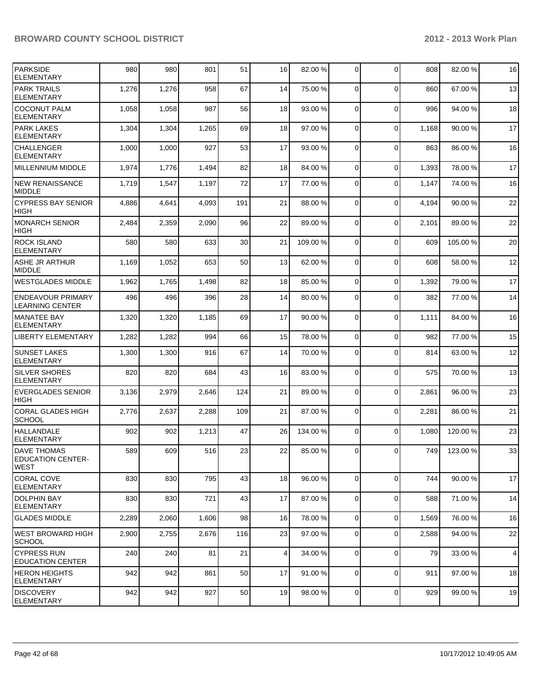| PARKSIDE<br><b>ELEMENTARY</b>                                 | 980   | 980   | 801   | 51  | 16 | 82.00 %  | $\overline{0}$ | $\Omega$       | 808   | 82.00 % | 16             |
|---------------------------------------------------------------|-------|-------|-------|-----|----|----------|----------------|----------------|-------|---------|----------------|
| <b>PARK TRAILS</b><br><b>ELEMENTARY</b>                       | 1,276 | 1,276 | 958   | 67  | 14 | 75.00 %  | $\Omega$       | $\Omega$       | 860   | 67.00 % | 13             |
| <b>COCONUT PALM</b><br><b>ELEMENTARY</b>                      | 1,058 | 1,058 | 987   | 56  | 18 | 93.00 %  | $\Omega$       | $\mathbf 0$    | 996   | 94.00%  | 18             |
| <b>PARK LAKES</b><br><b>ELEMENTARY</b>                        | 1,304 | 1,304 | 1,265 | 69  | 18 | 97.00 %  | $\Omega$       | $\mathbf 0$    | 1,168 | 90.00%  | 17             |
| <b>CHALLENGER</b><br><b>ELEMENTARY</b>                        | 1,000 | 1,000 | 927   | 53  | 17 | 93.00 %  | $\Omega$       | $\mathbf 0$    | 863   | 86.00 % | 16             |
| <b>MILLENNIUM MIDDLE</b>                                      | 1,974 | 1,776 | 1,494 | 82  | 18 | 84.00 %  | $\Omega$       | $\mathbf 0$    | 1,393 | 78.00 % | 17             |
| NEW RENAISSANCE<br><b>MIDDLE</b>                              | 1,719 | 1,547 | 1,197 | 72  | 17 | 77.00 %  | $\Omega$       | $\Omega$       | 1,147 | 74.00%  | 16             |
| <b>CYPRESS BAY SENIOR</b><br><b>HIGH</b>                      | 4,886 | 4,641 | 4,093 | 191 | 21 | 88.00 %  | $\Omega$       | $\mathbf 0$    | 4,194 | 90.00 % | 22             |
| <b>MONARCH SENIOR</b><br><b>HIGH</b>                          | 2,484 | 2,359 | 2,090 | 96  | 22 | 89.00 %  | $\Omega$       | $\mathbf 0$    | 2,101 | 89.00 % | 22             |
| <b>ROCK ISLAND</b><br><b>ELEMENTARY</b>                       | 580   | 580   | 633   | 30  | 21 | 109.00 % | $\Omega$       | $\mathbf 0$    | 609   | 105.00% | 20             |
| <b>ASHE JR ARTHUR</b><br><b>MIDDLE</b>                        | 1,169 | 1,052 | 653   | 50  | 13 | 62.00 %  | $\Omega$       | $\Omega$       | 608   | 58.00%  | 12             |
| <b>WESTGLADES MIDDLE</b>                                      | 1,962 | 1,765 | 1,498 | 82  | 18 | 85.00 %  | $\overline{0}$ | $\mathbf 0$    | 1,392 | 79.00%  | 17             |
| <b>ENDEAVOUR PRIMARY</b><br><b>LEARNING CENTER</b>            | 496   | 496   | 396   | 28  | 14 | 80.00 %  | $\overline{0}$ | $\Omega$       | 382   | 77.00 % | 14             |
| <b>MANATEE BAY</b><br><b>ELEMENTARY</b>                       | 1,320 | 1,320 | 1,185 | 69  | 17 | 90.00 %  | $\Omega$       | $\mathbf 0$    | 1,111 | 84.00 % | 16             |
| <b>LIBERTY ELEMENTARY</b>                                     | 1,282 | 1,282 | 994   | 66  | 15 | 78.00 %  | $\overline{0}$ | $\Omega$       | 982   | 77.00 % | 15             |
| <b>SUNSET LAKES</b><br><b>ELEMENTARY</b>                      | 1,300 | 1,300 | 916   | 67  | 14 | 70.00 %  | 0              | $\Omega$       | 814   | 63.00 % | 12             |
| <b>SILVER SHORES</b><br><b>ELEMENTARY</b>                     | 820   | 820   | 684   | 43  | 16 | 83.00 %  | $\Omega$       | $\mathbf 0$    | 575   | 70.00%  | 13             |
| <b>EVERGLADES SENIOR</b><br><b>HIGH</b>                       | 3,136 | 2,979 | 2,646 | 124 | 21 | 89.00 %  | $\overline{0}$ | $\mathbf 0$    | 2,861 | 96.00 % | 23             |
| <b>CORAL GLADES HIGH</b><br><b>SCHOOL</b>                     | 2,776 | 2,637 | 2,288 | 109 | 21 | 87.00 %  | 0              | $\mathbf 0$    | 2,281 | 86.00%  | 21             |
| <b>HALLANDALE</b><br><b>ELEMENTARY</b>                        | 902   | 902   | 1,213 | 47  | 26 | 134.00 % | $\Omega$       | $\Omega$       | 1,080 | 120.00% | 23             |
| <b>DAVE THOMAS</b><br><b>EDUCATION CENTER-</b><br><b>WEST</b> | 589   | 609   | 516   | 23  | 22 | 85.00 %  | $\overline{0}$ | $\overline{0}$ | 749   | 123.00% | 33             |
| <b>CORAL COVE</b><br><b>ELEMENTARY</b>                        | 830   | 830   | 795   | 43  | 18 | 96.00 %  | 0              | $\mathbf 0$    | 744   | 90.00 % | 17             |
| <b>DOLPHIN BAY</b><br> ELEMENTARY                             | 830   | 830   | 721   | 43  | 17 | 87.00 %  | $\overline{0}$ | $\mathbf 0$    | 588   | 71.00 % | 14             |
| <b>GLADES MIDDLE</b>                                          | 2,289 | 2,060 | 1,606 | 98  | 16 | 78.00 %  | $\overline{0}$ | $\mathbf 0$    | 1,569 | 76.00 % | 16             |
| WEST BROWARD HIGH<br><b>SCHOOL</b>                            | 2,900 | 2,755 | 2,676 | 116 | 23 | 97.00 %  | $\overline{0}$ | $\mathbf 0$    | 2,588 | 94.00 % | 22             |
| <b>CYPRESS RUN</b><br><b>EDUCATION CENTER</b>                 | 240   | 240   | 81    | 21  | 4  | 34.00 %  | 0              | $\mathbf 0$    | 79    | 33.00 % | $\overline{4}$ |
| <b>HERON HEIGHTS</b><br> ELEMENTARY                           | 942   | 942   | 861   | 50  | 17 | 91.00 %  | $\Omega$       | $\mathbf 0$    | 911   | 97.00 % | 18             |
| <b>DISCOVERY</b><br><b>ELEMENTARY</b>                         | 942   | 942   | 927   | 50  | 19 | 98.00 %  | $\overline{0}$ | $\mathbf 0$    | 929   | 99.00 % | 19             |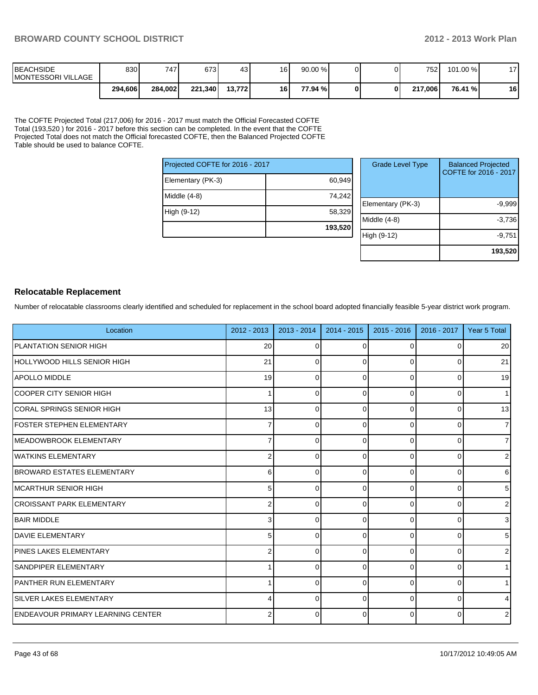| <b>IBEACHSIDE</b><br><b>IMONTESSORI VILLAGE</b> | 830     | 7471    | 673     | 43             | 16 | $90.00\%$ |  | 752     | 101.00 % | 17 |
|-------------------------------------------------|---------|---------|---------|----------------|----|-----------|--|---------|----------|----|
|                                                 | 294,606 | 284.002 | 221.340 | <b>13.7721</b> | 16 | 77.94 %I  |  | 217.006 | 76.41 %  | 16 |

The COFTE Projected Total (217,006) for 2016 - 2017 must match the Official Forecasted COFTE Total (193,520 ) for 2016 - 2017 before this section can be completed. In the event that the COFTE Projected Total does not match the Official forecasted COFTE, then the Balanced Projected COFTE Table should be used to balance COFTE.

| Projected COFTE for 2016 - 2017 |         |  |        |  |  |  |
|---------------------------------|---------|--|--------|--|--|--|
| Elementary (PK-3)               | 60,949  |  |        |  |  |  |
| Middle $(4-8)$                  | 74,242  |  | Eleme  |  |  |  |
| High (9-12)                     | 58,329  |  | Middle |  |  |  |
|                                 | 193,520 |  |        |  |  |  |

| <b>Grade Level Type</b> | <b>Balanced Projected</b><br>COFTE for 2016 - 2017 |
|-------------------------|----------------------------------------------------|
| Elementary (PK-3)       | $-9,999$                                           |
| Middle $(4-8)$          | $-3,736$                                           |
| High (9-12)             | $-9,751$                                           |
|                         | 193,520                                            |

#### **Relocatable Replacement**

Number of relocatable classrooms clearly identified and scheduled for replacement in the school board adopted financially feasible 5-year district work program.

| Location                                  | $2012 - 2013$  | $2013 - 2014$ | $2014 - 2015$ | $2015 - 2016$ | 2016 - 2017 | Year 5 Total   |
|-------------------------------------------|----------------|---------------|---------------|---------------|-------------|----------------|
| PLANTATION SENIOR HIGH                    | 20             | $\Omega$      | $\Omega$      | 0             | $\Omega$    | 20             |
| HOLLYWOOD HILLS SENIOR HIGH               | 21             | $\Omega$      | $\Omega$      | $\Omega$      | $\Omega$    | 21             |
| <b>APOLLO MIDDLE</b>                      | 19             | $\Omega$      | $\Omega$      | 0             | 0           | 19             |
| ICOOPER CITY SENIOR HIGH                  | 1              | O             | <sup>0</sup>  | $\Omega$      | 0           | 1              |
| CORAL SPRINGS SENIOR HIGH                 | 13             | $\Omega$      | $\Omega$      | $\Omega$      | $\Omega$    | 13             |
| <b>FOSTER STEPHEN ELEMENTARY</b>          |                |               | 0             | 0             | 0           | $\overline{7}$ |
| MEADOWBROOK ELEMENTARY                    | 7              | ∩             | U             | $\Omega$      | 0           | $\overline{7}$ |
| <b>I</b> WATKINS ELEMENTARY               | $\overline{2}$ | $\Omega$      | U             | $\Omega$      | 0           | $\overline{2}$ |
| <b>BROWARD ESTATES ELEMENTARY</b>         | 6              | $\Omega$      | $\Omega$      | $\Omega$      | 0           | 6              |
| IMCARTHUR SENIOR HIGH                     | 5              | $\Omega$      | $\Omega$      | $\Omega$      | 0           | 5              |
| ICROISSANT PARK ELEMENTARY                | $\overline{2}$ | $\Omega$      | $\Omega$      | $\Omega$      | 0           | $\overline{2}$ |
| <b>BAIR MIDDLE</b>                        | 3              | $\Omega$      | $\Omega$      | $\Omega$      | 0           | 3              |
| <b>DAVIE ELEMENTARY</b>                   | 5              | $\Omega$      | 0             | $\Omega$      | 0           | 5 <sup>5</sup> |
| <b>IPINES LAKES ELEMENTARY</b>            | 2              | $\Omega$      | $\Omega$      | 0             | 0           | $\overline{2}$ |
| ISANDPIPER ELEMENTARY                     |                | $\Omega$      | $\Omega$      | $\Omega$      | 0           | 1              |
| <b>IPANTHER RUN ELEMENTARY</b>            |                | $\Omega$      | $\Omega$      | $\Omega$      | 0           | 1              |
| <b>SILVER LAKES ELEMENTARY</b>            | 4              | $\Omega$      | $\Omega$      | $\Omega$      | 0           | $\overline{4}$ |
| <b>IENDEAVOUR PRIMARY LEARNING CENTER</b> | 2              | ∩             | U             | $\Omega$      | 0           | $\overline{2}$ |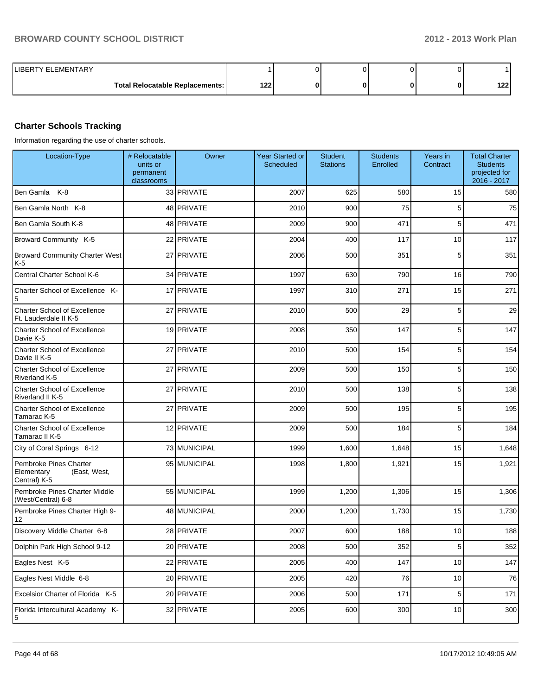| <b>ILIBERTY ELEMENTARY</b>             |     |  |  |      |
|----------------------------------------|-----|--|--|------|
| <b>Total Relocatable Replacements:</b> | 122 |  |  | 1221 |

#### **Charter Schools Tracking**

Information regarding the use of charter schools.

| Location-Type                                                        | # Relocatable<br>units or<br>permanent<br>classrooms | Owner        | <b>Year Started or</b><br>Scheduled | <b>Student</b><br><b>Stations</b> | <b>Students</b><br>Enrolled | Years in<br>Contract | <b>Total Charter</b><br><b>Students</b><br>projected for<br>2016 - 2017 |
|----------------------------------------------------------------------|------------------------------------------------------|--------------|-------------------------------------|-----------------------------------|-----------------------------|----------------------|-------------------------------------------------------------------------|
| Ben Gamla K-8                                                        |                                                      | 33 PRIVATE   | 2007                                | 625                               | 580                         | 15                   | 580                                                                     |
| Ben Gamla North K-8                                                  |                                                      | 48 PRIVATE   | 2010                                | 900                               | 75                          | 5                    | 75                                                                      |
| Ben Gamla South K-8                                                  |                                                      | 48 PRIVATE   | 2009                                | 900                               | 471                         | 5                    | 471                                                                     |
| Broward Community K-5                                                |                                                      | 22 PRIVATE   | 2004                                | 400                               | 117                         | 10                   | 117                                                                     |
| <b>Broward Community Charter West</b><br>K-5                         |                                                      | 27 PRIVATE   | 2006                                | 500                               | 351                         | 5                    | 351                                                                     |
| Central Charter School K-6                                           |                                                      | 34 PRIVATE   | 1997                                | 630                               | 790                         | 16                   | 790                                                                     |
| Charter School of Excellence K-<br>5                                 |                                                      | 17 PRIVATE   | 1997                                | 310                               | 271                         | 15                   | 271                                                                     |
| <b>Charter School of Excellence</b><br>Ft. Lauderdale II K-5         |                                                      | 27 PRIVATE   | 2010                                | 500                               | 29                          | 5                    | 29                                                                      |
| Charter School of Excellence<br>Davie K-5                            |                                                      | 19 PRIVATE   | 2008                                | 350                               | 147                         | 5                    | 147                                                                     |
| <b>Charter School of Excellence</b><br>Davie II K-5                  |                                                      | 27 PRIVATE   | 2010                                | 500                               | 154                         | 5                    | 154                                                                     |
| Charter School of Excellence<br>Riverland K-5                        |                                                      | 27 PRIVATE   | 2009                                | 500                               | 150                         | 5                    | 150                                                                     |
| Charter School of Excellence<br>Riverland II K-5                     |                                                      | 27 PRIVATE   | 2010                                | 500                               | 138                         | 5                    | 138                                                                     |
| <b>Charter School of Excellence</b><br>Tamarac K-5                   |                                                      | 27 PRIVATE   | 2009                                | 500                               | 195                         | 5                    | 195                                                                     |
| <b>Charter School of Excellence</b><br>Tamarac II K-5                |                                                      | 12 PRIVATE   | 2009                                | 500                               | 184                         | 5                    | 184                                                                     |
| City of Coral Springs 6-12                                           |                                                      | 73 MUNICIPAL | 1999                                | 1,600                             | 1,648                       | 15                   | 1,648                                                                   |
| Pembroke Pines Charter<br>Elementary<br>(East, West,<br>Central) K-5 |                                                      | 95 MUNICIPAL | 1998                                | 1,800                             | 1,921                       | 15                   | 1,921                                                                   |
| Pembroke Pines Charter Middle<br>(West/Central) 6-8                  |                                                      | 55 MUNICIPAL | 1999                                | 1,200                             | 1,306                       | 15                   | 1,306                                                                   |
| Pembroke Pines Charter High 9-<br>12                                 |                                                      | 48 MUNICIPAL | 2000                                | 1,200                             | 1,730                       | 15                   | 1,730                                                                   |
| Discovery Middle Charter 6-8                                         |                                                      | 28 PRIVATE   | 2007                                | 600                               | 188                         | 10                   | 188                                                                     |
| Dolphin Park High School 9-12                                        |                                                      | 20 PRIVATE   | 2008                                | 500                               | 352                         | $5\vert$             | 352                                                                     |
| Eagles Nest K-5                                                      |                                                      | 22 PRIVATE   | 2005                                | 400                               | 147                         | 10                   | 147                                                                     |
| Eagles Nest Middle 6-8                                               |                                                      | 20 PRIVATE   | 2005                                | 420                               | 76                          | 10                   | 76                                                                      |
| Excelsior Charter of Florida K-5                                     |                                                      | 20 PRIVATE   | 2006                                | 500                               | 171                         | $\sqrt{5}$           | 171                                                                     |
| Florida Intercultural Academy K-<br>$\sqrt{5}$                       |                                                      | 32 PRIVATE   | 2005                                | 600                               | 300                         | 10                   | 300                                                                     |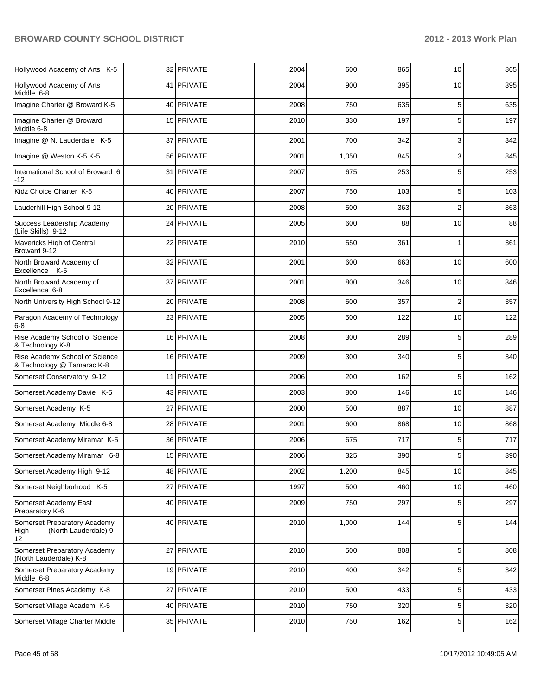| Hollywood Academy of Arts K-5                                                    | 32 PRIVATE | 2004 | 600   | 865 | 10              | 865 |
|----------------------------------------------------------------------------------|------------|------|-------|-----|-----------------|-----|
| Hollywood Academy of Arts<br>Middle 6-8                                          | 41 PRIVATE | 2004 | 900   | 395 | 10              | 395 |
| Imagine Charter @ Broward K-5                                                    | 40 PRIVATE | 2008 | 750   | 635 | 5               | 635 |
| Imagine Charter @ Broward<br>Middle 6-8                                          | 15 PRIVATE | 2010 | 330   | 197 | 5               | 197 |
| Imagine @ N. Lauderdale K-5                                                      | 37 PRIVATE | 2001 | 700   | 342 | $\overline{3}$  | 342 |
| Imagine @ Weston K-5 K-5                                                         | 56 PRIVATE | 2001 | 1,050 | 845 | 3               | 845 |
| International School of Broward 6<br>-12                                         | 31 PRIVATE | 2007 | 675   | 253 | 5               | 253 |
| Kidz Choice Charter K-5                                                          | 40 PRIVATE | 2007 | 750   | 103 | 5               | 103 |
| Lauderhill High School 9-12                                                      | 20 PRIVATE | 2008 | 500   | 363 | 2               | 363 |
| Success Leadership Academy<br>(Life Skills) 9-12                                 | 24 PRIVATE | 2005 | 600   | 88  | 10              | 88  |
| Mavericks High of Central<br>Broward 9-12                                        | 22 PRIVATE | 2010 | 550   | 361 | 1               | 361 |
| North Broward Academy of<br>Excellence K-5                                       | 32 PRIVATE | 2001 | 600   | 663 | 10              | 600 |
| North Broward Academy of<br>Excellence 6-8                                       | 37 PRIVATE | 2001 | 800   | 346 | 10              | 346 |
| North University High School 9-12                                                | 20 PRIVATE | 2008 | 500   | 357 | 2               | 357 |
| Paragon Academy of Technology<br>6-8                                             | 23 PRIVATE | 2005 | 500   | 122 | 10              | 122 |
| Rise Academy School of Science<br>& Technology K-8                               | 16 PRIVATE | 2008 | 300   | 289 | 5               | 289 |
| Rise Academy School of Science<br>& Technology @ Tamarac K-8                     | 16 PRIVATE | 2009 | 300   | 340 | 5               | 340 |
| Somerset Conservatory 9-12                                                       | 11 PRIVATE | 2006 | 200   | 162 | 5               | 162 |
| Somerset Academy Davie K-5                                                       | 43 PRIVATE | 2003 | 800   | 146 | 10              | 146 |
| Somerset Academy K-5                                                             | 27 PRIVATE | 2000 | 500   | 887 | 10              | 887 |
| Somerset Academy Middle 6-8                                                      | 28 PRIVATE | 2001 | 600   | 868 | 10              | 868 |
| Somerset Academy Miramar K-5                                                     | 36 PRIVATE | 2006 | 675   | 717 | 5               | 717 |
| Somerset Academy Miramar 6-8                                                     | 15 PRIVATE | 2006 | 325   | 390 | 5               | 390 |
| Somerset Academy High 9-12                                                       | 48 PRIVATE | 2002 | 1,200 | 845 | 10              | 845 |
| Somerset Neighborhood K-5                                                        | 27 PRIVATE | 1997 | 500   | 460 | 10              | 460 |
| Somerset Academy East<br>Preparatory K-6                                         | 40 PRIVATE | 2009 | 750   | 297 | 5 <sub>5</sub>  | 297 |
| Somerset Preparatory Academy<br>(North Lauderdale) 9-<br>High<br>12 <sup>°</sup> | 40 PRIVATE | 2010 | 1,000 | 144 | 5 <sub>5</sub>  | 144 |
| Somerset Preparatory Academy<br>(North Lauderdale) K-8                           | 27 PRIVATE | 2010 | 500   | 808 | 5 <sub>5</sub>  | 808 |
| Somerset Preparatory Academy<br>Middle 6-8                                       | 19 PRIVATE | 2010 | 400   | 342 | 5 <sub>5</sub>  | 342 |
| Somerset Pines Academy K-8                                                       | 27 PRIVATE | 2010 | 500   | 433 | $5\overline{)}$ | 433 |
| Somerset Village Academ K-5                                                      | 40 PRIVATE | 2010 | 750   | 320 | $5\overline{)}$ | 320 |
| Somerset Village Charter Middle                                                  | 35 PRIVATE | 2010 | 750   | 162 | $5\overline{)}$ | 162 |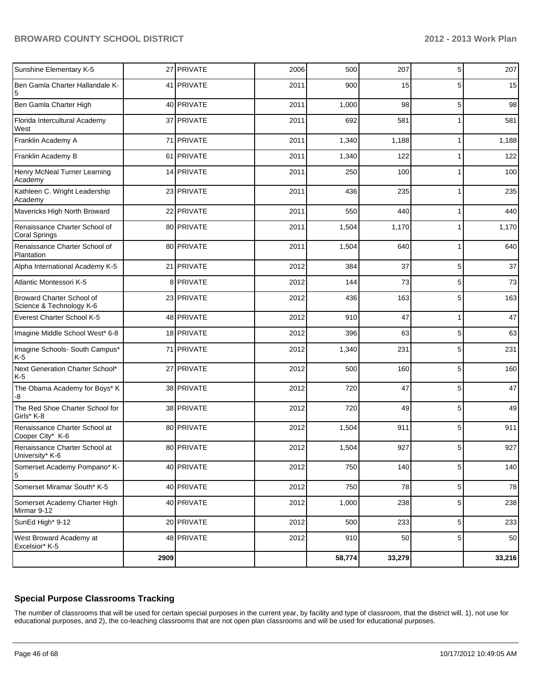|                                                       | 2909 |            |      | 58,774 | 33,279 |   | 33,216 |
|-------------------------------------------------------|------|------------|------|--------|--------|---|--------|
| West Broward Academy at<br>Excelsior* K-5             |      | 48 PRIVATE | 2012 | 910    | 50     | 5 | 50     |
| SunEd High* 9-12                                      |      | 20 PRIVATE | 2012 | 500    | 233    | 5 | 233    |
| Somerset Academy Charter High<br>Mirmar 9-12          |      | 40 PRIVATE | 2012 | 1,000  | 238    | 5 | 238    |
| Somerset Miramar South* K-5                           |      | 40 PRIVATE | 2012 | 750    | 78     | 5 | 78     |
| Somerset Academy Pompano* K-<br>5                     |      | 40 PRIVATE | 2012 | 750    | 140    | 5 | 140    |
| Renaissance Charter School at<br>University* K-6      |      | 80 PRIVATE | 2012 | 1,504  | 927    | 5 | 927    |
| Renaissance Charter School at<br>Cooper City* K-6     |      | 80 PRIVATE | 2012 | 1,504  | 911    | 5 | 911    |
| The Red Shoe Charter School for<br>Girls* K-8         |      | 38 PRIVATE | 2012 | 720    | 49     | 5 | 49     |
| The Obama Academy for Boys* K<br>-8                   |      | 38 PRIVATE | 2012 | 720    | 47     | 5 | 47     |
| Next Generation Charter School*<br>$K-5$              |      | 27 PRIVATE | 2012 | 500    | 160    | 5 | 160    |
| Imagine Schools- South Campus*<br>$K-5$               |      | 71 PRIVATE | 2012 | 1,340  | 231    | 5 | 231    |
| Imagine Middle School West* 6-8                       |      | 18 PRIVATE | 2012 | 396    | 63     | 5 | 63     |
| Everest Charter School K-5                            |      | 48 PRIVATE | 2012 | 910    | 47     | 1 | 47     |
| Broward Charter School of<br>Science & Technology K-6 |      | 23 PRIVATE | 2012 | 436    | 163    | 5 | 163    |
| Atlantic Montessori K-5                               |      | 8 PRIVATE  | 2012 | 144    | 73     | 5 | 73     |
| Alpha International Academy K-5                       | 21   | PRIVATE    | 2012 | 384    | 37     | 5 | 37     |
| Renaissance Charter School of<br>Plantation           |      | 80 PRIVATE | 2011 | 1,504  | 640    | 1 | 640    |
| Renaissance Charter School of<br><b>Coral Springs</b> |      | 80 PRIVATE | 2011 | 1,504  | 1,170  |   | 1,170  |
| Mavericks High North Broward                          |      | 22 PRIVATE | 2011 | 550    | 440    | 1 | 440    |
| Kathleen C. Wright Leadership<br>Academy              |      | 23 PRIVATE | 2011 | 436    | 235    |   | 235    |
| Henry McNeal Turner Learning<br>Academy               |      | 14 PRIVATE | 2011 | 250    | 100    | 1 | 100    |
| Franklin Academy B                                    |      | 61 PRIVATE | 2011 | 1,340  | 122    |   | 122    |
| Franklin Academy A                                    | 71   | PRIVATE    | 2011 | 1,340  | 1,188  | 1 | 1,188  |
| Florida Intercultural Academy<br>West                 |      | 37 PRIVATE | 2011 | 692    | 581    |   | 581    |
| Ben Gamla Charter High                                |      | 40 PRIVATE | 2011 | 1,000  | 98     | 5 | 98     |
| Ben Gamla Charter Hallandale K-<br>5                  |      | 41 PRIVATE | 2011 | 900    | 15     | 5 | 15     |
| Sunshine Elementary K-5                               |      | 27 PRIVATE | 2006 | 500    | 207    | 5 | 207    |

#### **Special Purpose Classrooms Tracking**

The number of classrooms that will be used for certain special purposes in the current year, by facility and type of classroom, that the district will, 1), not use for educational purposes, and 2), the co-teaching classrooms that are not open plan classrooms and will be used for educational purposes.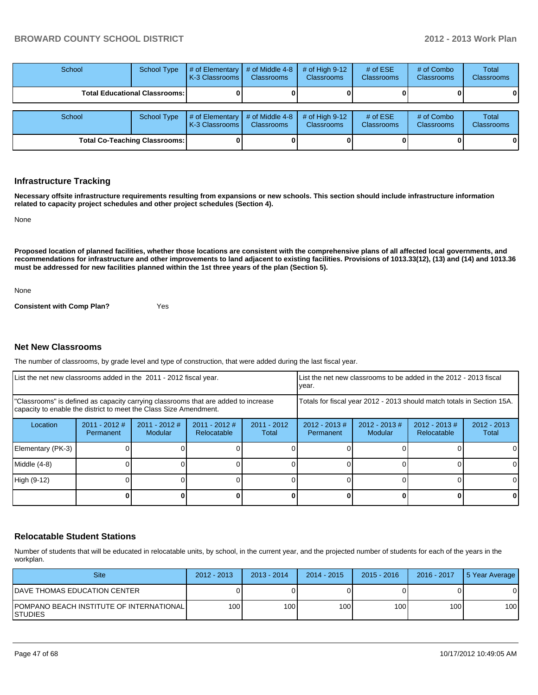| School | <b>School Type</b>                     | # of Elementary<br>I K-3 Classrooms I | # of Middle 4-8<br><b>Classrooms</b> | # of High $9-12$<br><b>Classrooms</b> | # of $ESE$<br>Classrooms | # of Combo<br><b>Classrooms</b> | <b>Total</b><br><b>Classrooms</b> |
|--------|----------------------------------------|---------------------------------------|--------------------------------------|---------------------------------------|--------------------------|---------------------------------|-----------------------------------|
|        | <b>Total Educational Classrooms: I</b> |                                       |                                      |                                       |                          |                                 |                                   |
| School | <b>School Type</b>                     | # of Elementary<br>I K-3 Classrooms I | # of Middle 4-8<br><b>Classrooms</b> | # of High $9-12$<br><b>Classrooms</b> | # of $ESE$<br>Classrooms | # of Combo<br><b>Classrooms</b> | <b>Total</b><br><b>Classrooms</b> |
|        | <b>Total Co-Teaching Classrooms:</b>   |                                       |                                      |                                       |                          |                                 |                                   |

#### **Infrastructure Tracking**

**Necessary offsite infrastructure requirements resulting from expansions or new schools. This section should include infrastructure information related to capacity project schedules and other project schedules (Section 4).**

None

**Proposed location of planned facilities, whether those locations are consistent with the comprehensive plans of all affected local governments, and recommendations for infrastructure and other improvements to land adjacent to existing facilities. Provisions of 1013.33(12), (13) and (14) and 1013.36 must be addressed for new facilities planned within the 1st three years of the plan (Section 5).**

None

**Consistent with Comp Plan?** Yes

#### **Net New Classrooms**

The number of classrooms, by grade level and type of construction, that were added during the last fiscal year.

| List the net new classrooms added in the 2011 - 2012 fiscal year.<br>Ivear.                                                                             |                                                                        |                            |                                |                        |                              | List the net new classrooms to be added in the 2012 - 2013 fiscal |  |          |
|---------------------------------------------------------------------------------------------------------------------------------------------------------|------------------------------------------------------------------------|----------------------------|--------------------------------|------------------------|------------------------------|-------------------------------------------------------------------|--|----------|
| "Classrooms" is defined as capacity carrying classrooms that are added to increase<br>capacity to enable the district to meet the Class Size Amendment. | Totals for fiscal year 2012 - 2013 should match totals in Section 15A. |                            |                                |                        |                              |                                                                   |  |          |
| Location                                                                                                                                                | $2011 - 2012$ #<br>Permanent                                           | $2011 - 2012$ #<br>Modular | $2011 - 2012$ #<br>Relocatable | $2011 - 2012$<br>Total | $2012 - 2013$ #<br>Permanent | $2012 - 2013$<br>Total                                            |  |          |
| Elementary (PK-3)                                                                                                                                       |                                                                        |                            |                                |                        |                              |                                                                   |  | 0        |
| Middle (4-8)                                                                                                                                            |                                                                        |                            |                                |                        |                              |                                                                   |  | 0        |
| High (9-12)                                                                                                                                             |                                                                        |                            |                                |                        |                              |                                                                   |  | $\Omega$ |
|                                                                                                                                                         |                                                                        |                            |                                |                        |                              |                                                                   |  | 0        |

#### **Relocatable Student Stations**

Number of students that will be educated in relocatable units, by school, in the current year, and the projected number of students for each of the years in the workplan.

| <b>Site</b>                                             | $2012 - 2013$ | $2013 - 2014$ | $2014 - 2015$ | $2015 - 2016$    | $2016 - 2017$ | 15 Year Average |
|---------------------------------------------------------|---------------|---------------|---------------|------------------|---------------|-----------------|
| IDAVE THOMAS EDUCATION CENTER                           |               |               |               |                  |               |                 |
| IPOMPANO BEACH INSTITUTE OF INTERNATIONAL I<br>ISTUDIES | 100           | 100 I         | 100 I         | 100 <sub>1</sub> | 100 l         | 100             |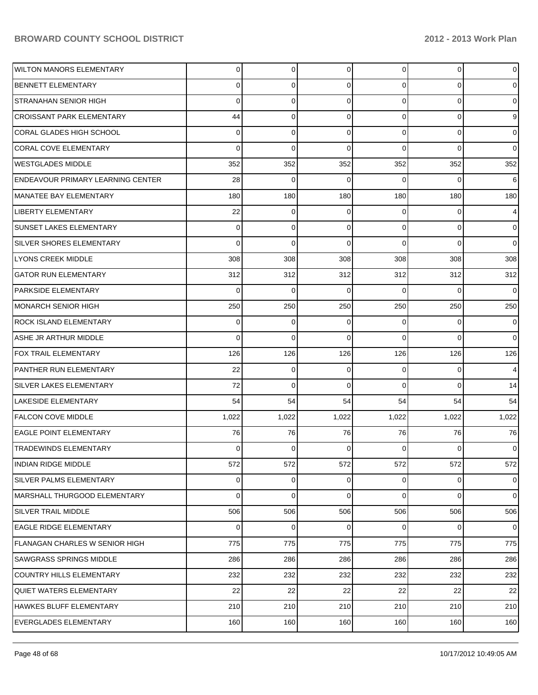| WILTON MANORS ELEMENTARY                 | 0        | $\overline{0}$ | $\overline{0}$ | $\Omega$ | $\overline{0}$ | $\mathbf 0$    |
|------------------------------------------|----------|----------------|----------------|----------|----------------|----------------|
| <b>BENNETT ELEMENTARY</b>                | 0        | $\Omega$       | $\Omega$       | 0        | $\overline{0}$ | $\overline{0}$ |
| <b>STRANAHAN SENIOR HIGH</b>             | $\Omega$ | $\Omega$       | $\Omega$       | $\Omega$ | $\overline{0}$ | $\overline{0}$ |
| <b>CROISSANT PARK ELEMENTARY</b>         | 44       | $\Omega$       | $\Omega$       | $\Omega$ | $\overline{0}$ | 9              |
| <b>CORAL GLADES HIGH SCHOOL</b>          | $\Omega$ | $\Omega$       | $\Omega$       | $\Omega$ | $\overline{0}$ | $\overline{0}$ |
| <b>CORAL COVE ELEMENTARY</b>             | $\Omega$ | $\Omega$       | $\Omega$       | $\Omega$ | $\Omega$       | $\overline{0}$ |
| <b>WESTGLADES MIDDLE</b>                 | 352      | 352            | 352            | 352      | 352            | 352            |
| <b>ENDEAVOUR PRIMARY LEARNING CENTER</b> | 28       | $\Omega$       | $\Omega$       | 0        | $\Omega$       | 6              |
| MANATEE BAY ELEMENTARY                   | 180      | 180            | 180            | 180      | 180            | 180            |
| <b>LIBERTY ELEMENTARY</b>                | 22       | 0              | $\Omega$       | $\Omega$ | $\overline{0}$ | $\overline{4}$ |
| <b>SUNSET LAKES ELEMENTARY</b>           | 0        | $\Omega$       | $\Omega$       | $\Omega$ | $\overline{0}$ | $\overline{0}$ |
| <b>SILVER SHORES ELEMENTARY</b>          | $\Omega$ | $\Omega$       | $\Omega$       | $\Omega$ | $\Omega$       | $\overline{0}$ |
| LYONS CREEK MIDDLE                       | 308      | 308            | 308            | 308      | 308            | 308            |
| <b>GATOR RUN ELEMENTARY</b>              | 312      | 312            | 312            | 312      | 312            | 312            |
| <b>PARKSIDE ELEMENTARY</b>               | 0        | $\Omega$       | $\Omega$       | $\Omega$ | $\Omega$       | $\overline{0}$ |
| MONARCH SENIOR HIGH                      | 250      | 250            | 250            | 250      | 250            | 250            |
| <b>ROCK ISLAND ELEMENTARY</b>            | 0        | $\Omega$       | $\Omega$       | 0        | $\Omega$       | $\overline{0}$ |
| ASHE JR ARTHUR MIDDLE                    | $\Omega$ | $\Omega$       | $\Omega$       | $\Omega$ | $\Omega$       | $\overline{0}$ |
| <b>FOX TRAIL ELEMENTARY</b>              | 126      | 126            | 126            | 126      | 126            | 126            |
| PANTHER RUN ELEMENTARY                   | 22       | $\Omega$       | $\Omega$       | $\Omega$ | $\overline{0}$ | 4              |
| <b>SILVER LAKES ELEMENTARY</b>           | 72       | $\Omega$       | $\Omega$       | $\Omega$ | $\Omega$       | 14             |
| <b>LAKESIDE ELEMENTARY</b>               | 54       | 54             | 54             | 54       | 54             | 54             |
| <b>FALCON COVE MIDDLE</b>                | 1,022    | 1,022          | 1,022          | 1,022    | 1,022          | 1,022          |
| <b>EAGLE POINT ELEMENTARY</b>            | 76       | 76             | 76             | 76       | 76             | 76             |
| <b>TRADEWINDS ELEMENTARY</b>             | $\Omega$ | 0              | $\Omega$       | 0        | $\Omega$       | $\overline{0}$ |
| <b>INDIAN RIDGE MIDDLE</b>               | 572      | 572            | 572            | 572      | 572            | 572            |
| <b>SILVER PALMS ELEMENTARY</b>           | 0        | $\Omega$       | 0              | $\Omega$ | $\overline{0}$ | $\overline{0}$ |
| MARSHALL THURGOOD ELEMENTARY             | $\Omega$ | $\Omega$       | $\Omega$       | $\Omega$ | $\overline{0}$ | $\overline{0}$ |
| SILVER TRAIL MIDDLE                      | 506      | 506            | 506            | 506      | 506            | 506            |
| <b>EAGLE RIDGE ELEMENTARY</b>            | 0        | $\Omega$       | $\Omega$       | $\Omega$ | $\overline{0}$ | $\overline{0}$ |
| <b>FLANAGAN CHARLES W SENIOR HIGH</b>    | 775      | 775            | 775            | 775      | 775            | 775            |
| <b>SAWGRASS SPRINGS MIDDLE</b>           | 286      | 286            | 286            | 286      | 286            | 286            |
| <b>COUNTRY HILLS ELEMENTARY</b>          | 232      | 232            | 232            | 232      | 232            | 232            |
| <b>QUIET WATERS ELEMENTARY</b>           | 22       | 22             | 22             | 22       | 22             | 22             |
| <b>HAWKES BLUFF ELEMENTARY</b>           | 210      | 210            | 210            | 210      | 210            | 210            |
| <b>EVERGLADES ELEMENTARY</b>             | 160      | 160            | 160            | 160      | 160            | 160            |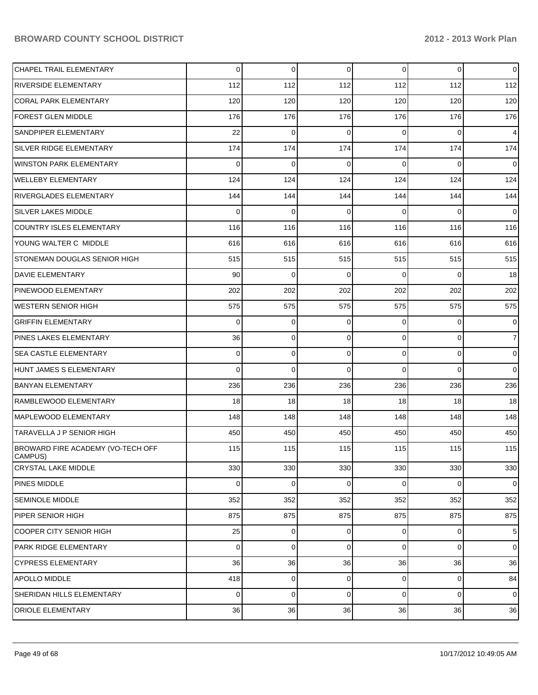| CHAPEL TRAIL ELEMENTARY                      | 0   | $\Omega$ | $\overline{0}$ | 0              | $\overline{0}$ | $\mathbf 0$    |
|----------------------------------------------|-----|----------|----------------|----------------|----------------|----------------|
| RIVERSIDE ELEMENTARY                         | 112 | 112      | 112            | 112            | 112            | 112            |
| <b>CORAL PARK ELEMENTARY</b>                 | 120 | 120      | 120            | 120            | 120            | 120            |
| FOREST GLEN MIDDLE                           | 176 | 176      | 176            | 176            | 176            | 176            |
| SANDPIPER ELEMENTARY                         | 22  | 0        | $\Omega$       | 0              | 0              | 4              |
| SILVER RIDGE ELEMENTARY                      | 174 | 174      | 174            | 174            | 174            | 174            |
| <b>WINSTON PARK ELEMENTARY</b>               | 0   | 0        | $\Omega$       | 0              | 0              | 0              |
| <b>WELLEBY ELEMENTARY</b>                    | 124 | 124      | 124            | 124            | 124            | 124            |
| <b>RIVERGLADES ELEMENTARY</b>                | 144 | 144      | 144            | 144            | 144            | 144            |
| SILVER LAKES MIDDLE                          | 0   | 0        | 0              | 0              | 0              | 0              |
| <b>COUNTRY ISLES ELEMENTARY</b>              | 116 | 116      | 116            | 116            | 116            | 116            |
| YOUNG WALTER C MIDDLE                        | 616 | 616      | 616            | 616            | 616            | 616            |
| STONEMAN DOUGLAS SENIOR HIGH                 | 515 | 515      | 515            | 515            | 515            | 515            |
| <b>DAVIE ELEMENTARY</b>                      | 90  | 0        | $\Omega$       | 0              | 0              | 18             |
| PINEWOOD ELEMENTARY                          | 202 | 202      | 202            | 202            | 202            | 202            |
| <b>WESTERN SENIOR HIGH</b>                   | 575 | 575      | 575            | 575            | 575            | 575            |
| <b>GRIFFIN ELEMENTARY</b>                    | 0   | 0        | $\Omega$       | 0              | 0              | 0              |
| PINES LAKES ELEMENTARY                       | 36  | 0        | 0              | 0              | $\overline{0}$ | $\overline{7}$ |
| <b>SEA CASTLE ELEMENTARY</b>                 | 0   | 0        | 0              | 0              | 0              | 0              |
| HUNT JAMES S ELEMENTARY                      | 0   | 0        | $\Omega$       | 0              | 0              | 0              |
| <b>BANYAN ELEMENTARY</b>                     | 236 | 236      | 236            | 236            | 236            | 236            |
| RAMBLEWOOD ELEMENTARY                        | 18  | 18       | 18             | 18             | 18             | 18             |
| MAPLEWOOD ELEMENTARY                         | 148 | 148      | 148            | 148            | 148            | 148            |
| TARAVELLA J P SENIOR HIGH                    | 450 | 450      | 450            | 450            | 450            | 450            |
| BROWARD FIRE ACADEMY (VO-TECH OFF<br>CAMPUS) | 115 | 115      | 115            | 115            | 115            | 115            |
| <b>CRYSTAL LAKE MIDDLE</b>                   | 330 | 330      | 330            | 330            | 330            | 330            |
| PINES MIDDLE                                 | 0   | 0        | 0              | 0              | $\overline{0}$ | $\mathbf 0$    |
| <b>SEMINOLE MIDDLE</b>                       | 352 | 352      | 352            | 352            | 352            | 352            |
| PIPER SENIOR HIGH                            | 875 | 875      | 875            | 875            | 875            | 875            |
| <b>COOPER CITY SENIOR HIGH</b>               | 25  | $\Omega$ | $\overline{0}$ | $\overline{0}$ | 0              | $\sqrt{5}$     |
| PARK RIDGE ELEMENTARY                        | 0   | 0        | $\overline{0}$ | $\overline{0}$ | $\overline{0}$ | $\mathbf 0$    |
| <b>CYPRESS ELEMENTARY</b>                    | 36  | 36       | 36             | 36             | 36             | 36             |
| APOLLO MIDDLE                                | 418 | $\Omega$ | $\overline{0}$ | $\overline{0}$ | 0              | 84             |
| SHERIDAN HILLS ELEMENTARY                    | 0   | 0        | $\overline{0}$ | 0              | $\overline{0}$ | $\mathbf 0$    |
| ORIOLE ELEMENTARY                            | 36  | 36       | 36             | 36             | 36             | 36             |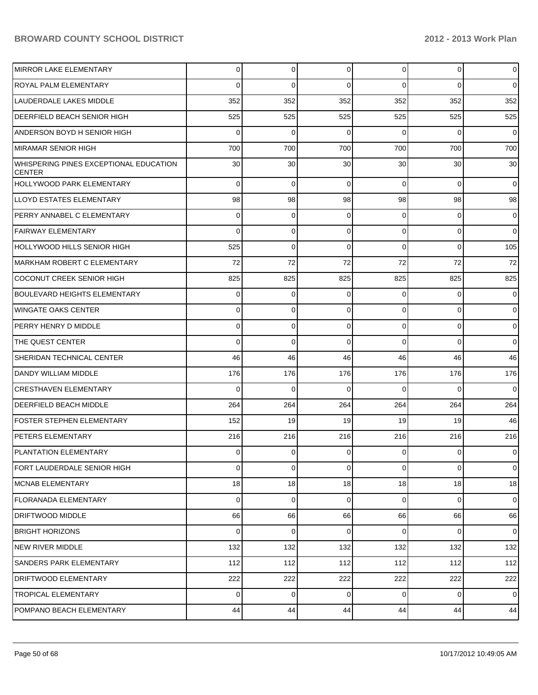| IMIRROR LAKE ELEMENTARY                                 | $\Omega$ | 0           | $\overline{0}$ | $\overline{0}$ | $\overline{0}$ | $\overline{0}$ |
|---------------------------------------------------------|----------|-------------|----------------|----------------|----------------|----------------|
| <b>ROYAL PALM ELEMENTARY</b>                            | 0        | $\Omega$    | $\Omega$       | $\Omega$       | $\Omega$       | $\overline{0}$ |
| LAUDERDALE LAKES MIDDLE                                 | 352      | 352         | 352            | 352            | 352            | 352            |
| DEERFIELD BEACH SENIOR HIGH                             | 525      | 525         | 525            | 525            | 525            | 525            |
| ANDERSON BOYD H SENIOR HIGH                             | 0        | $\Omega$    | $\Omega$       | $\Omega$       | $\Omega$       | $\overline{0}$ |
| MIRAMAR SENIOR HIGH                                     | 700      | 700         | 700            | 700            | 700            | 700            |
| WHISPERING PINES EXCEPTIONAL EDUCATION<br><b>CENTER</b> | 30       | 30          | 30             | 30             | 30             | 30             |
| <b>HOLLYWOOD PARK ELEMENTARY</b>                        | $\Omega$ | 0           | 0              | $\Omega$       | $\Omega$       | $\mathbf 0$    |
| LLOYD ESTATES ELEMENTARY                                | 98       | 98          | 98             | 98             | 98             | 98             |
| PERRY ANNABEL C ELEMENTARY                              | 0        | 0           | 0              | $\overline{0}$ | 0              | 0              |
| FAIRWAY ELEMENTARY                                      | 0        | 0           | 0              | $\Omega$       | $\mathbf 0$    | $\mathbf 0$    |
| IHOLLYWOOD HILLS SENIOR HIGH                            | 525      | 0           | $\Omega$       | $\Omega$       | $\Omega$       | 105            |
| MARKHAM ROBERT C ELEMENTARY                             | 72       | 72          | 72             | 72             | 72             | 72             |
| COCONUT CREEK SENIOR HIGH                               | 825      | 825         | 825            | 825            | 825            | 825            |
| BOULEVARD HEIGHTS ELEMENTARY                            | 0        | 0           | 0              | $\Omega$       | 0              | 0              |
| WINGATE OAKS CENTER                                     | 0        | 0           | 0              | $\Omega$       | $\Omega$       | 0              |
| PERRY HENRY D MIDDLE                                    | 0        | 0           | 0              | $\Omega$       | $\mathbf 0$    | 0              |
| THE QUEST CENTER                                        | 0        | 0           | $\Omega$       | $\Omega$       | $\Omega$       | 0              |
| <b>SHERIDAN TECHNICAL CENTER</b>                        | 46       | 46          | 46             | 46             | 46             | 46             |
| DANDY WILLIAM MIDDLE                                    | 176      | 176         | 176            | 176            | 176            | 176            |
| <b>CRESTHAVEN ELEMENTARY</b>                            | $\Omega$ | $\mathbf 0$ | $\Omega$       | $\Omega$       | $\Omega$       | $\mathbf 0$    |
| DEERFIELD BEACH MIDDLE                                  | 264      | 264         | 264            | 264            | 264            | 264            |
| FOSTER STEPHEN ELEMENTARY                               | 152      | 19          | 19             | 19             | 19             | 46             |
| PETERS ELEMENTARY                                       | 216      | 216         | 216            | 216            | 216            | 216            |
| <b>PLANTATION ELEMENTARY</b>                            | 0        | $\mathbf 0$ | 0              | $\overline{0}$ | 0              | 0              |
| FORT LAUDERDALE SENIOR HIGH                             | $\Omega$ | $\mathbf 0$ | $\mathbf 0$    | $\overline{0}$ | 0              | $\mathbf 0$    |
| MCNAB ELEMENTARY                                        | 18       | 18          | 18             | 18             | 18             | 18             |
| FLORANADA ELEMENTARY                                    | $\Omega$ | $\mathbf 0$ | 0              | $\overline{0}$ | 0              | $\overline{0}$ |
| IDRIFTWOOD MIDDLE                                       | 66       | 66          | 66             | 66             | 66             | 66             |
| <b>BRIGHT HORIZONS</b>                                  | $\Omega$ | $\mathbf 0$ | $\Omega$       | $\Omega$       | $\mathbf 0$    | $\overline{0}$ |
| NEW RIVER MIDDLE                                        | 132      | 132         | 132            | 132            | 132            | 132            |
| <b>SANDERS PARK ELEMENTARY</b>                          | 112      | 112         | 112            | 112            | 112            | 112            |
| <b>DRIFTWOOD ELEMENTARY</b>                             | 222      | 222         | 222            | 222            | 222            | 222            |
| <b>TROPICAL ELEMENTARY</b>                              | $\Omega$ | 0           | $\Omega$       | $\overline{0}$ | $\mathbf 0$    | $\overline{0}$ |
| POMPANO BEACH ELEMENTARY                                | 44       | 44          | 44             | 44             | 44             | 44             |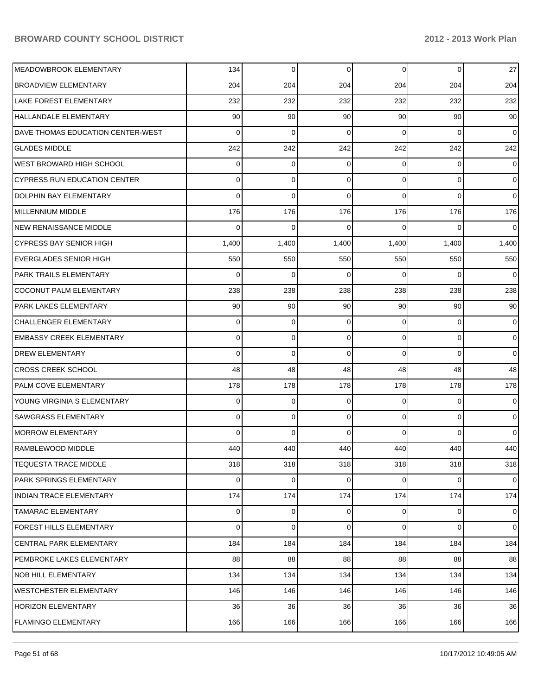| MEADOWBROOK ELEMENTARY              | 134      | 0        | 0        | 0        | $\overline{0}$ | 27          |
|-------------------------------------|----------|----------|----------|----------|----------------|-------------|
| <b>BROADVIEW ELEMENTARY</b>         | 204      | 204      | 204      | 204      | 204            | 204         |
| <b>LAKE FOREST ELEMENTARY</b>       | 232      | 232      | 232      | 232      | 232            | 232         |
| <b>HALLANDALE ELEMENTARY</b>        | 90       | 90       | 90       | 90       | 90             | 90          |
| DAVE THOMAS EDUCATION CENTER-WEST   | 0        | 0        | $\Omega$ | 0        | 0              | $\mathbf 0$ |
| <b>GLADES MIDDLE</b>                | 242      | 242      | 242      | 242      | 242            | 242         |
| <b>WEST BROWARD HIGH SCHOOL</b>     | 0        | 0        | $\Omega$ | 0        | 0              | 0           |
| <b>CYPRESS RUN EDUCATION CENTER</b> | 0        | 0        | $\Omega$ | 0        | $\overline{0}$ | 0           |
| <b>DOLPHIN BAY ELEMENTARY</b>       | $\Omega$ | 0        | $\Omega$ | $\Omega$ | 0              | $\mathbf 0$ |
| MILLENNIUM MIDDLE                   | 176      | 176      | 176      | 176      | 176            | 176         |
| <b>NEW RENAISSANCE MIDDLE</b>       | 0        | 0        | ∩        | 0        | 0              | $\mathbf 0$ |
| <b>CYPRESS BAY SENIOR HIGH</b>      | 1,400    | 1,400    | 1,400    | 1,400    | 1,400          | 1,400       |
| <b>EVERGLADES SENIOR HIGH</b>       | 550      | 550      | 550      | 550      | 550            | 550         |
| PARK TRAILS ELEMENTARY              | 0        | 0        | $\Omega$ | 0        | 0              | $\mathbf 0$ |
| <b>COCONUT PALM ELEMENTARY</b>      | 238      | 238      | 238      | 238      | 238            | 238         |
| PARK LAKES ELEMENTARY               | 90       | 90       | 90       | 90       | 90             | 90          |
| <b>CHALLENGER ELEMENTARY</b>        | 0        | 0        | $\Omega$ | 0        | 0              | 0           |
| <b>EMBASSY CREEK ELEMENTARY</b>     | 0        | 0        | 0        | 0        | $\overline{0}$ | 0           |
| <b>DREW ELEMENTARY</b>              | 0        | 0        | $\Omega$ | 0        | 0              | $\mathbf 0$ |
| <b>CROSS CREEK SCHOOL</b>           | 48       | 48       | 48       | 48       | 48             | 48          |
| PALM COVE ELEMENTARY                | 178      | 178      | 178      | 178      | 178            | 178         |
| YOUNG VIRGINIA S ELEMENTARY         | 0        | 0        | $\Omega$ | 0        | 0              | 0           |
| <b>SAWGRASS ELEMENTARY</b>          | 0        | 0        | $\Omega$ | 0        | $\overline{0}$ | 0           |
| <b>MORROW ELEMENTARY</b>            | $\Omega$ | $\Omega$ | $\Omega$ | $\Omega$ | 0              | $\mathbf 0$ |
| RAMBLEWOOD MIDDLE                   | 440      | 440      | 440      | 440      | 440            | 440         |
| <b>TEQUESTA TRACE MIDDLE</b>        | 318      | 318      | 318      | 318      | 318            | 318         |
| PARK SPRINGS ELEMENTARY             | 0        | 0        | 0        | 0        | 0              | $\mathbf 0$ |
| <b>INDIAN TRACE ELEMENTARY</b>      | 174      | 174      | 174      | 174      | 174            | 174         |
| <b>TAMARAC ELEMENTARY</b>           | 0        | 0        | 0        | 0        | $\mathbf 0$    | $\mathbf 0$ |
| FOREST HILLS ELEMENTARY             | 0        | 0        | 0        | 0        | $\overline{0}$ | $\mathbf 0$ |
| CENTRAL PARK ELEMENTARY             | 184      | 184      | 184      | 184      | 184            | 184         |
| PEMBROKE LAKES ELEMENTARY           | 88       | 88       | 88       | 88       | 88             | 88          |
| NOB HILL ELEMENTARY                 | 134      | 134      | 134      | 134      | 134            | 134         |
| WESTCHESTER ELEMENTARY              | 146      | 146      | 146      | 146      | 146            | 146         |
| <b>HORIZON ELEMENTARY</b>           | 36       | 36       | 36       | 36       | 36             | 36          |
| FLAMINGO ELEMENTARY                 | 166      | 166      | 166      | 166      | 166            | 166         |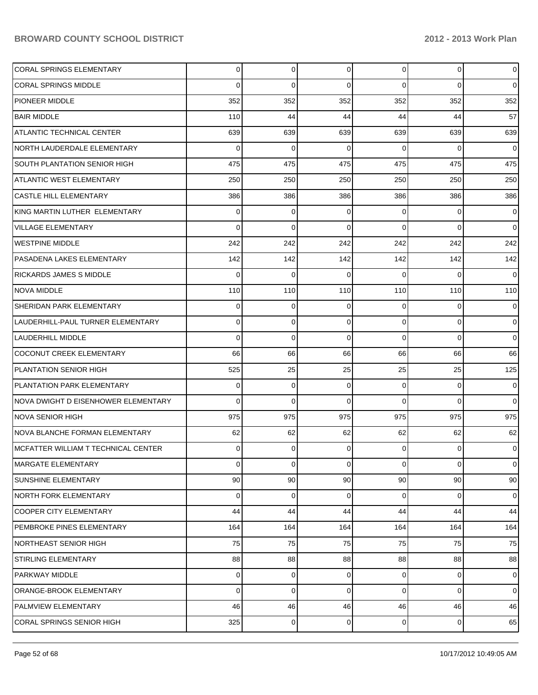| <b>CORAL SPRINGS ELEMENTARY</b>      | $\Omega$        | $\overline{0}$ | 0              | $\Omega$       | $\overline{0}$ | $\overline{0}$ |
|--------------------------------------|-----------------|----------------|----------------|----------------|----------------|----------------|
| <b>CORAL SPRINGS MIDDLE</b>          | 0               | $\Omega$       | $\Omega$       | $\Omega$       | $\Omega$       | $\Omega$       |
| <b>PIONEER MIDDLE</b>                | 352             | 352            | 352            | 352            | 352            | 352            |
| <b>BAIR MIDDLE</b>                   | 110             | 44             | 44             | 44             | 44             | 57             |
| ATLANTIC TECHNICAL CENTER            | 639             | 639            | 639            | 639            | 639            | 639            |
| NORTH LAUDERDALE ELEMENTARY          | $\Omega$        | $\Omega$       | 0              | $\Omega$       | $\Omega$       | $\Omega$       |
| <b>SOUTH PLANTATION SENIOR HIGH</b>  | 475             | 475            | 475            | 475            | 475            | 475            |
| <b>ATLANTIC WEST ELEMENTARY</b>      | 250             | 250            | 250            | 250            | 250            | 250            |
| CASTLE HILL ELEMENTARY               | 386             | 386            | 386            | 386            | 386            | 386            |
| KING MARTIN LUTHER ELEMENTARY        | 0               | 0              | 0              | $\Omega$       | $\Omega$       | $\overline{0}$ |
| VILLAGE ELEMENTARY                   | 0               | $\Omega$       | $\Omega$       | $\Omega$       | $\Omega$       | $\Omega$       |
| <b>WESTPINE MIDDLE</b>               | 242             | 242            | 242            | 242            | 242            | 242            |
| PASADENA LAKES ELEMENTARY            | 142             | 142            | 142            | 142            | 142            | 142            |
| RICKARDS JAMES S MIDDLE              | $\Omega$        | $\Omega$       | 0              | $\Omega$       | $\Omega$       | $\Omega$       |
| <b>NOVA MIDDLE</b>                   | 110             | 110            | 110            | 110            | 110            | 110            |
| SHERIDAN PARK ELEMENTARY             | $\Omega$        | 0              | 0              | $\Omega$       | $\Omega$       | $\overline{0}$ |
| LAUDERHILL-PAUL TURNER ELEMENTARY    | 0               | $\Omega$       | $\Omega$       | $\Omega$       | $\Omega$       | $\Omega$       |
| LAUDERHILL MIDDLE                    | $\Omega$        | $\Omega$       | $\Omega$       | $\Omega$       | $\Omega$       | $\Omega$       |
| COCONUT CREEK ELEMENTARY             | 66              | 66             | 66             | 66             | 66             | 66             |
| PLANTATION SENIOR HIGH               | 525             | 25             | 25             | 25             | 25             | 125            |
| PLANTATION PARK ELEMENTARY           | 0               | 0              | 0              | $\Omega$       | $\Omega$       | $\Omega$       |
| NOVA DWIGHT D EISENHOWER ELEMENTARY  | $\Omega$        | $\Omega$       | $\Omega$       | $\Omega$       | $\Omega$       | $\Omega$       |
| <b>NOVA SENIOR HIGH</b>              | 975             | 975            | 975            | 975            | 975            | 975            |
| NOVA BLANCHE FORMAN ELEMENTARY       | 62              | 62             | 62             | 62             | 62             | 62             |
| IMCFATTER WILLIAM T TECHNICAL CENTER | $\Omega$        | $\Omega$       | $\Omega$       | $\Omega$       | $\Omega$       | $\overline{0}$ |
| MARGATE ELEMENTARY                   | $\overline{0}$  | $\overline{0}$ | $\overline{0}$ | $\overline{0}$ | $\overline{0}$ | $\overline{0}$ |
| <b>SUNSHINE ELEMENTARY</b>           | 90 <sub>0</sub> | 90             | 90             | 90             | 90             | 90             |
| <b>NORTH FORK ELEMENTARY</b>         | $\Omega$        | $\mathbf 0$    | $\Omega$       | $\Omega$       | $\Omega$       | $\overline{0}$ |
| <b>COOPER CITY ELEMENTARY</b>        | 44              | 44             | 44             | 44             | 44             | 44             |
| PEMBROKE PINES ELEMENTARY            | 164             | 164            | 164            | 164            | 164            | 164            |
| <b>NORTHEAST SENIOR HIGH</b>         | 75              | 75             | 75             | 75             | 75             | 75             |
| STIRLING ELEMENTARY                  | 88              | 88             | 88             | 88             | 88             | 88             |
| <b>PARKWAY MIDDLE</b>                | $\Omega$        | 0              | 0              | $\Omega$       | $\mathbf{0}$   | $\overline{0}$ |
| ORANGE-BROOK ELEMENTARY              | 0               | 0              | $\Omega$       | $\Omega$       | $\mathbf{0}$   | $\overline{0}$ |
| PALMVIEW ELEMENTARY                  | 46              | 46             | 46             | 46             | 46             | 46             |
| <b>CORAL SPRINGS SENIOR HIGH</b>     | 325             | 0              | 0              | $\overline{0}$ | $\mathbf 0$    | 65             |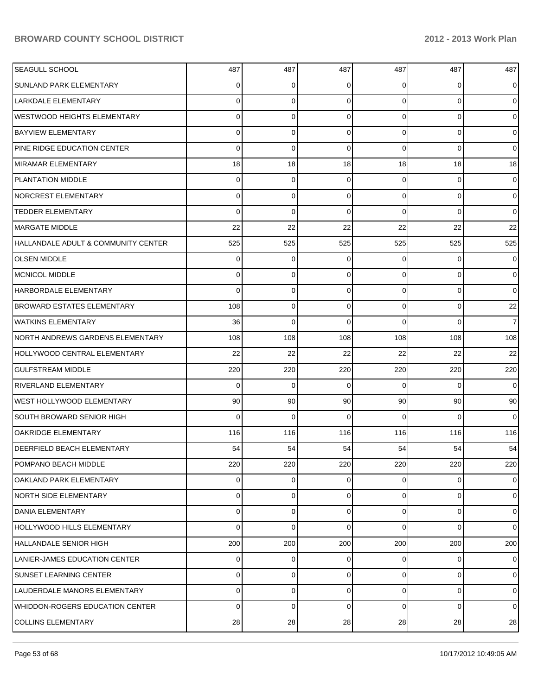| <b>SEAGULL SCHOOL</b>                  | 487         | 487 | 487      | 487            | 487      | 487            |
|----------------------------------------|-------------|-----|----------|----------------|----------|----------------|
| SUNLAND PARK ELEMENTARY                | 0           | 0   | 0        | 0              | 0        | $\overline{0}$ |
| LARKDALE ELEMENTARY                    | 0           | 0   | 0        | $\Omega$       | 0        | 0              |
| <b>WESTWOOD HEIGHTS ELEMENTARY</b>     | 0           | 0   | 0        | $\Omega$       | 0        | 0              |
| <b>BAYVIEW ELEMENTARY</b>              | 0           | 0   | 0        | $\Omega$       | 0        | 0              |
| PINE RIDGE EDUCATION CENTER            | 0           | 0   | 0        | $\Omega$       | 0        | 0              |
| <b>MIRAMAR ELEMENTARY</b>              | 18          | 18  | 18       | 18             | 18       | 18             |
| <b>PLANTATION MIDDLE</b>               | 0           | 0   | 0        | $\Omega$       | 0        | 0              |
| <b>NORCREST ELEMENTARY</b>             | 0           | 0   | 0        | $\Omega$       | 0        | 0              |
| <b>TEDDER ELEMENTARY</b>               | 0           | 0   | 0        | $\Omega$       | 0        | 0              |
| MARGATE MIDDLE                         | 22          | 22  | 22       | 22             | 22       | 22             |
| HALLANDALE ADULT & COMMUNITY CENTER    | 525         | 525 | 525      | 525            | 525      | 525            |
| <b>OLSEN MIDDLE</b>                    | 0           | 0   | 0        | 0              | 0        | 0              |
| <b>MCNICOL MIDDLE</b>                  | 0           | 0   | 0        | $\Omega$       | 0        | 0              |
| HARBORDALE ELEMENTARY                  | 0           | 0   | 0        | $\Omega$       | 0        | 0              |
| BROWARD ESTATES ELEMENTARY             | 108         | 0   | 0        | $\overline{0}$ | 0        | 22             |
| <b>WATKINS ELEMENTARY</b>              | 36          | 0   | $\Omega$ | $\Omega$       | $\Omega$ | $\overline{7}$ |
| NORTH ANDREWS GARDENS ELEMENTARY       | 108         | 108 | 108      | 108            | 108      | 108            |
| HOLLYWOOD CENTRAL ELEMENTARY           | 22          | 22  | 22       | 22             | 22       | 22             |
| <b>GULFSTREAM MIDDLE</b>               | 220         | 220 | 220      | 220            | 220      | 220            |
| <b>RIVERLAND ELEMENTARY</b>            | 0           | 0   | 0        | $\Omega$       | 0        | 0              |
| <b>WEST HOLLYWOOD ELEMENTARY</b>       | 90          | 90  | 90       | 90             | 90       | 90             |
| <b>SOUTH BROWARD SENIOR HIGH</b>       | 0           | 0   | 0        | $\Omega$       | $\Omega$ | 0              |
| <b>OAKRIDGE ELEMENTARY</b>             | 116         | 116 | 116      | 116            | 116      | 116            |
| <b>DEERFIELD BEACH ELEMENTARY</b>      | 54          | 54  | 54       | 54             | 54       | 54             |
| POMPANO BEACH MIDDLE                   | 220         | 220 | 220      | 220            | 220      | 220            |
| OAKLAND PARK ELEMENTARY                | 0           | 0   | 0        | $\overline{0}$ | 0        | $\overline{0}$ |
| <b>NORTH SIDE ELEMENTARY</b>           | 0           | 0   | 0        | $\overline{0}$ | 0        | $\overline{0}$ |
| DANIA ELEMENTARY                       | 0           | 0   | 0        | $\overline{0}$ | 0        | $\overline{0}$ |
| <b>HOLLYWOOD HILLS ELEMENTARY</b>      | 0           | 0   | 0        | $\Omega$       | 0        | $\overline{0}$ |
| <b>HALLANDALE SENIOR HIGH</b>          | 200         | 200 | 200      | 200            | 200      | 200            |
| LANIER-JAMES EDUCATION CENTER          | 0           | 0   | 0        | 0              | 0        | $\overline{0}$ |
| <b>SUNSET LEARNING CENTER</b>          | 0           | 0   | 0        | $\overline{0}$ | 0        | $\overline{0}$ |
| LAUDERDALE MANORS ELEMENTARY           | 0           | 0   | 0        | 0              | 0        | $\overline{0}$ |
| <b>WHIDDON-ROGERS EDUCATION CENTER</b> | $\mathbf 0$ | 0   | 0        | 0              | 0        | $\overline{0}$ |
| <b>COLLINS ELEMENTARY</b>              | 28          | 28  | 28       | 28             | 28       | 28             |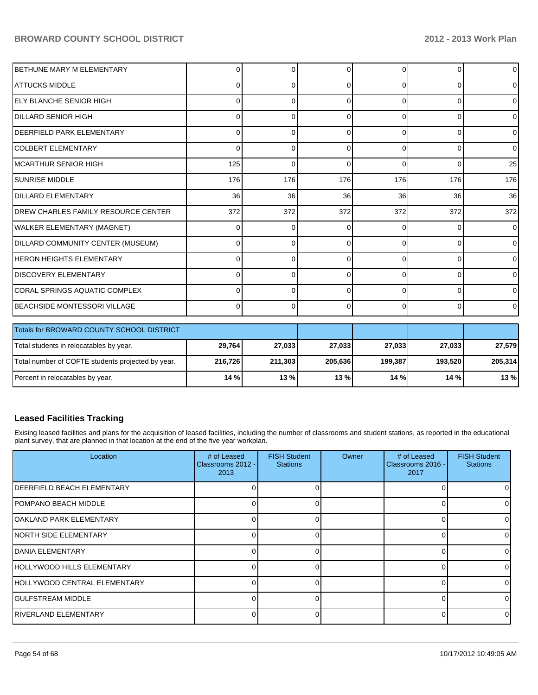| BETHUNE MARY M ELEMENTARY                 | $\Omega$ | 0        | O        | 0            | $\Omega$       | $\overline{0}$ |
|-------------------------------------------|----------|----------|----------|--------------|----------------|----------------|
| IATTUCKS MIDDLE                           | $\Omega$ | 0        | 0        | $\Omega$     | $\overline{0}$ | $\overline{0}$ |
| <b>IELY BLANCHE SENIOR HIGH</b>           | 0        | 0        | 0        | $\Omega$     | $\Omega$       | $\Omega$       |
| IDILLARD SENIOR HIGH                      | 0        | $\Omega$ | ∩        | <sup>0</sup> | $\Omega$       | $\mathbf{0}$   |
| <b>IDEERFIELD PARK ELEMENTARY</b>         | 0        | $\Omega$ | 0        | 0            | $\Omega$       | $\overline{0}$ |
| ICOLBERT ELEMENTARY                       | 0        | $\Omega$ | $\Omega$ | $\Omega$     | $\overline{0}$ | $\overline{0}$ |
| IMCARTHUR SENIOR HIGH                     | 125      | $\Omega$ | 0        | $\Omega$     | $\Omega$       | 25             |
| <b>ISUNRISE MIDDLE</b>                    | 176      | 176      | 176      | 176          | 176            | 176            |
| <b>IDILLARD ELEMENTARY</b>                | 36       | 36       | 36       | 36           | 36             | 36             |
| IDREW CHARLES FAMILY RESOURCE CENTER      | 372      | 372      | 372      | 372          | 372            | 372            |
| <b>WALKER ELEMENTARY (MAGNET)</b>         | 0        | $\Omega$ | C        | <sup>0</sup> | $\Omega$       | $\overline{0}$ |
| DILLARD COMMUNITY CENTER (MUSEUM)         | 0        | 0        | 0        | $\Omega$     | $\Omega$       | $\overline{0}$ |
| HERON HEIGHTS ELEMENTARY                  | $\Omega$ | $\Omega$ | $\Omega$ | $\Omega$     | $\Omega$       | $\mathbf 0$    |
| <b>IDISCOVERY ELEMENTARY</b>              | $\Omega$ | $\Omega$ | $\Omega$ | $\Omega$     | $\overline{0}$ | $\overline{0}$ |
| ICORAL SPRINGS AQUATIC COMPLEX            | 0        | $\Omega$ | $\Omega$ | $\Omega$     | $\overline{0}$ | $\mathbf{0}$   |
| <b>IBEACHSIDE MONTESSORI VILLAGE</b>      | $\Omega$ | $\Omega$ | $\Omega$ | $\Omega$     | $\Omega$       | $\mathbf{0}$   |
|                                           |          |          |          |              |                |                |
| Totals for BROWARD COUNTY SCHOOL DISTRICT |          |          |          |              |                |                |

| Totals for BROWARD COUNTY SCHOOL DISTRICT         |         |         |         |         |         |         |
|---------------------------------------------------|---------|---------|---------|---------|---------|---------|
| Total students in relocatables by year.           | 29,764  | 27,033  | 27,033  | 27.033  | 27,033  | 27,579  |
| Total number of COFTE students projected by year. | 216.726 | 211.303 | 205,636 | 199.387 | 193.520 | 205.314 |
| Percent in relocatables by year.                  | 14%     | 13%     | $13 \%$ | 14%     | 14 % l  | 13%     |

## **Leased Facilities Tracking**

Exising leased facilities and plans for the acquisition of leased facilities, including the number of classrooms and student stations, as reported in the educational plant survey, that are planned in that location at the end of the five year workplan.

| Location                     | # of Leased<br>Classrooms 2012 -<br>2013 | <b>FISH Student</b><br><b>Stations</b> | Owner | # of Leased<br>Classrooms 2016 -<br>2017 | <b>FISH Student</b><br><b>Stations</b> |
|------------------------------|------------------------------------------|----------------------------------------|-------|------------------------------------------|----------------------------------------|
| IDEERFIELD BEACH ELEMENTARY  |                                          |                                        |       |                                          |                                        |
| IPOMPANO BEACH MIDDLE        |                                          |                                        |       |                                          |                                        |
| lOAKLAND PARK ELEMENTARY     |                                          |                                        |       |                                          |                                        |
| INORTH SIDE ELEMENTARY       |                                          |                                        |       |                                          |                                        |
| IDANIA ELEMENTARY            |                                          |                                        |       |                                          |                                        |
| HOLLYWOOD HILLS ELEMENTARY   |                                          |                                        |       |                                          |                                        |
| HOLLYWOOD CENTRAL ELEMENTARY |                                          |                                        |       |                                          |                                        |
| IGULFSTREAM MIDDLE           |                                          |                                        |       |                                          |                                        |
| IRIVERLAND ELEMENTARY        |                                          |                                        |       |                                          |                                        |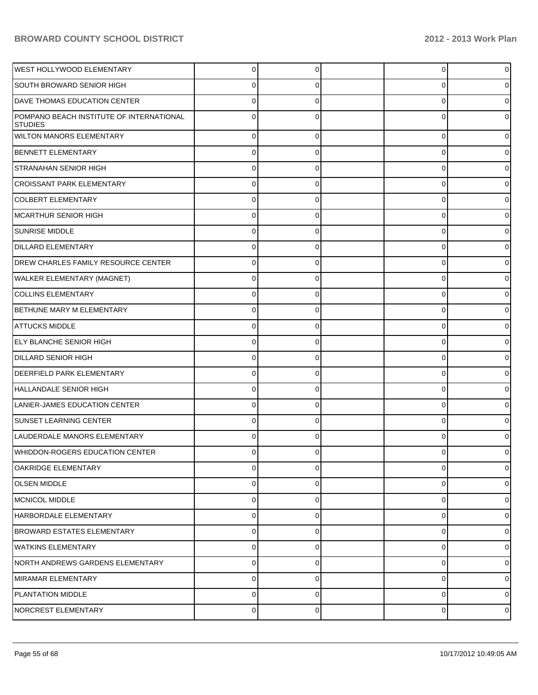| <b>WEST HOLLYWOOD ELEMENTARY</b>                           | 0        |          | 0 | $\overline{0}$ |
|------------------------------------------------------------|----------|----------|---|----------------|
| SOUTH BROWARD SENIOR HIGH                                  |          |          | 0 | 0              |
| DAVE THOMAS EDUCATION CENTER                               |          |          | 0 | 0              |
| POMPANO BEACH INSTITUTE OF INTERNATIONAL<br><b>STUDIES</b> | U        |          | 0 | 0              |
| <b>WILTON MANORS ELEMENTARY</b>                            | 0        | 0        | 0 | 0              |
| BENNETT ELEMENTARY                                         | 0        | U        | 0 | 0              |
| <b>STRANAHAN SENIOR HIGH</b>                               | 0        | $\Omega$ | 0 | 0              |
| <b>CROISSANT PARK ELEMENTARY</b>                           | 0        | U        | 0 | 0              |
| <b>COLBERT ELEMENTARY</b>                                  | $\Omega$ | $\Omega$ | 0 | 0              |
| MCARTHUR SENIOR HIGH                                       | 0        | U        | 0 | 0              |
| <b>SUNRISE MIDDLE</b>                                      | 0        | $\Omega$ | 0 | 0              |
| <b>DILLARD ELEMENTARY</b>                                  | 0        | U        | 0 | 0              |
| DREW CHARLES FAMILY RESOURCE CENTER                        | $\Omega$ | $\Omega$ | 0 | 0              |
| WALKER ELEMENTARY (MAGNET)                                 | 0        | U        | 0 | 0              |
| <b>COLLINS ELEMENTARY</b>                                  | $\Omega$ | $\Omega$ | 0 | 0              |
| BETHUNE MARY M ELEMENTARY                                  | 0        | U        | 0 | 0              |
| <b>ATTUCKS MIDDLE</b>                                      | 0        | $\Omega$ | 0 | 0              |
| <b>ELY BLANCHE SENIOR HIGH</b>                             | 0        | C        | 0 | 0              |
| <b>DILLARD SENIOR HIGH</b>                                 | $\Omega$ | $\Omega$ | 0 | 0              |
| DEERFIELD PARK ELEMENTARY                                  | 0        |          | 0 | 0              |
| <b>HALLANDALE SENIOR HIGH</b>                              | 0        | ∩        | 0 | 0              |
| LANIER-JAMES EDUCATION CENTER                              | 0        | U        | 0 | 0              |
| SUNSET LEARNING CENTER                                     | $\Omega$ | $\Omega$ | 0 | 0              |
| LAUDERDALE MANORS ELEMENTARY                               |          |          | 0 |                |
| WHIDDON-ROGERS EDUCATION CENTER                            | U        |          | U | 01             |
| <b>OAKRIDGE ELEMENTARY</b>                                 | 0        | $\Omega$ | 0 | 0              |
| <b>OLSEN MIDDLE</b>                                        | 0        | $\Omega$ | 0 | 0              |
| MCNICOL MIDDLE                                             | 0        | $\Omega$ | 0 | 01             |
| HARBORDALE ELEMENTARY                                      | 0        | $\Omega$ | 0 | 0              |
| <b>BROWARD ESTATES ELEMENTARY</b>                          | 0        | $\Omega$ | 0 | $\overline{0}$ |
| <b>WATKINS ELEMENTARY</b>                                  | 0        | $\Omega$ | 0 | $\overline{0}$ |
| INORTH ANDREWS GARDENS ELEMENTARY                          | 0        | $\Omega$ | 0 | 01             |
| MIRAMAR ELEMENTARY                                         | 0        | $\Omega$ | 0 | $\overline{0}$ |
| <b>PLANTATION MIDDLE</b>                                   | 0        | $\Omega$ | 0 | $\overline{0}$ |
| NORCREST ELEMENTARY                                        | 0        | $\Omega$ | 0 | $\overline{0}$ |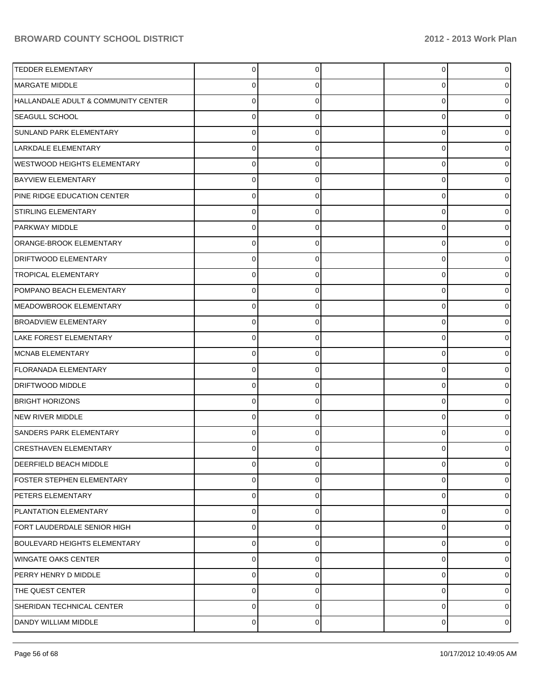| <b>TEDDER ELEMENTARY</b>            | 0           | 0 | $\overline{0}$ |   |
|-------------------------------------|-------------|---|----------------|---|
| MARGATE MIDDLE                      | 0           | 0 | 0              |   |
| HALLANDALE ADULT & COMMUNITY CENTER | 0           |   | 0              |   |
| <b>SEAGULL SCHOOL</b>               | $\Omega$    | 0 | 0              |   |
| SUNLAND PARK ELEMENTARY             | 0           |   | 0              |   |
| LARKDALE ELEMENTARY                 | $\Omega$    | 0 | 0              |   |
| <b>WESTWOOD HEIGHTS ELEMENTARY</b>  | 0           |   | 0              |   |
| <b>BAYVIEW ELEMENTARY</b>           | 0           | 0 | 0              |   |
| PINE RIDGE EDUCATION CENTER         | 0           |   | 0              |   |
| STIRLING ELEMENTARY                 | 0           | 0 | 0              |   |
| PARKWAY MIDDLE                      | 0           |   | 0              |   |
| ORANGE-BROOK ELEMENTARY             | 0           | 0 | 0              |   |
| <b>DRIFTWOOD ELEMENTARY</b>         | 0           |   | 0              |   |
| <b>TROPICAL ELEMENTARY</b>          | 0           | 0 | 0              |   |
| POMPANO BEACH ELEMENTARY            | 0           |   | 0              |   |
| MEADOWBROOK ELEMENTARY              | 0           | 0 | 0              |   |
| <b>BROADVIEW ELEMENTARY</b>         | 0           |   | 0              |   |
| LAKE FOREST ELEMENTARY              | 0           | 0 | 0              |   |
| MCNAB ELEMENTARY                    | 0           |   | 0              |   |
| <b>FLORANADA ELEMENTARY</b>         | 0           | 0 | $\mathbf 0$    |   |
| <b>DRIFTWOOD MIDDLE</b>             | 0           |   | 0              |   |
| <b>BRIGHT HORIZONS</b>              | 0           | 0 | 0              |   |
| NEW RIVER MIDDLE                    | 0           |   | 0              |   |
| <b>SANDERS PARK ELEMENTARY</b>      | $\Omega$    | 0 | 0              |   |
| <b>CRESTHAVEN ELEMENTARY</b>        | 0           |   | 0              |   |
| DEERFIELD BEACH MIDDLE              | $\mathbf 0$ | 0 | $\mathbf 0$    |   |
| <b>FOSTER STEPHEN ELEMENTARY</b>    | 0           | 0 | 0              |   |
| PETERS ELEMENTARY                   | 0           | 0 | $\mathbf 0$    |   |
| PLANTATION ELEMENTARY               | 0           | 0 | $\mathbf 0$    |   |
| FORT LAUDERDALE SENIOR HIGH         | 0           | 0 | $\mathbf 0$    |   |
| BOULEVARD HEIGHTS ELEMENTARY        | 0           | 0 | $\mathbf 0$    |   |
| WINGATE OAKS CENTER                 | $\mathbf 0$ | 0 | $\mathbf 0$    |   |
| PERRY HENRY D MIDDLE                | $\mathbf 0$ | 0 | $\mathbf 0$    |   |
| THE QUEST CENTER                    | 0           | 0 | $\mathbf 0$    |   |
| SHERIDAN TECHNICAL CENTER           | $\pmb{0}$   | 0 | $\mathbf 0$    |   |
| DANDY WILLIAM MIDDLE                | $\pmb{0}$   | 0 | $\mathbf 0$    | 0 |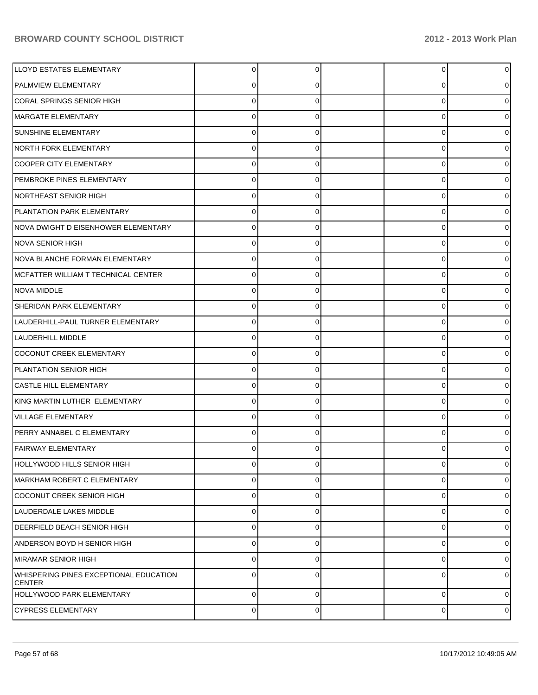| <b>LLOYD ESTATES ELEMENTARY</b>                                | 0           | 0        | $\overline{0}$ | 0              |
|----------------------------------------------------------------|-------------|----------|----------------|----------------|
| <b>PALMVIEW ELEMENTARY</b>                                     | 0           | 0        | 0              | 0              |
| CORAL SPRINGS SENIOR HIGH                                      | 0           | $\Omega$ | 0              | 0              |
| MARGATE ELEMENTARY                                             | 0           | 0        | 0              | 0              |
| <b>SUNSHINE ELEMENTARY</b>                                     | 0           | $\Omega$ | 0              | 0              |
| NORTH FORK ELEMENTARY                                          | 0           | 0        | 0              | 0              |
| <b>COOPER CITY ELEMENTARY</b>                                  | 0           | 0        | 0              | o              |
| PEMBROKE PINES ELEMENTARY                                      | 0           | 0        | 0              | o              |
| <b>NORTHEAST SENIOR HIGH</b>                                   | 0           | $\Omega$ | 0              | 0              |
| <b>PLANTATION PARK ELEMENTARY</b>                              | 0           | 0        | 0              | 0              |
| NOVA DWIGHT D EISENHOWER ELEMENTARY                            | 0           | 0        | 0              | 0              |
| NOVA SENIOR HIGH                                               | 0           | 0        | 0              | o              |
| NOVA BLANCHE FORMAN ELEMENTARY                                 | 0           | $\Omega$ | 0              | 0              |
| MCFATTER WILLIAM T TECHNICAL CENTER                            | 0           | 0        | 0              | 0              |
| NOVA MIDDLE                                                    | 0           | 0        | 0              | 0              |
| SHERIDAN PARK ELEMENTARY                                       | 0           | $\Omega$ | 0              | n              |
| LAUDERHILL-PAUL TURNER ELEMENTARY                              | 0           | $\Omega$ | 0              | 0              |
| <b>LAUDERHILL MIDDLE</b>                                       | 0           | 0        | 0              | 0              |
| COCONUT CREEK ELEMENTARY                                       | 0           | 0        | 0              | 0              |
| PLANTATION SENIOR HIGH                                         | 0           | $\Omega$ | 0              | o              |
| <b>CASTLE HILL ELEMENTARY</b>                                  | 0           | $\Omega$ | 0              | 0              |
| KING MARTIN LUTHER ELEMENTARY                                  | 0           | 0        | 0              | 0              |
| <b>VILLAGE ELEMENTARY</b>                                      | 0           | 0        | 0              | 0              |
| PERRY ANNABEL C ELEMENTARY                                     | 0           | 0        | 0              |                |
| <b>FAIRWAY ELEMENTARY</b>                                      | 0           | 0        | 0              | 0              |
| HOLLYWOOD HILLS SENIOR HIGH                                    | 0           | 0        | 0              | 0              |
| <b>MARKHAM ROBERT C ELEMENTARY</b>                             | 0           | 0        | 0              | 0              |
| <b>COCONUT CREEK SENIOR HIGH</b>                               | $\mathbf 0$ | 0        | 0              | 0              |
| LAUDERDALE LAKES MIDDLE                                        | $\mathbf 0$ | 0        | 0              | 0              |
| DEERFIELD BEACH SENIOR HIGH                                    | $\mathbf 0$ | 0        | 0              | 0              |
| ANDERSON BOYD H SENIOR HIGH                                    | $\mathbf 0$ | 0        | 0              | 0              |
| MIRAMAR SENIOR HIGH                                            | $\Omega$    | $\Omega$ | 0              | 0              |
| <b>WHISPERING PINES EXCEPTIONAL EDUCATION</b><br><b>CENTER</b> | $\mathbf 0$ | 0        | 0              | 0              |
| HOLLYWOOD PARK ELEMENTARY                                      | $\mathbf 0$ | 0        | 0              | 0              |
| <b>CYPRESS ELEMENTARY</b>                                      | 0           | 0        | 0              | $\overline{0}$ |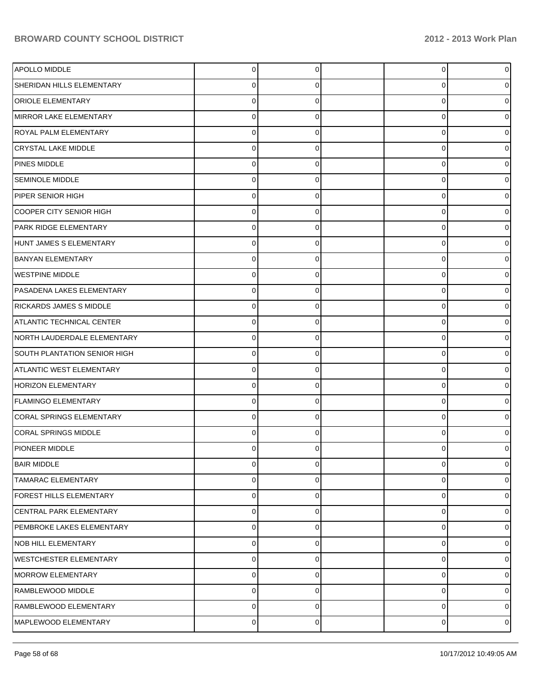| APOLLO MIDDLE                    | $\mathbf 0$    | 0        | $\overline{0}$ | 0 |
|----------------------------------|----------------|----------|----------------|---|
| SHERIDAN HILLS ELEMENTARY        | 0              | 0        | 0              |   |
| <b>ORIOLE ELEMENTARY</b>         | $\Omega$       | 0        | 0              |   |
| MIRROR LAKE ELEMENTARY           | 0              | 0        | 0              |   |
| ROYAL PALM ELEMENTARY            | 0              | 0        | 0              |   |
| <b>CRYSTAL LAKE MIDDLE</b>       | 0              | $\Omega$ | 0              |   |
| PINES MIDDLE                     | $\Omega$       | 0        | 0              |   |
| <b>SEMINOLE MIDDLE</b>           | 0              | $\Omega$ | 0              |   |
| PIPER SENIOR HIGH                | $\mathbf 0$    | 0        | 0              |   |
| COOPER CITY SENIOR HIGH          | $\mathbf 0$    | $\Omega$ | 0              |   |
| PARK RIDGE ELEMENTARY            | $\Omega$       | 0        | 0              |   |
| HUNT JAMES S ELEMENTARY          | 0              | $\Omega$ | 0              |   |
| <b>BANYAN ELEMENTARY</b>         | $\mathbf 0$    | 0        | 0              |   |
| <b>WESTPINE MIDDLE</b>           | $\mathbf 0$    | 0        | 0              |   |
| PASADENA LAKES ELEMENTARY        | 0              | 0        | 0              |   |
| RICKARDS JAMES S MIDDLE          | 0              | $\Omega$ | 0              |   |
| <b>ATLANTIC TECHNICAL CENTER</b> | $\Omega$       | 0        | 0              |   |
| NORTH LAUDERDALE ELEMENTARY      | $\mathbf 0$    | 0        | 0              |   |
| SOUTH PLANTATION SENIOR HIGH     | 0              | 0        | 0              |   |
| <b>ATLANTIC WEST ELEMENTARY</b>  | $\mathbf 0$    | $\Omega$ | 0              |   |
| <b>HORIZON ELEMENTARY</b>        | $\Omega$       | 0        | 0              |   |
| <b>FLAMINGO ELEMENTARY</b>       | $\mathbf 0$    | $\Omega$ | 0              |   |
| <b>CORAL SPRINGS ELEMENTARY</b>  | 0              | 0        | 0              |   |
| <b>CORAL SPRINGS MIDDLE</b>      | 0              | 0        | 0              |   |
| <b>PIONEER MIDDLE</b>            | 0              | 0        | 0              |   |
| <b>BAIR MIDDLE</b>               | 0              | $\Omega$ | 0              | 0 |
| <b>TAMARAC ELEMENTARY</b>        | 0              | 0        | 0              | 0 |
| FOREST HILLS ELEMENTARY          | $\mathbf 0$    | 0        | 0              | 0 |
| CENTRAL PARK ELEMENTARY          | $\mathbf 0$    | 0        | 0              | 0 |
| PEMBROKE LAKES ELEMENTARY        | 0              | 0        | 0              | 0 |
| <b>NOB HILL ELEMENTARY</b>       | $\mathbf 0$    | 0        | 0              |   |
| <b>WESTCHESTER ELEMENTARY</b>    | $\mathbf 0$    | 0        | 0              | 0 |
| <b>MORROW ELEMENTARY</b>         | $\mathbf 0$    | 0        | 0              | 0 |
| RAMBLEWOOD MIDDLE                | $\mathbf 0$    | 0        | 0              | 0 |
| RAMBLEWOOD ELEMENTARY            | $\mathbf 0$    | $\Omega$ | 0              | 0 |
| MAPLEWOOD ELEMENTARY             | $\overline{0}$ | 0        | $\overline{0}$ | 0 |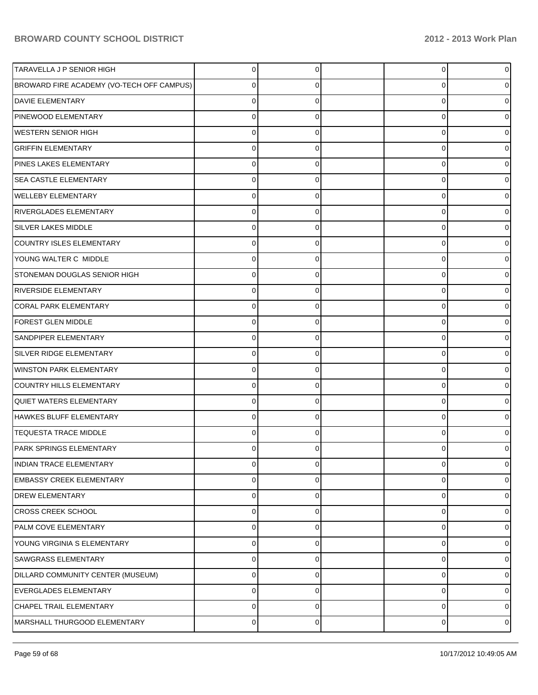| TARAVELLA J P SENIOR HIGH                 | $\Omega$    | 0        |   | $\overline{0}$<br>0 |
|-------------------------------------------|-------------|----------|---|---------------------|
| BROWARD FIRE ACADEMY (VO-TECH OFF CAMPUS) | 0           | 0        |   | 0<br>0              |
| <b>DAVIE ELEMENTARY</b>                   | 0           | 0        |   | 0<br>0              |
| PINEWOOD ELEMENTARY                       | $\Omega$    | 0        |   | 0<br>0              |
| <b>WESTERN SENIOR HIGH</b>                | $\Omega$    | 0        |   | 0<br>0              |
| <b>GRIFFIN ELEMENTARY</b>                 | 0           | 0        |   | 0<br>0              |
| PINES LAKES ELEMENTARY                    | 0           | 0        |   | 0<br>0              |
| <b>SEA CASTLE ELEMENTARY</b>              | 0           | 0        |   | 0<br>0              |
| <b>WELLEBY ELEMENTARY</b>                 | 0           | 0        |   | 0<br>0              |
| <b>RIVERGLADES ELEMENTARY</b>             | $\Omega$    | 0        |   | 0<br>0              |
| <b>SILVER LAKES MIDDLE</b>                | 0           | 0        |   | 0<br>0              |
| COUNTRY ISLES ELEMENTARY                  | $\Omega$    | 0        |   | 0<br>0              |
| YOUNG WALTER C MIDDLE                     | 0           | 0        |   | 0<br>0              |
| <b>STONEMAN DOUGLAS SENIOR HIGH</b>       | 0           | 0        |   | 0<br>0              |
| <b>RIVERSIDE ELEMENTARY</b>               | 0           | 0        |   | 0<br>0              |
| <b>CORAL PARK ELEMENTARY</b>              | $\Omega$    | 0        |   | 0<br>0              |
| <b>FOREST GLEN MIDDLE</b>                 | 0           | 0        |   | 0<br>0              |
| SANDPIPER ELEMENTARY                      | $\Omega$    | 0        |   | 0<br>0              |
| SILVER RIDGE ELEMENTARY                   | 0           | 0        |   | 0<br>0              |
| <b>WINSTON PARK ELEMENTARY</b>            | $\Omega$    | 0        |   | 0<br>0              |
| COUNTRY HILLS ELEMENTARY                  | $\Omega$    | 0        |   | 0<br>0              |
| <b>QUIET WATERS ELEMENTARY</b>            | $\Omega$    | 0        |   | 0<br>0              |
| HAWKES BLUFF ELEMENTARY                   | 0           | 0        |   | 0<br>0              |
| <b>TEQUESTA TRACE MIDDLE</b>              | 0           | 0        |   | 0<br>0              |
| <b>PARK SPRINGS ELEMENTARY</b>            | U           |          | U | 0                   |
| <b>INDIAN TRACE ELEMENTARY</b>            | 0           | $\Omega$ |   | 0<br>$\overline{0}$ |
| <b>EMBASSY CREEK ELEMENTARY</b>           | 0           | 0        |   | 0<br>$\overline{0}$ |
| <b>DREW ELEMENTARY</b>                    | 0           | 0        |   | 0<br>$\overline{0}$ |
| <b>CROSS CREEK SCHOOL</b>                 | 0           | 0        |   | 0<br>0              |
| PALM COVE ELEMENTARY                      | 0           | 0        |   | 0<br>$\overline{0}$ |
| YOUNG VIRGINIA S ELEMENTARY               | 0           | 0        |   | 0<br>0              |
| SAWGRASS ELEMENTARY                       | 0           | 0        |   | 0<br>$\overline{0}$ |
| DILLARD COMMUNITY CENTER (MUSEUM)         | $\mathbf 0$ | 0        |   | 0<br>01             |
| EVERGLADES ELEMENTARY                     | 0           | 0        |   | 0<br>$\overline{0}$ |
| CHAPEL TRAIL ELEMENTARY                   | $\mathbf 0$ | 0        |   | 0<br>$\overline{0}$ |
| MARSHALL THURGOOD ELEMENTARY              | 0           | 0        |   | 0<br>$\overline{0}$ |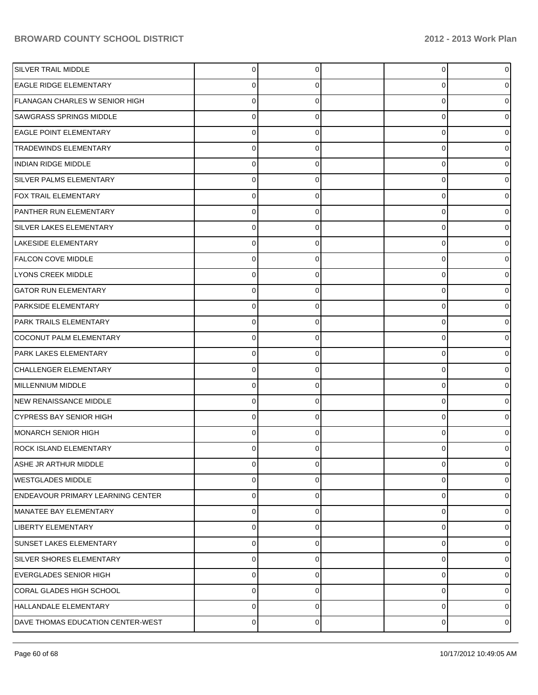| <b>SILVER TRAIL MIDDLE</b>               | $\overline{0}$ | 0        | $\overline{0}$ | 0 |
|------------------------------------------|----------------|----------|----------------|---|
| <b>EAGLE RIDGE ELEMENTARY</b>            | 0              | 0        | 0              |   |
| FLANAGAN CHARLES W SENIOR HIGH           | $\Omega$       | 0        | 0              |   |
| <b>SAWGRASS SPRINGS MIDDLE</b>           | 0              | 0        | 0              |   |
| <b>EAGLE POINT ELEMENTARY</b>            | 0              | 0        | 0              |   |
| <b>TRADEWINDS ELEMENTARY</b>             | 0              | 0        | 0              |   |
| <b>INDIAN RIDGE MIDDLE</b>               | 0              | 0        | 0              |   |
| SILVER PALMS ELEMENTARY                  | 0              | $\Omega$ | 0              |   |
| FOX TRAIL ELEMENTARY                     | $\mathbf 0$    | 0        | 0              |   |
| PANTHER RUN ELEMENTARY                   | $\mathbf 0$    | 0        | 0              |   |
| <b>SILVER LAKES ELEMENTARY</b>           | 0              | 0        | 0              |   |
| <b>LAKESIDE ELEMENTARY</b>               | 0              | $\Omega$ | 0              |   |
| <b>FALCON COVE MIDDLE</b>                | $\mathbf 0$    | 0        | 0              |   |
| LYONS CREEK MIDDLE                       | $\mathbf 0$    | 0        | 0              |   |
| <b>GATOR RUN ELEMENTARY</b>              | $\mathbf 0$    | 0        | 0              |   |
| PARKSIDE ELEMENTARY                      | $\mathbf 0$    | $\Omega$ | 0              |   |
| PARK TRAILS ELEMENTARY                   | 0              | 0        | 0              |   |
| COCONUT PALM ELEMENTARY                  | $\mathbf 0$    | 0        | 0              |   |
| PARK LAKES ELEMENTARY                    | 0              | 0        | 0              |   |
| CHALLENGER ELEMENTARY                    | $\mathbf 0$    | $\Omega$ | 0              |   |
| MILLENNIUM MIDDLE                        | $\Omega$       | 0        | 0              |   |
| NEW RENAISSANCE MIDDLE                   | $\mathbf 0$    | 0        | 0              |   |
| <b>CYPRESS BAY SENIOR HIGH</b>           | 0              | 0        | 0              |   |
| MONARCH SENIOR HIGH                      | $\mathbf 0$    | 0        | 0              |   |
| <b>ROCK ISLAND ELEMENTARY</b>            | 0              | 0        | 0              |   |
| ASHE JR ARTHUR MIDDLE                    | 0              | 0        | 0              | 0 |
| <b>WESTGLADES MIDDLE</b>                 | $\mathbf 0$    | 0        | 0              | 0 |
| <b>ENDEAVOUR PRIMARY LEARNING CENTER</b> | $\mathbf 0$    | 0        | 0              | 0 |
| MANATEE BAY ELEMENTARY                   | $\mathbf 0$    | 0        | 0              | 0 |
| <b>LIBERTY ELEMENTARY</b>                | $\mathbf 0$    | 0        | 0              | 0 |
| <b>SUNSET LAKES ELEMENTARY</b>           | $\mathbf 0$    | 0        | 0              |   |
| SILVER SHORES ELEMENTARY                 | $\mathbf 0$    | 0        | 0              | 0 |
| <b>EVERGLADES SENIOR HIGH</b>            | $\mathbf 0$    | 0        | 0              | 0 |
| CORAL GLADES HIGH SCHOOL                 | $\mathbf 0$    | 0        | 0              | 0 |
| HALLANDALE ELEMENTARY                    | $\mathbf 0$    | $\Omega$ | 0              | 0 |
| DAVE THOMAS EDUCATION CENTER-WEST        | $\overline{0}$ | 0        | 0              | 0 |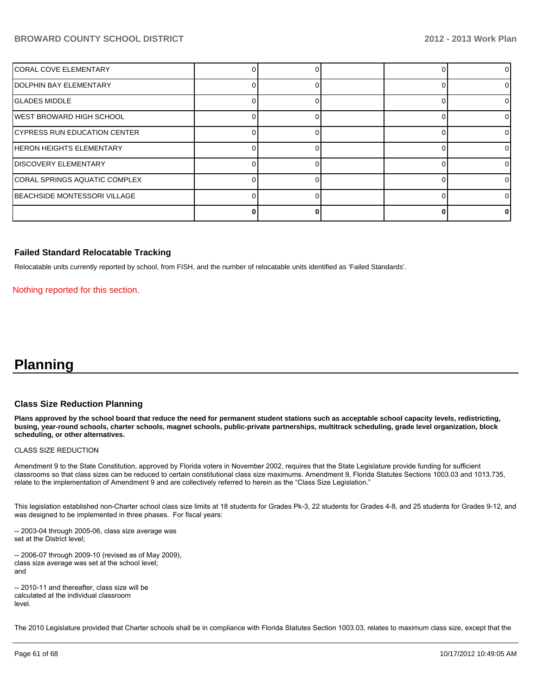| CORAL COVE ELEMENTARY            |  |  |    |
|----------------------------------|--|--|----|
| <b>IDOLPHIN BAY ELEMENTARY</b>   |  |  |    |
| <b>IGLADES MIDDLE</b>            |  |  | 0  |
| IWEST BROWARD HIGH SCHOOL        |  |  | 0  |
| CYPRESS RUN EDUCATION CENTER     |  |  | ΩI |
| <b>IHERON HEIGHTS ELEMENTARY</b> |  |  |    |
| <b>IDISCOVERY ELEMENTARY</b>     |  |  | ΩI |
| CORAL SPRINGS AQUATIC COMPLEX    |  |  | ΩI |
| BEACHSIDE MONTESSORI VILLAGE     |  |  |    |
|                                  |  |  | o  |

#### **Failed Standard Relocatable Tracking**

Relocatable units currently reported by school, from FISH, and the number of relocatable units identified as 'Failed Standards'.

Nothing reported for this section.

## **Planning**

#### **Class Size Reduction Planning**

**Plans approved by the school board that reduce the need for permanent student stations such as acceptable school capacity levels, redistricting, busing, year-round schools, charter schools, magnet schools, public-private partnerships, multitrack scheduling, grade level organization, block scheduling, or other alternatives.**

#### CLASS SIZE REDUCTION

Amendment 9 to the State Constitution, approved by Florida voters in November 2002, requires that the State Legislature provide funding for sufficient classrooms so that class sizes can be reduced to certain constitutional class size maximums. Amendment 9, Florida Statutes Sections 1003.03 and 1013.735, relate to the implementation of Amendment 9 and are collectively referred to herein as the "Class Size Legislation."

This legislation established non-Charter school class size limits at 18 students for Grades Pk-3, 22 students for Grades 4-8, and 25 students for Grades 9-12, and was designed to be implemented in three phases. For fiscal years:

-- 2003-04 through 2005-06, class size average was set at the District level;

-- 2006-07 through 2009-10 (revised as of May 2009), class size average was set at the school level; and

-- 2010-11 and thereafter, class size will be calculated at the individual classroom level

The 2010 Legislature provided that Charter schools shall be in compliance with Florida Statutes Section 1003.03, relates to maximum class size, except that the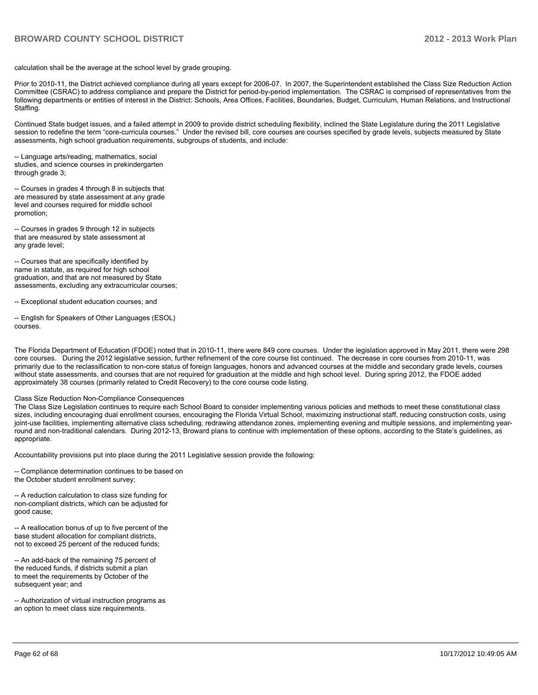calculation shall be the average at the school level by grade grouping.

Prior to 2010-11, the District achieved compliance during all vears except for 2006-07. In 2007, the Superintendent established the Class Size Reduction Action Committee (CSRAC) to address compliance and prepare the District for period-by-period implementation. The CSRAC is comprised of representatives from the following departments or entities of interest in the District: Schools, Area Offices, Facilities, Boundaries, Budget, Curriculum, Human Relations, and Instructional Staffing.

Continued State budget issues, and a failed attempt in 2009 to provide district scheduling flexibility, inclined the State Legislature during the 2011 Legislative session to redefine the term "core-curricula courses." Under the revised bill, core courses are courses specified by grade levels, subjects measured by State assessments, high school graduation requirements, subgroups of students, and include:

-- Language arts/reading, mathematics, social studies, and science courses in prekindergarten through grade  $3$ :

-- Courses in grades 4 through 8 in subjects that are measured by state assessment at any grade level and courses required for middle school promotion:

-- Courses in grades 9 through 12 in subjects that are measured by state assessment at any grade level;

-- Courses that are specifically identified by name in statute, as required for high school graduation, and that are not measured by State  $\overline{\mathsf{a}}$ ssessments, excluding any extracurricular courses;

-- Exceptional student education courses; and

-- English for Speakers of Other Languages (ESOL) courses

The Florida Department of Education (FDOE) noted that in 2010-11, there were 849 core courses. Under the legislation approved in May 2011, there were 298 core courses. During the 2012 legislative session, further refinement of the core course list continued. The decrease in core courses from 2010-11, was primarily due to the reclassification to non-core status of foreign languages, honors and advanced courses at the middle and secondary grade levels, courses without state assessments, and courses that are not required for graduation at the middle and high school level. During spring 2012, the FDOE added approximately 38 courses (primarily related to Credit Recovery) to the core course code listing.

#### Class Size Reduction Non-Compliance Consequences

The Class Size Legislation continues to require each School Board to consider implementing various policies and methods to meet these constitutional class sizes, including encouraging dual enrollment courses, encouraging the Florida Virtual School, maximizing instructional staff, reducing construction costs, using joint-use facilities, implementing alternative class scheduling, redrawing attendance zones, implementing evening and multiple sessions, and implementing yearround and non-traditional calendars. During 2012-13, Broward plans to continue with implementation of these options, according to the State's quidelines, as appropriate.

Accountability provisions put into place during the 2011 Legislative session provide the following:

-- Compliance determination continues to be based on the October student enrollment survey;

-- A reduction calculation to class size funding for non-compliant districts, which can be adjusted for good cause;

-- A reallocation bonus of up to five percent of the base student allocation for compliant districts, not to exceed 25 percent of the reduced funds;

-- An add-back of the remaining 75 percent of the reduced funds, if districts submit a plan to meet the requirements by October of the subsequent year; and

-- Authorization of virtual instruction programs as an option to meet class size requirements.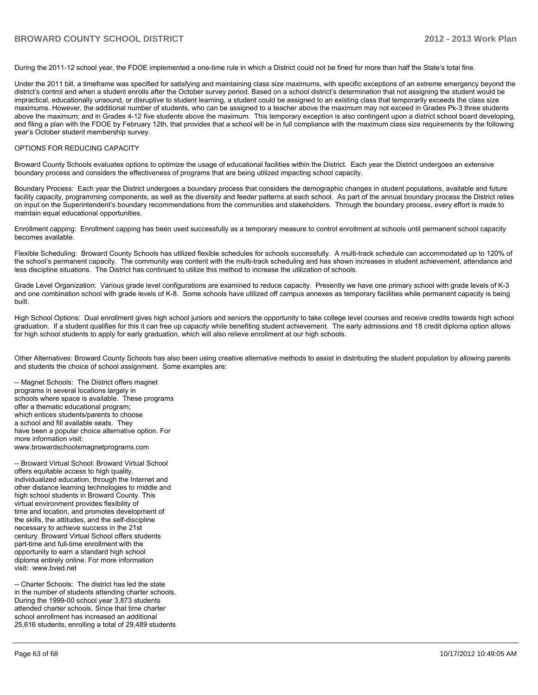During the 2011-12 school year, the FDOE implemented a one-time rule in which a District could not be fined for more than half the State's total fine.

Under the 2011 bill, a timeframe was specified for satisfying and maintaining class size maximums, with specific exceptions of an extreme emergency beyond the district's control and when a student enrolls after the October survey period. Based on a school district's determination that not assigning the student would be impractical, educationally unsound, or disruptive to student learning, a student could be assigned to an existing class that temporarily exceeds the class size maximums. However, the additional number of students, who can be assigned to a teacher above the maximum may not exceed in Grades Pk-3 three students above the maximum: and in Grades 4-12 five students above the maximum. This temporary exception is also contingent upon a district school board developing. and filing a plan with the FDOE by February 12th, that provides that a school will be in full compliance with the maximum class size requirements by the following vear's October student membership survey.

#### OPTIONS FOR REDUCING CAPACITY

Broward County Schools evaluates options to optimize the usage of educational facilities within the District. Each year the District undergoes an extensive boundary process and considers the effectiveness of programs that are being utilized impacting school capacity.

Boundary Process: Each year the District undergoes a boundary process that considers the demographic changes in student populations, available and future facility capacity, programming components, as well as the diversity and feeder patterns at each school. As part of the annual boundary process the District relies on input on the Superintendent's boundary recommendations from the communities and stakeholders. Through the boundary process, every effort is made to maintain equal educational opportunities.

Enrollment capping: Enrollment capping has been used successfully as a temporary measure to control enrollment at schools until permanent school capacity becomes available

Flexible Scheduling: Broward County Schools has utilized flexible schedules for schools successfully. A multi-track schedule can accommodated up to 120% of the school's permanent capacity. The community was content with the multi-track scheduling and has shown increases in student achievement, attendance and less discipline situations. The District has continued to utilize this method to increase the utilization of schools.

Grade Level Organization: Various grade level configurations are examined to reduce capacity. Presently we have one primary school with grade levels of K-3 and one combination school with grade levels of K-8. Some schools have utilized off campus annexes as temporary facilities while permanent capacity is being built.

High School Options: Dual enrollment gives high school juniors and seniors the opportunity to take college level courses and receive credits towards high school graduation. If a student qualifies for this it can free up capacity while benefiting student achievement. The early admissions and 18 credit diploma option allows for high school students to apply for early graduation, which will also relieve enrollment at our high schools.

Other Alternatives: Broward County Schools has also been using creative alternative methods to assist in distributing the student population by allowing parents and students the choice of school assignment. Some examples are:

-- Magnet Schools: The District offers magnet programs in several locations largely in schools where space is available. These programs offer a thematic educational program; which entices students/parents to choose a school and fill available seats. They have been a popular choice alternative option. For more information visit: www.browardschoolsmagnetprograms.com

-- Broward Virtual School: Broward Virtual School offers equitable access to high quality, individualized education, through the Internet and other distance learning technologies to middle and high school students in Broward County. This virtual environment provides flexibility of time and location, and promotes development of the skills, the attitudes, and the self-discipline necessary to achieve success in the 21st century. Broward Virtual School offers students part-time and full-time enrollment with the opportunity to earn a standard high school diploma entirely online. For more information visit: www.bved.net

-- Charter Schools: The district has led the state in the number of students attending charter schools. During the 1999-00 school vear  $3.\overline{8}73$  students attended charter schools. Since that time charter school enrollment has increased an additional 25,616 students, enrolling a total of 29,489 students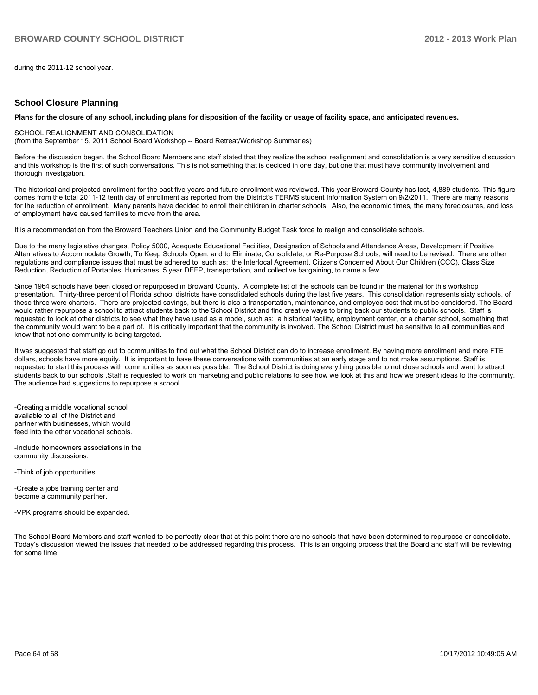during the 2011-12 school year.

#### **School Closure Planning**

#### **Plans for the closure of any school, including plans for disposition of the facility or usage of facility space, and anticipated revenues.**

#### SCHOOL REALIGNMENT AND CONSOLIDATION

(from the September 15, 2011 School Board Workshop -- Board Retreat/Workshop Summaries)

Before the discussion began, the School Board Members and staff stated that they realize the school realignment and consolidation is a very sensitive discussion and this workshop is the first of such conversations. This is not something that is decided in one day, but one that must have community involvement and thorough investigation.

The historical and projected enrollment for the past five years and future enrollment was reviewed. This year Broward County has lost, 4,889 students. This figure comes from the total 2011-12 tenth day of enrollment as reported from the District's TERMS student Information System on 9/2/2011. There are many reasons for the reduction of enrollment. Many parents have decided to enroll their children in charter schools. Also, the economic times, the many foreclosures, and loss of employment have caused families to move from the area.

It is a recommendation from the Broward Teachers Union and the Community Budget Task force to realign and consolidate schools.

Due to the many legislative changes, Policy 5000, Adequate Educational Facilities, Designation of Schools and Attendance Areas, Development if Positive Alternatives to Accommodate Growth, To Keep Schools Open, and to Eliminate, Consolidate, or Re-Purpose Schools, will need to be revised. There are other regulations and compliance issues that must be adhered to, such as: the Interlocal Agreement. Citizens Concerned About Our Children (CCC), Class Size Reduction, Reduction of Portables, Hurricanes, 5 year DEFP, transportation, and collective bargaining, to name a few.

Since 1964 schools have been closed or repurposed in Broward County. A complete list of the schools can be found in the material for this workshop presentation. Thirty-three percent of Florida school districts have consolidated schools during the last five vears. This consolidation represents sixty schools, of these three were charters. There are projected savings, but there is also a transportation, maintenance, and employee cost that must be considered. The Board would rather repurpose a school to attract students back to the School District and find creative ways to bring back our students to public schools. Staff is requested to look at other districts to see what they have used as a model, such as: a historical facility, employment center, or a charter school, something that the community would want to be a part of. It is critically important that the community is involved. The School District must be sensitive to all communities and know that not one community is being targeted.

It was suggested that staff go out to communities to find out what the School District can do to increase enrollment. By having more enrollment and more FTE dollars, schools have more equity. It is important to have these conversations with communities at an early stage and to not make assumptions. Staff is requested to start this process with communities as soon as possible. The School District is doing everything possible to not close schools and want to attract students back to our schools .Staff is requested to work on marketing and public relations to see how we look at this and how we present ideas to the community. The audience had suggestions to repurpose a school.

-Creating a middle vocational school available to all of the District and partner with businesses, which would feed into the other vocational schools.

-Include homeowners associations in the community discussions.

-Think of job opportunities.

-Create a jobs training center and become a community partner.

-VPK programs should be expanded.

The School Board Members and staff wanted to be perfectly clear that at this point there are no schools that have been determined to repurpose or consolidate. Today's discussion viewed the issues that needed to be addressed regarding this process. This is an ongoing process that the Board and staff will be reviewing  $for \space$ come time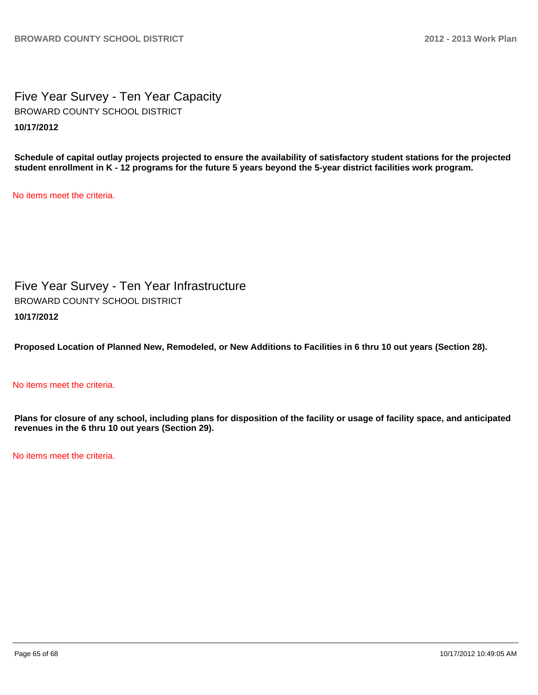Five Year Survey - Ten Year Capacity **10/17/2012** BROWARD COUNTY SCHOOL DISTRICT

**Schedule of capital outlay projects projected to ensure the availability of satisfactory student stations for the projected student enrollment in K - 12 programs for the future 5 years beyond the 5-year district facilities work program.**

No items meet the criteria.

Five Year Survey - Ten Year Infrastructure **10/17/2012** BROWARD COUNTY SCHOOL DISTRICT

**Proposed Location of Planned New, Remodeled, or New Additions to Facilities in 6 thru 10 out years (Section 28).**

#### No items meet the criteria.

**Plans for closure of any school, including plans for disposition of the facility or usage of facility space, and anticipated revenues in the 6 thru 10 out years (Section 29).**

No items meet the criteria.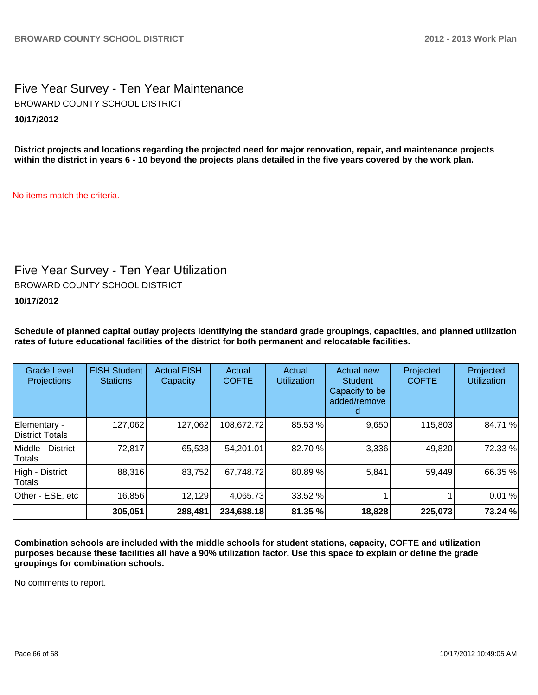Five Year Survey - Ten Year Maintenance **10/17/2012** BROWARD COUNTY SCHOOL DISTRICT

**District projects and locations regarding the projected need for major renovation, repair, and maintenance projects within the district in years 6 - 10 beyond the projects plans detailed in the five years covered by the work plan.**

No items match the criteria.

## Five Year Survey - Ten Year Utilization

BROWARD COUNTY SCHOOL DISTRICT

**10/17/2012**

**Schedule of planned capital outlay projects identifying the standard grade groupings, capacities, and planned utilization rates of future educational facilities of the district for both permanent and relocatable facilities.**

| <b>Grade Level</b><br><b>Projections</b> | <b>FISH Student</b><br><b>Stations</b> | <b>Actual FISH</b><br>Capacity | Actual<br><b>COFTE</b> | Actual<br><b>Utilization</b> | Actual new<br><b>Student</b><br>Capacity to be<br>added/remove | Projected<br><b>COFTE</b> | Projected<br><b>Utilization</b> |
|------------------------------------------|----------------------------------------|--------------------------------|------------------------|------------------------------|----------------------------------------------------------------|---------------------------|---------------------------------|
| Elementary -<br><b>IDistrict Totals</b>  | 127,062                                | 127,062                        | 108,672.72             | 85.53 %                      | 9,650                                                          | 115,803                   | 84.71%                          |
| Middle - District<br>Totals              | 72,817                                 | 65,538                         | 54,201.01              | 82.70 %                      | 3,336                                                          | 49,820                    | 72.33 %                         |
| High - District<br>Totals                | 88,316                                 | 83,752                         | 67,748.72              | 80.89%                       | 5,841                                                          | 59,449                    | 66.35 %                         |
| Other - ESE, etc                         | 16,856                                 | 12,129                         | 4,065.73               | 33.52 %                      |                                                                |                           | 0.01%                           |
|                                          | 305,051                                | 288,481                        | 234,688.18             | 81.35 %                      | 18,828                                                         | 225,073                   | 73.24 %                         |

**Combination schools are included with the middle schools for student stations, capacity, COFTE and utilization purposes because these facilities all have a 90% utilization factor. Use this space to explain or define the grade groupings for combination schools.**

No comments to report.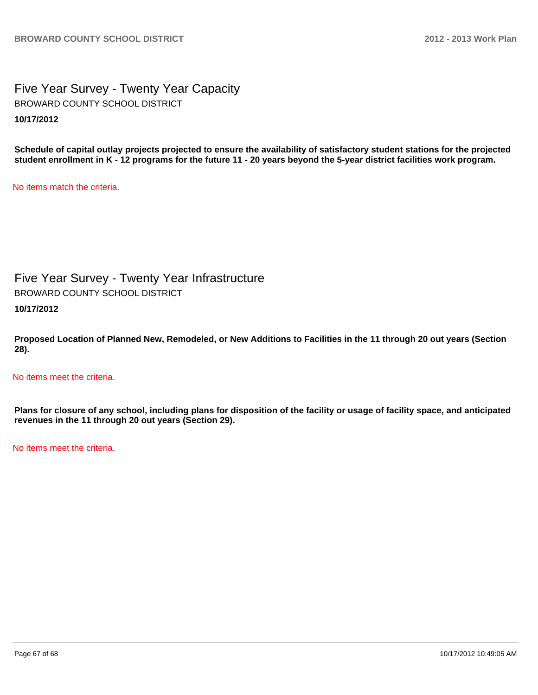Five Year Survey - Twenty Year Capacity **10/17/2012** BROWARD COUNTY SCHOOL DISTRICT

**Schedule of capital outlay projects projected to ensure the availability of satisfactory student stations for the projected student enrollment in K - 12 programs for the future 11 - 20 years beyond the 5-year district facilities work program.**

No items match the criteria.

Five Year Survey - Twenty Year Infrastructure BROWARD COUNTY SCHOOL DISTRICT

**10/17/2012**

**Proposed Location of Planned New, Remodeled, or New Additions to Facilities in the 11 through 20 out years (Section 28).**

No items meet the criteria.

**Plans for closure of any school, including plans for disposition of the facility or usage of facility space, and anticipated revenues in the 11 through 20 out years (Section 29).**

No items meet the criteria.